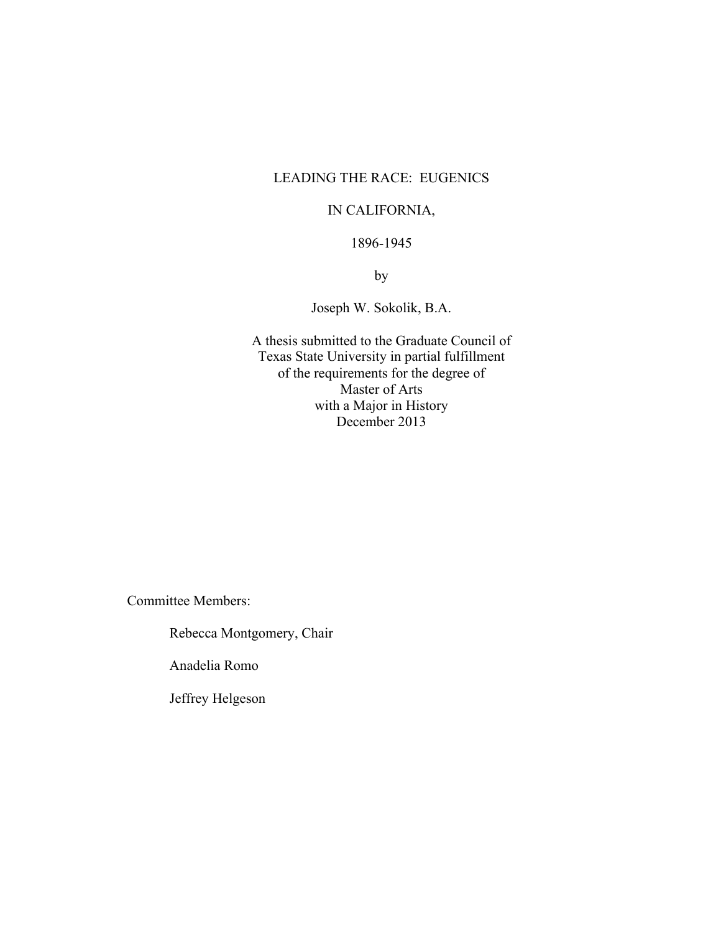## LEADING THE RACE: EUGENICS

## IN CALIFORNIA,

## 1896-1945

by

Joseph W. Sokolik, B.A.

A thesis submitted to the Graduate Council of Texas State University in partial fulfillment of the requirements for the degree of Master of Arts with a Major in History December 2013

Committee Members:

Rebecca Montgomery, Chair

Anadelia Romo

Jeffrey Helgeson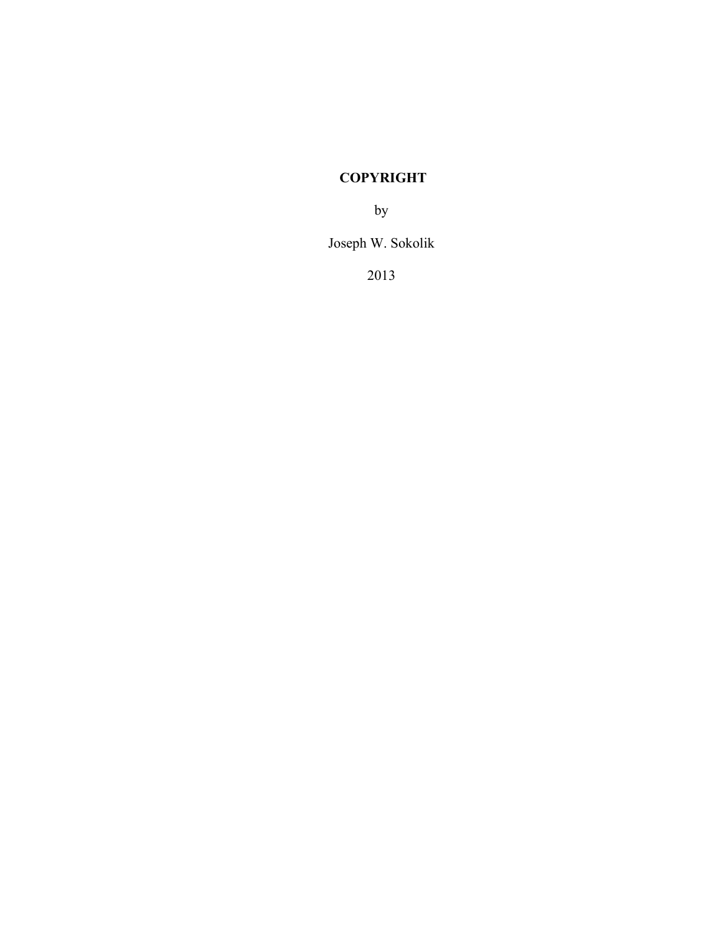# **COPYRIGHT**

by

Joseph W. Sokolik

2013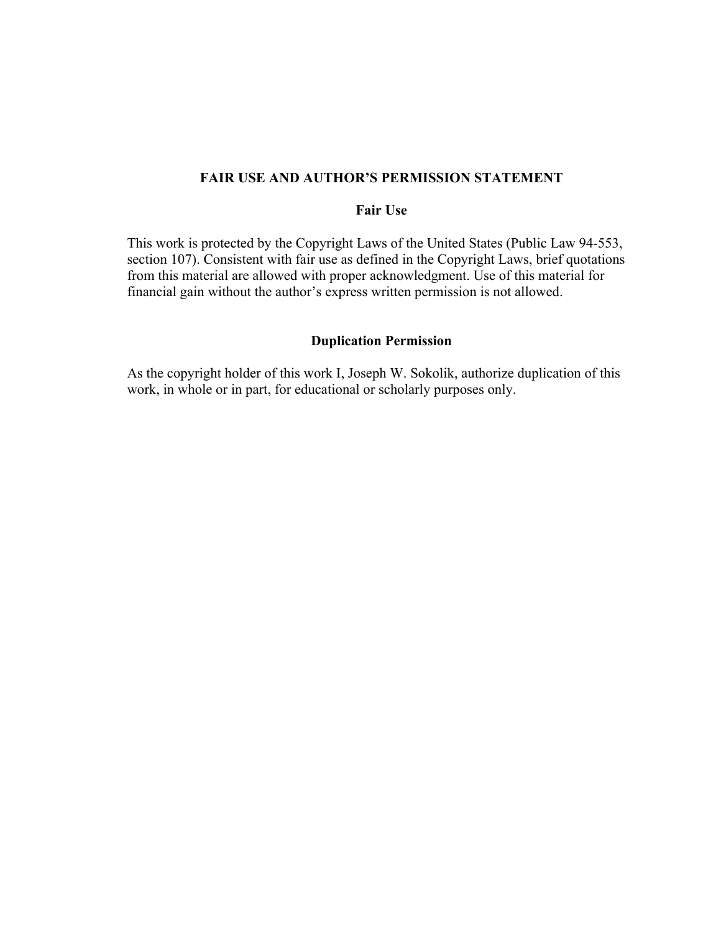### **FAIR USE AND AUTHOR'S PERMISSION STATEMENT**

### **Fair Use**

This work is protected by the Copyright Laws of the United States (Public Law 94-553, section 107). Consistent with fair use as defined in the Copyright Laws, brief quotations from this material are allowed with proper acknowledgment. Use of this material for financial gain without the author's express written permission is not allowed.

## **Duplication Permission**

As the copyright holder of this work I, Joseph W. Sokolik, authorize duplication of this work, in whole or in part, for educational or scholarly purposes only.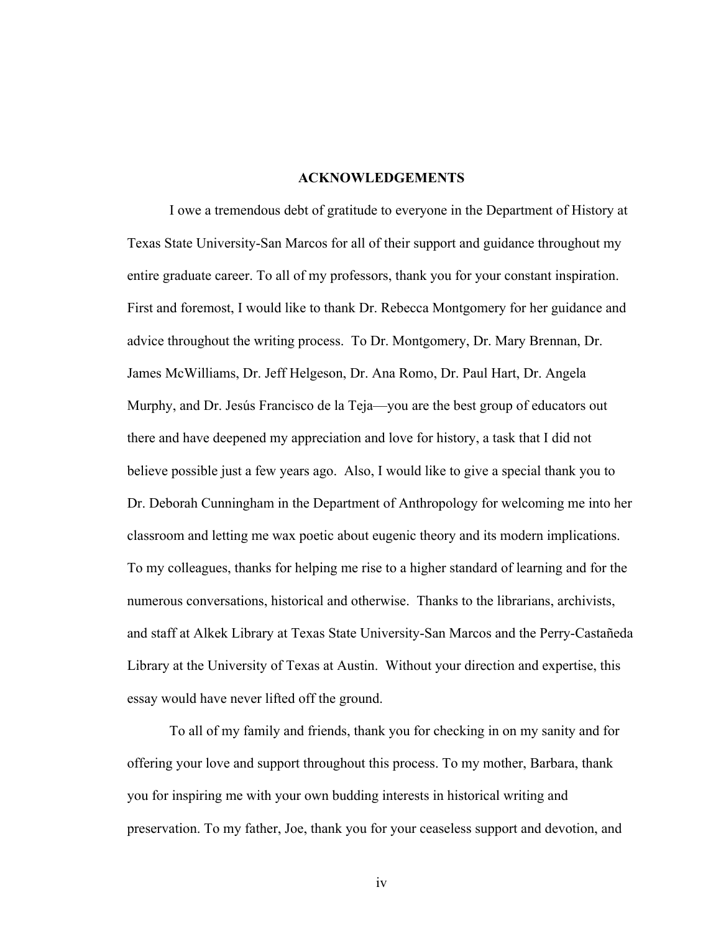### **ACKNOWLEDGEMENTS**

I owe a tremendous debt of gratitude to everyone in the Department of History at Texas State University-San Marcos for all of their support and guidance throughout my entire graduate career. To all of my professors, thank you for your constant inspiration. First and foremost, I would like to thank Dr. Rebecca Montgomery for her guidance and advice throughout the writing process. To Dr. Montgomery, Dr. Mary Brennan, Dr. James McWilliams, Dr. Jeff Helgeson, Dr. Ana Romo, Dr. Paul Hart, Dr. Angela Murphy, and Dr. Jesús Francisco de la Teja—you are the best group of educators out there and have deepened my appreciation and love for history, a task that I did not believe possible just a few years ago. Also, I would like to give a special thank you to Dr. Deborah Cunningham in the Department of Anthropology for welcoming me into her classroom and letting me wax poetic about eugenic theory and its modern implications. To my colleagues, thanks for helping me rise to a higher standard of learning and for the numerous conversations, historical and otherwise. Thanks to the librarians, archivists, and staff at Alkek Library at Texas State University-San Marcos and the Perry-Castañeda Library at the University of Texas at Austin. Without your direction and expertise, this essay would have never lifted off the ground.

To all of my family and friends, thank you for checking in on my sanity and for offering your love and support throughout this process. To my mother, Barbara, thank you for inspiring me with your own budding interests in historical writing and preservation. To my father, Joe, thank you for your ceaseless support and devotion, and

iv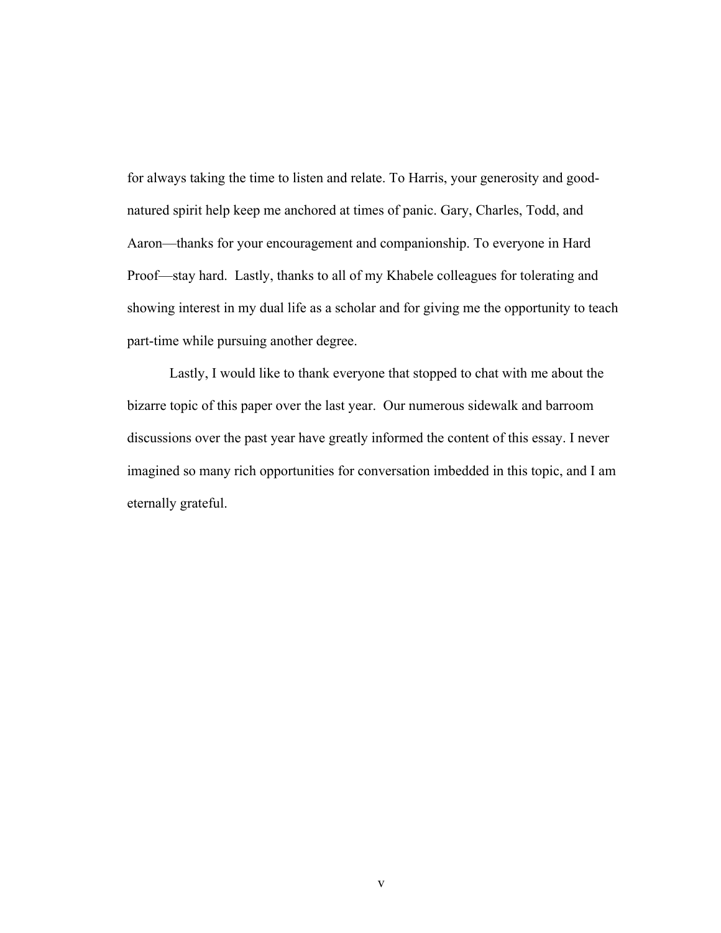for always taking the time to listen and relate. To Harris, your generosity and goodnatured spirit help keep me anchored at times of panic. Gary, Charles, Todd, and Aaron—thanks for your encouragement and companionship. To everyone in Hard Proof—stay hard. Lastly, thanks to all of my Khabele colleagues for tolerating and showing interest in my dual life as a scholar and for giving me the opportunity to teach part-time while pursuing another degree.

Lastly, I would like to thank everyone that stopped to chat with me about the bizarre topic of this paper over the last year. Our numerous sidewalk and barroom discussions over the past year have greatly informed the content of this essay. I never imagined so many rich opportunities for conversation imbedded in this topic, and I am eternally grateful.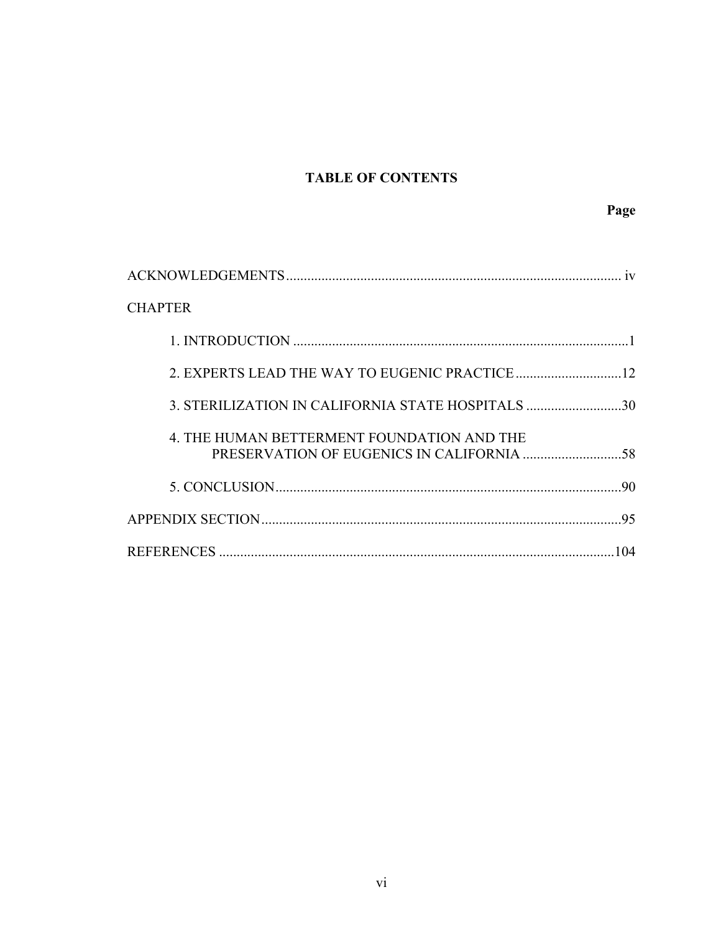# **TABLE OF CONTENTS**

| 1V                                                |  |
|---------------------------------------------------|--|
| <b>CHAPTER</b>                                    |  |
|                                                   |  |
|                                                   |  |
| 3. STERILIZATION IN CALIFORNIA STATE HOSPITALS 30 |  |
| 4. THE HUMAN BETTERMENT FOUNDATION AND THE        |  |
| 90                                                |  |
|                                                   |  |
| 104                                               |  |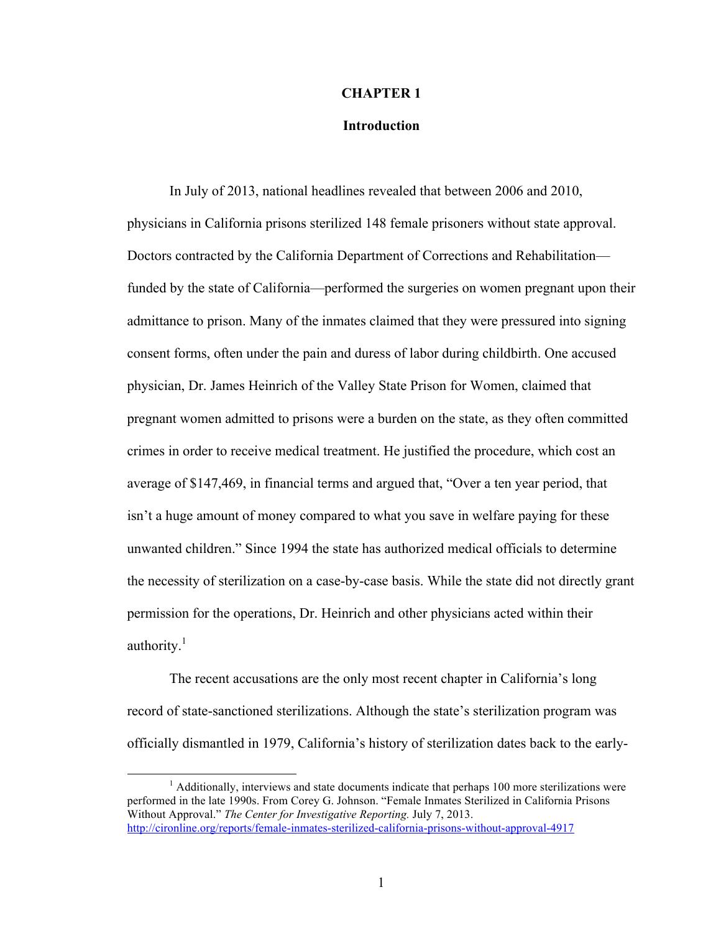### **CHAPTER 1**

### **Introduction**

In July of 2013, national headlines revealed that between 2006 and 2010, physicians in California prisons sterilized 148 female prisoners without state approval. Doctors contracted by the California Department of Corrections and Rehabilitation funded by the state of California—performed the surgeries on women pregnant upon their admittance to prison. Many of the inmates claimed that they were pressured into signing consent forms, often under the pain and duress of labor during childbirth. One accused physician, Dr. James Heinrich of the Valley State Prison for Women, claimed that pregnant women admitted to prisons were a burden on the state, as they often committed crimes in order to receive medical treatment. He justified the procedure, which cost an average of \$147,469, in financial terms and argued that, "Over a ten year period, that isn't a huge amount of money compared to what you save in welfare paying for these unwanted children." Since 1994 the state has authorized medical officials to determine the necessity of sterilization on a case-by-case basis. While the state did not directly grant permission for the operations, Dr. Heinrich and other physicians acted within their authority. $1$ 

The recent accusations are the only most recent chapter in California's long record of state-sanctioned sterilizations. Although the state's sterilization program was officially dismantled in 1979, California's history of sterilization dates back to the early-

 $<sup>1</sup>$  Additionally, interviews and state documents indicate that perhaps 100 more sterilizations were</sup> performed in the late 1990s. From Corey G. Johnson. "Female Inmates Sterilized in California Prisons Without Approval." *The Center for Investigative Reporting.* July 7, 2013. http://cironline.org/reports/female-inmates-sterilized-california-prisons-without-approval-4917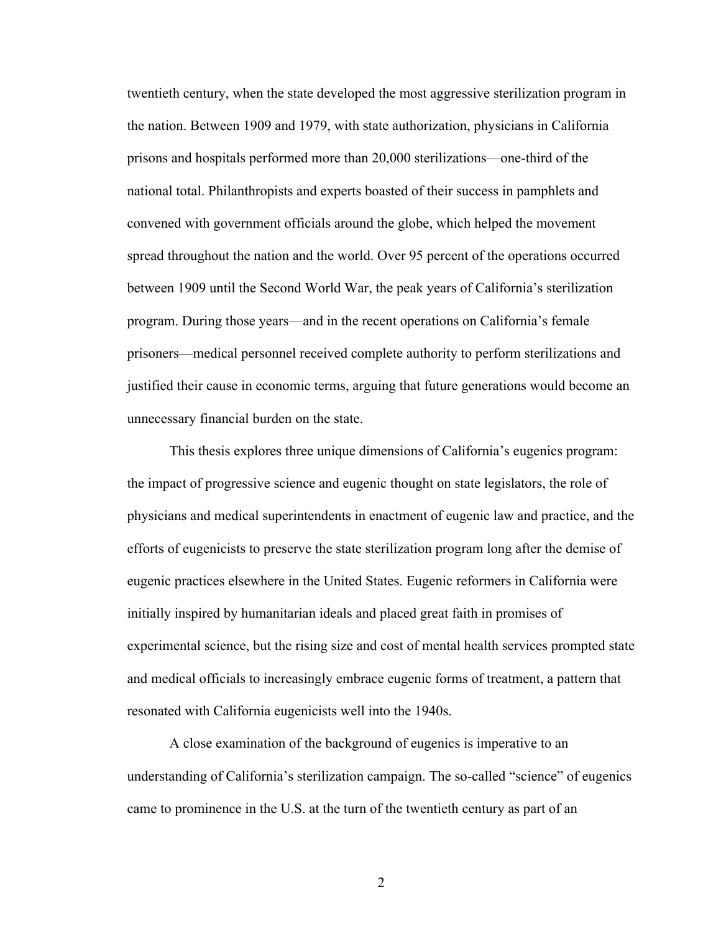twentieth century, when the state developed the most aggressive sterilization program in the nation. Between 1909 and 1979, with state authorization, physicians in California prisons and hospitals performed more than 20,000 sterilizations—one-third of the national total. Philanthropists and experts boasted of their success in pamphlets and convened with government officials around the globe, which helped the movement spread throughout the nation and the world. Over 95 percent of the operations occurred between 1909 until the Second World War, the peak years of California's sterilization program. During those years—and in the recent operations on California's female prisoners—medical personnel received complete authority to perform sterilizations and justified their cause in economic terms, arguing that future generations would become an unnecessary financial burden on the state.

This thesis explores three unique dimensions of California's eugenics program: the impact of progressive science and eugenic thought on state legislators, the role of physicians and medical superintendents in enactment of eugenic law and practice, and the efforts of eugenicists to preserve the state sterilization program long after the demise of eugenic practices elsewhere in the United States. Eugenic reformers in California were initially inspired by humanitarian ideals and placed great faith in promises of experimental science, but the rising size and cost of mental health services prompted state and medical officials to increasingly embrace eugenic forms of treatment, a pattern that resonated with California eugenicists well into the 1940s.

A close examination of the background of eugenics is imperative to an understanding of California's sterilization campaign. The so-called "science" of eugenics came to prominence in the U.S. at the turn of the twentieth century as part of an

2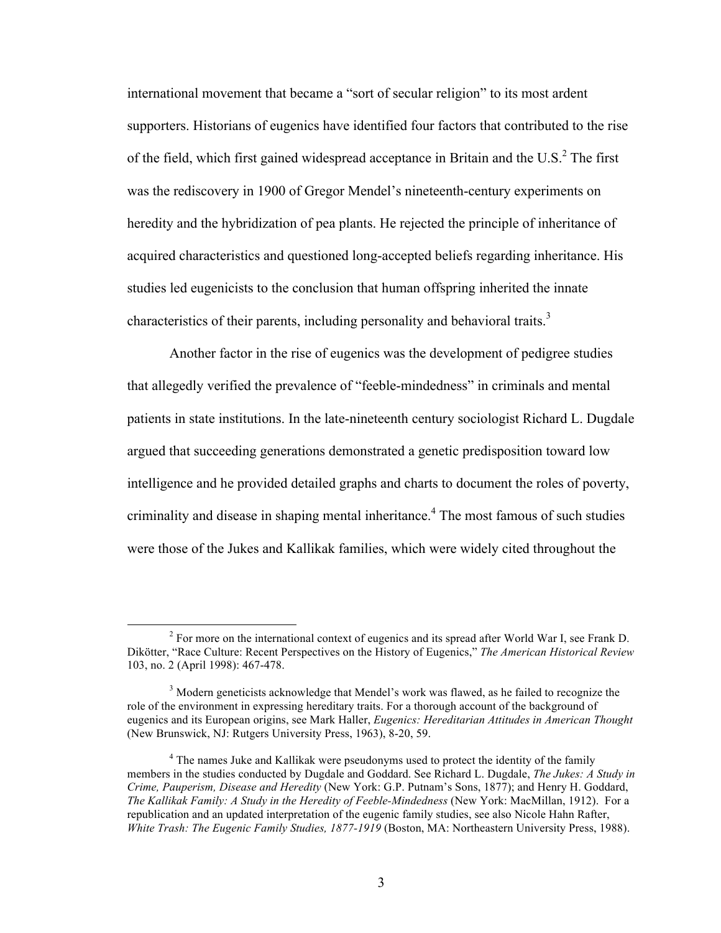international movement that became a "sort of secular religion" to its most ardent supporters. Historians of eugenics have identified four factors that contributed to the rise of the field, which first gained widespread acceptance in Britain and the U.S. $^2$  The first was the rediscovery in 1900 of Gregor Mendel's nineteenth-century experiments on heredity and the hybridization of pea plants. He rejected the principle of inheritance of acquired characteristics and questioned long-accepted beliefs regarding inheritance. His studies led eugenicists to the conclusion that human offspring inherited the innate characteristics of their parents, including personality and behavioral traits.<sup>3</sup>

Another factor in the rise of eugenics was the development of pedigree studies that allegedly verified the prevalence of "feeble-mindedness" in criminals and mental patients in state institutions. In the late-nineteenth century sociologist Richard L. Dugdale argued that succeeding generations demonstrated a genetic predisposition toward low intelligence and he provided detailed graphs and charts to document the roles of poverty, criminality and disease in shaping mental inheritance. 4 The most famous of such studies were those of the Jukes and Kallikak families, which were widely cited throughout the

 $\frac{1}{2}$ <sup>2</sup> For more on the international context of eugenics and its spread after World War I, see Frank D. Dikötter, "Race Culture: Recent Perspectives on the History of Eugenics," *The American Historical Review*  103, no. 2 (April 1998): 467-478.

<sup>&</sup>lt;sup>3</sup> Modern geneticists acknowledge that Mendel's work was flawed, as he failed to recognize the role of the environment in expressing hereditary traits. For a thorough account of the background of eugenics and its European origins, see Mark Haller, *Eugenics: Hereditarian Attitudes in American Thought*  (New Brunswick, NJ: Rutgers University Press, 1963), 8-20, 59.

<sup>&</sup>lt;sup>4</sup> The names Juke and Kallikak were pseudonyms used to protect the identity of the family members in the studies conducted by Dugdale and Goddard. See Richard L. Dugdale, *The Jukes: A Study in Crime, Pauperism, Disease and Heredity* (New York: G.P. Putnam's Sons, 1877); and Henry H. Goddard, *The Kallikak Family: A Study in the Heredity of Feeble-Mindedness* (New York: MacMillan, 1912). For a republication and an updated interpretation of the eugenic family studies, see also Nicole Hahn Rafter, *White Trash: The Eugenic Family Studies, 1877-1919* (Boston, MA: Northeastern University Press, 1988).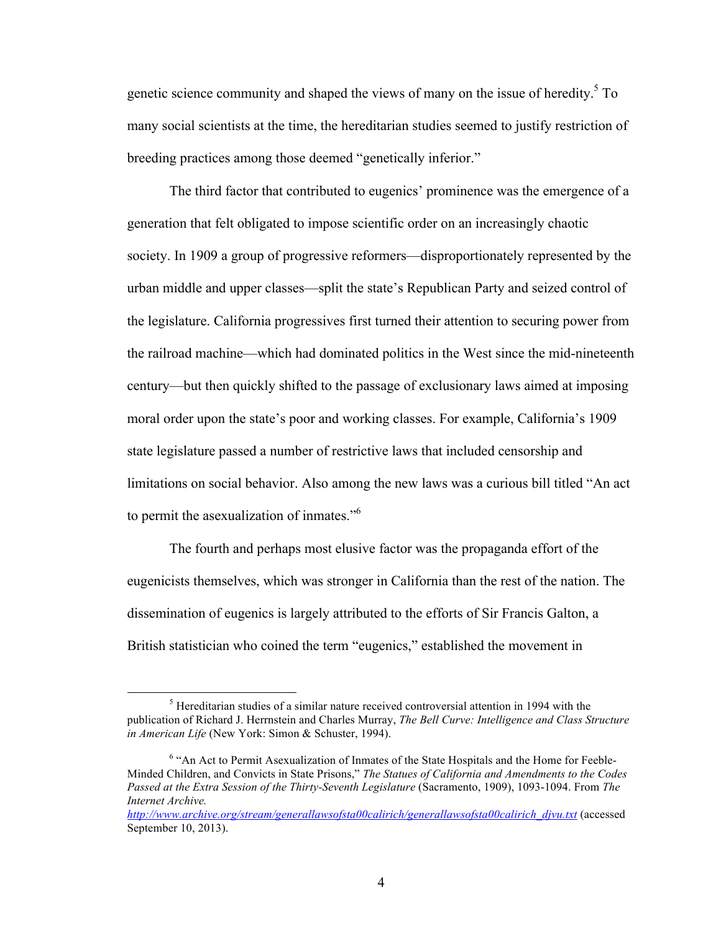genetic science community and shaped the views of many on the issue of heredity. 5 To many social scientists at the time, the hereditarian studies seemed to justify restriction of breeding practices among those deemed "genetically inferior."

The third factor that contributed to eugenics' prominence was the emergence of a generation that felt obligated to impose scientific order on an increasingly chaotic society. In 1909 a group of progressive reformers—disproportionately represented by the urban middle and upper classes—split the state's Republican Party and seized control of the legislature. California progressives first turned their attention to securing power from the railroad machine—which had dominated politics in the West since the mid-nineteenth century—but then quickly shifted to the passage of exclusionary laws aimed at imposing moral order upon the state's poor and working classes. For example, California's 1909 state legislature passed a number of restrictive laws that included censorship and limitations on social behavior. Also among the new laws was a curious bill titled "An act to permit the asexualization of inmates."<sup>6</sup>

The fourth and perhaps most elusive factor was the propaganda effort of the eugenicists themselves, which was stronger in California than the rest of the nation. The dissemination of eugenics is largely attributed to the efforts of Sir Francis Galton, a British statistician who coined the term "eugenics," established the movement in

 $rac{1}{5}$  $<sup>5</sup>$  Hereditarian studies of a similar nature received controversial attention in 1994 with the</sup> publication of Richard J. Herrnstein and Charles Murray, *The Bell Curve: Intelligence and Class Structure in American Life* (New York: Simon & Schuster, 1994).

<sup>6</sup> "An Act to Permit Asexualization of Inmates of the State Hospitals and the Home for Feeble-Minded Children, and Convicts in State Prisons," *The Statues of California and Amendments to the Codes Passed at the Extra Session of the Thirty-Seventh Legislature* (Sacramento, 1909), 1093-1094. From *The Internet Archive.* 

*http://www.archive.org/stream/generallawsofsta00calirich/generallawsofsta00calirich\_djvu.txt* (accessed September 10, 2013).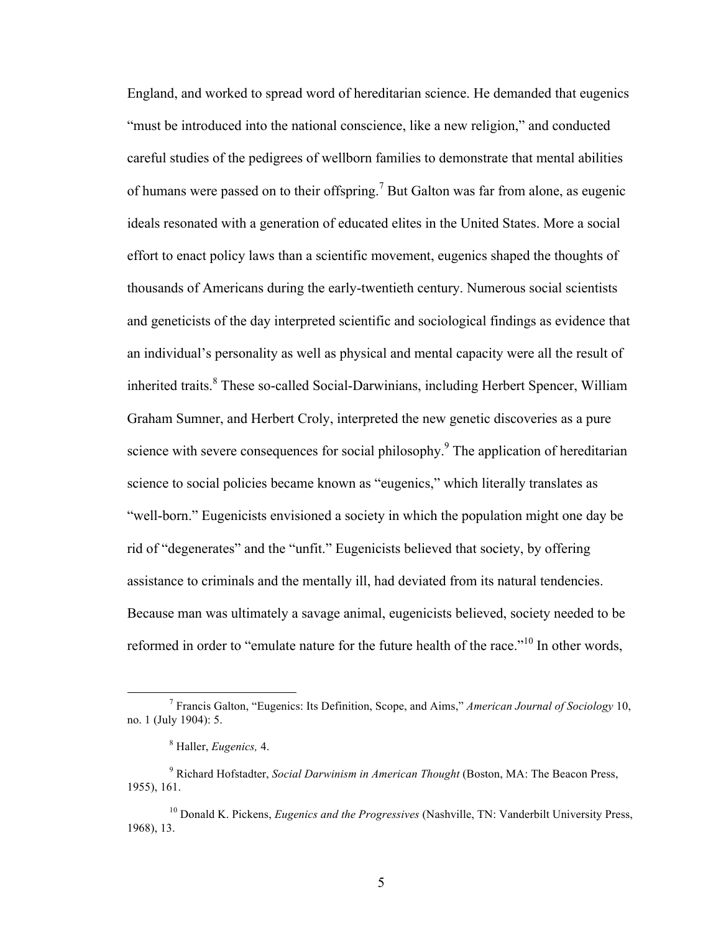England, and worked to spread word of hereditarian science. He demanded that eugenics "must be introduced into the national conscience, like a new religion," and conducted careful studies of the pedigrees of wellborn families to demonstrate that mental abilities of humans were passed on to their offspring.<sup>7</sup> But Galton was far from alone, as eugenic ideals resonated with a generation of educated elites in the United States. More a social effort to enact policy laws than a scientific movement, eugenics shaped the thoughts of thousands of Americans during the early-twentieth century. Numerous social scientists and geneticists of the day interpreted scientific and sociological findings as evidence that an individual's personality as well as physical and mental capacity were all the result of inherited traits. 8 These so-called Social-Darwinians, including Herbert Spencer, William Graham Sumner, and Herbert Croly, interpreted the new genetic discoveries as a pure science with severe consequences for social philosophy.<sup>9</sup> The application of hereditarian science to social policies became known as "eugenics," which literally translates as "well-born." Eugenicists envisioned a society in which the population might one day be rid of "degenerates" and the "unfit." Eugenicists believed that society, by offering assistance to criminals and the mentally ill, had deviated from its natural tendencies. Because man was ultimately a savage animal, eugenicists believed, society needed to be reformed in order to "emulate nature for the future health of the race."<sup>10</sup> In other words,

 <sup>7</sup> Francis Galton, "Eugenics: Its Definition, Scope, and Aims," *American Journal of Sociology* 10, no. 1 (July 1904): 5.

<sup>8</sup> Haller, *Eugenics,* 4.

<sup>9</sup> Richard Hofstadter, *Social Darwinism in American Thought* (Boston, MA: The Beacon Press, 1955), 161.

<sup>10</sup> Donald K. Pickens, *Eugenics and the Progressives* (Nashville, TN: Vanderbilt University Press, 1968), 13.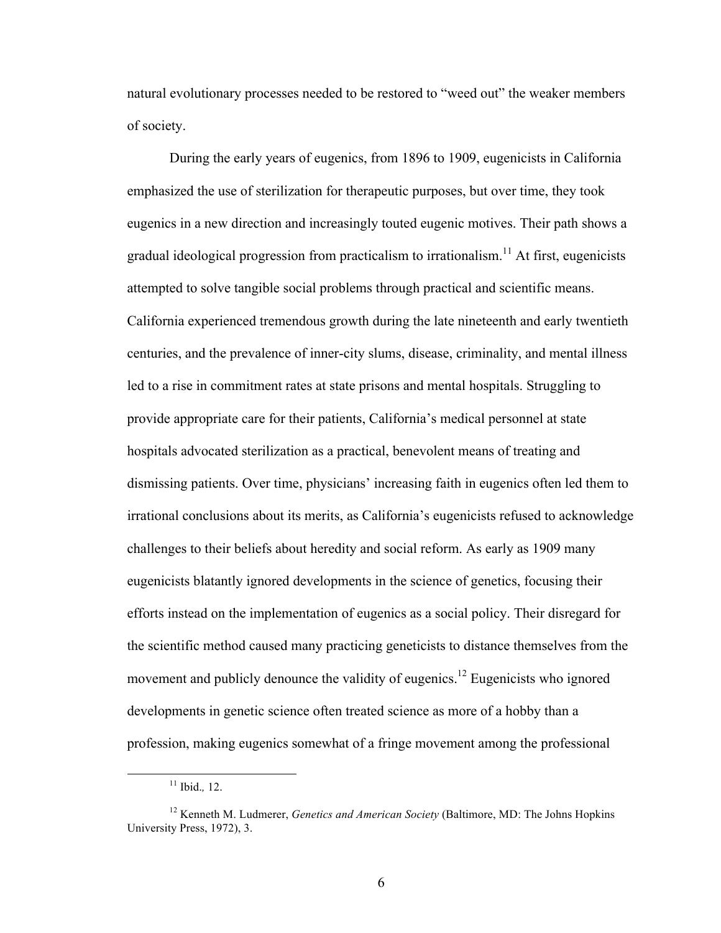natural evolutionary processes needed to be restored to "weed out" the weaker members of society.

During the early years of eugenics, from 1896 to 1909, eugenicists in California emphasized the use of sterilization for therapeutic purposes, but over time, they took eugenics in a new direction and increasingly touted eugenic motives. Their path shows a gradual ideological progression from practicalism to irrationalism.<sup>11</sup> At first, eugenicists attempted to solve tangible social problems through practical and scientific means. California experienced tremendous growth during the late nineteenth and early twentieth centuries, and the prevalence of inner-city slums, disease, criminality, and mental illness led to a rise in commitment rates at state prisons and mental hospitals. Struggling to provide appropriate care for their patients, California's medical personnel at state hospitals advocated sterilization as a practical, benevolent means of treating and dismissing patients. Over time, physicians' increasing faith in eugenics often led them to irrational conclusions about its merits, as California's eugenicists refused to acknowledge challenges to their beliefs about heredity and social reform. As early as 1909 many eugenicists blatantly ignored developments in the science of genetics, focusing their efforts instead on the implementation of eugenics as a social policy. Their disregard for the scientific method caused many practicing geneticists to distance themselves from the movement and publicly denounce the validity of eugenics.<sup>12</sup> Eugenicists who ignored developments in genetic science often treated science as more of a hobby than a profession, making eugenics somewhat of a fringe movement among the professional

 <sup>11</sup> Ibid.*,* 12.

<sup>12</sup> Kenneth M. Ludmerer, *Genetics and American Society* (Baltimore, MD: The Johns Hopkins University Press, 1972), 3.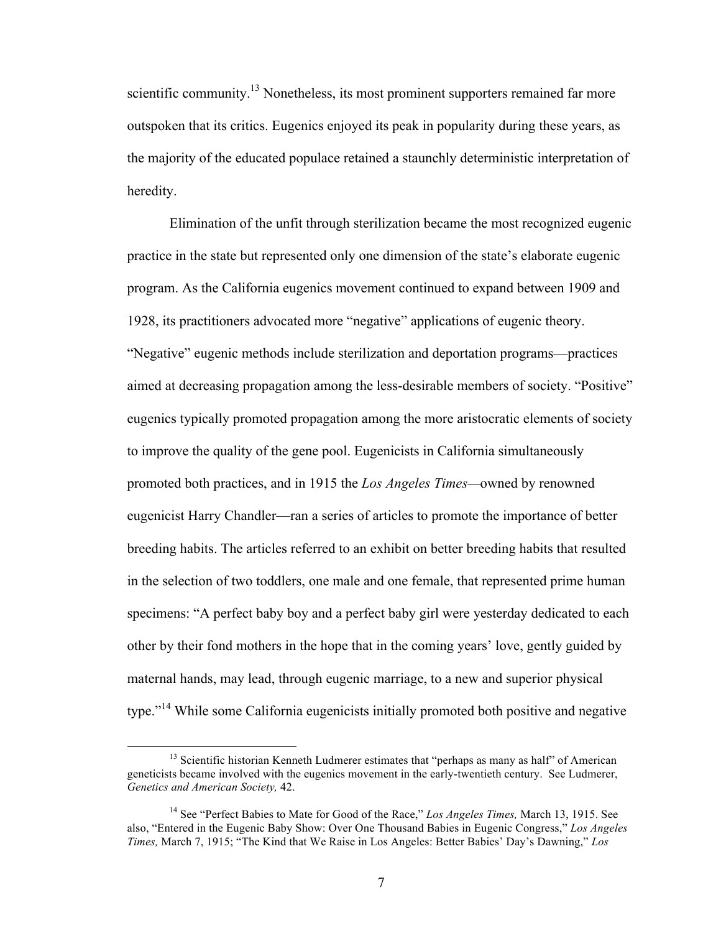scientific community.<sup>13</sup> Nonetheless, its most prominent supporters remained far more outspoken that its critics. Eugenics enjoyed its peak in popularity during these years, as the majority of the educated populace retained a staunchly deterministic interpretation of heredity.

Elimination of the unfit through sterilization became the most recognized eugenic practice in the state but represented only one dimension of the state's elaborate eugenic program. As the California eugenics movement continued to expand between 1909 and 1928, its practitioners advocated more "negative" applications of eugenic theory. "Negative" eugenic methods include sterilization and deportation programs—practices aimed at decreasing propagation among the less-desirable members of society. "Positive" eugenics typically promoted propagation among the more aristocratic elements of society to improve the quality of the gene pool. Eugenicists in California simultaneously promoted both practices, and in 1915 the *Los Angeles Times—*owned by renowned eugenicist Harry Chandler—ran a series of articles to promote the importance of better breeding habits. The articles referred to an exhibit on better breeding habits that resulted in the selection of two toddlers, one male and one female, that represented prime human specimens: "A perfect baby boy and a perfect baby girl were yesterday dedicated to each other by their fond mothers in the hope that in the coming years' love, gently guided by maternal hands, may lead, through eugenic marriage, to a new and superior physical type."<sup>14</sup> While some California eugenicists initially promoted both positive and negative

<sup>&</sup>lt;sup>13</sup> Scientific historian Kenneth Ludmerer estimates that "perhaps as many as half" of American geneticists became involved with the eugenics movement in the early-twentieth century. See Ludmerer, *Genetics and American Society,* 42.

<sup>&</sup>lt;sup>14</sup> See "Perfect Babies to Mate for Good of the Race," *Los Angeles Times*, March 13, 1915. See also, "Entered in the Eugenic Baby Show: Over One Thousand Babies in Eugenic Congress," *Los Angeles Times,* March 7, 1915; "The Kind that We Raise in Los Angeles: Better Babies' Day's Dawning," *Los*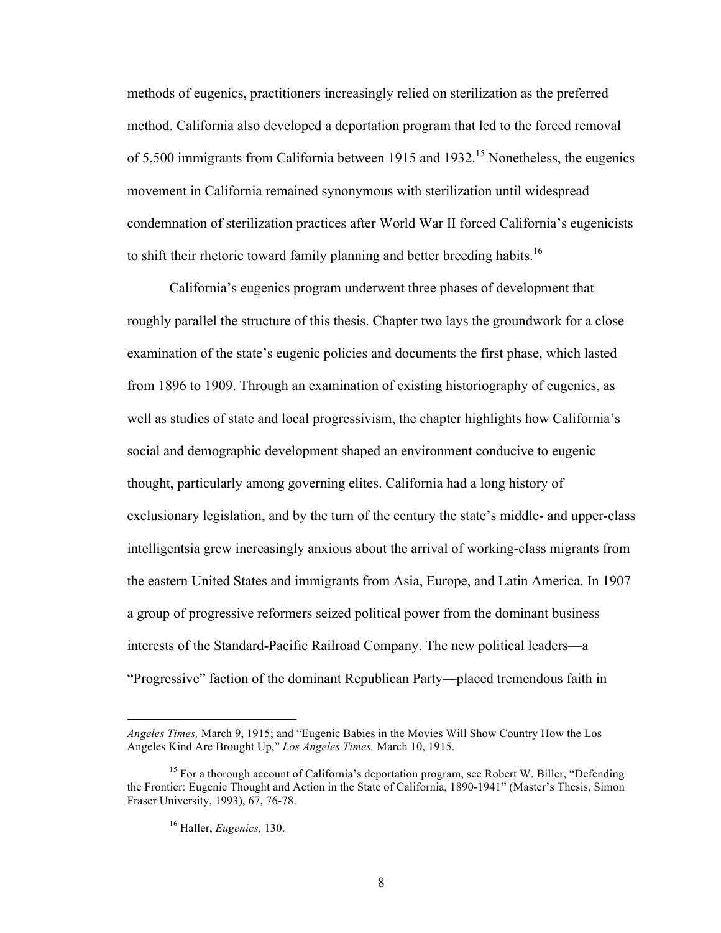methods of eugenics, practitioners increasingly relied on sterilization as the preferred method. California also developed a deportation program that led to the forced removal of 5,500 immigrants from California between 1915 and 1932.<sup>15</sup> Nonetheless, the eugenics movement in California remained synonymous with sterilization until widespread condemnation of sterilization practices after World War II forced California's eugenicists to shift their rhetoric toward family planning and better breeding habits.<sup>16</sup>

California's eugenics program underwent three phases of development that roughly parallel the structure of this thesis. Chapter two lays the groundwork for a close examination of the state's eugenic policies and documents the first phase, which lasted from 1896 to 1909. Through an examination of existing historiography of eugenics, as well as studies of state and local progressivism, the chapter highlights how California's social and demographic development shaped an environment conducive to eugenic thought, particularly among governing elites. California had a long history of exclusionary legislation, and by the turn of the century the state's middle- and upper-class intelligentsia grew increasingly anxious about the arrival of working-class migrants from the eastern United States and immigrants from Asia, Europe, and Latin America. In 1907 a group of progressive reformers seized political power from the dominant business interests of the Standard-Pacific Railroad Company. The new political leaders—a "Progressive" faction of the dominant Republican Party—placed tremendous faith in

 $\overline{a}$ 

*Angeles Times,* March 9, 1915; and "Eugenic Babies in the Movies Will Show Country How the Los Angeles Kind Are Brought Up," *Los Angeles Times,* March 10, 1915.

<sup>&</sup>lt;sup>15</sup> For a thorough account of California's deportation program, see Robert W. Biller, "Defending the Frontier: Eugenic Thought and Action in the State of California, 1890-1941" (Master's Thesis, Simon Fraser University, 1993), 67, 76-78.

<sup>16</sup> Haller, *Eugenics,* 130.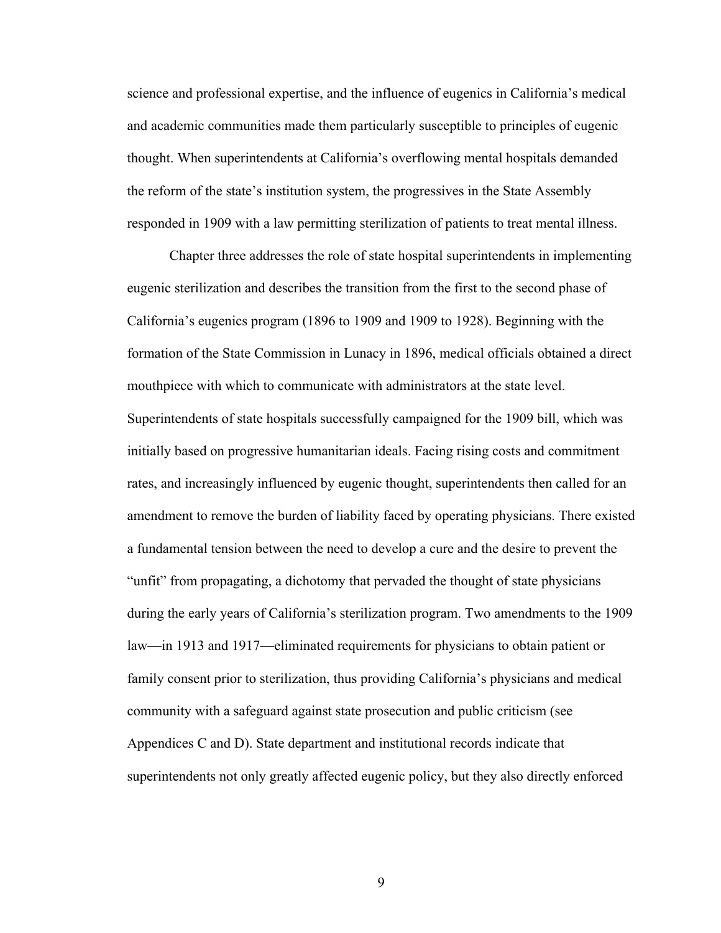science and professional expertise, and the influence of eugenics in California's medical and academic communities made them particularly susceptible to principles of eugenic thought. When superintendents at California's overflowing mental hospitals demanded the reform of the state's institution system, the progressives in the State Assembly responded in 1909 with a law permitting sterilization of patients to treat mental illness.

Chapter three addresses the role of state hospital superintendents in implementing eugenic sterilization and describes the transition from the first to the second phase of California's eugenics program (1896 to 1909 and 1909 to 1928). Beginning with the formation of the State Commission in Lunacy in 1896, medical officials obtained a direct mouthpiece with which to communicate with administrators at the state level. Superintendents of state hospitals successfully campaigned for the 1909 bill, which was initially based on progressive humanitarian ideals. Facing rising costs and commitment rates, and increasingly influenced by eugenic thought, superintendents then called for an amendment to remove the burden of liability faced by operating physicians. There existed a fundamental tension between the need to develop a cure and the desire to prevent the "unfit" from propagating, a dichotomy that pervaded the thought of state physicians during the early years of California's sterilization program. Two amendments to the 1909 law—in 1913 and 1917—eliminated requirements for physicians to obtain patient or family consent prior to sterilization, thus providing California's physicians and medical community with a safeguard against state prosecution and public criticism (see Appendices C and D). State department and institutional records indicate that superintendents not only greatly affected eugenic policy, but they also directly enforced

9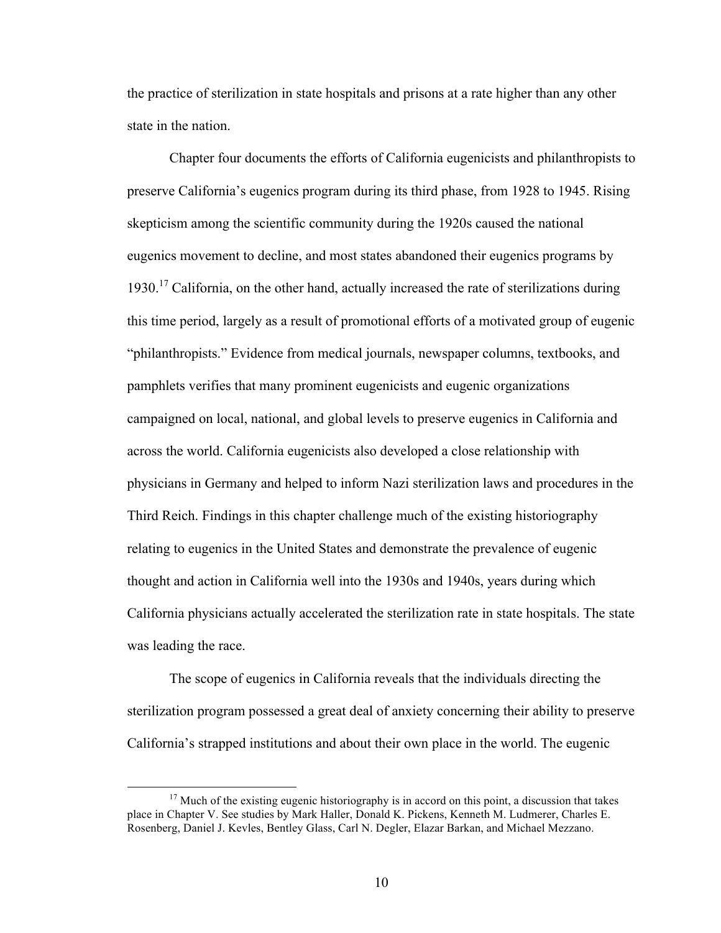the practice of sterilization in state hospitals and prisons at a rate higher than any other state in the nation.

Chapter four documents the efforts of California eugenicists and philanthropists to preserve California's eugenics program during its third phase, from 1928 to 1945. Rising skepticism among the scientific community during the 1920s caused the national eugenics movement to decline, and most states abandoned their eugenics programs by 1930.<sup>17</sup> California, on the other hand, actually increased the rate of sterilizations during this time period, largely as a result of promotional efforts of a motivated group of eugenic "philanthropists." Evidence from medical journals, newspaper columns, textbooks, and pamphlets verifies that many prominent eugenicists and eugenic organizations campaigned on local, national, and global levels to preserve eugenics in California and across the world. California eugenicists also developed a close relationship with physicians in Germany and helped to inform Nazi sterilization laws and procedures in the Third Reich. Findings in this chapter challenge much of the existing historiography relating to eugenics in the United States and demonstrate the prevalence of eugenic thought and action in California well into the 1930s and 1940s, years during which California physicians actually accelerated the sterilization rate in state hospitals. The state was leading the race.

The scope of eugenics in California reveals that the individuals directing the sterilization program possessed a great deal of anxiety concerning their ability to preserve California's strapped institutions and about their own place in the world. The eugenic

 $17$  Much of the existing eugenic historiography is in accord on this point, a discussion that takes place in Chapter V. See studies by Mark Haller, Donald K. Pickens, Kenneth M. Ludmerer, Charles E. Rosenberg, Daniel J. Kevles, Bentley Glass, Carl N. Degler, Elazar Barkan, and Michael Mezzano.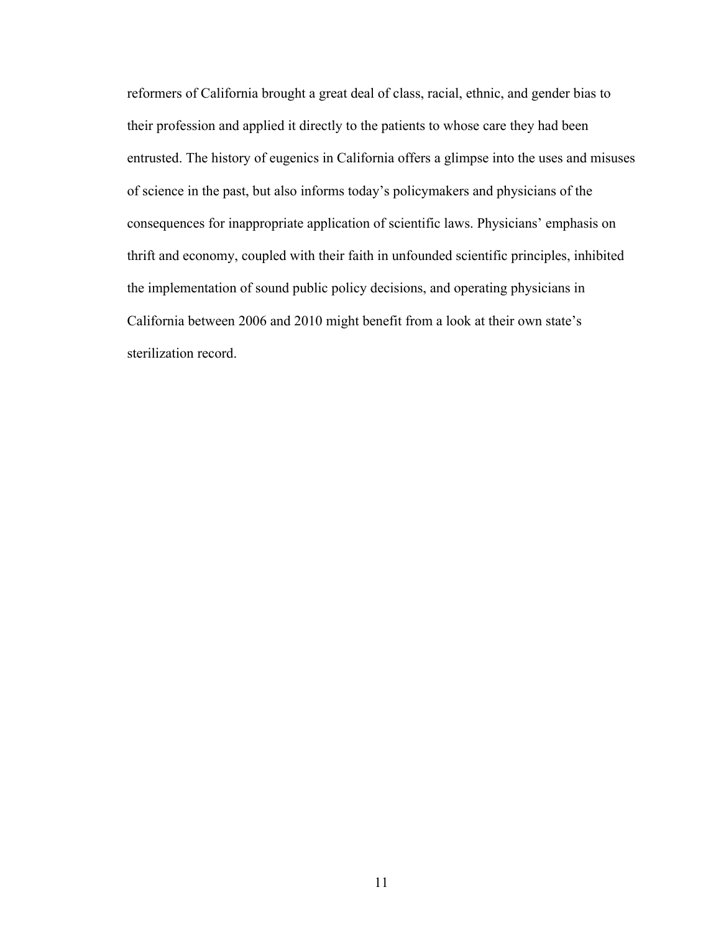reformers of California brought a great deal of class, racial, ethnic, and gender bias to their profession and applied it directly to the patients to whose care they had been entrusted. The history of eugenics in California offers a glimpse into the uses and misuses of science in the past, but also informs today's policymakers and physicians of the consequences for inappropriate application of scientific laws. Physicians' emphasis on thrift and economy, coupled with their faith in unfounded scientific principles, inhibited the implementation of sound public policy decisions, and operating physicians in California between 2006 and 2010 might benefit from a look at their own state's sterilization record.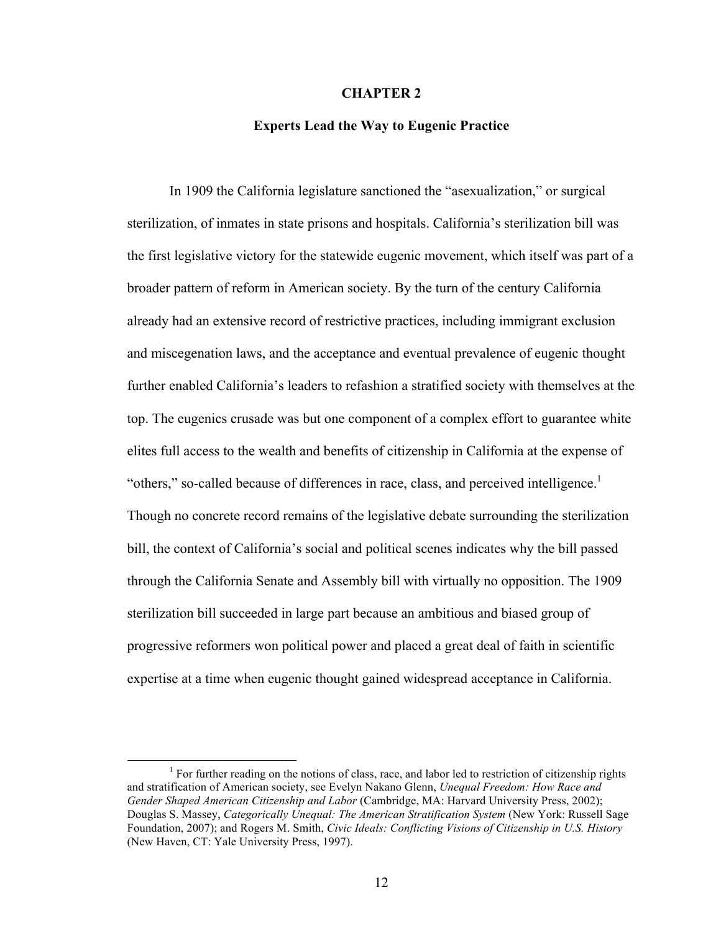### **CHAPTER 2**

### **Experts Lead the Way to Eugenic Practice**

In 1909 the California legislature sanctioned the "asexualization," or surgical sterilization, of inmates in state prisons and hospitals. California's sterilization bill was the first legislative victory for the statewide eugenic movement, which itself was part of a broader pattern of reform in American society. By the turn of the century California already had an extensive record of restrictive practices, including immigrant exclusion and miscegenation laws, and the acceptance and eventual prevalence of eugenic thought further enabled California's leaders to refashion a stratified society with themselves at the top. The eugenics crusade was but one component of a complex effort to guarantee white elites full access to the wealth and benefits of citizenship in California at the expense of "others," so-called because of differences in race, class, and perceived intelligence.<sup>1</sup> Though no concrete record remains of the legislative debate surrounding the sterilization bill, the context of California's social and political scenes indicates why the bill passed through the California Senate and Assembly bill with virtually no opposition. The 1909 sterilization bill succeeded in large part because an ambitious and biased group of progressive reformers won political power and placed a great deal of faith in scientific expertise at a time when eugenic thought gained widespread acceptance in California.

 $\frac{1}{1}$  $<sup>1</sup>$  For further reading on the notions of class, race, and labor led to restriction of citizenship rights</sup> and stratification of American society, see Evelyn Nakano Glenn, *Unequal Freedom: How Race and Gender Shaped American Citizenship and Labor* (Cambridge, MA: Harvard University Press, 2002); Douglas S. Massey, *Categorically Unequal: The American Stratification System* (New York: Russell Sage Foundation, 2007); and Rogers M. Smith, *Civic Ideals: Conflicting Visions of Citizenship in U.S. History* (New Haven, CT: Yale University Press, 1997).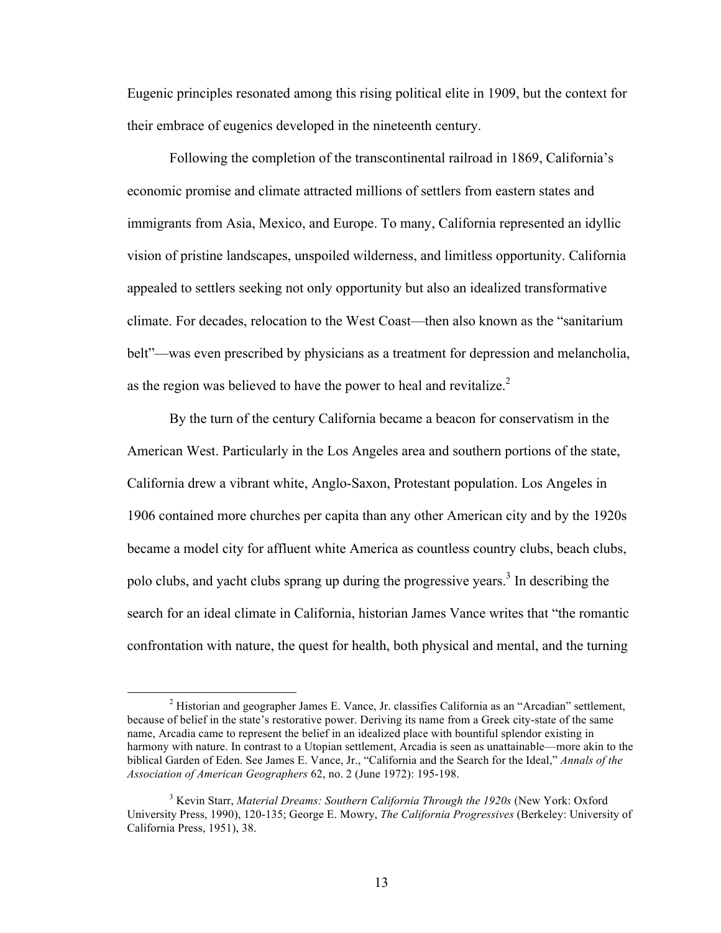Eugenic principles resonated among this rising political elite in 1909, but the context for their embrace of eugenics developed in the nineteenth century.

Following the completion of the transcontinental railroad in 1869, California's economic promise and climate attracted millions of settlers from eastern states and immigrants from Asia, Mexico, and Europe. To many, California represented an idyllic vision of pristine landscapes, unspoiled wilderness, and limitless opportunity. California appealed to settlers seeking not only opportunity but also an idealized transformative climate. For decades, relocation to the West Coast—then also known as the "sanitarium belt"—was even prescribed by physicians as a treatment for depression and melancholia, as the region was believed to have the power to heal and revitalize. $<sup>2</sup>$ </sup>

By the turn of the century California became a beacon for conservatism in the American West. Particularly in the Los Angeles area and southern portions of the state, California drew a vibrant white, Anglo-Saxon, Protestant population. Los Angeles in 1906 contained more churches per capita than any other American city and by the 1920s became a model city for affluent white America as countless country clubs, beach clubs, polo clubs, and yacht clubs sprang up during the progressive years. 3 In describing the search for an ideal climate in California, historian James Vance writes that "the romantic confrontation with nature, the quest for health, both physical and mental, and the turning

 <sup>2</sup> Historian and geographer James E. Vance, Jr. classifies California as an "Arcadian" settlement, because of belief in the state's restorative power. Deriving its name from a Greek city-state of the same name, Arcadia came to represent the belief in an idealized place with bountiful splendor existing in harmony with nature. In contrast to a Utopian settlement, Arcadia is seen as unattainable—more akin to the biblical Garden of Eden. See James E. Vance, Jr., "California and the Search for the Ideal," *Annals of the Association of American Geographers* 62, no. 2 (June 1972): 195-198.

<sup>3</sup> Kevin Starr, *Material Dreams: Southern California Through the 1920s* (New York: Oxford University Press, 1990), 120-135; George E. Mowry, *The California Progressives* (Berkeley: University of California Press, 1951), 38.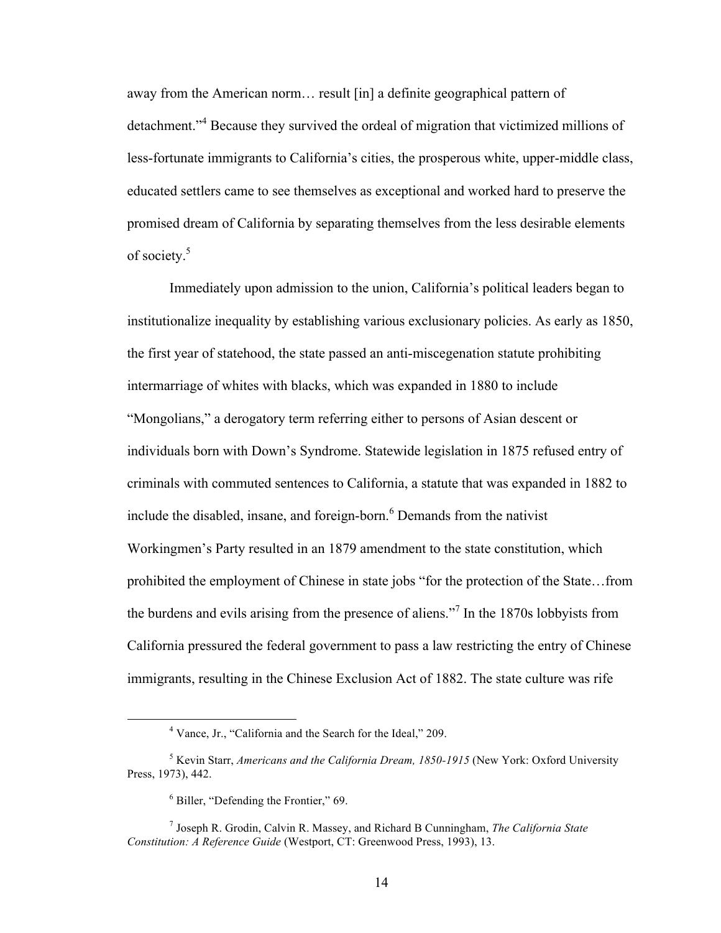away from the American norm… result [in] a definite geographical pattern of detachment." <sup>4</sup> Because they survived the ordeal of migration that victimized millions of less-fortunate immigrants to California's cities, the prosperous white, upper-middle class, educated settlers came to see themselves as exceptional and worked hard to preserve the promised dream of California by separating themselves from the less desirable elements of society. 5

Immediately upon admission to the union, California's political leaders began to institutionalize inequality by establishing various exclusionary policies. As early as 1850, the first year of statehood, the state passed an anti-miscegenation statute prohibiting intermarriage of whites with blacks, which was expanded in 1880 to include "Mongolians," a derogatory term referring either to persons of Asian descent or individuals born with Down's Syndrome. Statewide legislation in 1875 refused entry of criminals with commuted sentences to California, a statute that was expanded in 1882 to include the disabled, insane, and foreign-born. 6 Demands from the nativist Workingmen's Party resulted in an 1879 amendment to the state constitution, which prohibited the employment of Chinese in state jobs "for the protection of the State…from the burdens and evils arising from the presence of aliens."<sup>7</sup> In the 1870s lobbyists from California pressured the federal government to pass a law restricting the entry of Chinese immigrants, resulting in the Chinese Exclusion Act of 1882. The state culture was rife

 <sup>4</sup> Vance, Jr., "California and the Search for the Ideal," 209.

<sup>5</sup> Kevin Starr, *Americans and the California Dream, 1850-1915* (New York: Oxford University Press, 1973), 442.

<sup>6</sup> Biller, "Defending the Frontier," 69.

<sup>7</sup> Joseph R. Grodin, Calvin R. Massey, and Richard B Cunningham, *The California State Constitution: A Reference Guide* (Westport, CT: Greenwood Press, 1993), 13.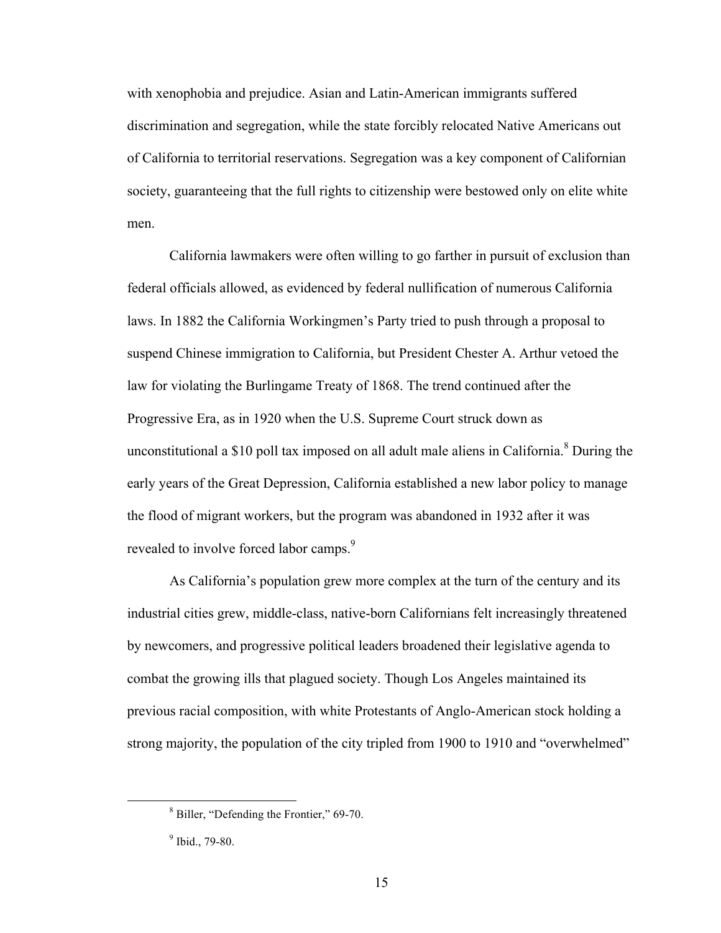with xenophobia and prejudice. Asian and Latin-American immigrants suffered discrimination and segregation, while the state forcibly relocated Native Americans out of California to territorial reservations. Segregation was a key component of Californian society, guaranteeing that the full rights to citizenship were bestowed only on elite white men.

California lawmakers were often willing to go farther in pursuit of exclusion than federal officials allowed, as evidenced by federal nullification of numerous California laws. In 1882 the California Workingmen's Party tried to push through a proposal to suspend Chinese immigration to California, but President Chester A. Arthur vetoed the law for violating the Burlingame Treaty of 1868. The trend continued after the Progressive Era, as in 1920 when the U.S. Supreme Court struck down as unconstitutional a \$10 poll tax imposed on all adult male aliens in California. $8$  During the early years of the Great Depression, California established a new labor policy to manage the flood of migrant workers, but the program was abandoned in 1932 after it was revealed to involve forced labor camps.<sup>9</sup>

As California's population grew more complex at the turn of the century and its industrial cities grew, middle-class, native-born Californians felt increasingly threatened by newcomers, and progressive political leaders broadened their legislative agenda to combat the growing ills that plagued society. Though Los Angeles maintained its previous racial composition, with white Protestants of Anglo-American stock holding a strong majority, the population of the city tripled from 1900 to 1910 and "overwhelmed"

 <sup>8</sup> Biller, "Defending the Frontier," 69-70.

<sup>9</sup> Ibid., 79-80.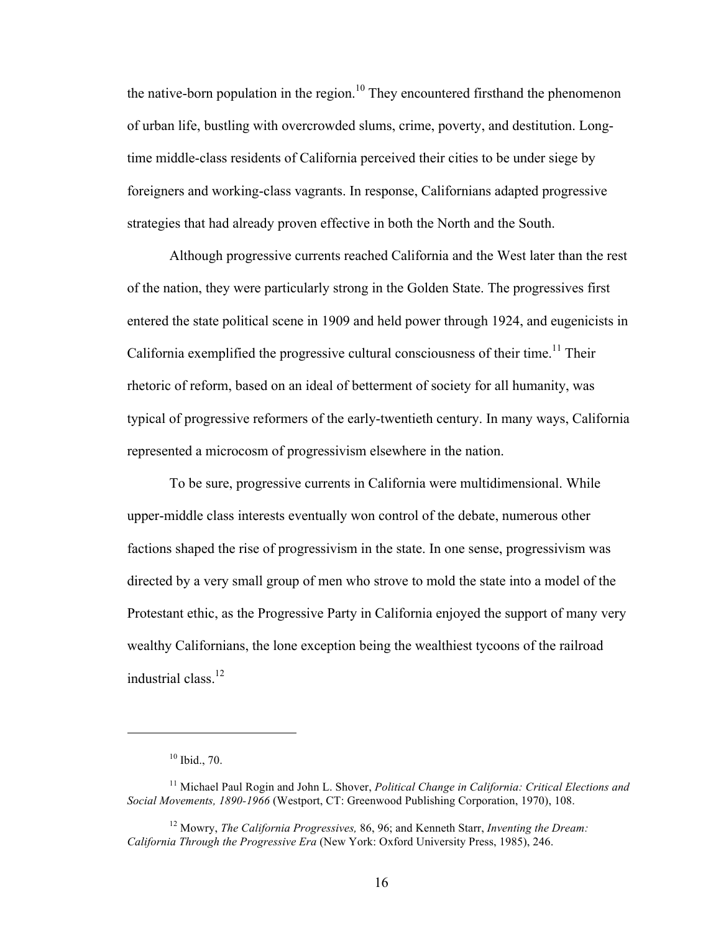the native-born population in the region.<sup>10</sup> They encountered firsthand the phenomenon of urban life, bustling with overcrowded slums, crime, poverty, and destitution. Longtime middle-class residents of California perceived their cities to be under siege by foreigners and working-class vagrants. In response, Californians adapted progressive strategies that had already proven effective in both the North and the South.

Although progressive currents reached California and the West later than the rest of the nation, they were particularly strong in the Golden State. The progressives first entered the state political scene in 1909 and held power through 1924, and eugenicists in California exemplified the progressive cultural consciousness of their time.<sup>11</sup> Their rhetoric of reform, based on an ideal of betterment of society for all humanity, was typical of progressive reformers of the early-twentieth century. In many ways, California represented a microcosm of progressivism elsewhere in the nation.

To be sure, progressive currents in California were multidimensional. While upper-middle class interests eventually won control of the debate, numerous other factions shaped the rise of progressivism in the state. In one sense, progressivism was directed by a very small group of men who strove to mold the state into a model of the Protestant ethic, as the Progressive Party in California enjoyed the support of many very wealthy Californians, the lone exception being the wealthiest tycoons of the railroad industrial class. 12

 $\overline{a}$ 

<sup>10</sup> Ibid., 70.

<sup>11</sup> Michael Paul Rogin and John L. Shover, *Political Change in California: Critical Elections and Social Movements, 1890-1966* (Westport, CT: Greenwood Publishing Corporation, 1970), 108.

<sup>12</sup> Mowry, *The California Progressives,* 86, 96; and Kenneth Starr, *Inventing the Dream: California Through the Progressive Era* (New York: Oxford University Press, 1985), 246.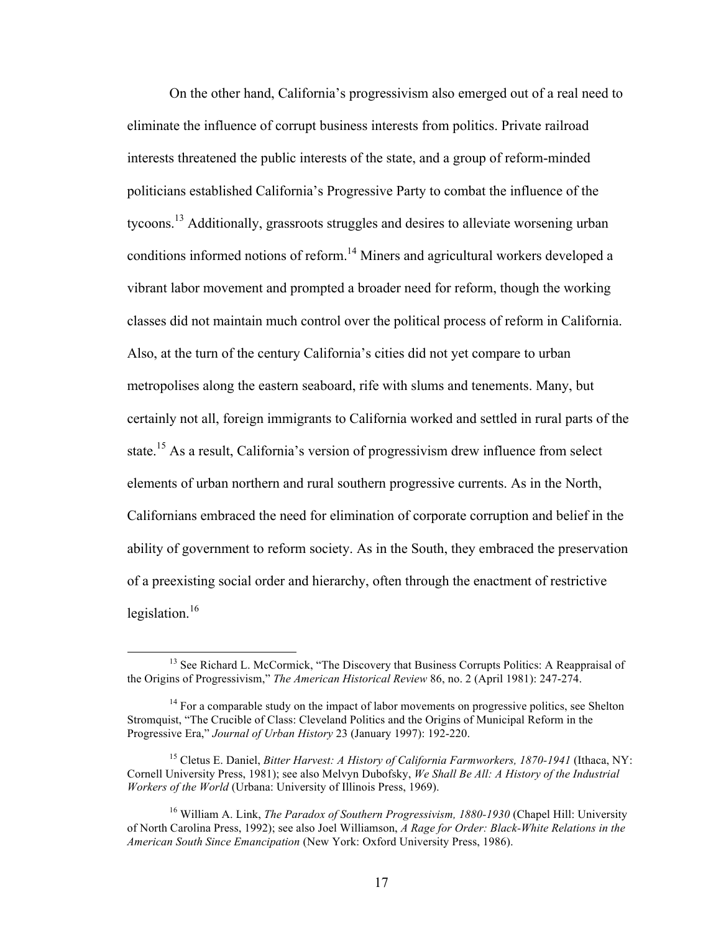On the other hand, California's progressivism also emerged out of a real need to eliminate the influence of corrupt business interests from politics. Private railroad interests threatened the public interests of the state, and a group of reform-minded politicians established California's Progressive Party to combat the influence of the tycoons.<sup>13</sup> Additionally, grassroots struggles and desires to alleviate worsening urban conditions informed notions of reform. 14 Miners and agricultural workers developed a vibrant labor movement and prompted a broader need for reform, though the working classes did not maintain much control over the political process of reform in California. Also, at the turn of the century California's cities did not yet compare to urban metropolises along the eastern seaboard, rife with slums and tenements. Many, but certainly not all, foreign immigrants to California worked and settled in rural parts of the state.<sup>15</sup> As a result, California's version of progressivism drew influence from select elements of urban northern and rural southern progressive currents. As in the North, Californians embraced the need for elimination of corporate corruption and belief in the ability of government to reform society. As in the South, they embraced the preservation of a preexisting social order and hierarchy, often through the enactment of restrictive legislation.<sup>16</sup>

<sup>&</sup>lt;sup>13</sup> See Richard L. McCormick, "The Discovery that Business Corrupts Politics: A Reappraisal of the Origins of Progressivism," *The American Historical Review* 86, no. 2 (April 1981): 247-274.

 $14$  For a comparable study on the impact of labor movements on progressive politics, see Shelton Stromquist, "The Crucible of Class: Cleveland Politics and the Origins of Municipal Reform in the Progressive Era," *Journal of Urban History* 23 (January 1997): 192-220.

<sup>15</sup> Cletus E. Daniel, *Bitter Harvest: A History of California Farmworkers, 1870-1941* (Ithaca, NY: Cornell University Press, 1981); see also Melvyn Dubofsky, *We Shall Be All: A History of the Industrial Workers of the World* (Urbana: University of Illinois Press, 1969).

<sup>16</sup> William A. Link, *The Paradox of Southern Progressivism, 1880-1930* (Chapel Hill: University of North Carolina Press, 1992); see also Joel Williamson, *A Rage for Order: Black-White Relations in the American South Since Emancipation* (New York: Oxford University Press, 1986).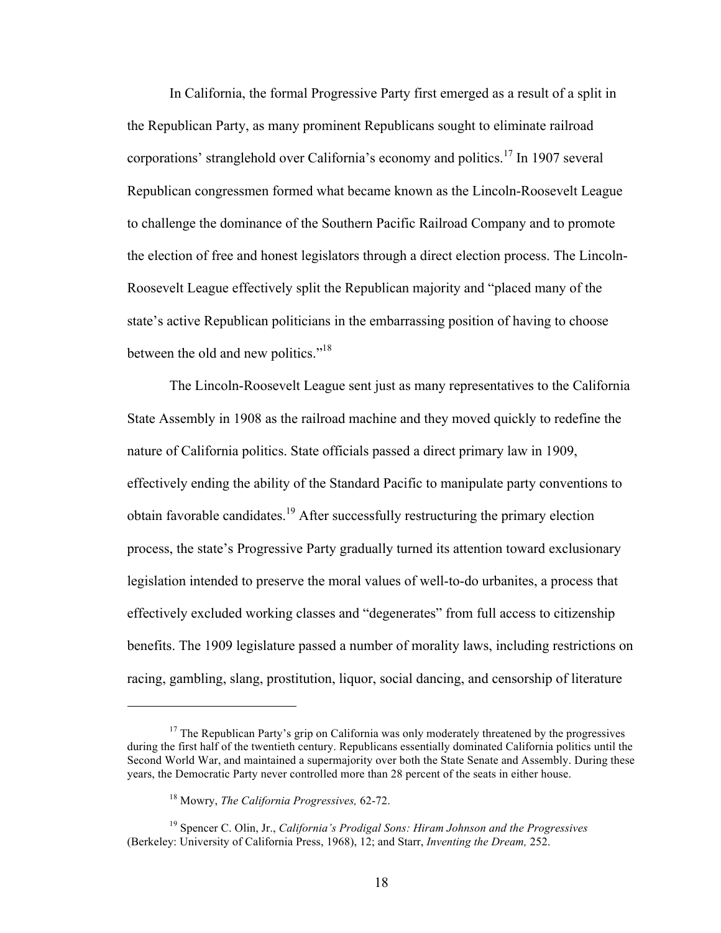In California, the formal Progressive Party first emerged as a result of a split in the Republican Party, as many prominent Republicans sought to eliminate railroad corporations' stranglehold over California's economy and politics. <sup>17</sup> In 1907 several Republican congressmen formed what became known as the Lincoln-Roosevelt League to challenge the dominance of the Southern Pacific Railroad Company and to promote the election of free and honest legislators through a direct election process. The Lincoln-Roosevelt League effectively split the Republican majority and "placed many of the state's active Republican politicians in the embarrassing position of having to choose between the old and new politics."<sup>18</sup>

The Lincoln-Roosevelt League sent just as many representatives to the California State Assembly in 1908 as the railroad machine and they moved quickly to redefine the nature of California politics. State officials passed a direct primary law in 1909, effectively ending the ability of the Standard Pacific to manipulate party conventions to obtain favorable candidates.<sup>19</sup> After successfully restructuring the primary election process, the state's Progressive Party gradually turned its attention toward exclusionary legislation intended to preserve the moral values of well-to-do urbanites, a process that effectively excluded working classes and "degenerates" from full access to citizenship benefits. The 1909 legislature passed a number of morality laws, including restrictions on racing, gambling, slang, prostitution, liquor, social dancing, and censorship of literature

 $\overline{a}$ 

 $17$  The Republican Party's grip on California was only moderately threatened by the progressives during the first half of the twentieth century. Republicans essentially dominated California politics until the Second World War, and maintained a supermajority over both the State Senate and Assembly. During these years, the Democratic Party never controlled more than 28 percent of the seats in either house.

<sup>18</sup> Mowry, *The California Progressives,* 62-72.

<sup>19</sup> Spencer C. Olin, Jr., *California's Prodigal Sons: Hiram Johnson and the Progressives* (Berkeley: University of California Press, 1968), 12; and Starr, *Inventing the Dream,* 252.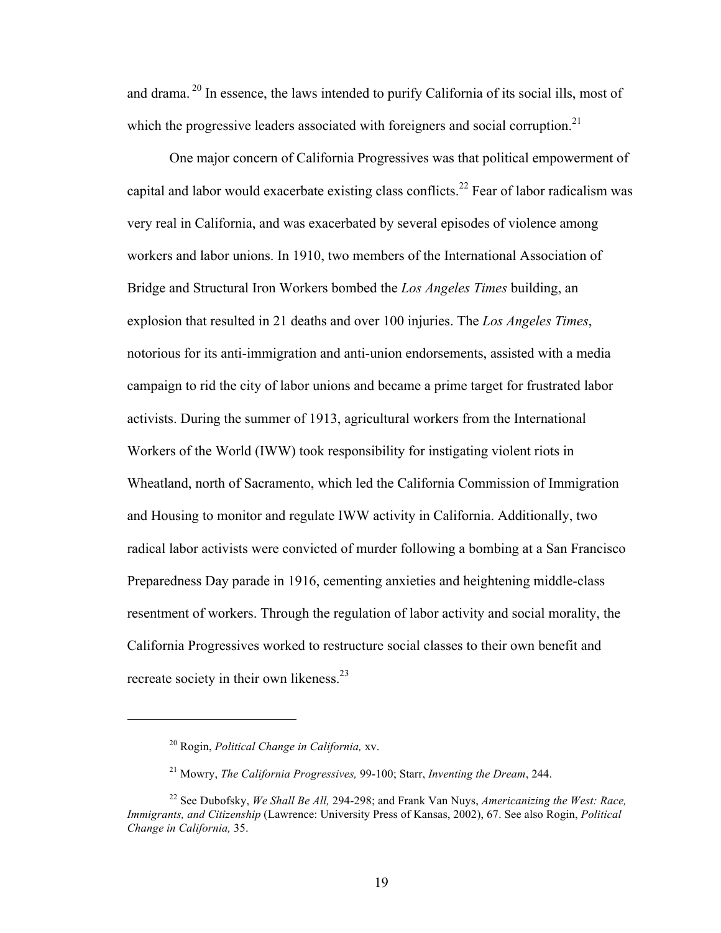and drama. 20 In essence, the laws intended to purify California of its social ills, most of which the progressive leaders associated with foreigners and social corruption.<sup>21</sup>

One major concern of California Progressives was that political empowerment of capital and labor would exacerbate existing class conflicts.<sup>22</sup> Fear of labor radicalism was very real in California, and was exacerbated by several episodes of violence among workers and labor unions. In 1910, two members of the International Association of Bridge and Structural Iron Workers bombed the *Los Angeles Times* building, an explosion that resulted in 21 deaths and over 100 injuries. The *Los Angeles Times*, notorious for its anti-immigration and anti-union endorsements, assisted with a media campaign to rid the city of labor unions and became a prime target for frustrated labor activists. During the summer of 1913, agricultural workers from the International Workers of the World (IWW) took responsibility for instigating violent riots in Wheatland, north of Sacramento, which led the California Commission of Immigration and Housing to monitor and regulate IWW activity in California. Additionally, two radical labor activists were convicted of murder following a bombing at a San Francisco Preparedness Day parade in 1916, cementing anxieties and heightening middle-class resentment of workers. Through the regulation of labor activity and social morality, the California Progressives worked to restructure social classes to their own benefit and recreate society in their own likeness.<sup>23</sup>

 $\overline{a}$ 

<sup>20</sup> Rogin, *Political Change in California,* xv.

<sup>21</sup> Mowry, *The California Progressives,* 99-100; Starr, *Inventing the Dream*, 244.

<sup>22</sup> See Dubofsky, *We Shall Be All,* 294-298; and Frank Van Nuys, *Americanizing the West: Race, Immigrants, and Citizenship* (Lawrence: University Press of Kansas, 2002), 67. See also Rogin, *Political Change in California,* 35.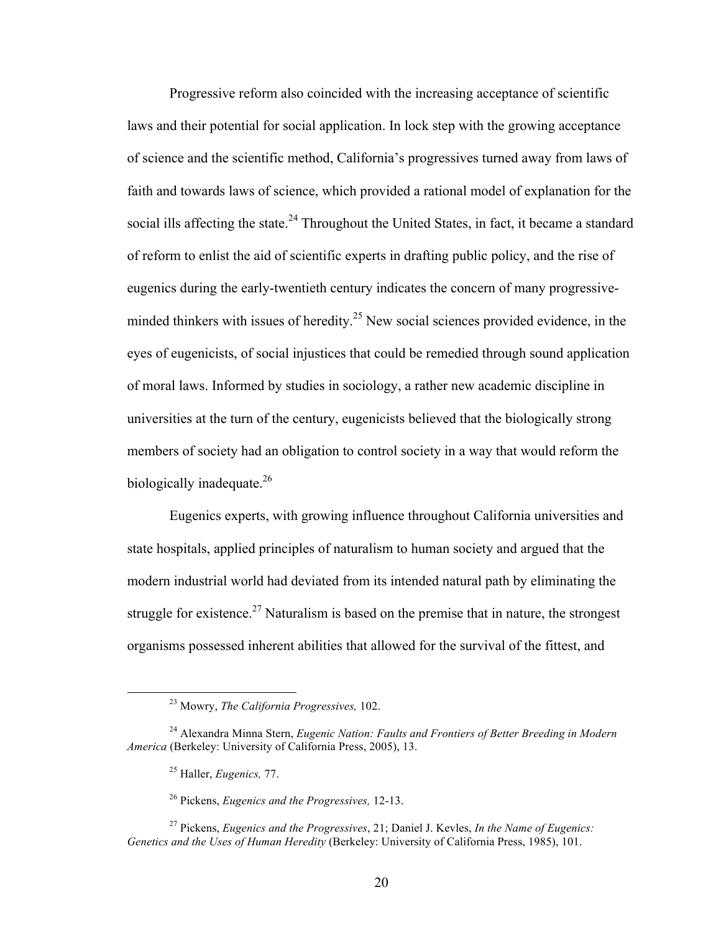Progressive reform also coincided with the increasing acceptance of scientific laws and their potential for social application. In lock step with the growing acceptance of science and the scientific method, California's progressives turned away from laws of faith and towards laws of science, which provided a rational model of explanation for the social ills affecting the state.<sup>24</sup> Throughout the United States, in fact, it became a standard of reform to enlist the aid of scientific experts in drafting public policy, and the rise of eugenics during the early-twentieth century indicates the concern of many progressiveminded thinkers with issues of heredity.<sup>25</sup> New social sciences provided evidence, in the eyes of eugenicists, of social injustices that could be remedied through sound application of moral laws. Informed by studies in sociology, a rather new academic discipline in universities at the turn of the century, eugenicists believed that the biologically strong members of society had an obligation to control society in a way that would reform the biologically inadequate.<sup>26</sup>

Eugenics experts, with growing influence throughout California universities and state hospitals, applied principles of naturalism to human society and argued that the modern industrial world had deviated from its intended natural path by eliminating the struggle for existence.<sup>27</sup> Naturalism is based on the premise that in nature, the strongest organisms possessed inherent abilities that allowed for the survival of the fittest, and

 <sup>23</sup> Mowry, *The California Progressives,* 102.

<sup>24</sup> Alexandra Minna Stern, *Eugenic Nation: Faults and Frontiers of Better Breeding in Modern America* (Berkeley: University of California Press, 2005), 13.

<sup>25</sup> Haller, *Eugenics,* 77.

<sup>26</sup> Pickens, *Eugenics and the Progressives,* 12-13.

<sup>27</sup> Pickens, *Eugenics and the Progressives*, 21; Daniel J. Kevles, *In the Name of Eugenics: Genetics and the Uses of Human Heredity* (Berkeley: University of California Press, 1985), 101.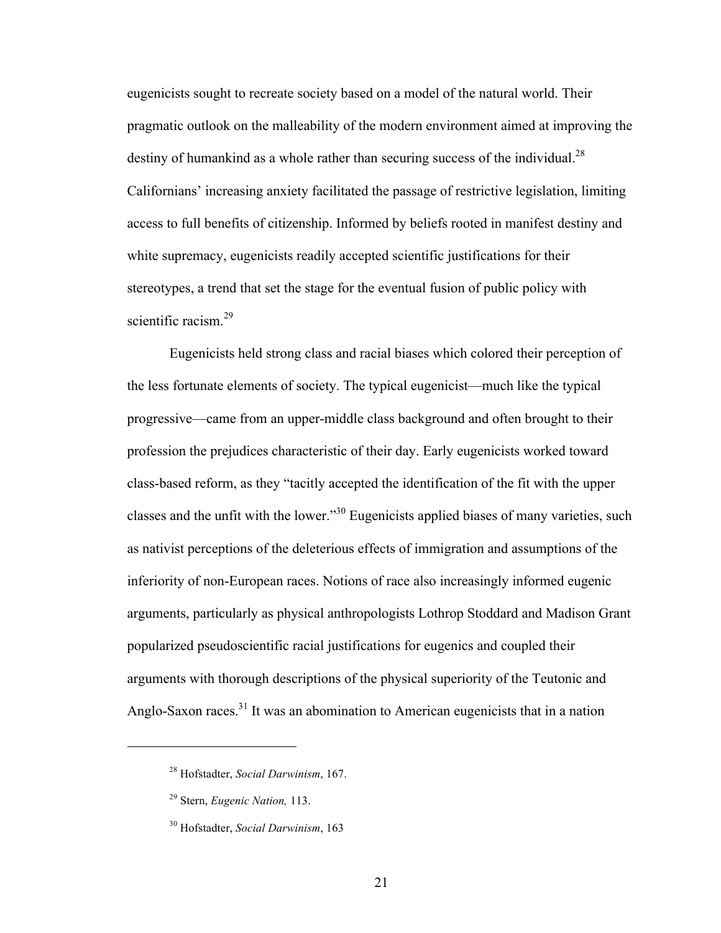eugenicists sought to recreate society based on a model of the natural world. Their pragmatic outlook on the malleability of the modern environment aimed at improving the destiny of humankind as a whole rather than securing success of the individual.<sup>28</sup> Californians' increasing anxiety facilitated the passage of restrictive legislation, limiting access to full benefits of citizenship. Informed by beliefs rooted in manifest destiny and white supremacy, eugenicists readily accepted scientific justifications for their stereotypes, a trend that set the stage for the eventual fusion of public policy with scientific racism.<sup>29</sup>

Eugenicists held strong class and racial biases which colored their perception of the less fortunate elements of society. The typical eugenicist—much like the typical progressive—came from an upper-middle class background and often brought to their profession the prejudices characteristic of their day. Early eugenicists worked toward class-based reform, as they "tacitly accepted the identification of the fit with the upper classes and the unfit with the lower."<sup>30</sup> Eugenicists applied biases of many varieties, such as nativist perceptions of the deleterious effects of immigration and assumptions of the inferiority of non-European races. Notions of race also increasingly informed eugenic arguments, particularly as physical anthropologists Lothrop Stoddard and Madison Grant popularized pseudoscientific racial justifications for eugenics and coupled their arguments with thorough descriptions of the physical superiority of the Teutonic and Anglo-Saxon races.<sup>31</sup> It was an abomination to American eugenicists that in a nation

 $\overline{a}$ 

21

<sup>28</sup> Hofstadter, *Social Darwinism*, 167.

<sup>29</sup> Stern, *Eugenic Nation,* 113.

<sup>30</sup> Hofstadter, *Social Darwinism*, 163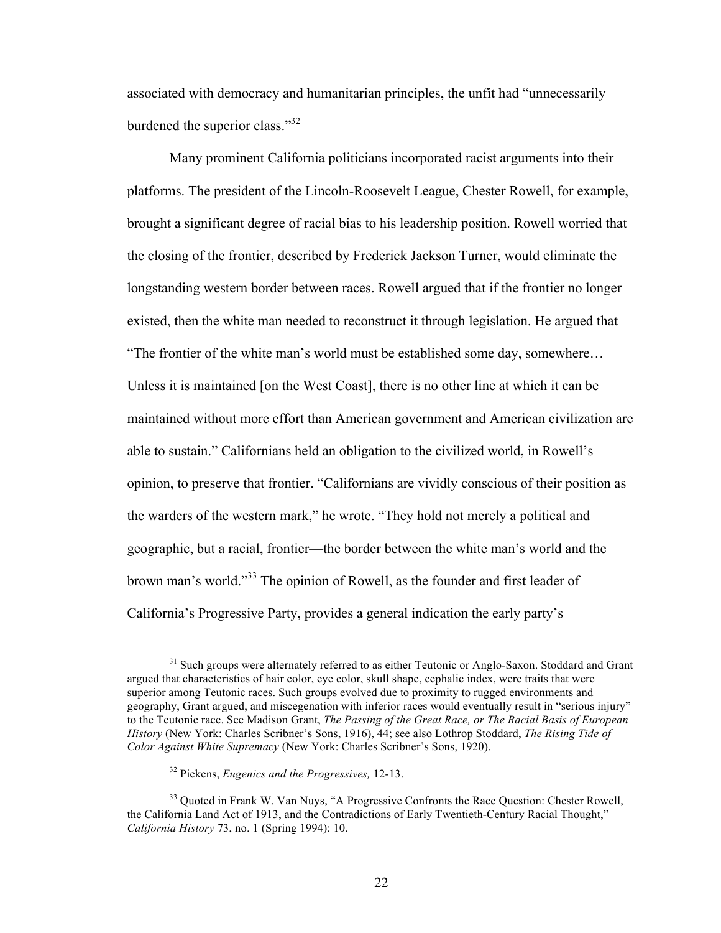associated with democracy and humanitarian principles, the unfit had "unnecessarily burdened the superior class."<sup>32</sup>

Many prominent California politicians incorporated racist arguments into their platforms. The president of the Lincoln-Roosevelt League, Chester Rowell, for example, brought a significant degree of racial bias to his leadership position. Rowell worried that the closing of the frontier, described by Frederick Jackson Turner, would eliminate the longstanding western border between races. Rowell argued that if the frontier no longer existed, then the white man needed to reconstruct it through legislation. He argued that "The frontier of the white man's world must be established some day, somewhere… Unless it is maintained [on the West Coast], there is no other line at which it can be maintained without more effort than American government and American civilization are able to sustain." Californians held an obligation to the civilized world, in Rowell's opinion, to preserve that frontier. "Californians are vividly conscious of their position as the warders of the western mark," he wrote. "They hold not merely a political and geographic, but a racial, frontier—the border between the white man's world and the brown man's world."<sup>33</sup> The opinion of Rowell, as the founder and first leader of California's Progressive Party, provides a general indication the early party's

<sup>&</sup>lt;sup>31</sup> Such groups were alternately referred to as either Teutonic or Anglo-Saxon. Stoddard and Grant argued that characteristics of hair color, eye color, skull shape, cephalic index, were traits that were superior among Teutonic races. Such groups evolved due to proximity to rugged environments and geography, Grant argued, and miscegenation with inferior races would eventually result in "serious injury" to the Teutonic race. See Madison Grant, *The Passing of the Great Race, or The Racial Basis of European History* (New York: Charles Scribner's Sons, 1916), 44; see also Lothrop Stoddard, *The Rising Tide of Color Against White Supremacy* (New York: Charles Scribner's Sons, 1920).

<sup>32</sup> Pickens, *Eugenics and the Progressives,* 12-13.

<sup>&</sup>lt;sup>33</sup> Quoted in Frank W. Van Nuys, "A Progressive Confronts the Race Question: Chester Rowell, the California Land Act of 1913, and the Contradictions of Early Twentieth-Century Racial Thought," *California History* 73, no. 1 (Spring 1994): 10.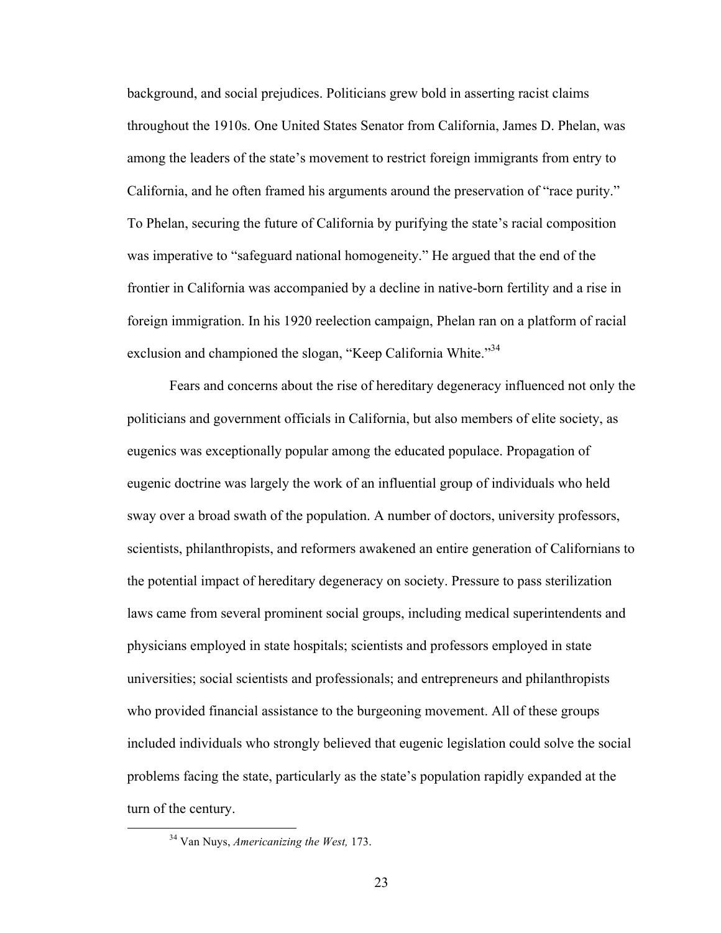background, and social prejudices. Politicians grew bold in asserting racist claims throughout the 1910s. One United States Senator from California, James D. Phelan, was among the leaders of the state's movement to restrict foreign immigrants from entry to California, and he often framed his arguments around the preservation of "race purity." To Phelan, securing the future of California by purifying the state's racial composition was imperative to "safeguard national homogeneity." He argued that the end of the frontier in California was accompanied by a decline in native-born fertility and a rise in foreign immigration. In his 1920 reelection campaign, Phelan ran on a platform of racial exclusion and championed the slogan, "Keep California White."<sup>34</sup>

Fears and concerns about the rise of hereditary degeneracy influenced not only the politicians and government officials in California, but also members of elite society, as eugenics was exceptionally popular among the educated populace. Propagation of eugenic doctrine was largely the work of an influential group of individuals who held sway over a broad swath of the population. A number of doctors, university professors, scientists, philanthropists, and reformers awakened an entire generation of Californians to the potential impact of hereditary degeneracy on society. Pressure to pass sterilization laws came from several prominent social groups, including medical superintendents and physicians employed in state hospitals; scientists and professors employed in state universities; social scientists and professionals; and entrepreneurs and philanthropists who provided financial assistance to the burgeoning movement. All of these groups included individuals who strongly believed that eugenic legislation could solve the social problems facing the state, particularly as the state's population rapidly expanded at the turn of the century.

 <sup>34</sup> Van Nuys, *Americanizing the West,* 173.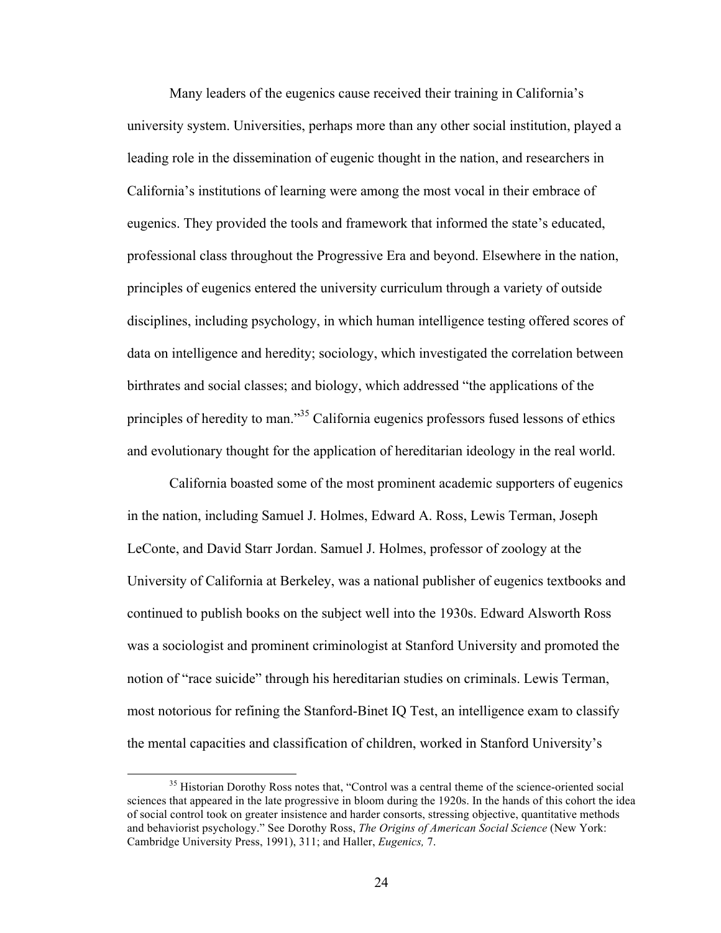Many leaders of the eugenics cause received their training in California's university system. Universities, perhaps more than any other social institution, played a leading role in the dissemination of eugenic thought in the nation, and researchers in California's institutions of learning were among the most vocal in their embrace of eugenics. They provided the tools and framework that informed the state's educated, professional class throughout the Progressive Era and beyond. Elsewhere in the nation, principles of eugenics entered the university curriculum through a variety of outside disciplines, including psychology, in which human intelligence testing offered scores of data on intelligence and heredity; sociology, which investigated the correlation between birthrates and social classes; and biology, which addressed "the applications of the principles of heredity to man."<sup>35</sup> California eugenics professors fused lessons of ethics and evolutionary thought for the application of hereditarian ideology in the real world.

California boasted some of the most prominent academic supporters of eugenics in the nation, including Samuel J. Holmes, Edward A. Ross, Lewis Terman, Joseph LeConte, and David Starr Jordan. Samuel J. Holmes, professor of zoology at the University of California at Berkeley, was a national publisher of eugenics textbooks and continued to publish books on the subject well into the 1930s. Edward Alsworth Ross was a sociologist and prominent criminologist at Stanford University and promoted the notion of "race suicide" through his hereditarian studies on criminals. Lewis Terman, most notorious for refining the Stanford-Binet IQ Test, an intelligence exam to classify the mental capacities and classification of children, worked in Stanford University's

<sup>&</sup>lt;sup>35</sup> Historian Dorothy Ross notes that, "Control was a central theme of the science-oriented social sciences that appeared in the late progressive in bloom during the 1920s. In the hands of this cohort the idea of social control took on greater insistence and harder consorts, stressing objective, quantitative methods and behaviorist psychology." See Dorothy Ross, *The Origins of American Social Science* (New York: Cambridge University Press, 1991), 311; and Haller, *Eugenics,* 7.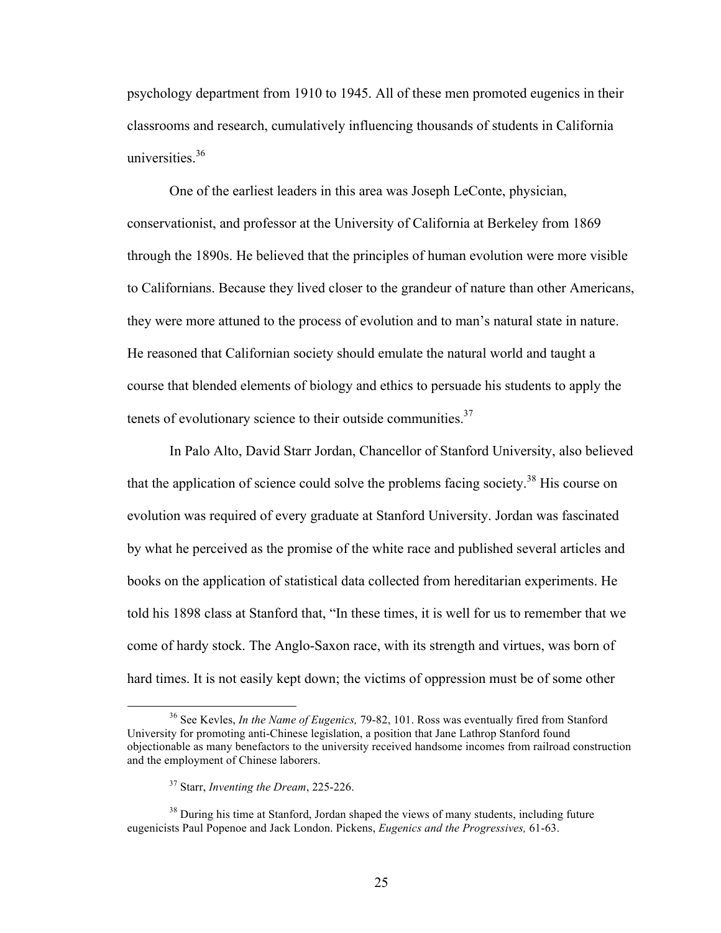psychology department from 1910 to 1945. All of these men promoted eugenics in their classrooms and research, cumulatively influencing thousands of students in California universities. 36

One of the earliest leaders in this area was Joseph LeConte, physician, conservationist, and professor at the University of California at Berkeley from 1869 through the 1890s. He believed that the principles of human evolution were more visible to Californians. Because they lived closer to the grandeur of nature than other Americans, they were more attuned to the process of evolution and to man's natural state in nature. He reasoned that Californian society should emulate the natural world and taught a course that blended elements of biology and ethics to persuade his students to apply the tenets of evolutionary science to their outside communities.<sup>37</sup>

In Palo Alto, David Starr Jordan, Chancellor of Stanford University, also believed that the application of science could solve the problems facing society.<sup>38</sup> His course on evolution was required of every graduate at Stanford University. Jordan was fascinated by what he perceived as the promise of the white race and published several articles and books on the application of statistical data collected from hereditarian experiments. He told his 1898 class at Stanford that, "In these times, it is well for us to remember that we come of hardy stock. The Anglo-Saxon race, with its strength and virtues, was born of hard times. It is not easily kept down; the victims of oppression must be of some other

 <sup>36</sup> See Kevles, *In the Name of Eugenics,* 79-82, 101. Ross was eventually fired from Stanford University for promoting anti-Chinese legislation, a position that Jane Lathrop Stanford found objectionable as many benefactors to the university received handsome incomes from railroad construction and the employment of Chinese laborers.

<sup>37</sup> Starr, *Inventing the Dream*, 225-226.

<sup>&</sup>lt;sup>38</sup> During his time at Stanford, Jordan shaped the views of many students, including future eugenicists Paul Popenoe and Jack London. Pickens, *Eugenics and the Progressives,* 61-63.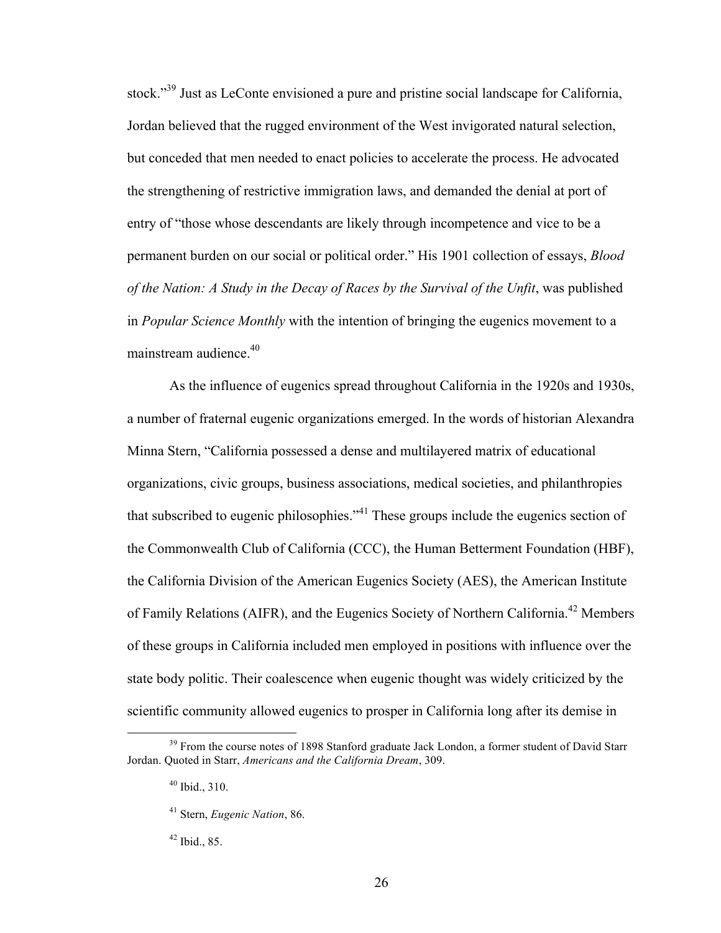stock."<sup>39</sup> Just as LeConte envisioned a pure and pristine social landscape for California, Jordan believed that the rugged environment of the West invigorated natural selection, but conceded that men needed to enact policies to accelerate the process. He advocated the strengthening of restrictive immigration laws, and demanded the denial at port of entry of "those whose descendants are likely through incompetence and vice to be a permanent burden on our social or political order." His 1901 collection of essays, *Blood of the Nation: A Study in the Decay of Races by the Survival of the Unfit*, was published in *Popular Science Monthly* with the intention of bringing the eugenics movement to a mainstream audience. 40

As the influence of eugenics spread throughout California in the 1920s and 1930s, a number of fraternal eugenic organizations emerged. In the words of historian Alexandra Minna Stern, "California possessed a dense and multilayered matrix of educational organizations, civic groups, business associations, medical societies, and philanthropies that subscribed to eugenic philosophies."<sup>41</sup> These groups include the eugenics section of the Commonwealth Club of California (CCC), the Human Betterment Foundation (HBF), the California Division of the American Eugenics Society (AES), the American Institute of Family Relations (AIFR), and the Eugenics Society of Northern California.<sup>42</sup> Members of these groups in California included men employed in positions with influence over the state body politic. Their coalescence when eugenic thought was widely criticized by the scientific community allowed eugenics to prosper in California long after its demise in

 $42$  Ibid., 85.

 $39$  From the course notes of 1898 Stanford graduate Jack London, a former student of David Starr Jordan. Quoted in Starr, *Americans and the California Dream*, 309.

 $40$  Ibid.,  $310$ .

<sup>41</sup> Stern, *Eugenic Nation*, 86.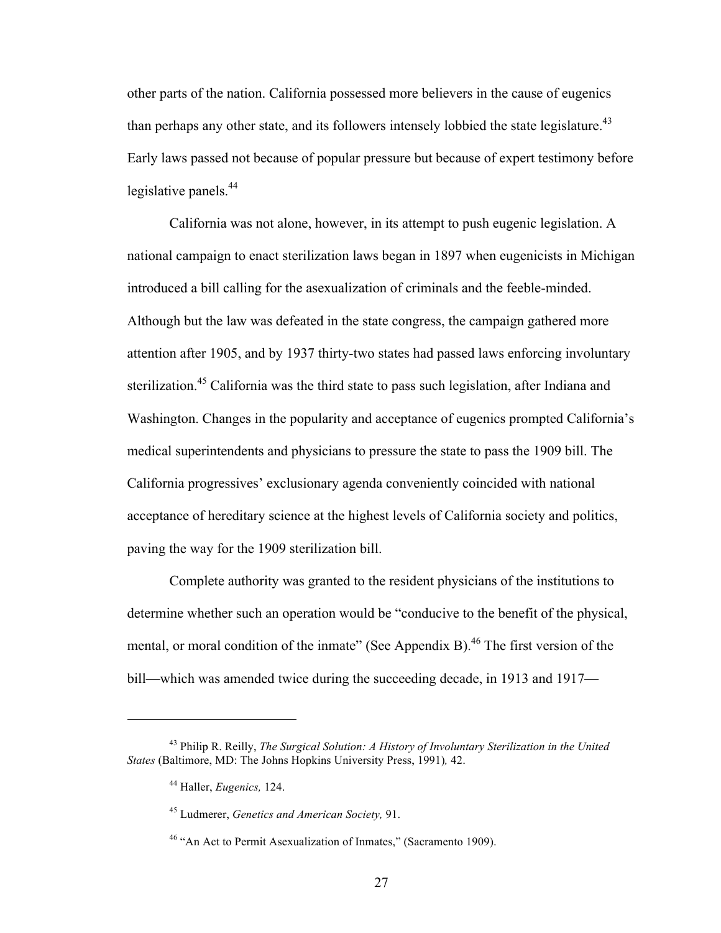other parts of the nation. California possessed more believers in the cause of eugenics than perhaps any other state, and its followers intensely lobbied the state legislature.<sup>43</sup> Early laws passed not because of popular pressure but because of expert testimony before legislative panels. 44

California was not alone, however, in its attempt to push eugenic legislation. A national campaign to enact sterilization laws began in 1897 when eugenicists in Michigan introduced a bill calling for the asexualization of criminals and the feeble-minded. Although but the law was defeated in the state congress, the campaign gathered more attention after 1905, and by 1937 thirty-two states had passed laws enforcing involuntary sterilization.<sup>45</sup> California was the third state to pass such legislation, after Indiana and Washington. Changes in the popularity and acceptance of eugenics prompted California's medical superintendents and physicians to pressure the state to pass the 1909 bill. The California progressives' exclusionary agenda conveniently coincided with national acceptance of hereditary science at the highest levels of California society and politics, paving the way for the 1909 sterilization bill.

Complete authority was granted to the resident physicians of the institutions to determine whether such an operation would be "conducive to the benefit of the physical, mental, or moral condition of the inmate" (See Appendix B).<sup>46</sup> The first version of the bill—which was amended twice during the succeeding decade, in 1913 and 1917—

 $\overline{a}$ 

<sup>43</sup> Philip R. Reilly, *The Surgical Solution: A History of Involuntary Sterilization in the United States* (Baltimore, MD: The Johns Hopkins University Press, 1991)*,* 42.

<sup>44</sup> Haller, *Eugenics,* 124.

<sup>45</sup> Ludmerer, *Genetics and American Society,* 91.

<sup>&</sup>lt;sup>46</sup> "An Act to Permit Asexualization of Inmates," (Sacramento 1909).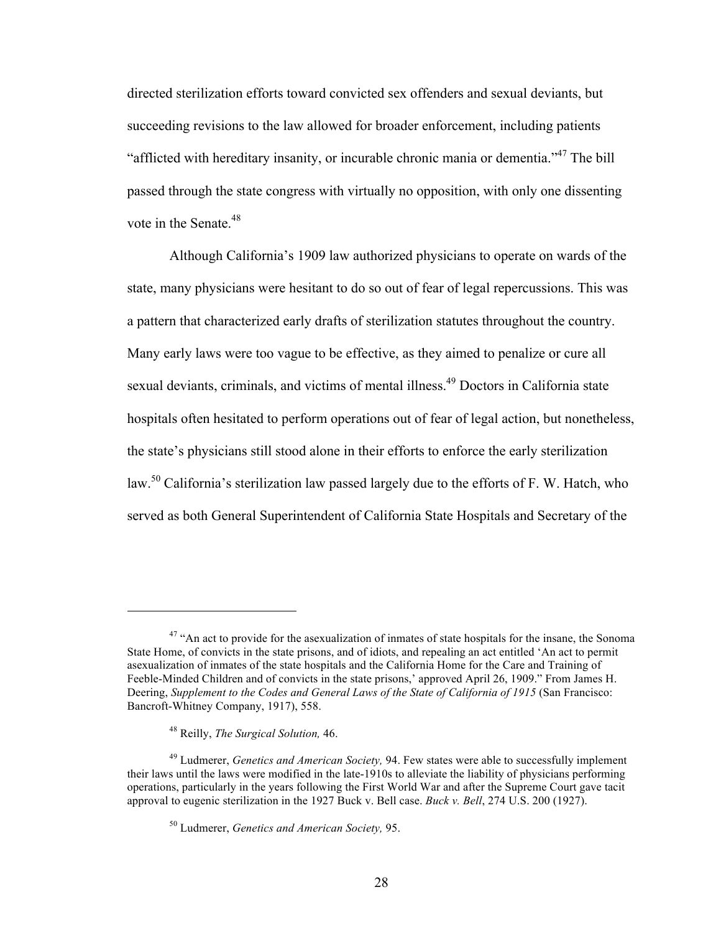directed sterilization efforts toward convicted sex offenders and sexual deviants, but succeeding revisions to the law allowed for broader enforcement, including patients "afflicted with hereditary insanity, or incurable chronic mania or dementia."<sup>47</sup> The bill passed through the state congress with virtually no opposition, with only one dissenting vote in the Senate.<sup>48</sup>

Although California's 1909 law authorized physicians to operate on wards of the state, many physicians were hesitant to do so out of fear of legal repercussions. This was a pattern that characterized early drafts of sterilization statutes throughout the country. Many early laws were too vague to be effective, as they aimed to penalize or cure all sexual deviants, criminals, and victims of mental illness.<sup>49</sup> Doctors in California state hospitals often hesitated to perform operations out of fear of legal action, but nonetheless, the state's physicians still stood alone in their efforts to enforce the early sterilization law.<sup>50</sup> California's sterilization law passed largely due to the efforts of F. W. Hatch, who served as both General Superintendent of California State Hospitals and Secretary of the

 $\overline{a}$ 

<sup>&</sup>lt;sup>47</sup> "An act to provide for the asexualization of inmates of state hospitals for the insane, the Sonoma State Home, of convicts in the state prisons, and of idiots, and repealing an act entitled 'An act to permit asexualization of inmates of the state hospitals and the California Home for the Care and Training of Feeble-Minded Children and of convicts in the state prisons,' approved April 26, 1909." From James H. Deering, *Supplement to the Codes and General Laws of the State of California of 1915* (San Francisco: Bancroft-Whitney Company, 1917), 558.

<sup>48</sup> Reilly, *The Surgical Solution,* 46.

<sup>49</sup> Ludmerer, *Genetics and American Society,* 94. Few states were able to successfully implement their laws until the laws were modified in the late-1910s to alleviate the liability of physicians performing operations, particularly in the years following the First World War and after the Supreme Court gave tacit approval to eugenic sterilization in the 1927 Buck v. Bell case. *Buck v. Bell*, 274 U.S. 200 (1927).

<sup>50</sup> Ludmerer, *Genetics and American Society,* 95.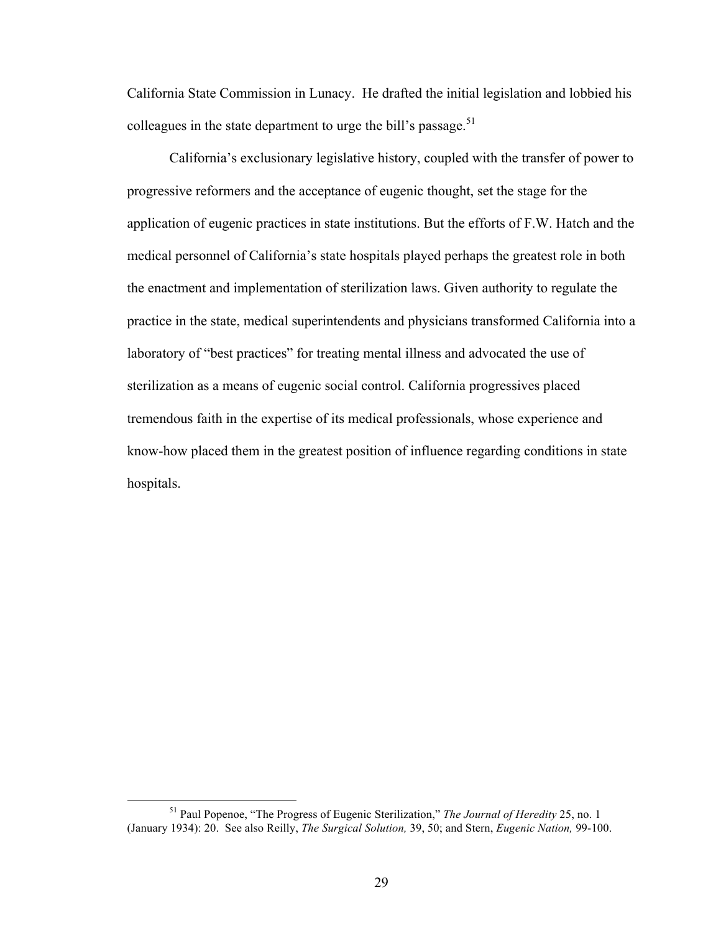California State Commission in Lunacy. He drafted the initial legislation and lobbied his colleagues in the state department to urge the bill's passage.<sup>51</sup>

California's exclusionary legislative history, coupled with the transfer of power to progressive reformers and the acceptance of eugenic thought, set the stage for the application of eugenic practices in state institutions. But the efforts of F.W. Hatch and the medical personnel of California's state hospitals played perhaps the greatest role in both the enactment and implementation of sterilization laws. Given authority to regulate the practice in the state, medical superintendents and physicians transformed California into a laboratory of "best practices" for treating mental illness and advocated the use of sterilization as a means of eugenic social control. California progressives placed tremendous faith in the expertise of its medical professionals, whose experience and know-how placed them in the greatest position of influence regarding conditions in state hospitals.

 <sup>51</sup> Paul Popenoe, "The Progress of Eugenic Sterilization," *The Journal of Heredity* 25, no. 1 (January 1934): 20. See also Reilly, *The Surgical Solution,* 39, 50; and Stern, *Eugenic Nation,* 99-100.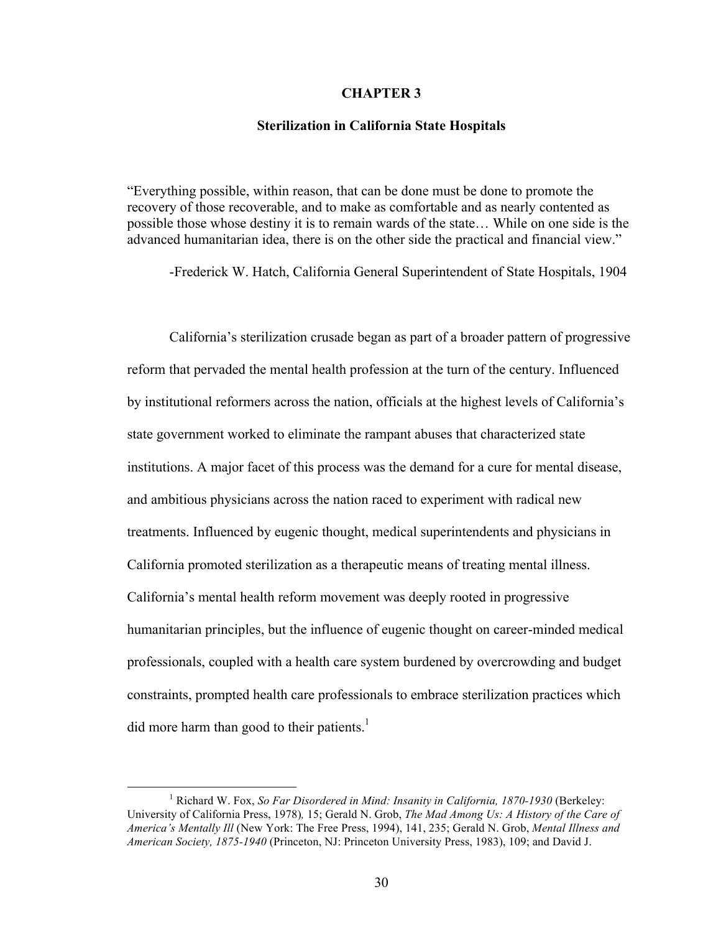### **CHAPTER 3**

### **Sterilization in California State Hospitals**

"Everything possible, within reason, that can be done must be done to promote the recovery of those recoverable, and to make as comfortable and as nearly contented as possible those whose destiny it is to remain wards of the state… While on one side is the advanced humanitarian idea, there is on the other side the practical and financial view."

-Frederick W. Hatch, California General Superintendent of State Hospitals, 1904

California's sterilization crusade began as part of a broader pattern of progressive reform that pervaded the mental health profession at the turn of the century. Influenced by institutional reformers across the nation, officials at the highest levels of California's state government worked to eliminate the rampant abuses that characterized state institutions. A major facet of this process was the demand for a cure for mental disease, and ambitious physicians across the nation raced to experiment with radical new treatments. Influenced by eugenic thought, medical superintendents and physicians in California promoted sterilization as a therapeutic means of treating mental illness. California's mental health reform movement was deeply rooted in progressive humanitarian principles, but the influence of eugenic thought on career-minded medical professionals, coupled with a health care system burdened by overcrowding and budget constraints, prompted health care professionals to embrace sterilization practices which did more harm than good to their patients.<sup>1</sup>

<sup>&</sup>lt;sup>1</sup> Richard W. Fox, *So Far Disordered in Mind: Insanity in California, 1870-1930* (Berkeley: University of California Press, 1978)*,* 15; Gerald N. Grob, *The Mad Among Us: A History of the Care of America's Mentally Ill* (New York: The Free Press, 1994), 141, 235; Gerald N. Grob, *Mental Illness and American Society, 1875-1940* (Princeton, NJ: Princeton University Press, 1983), 109; and David J.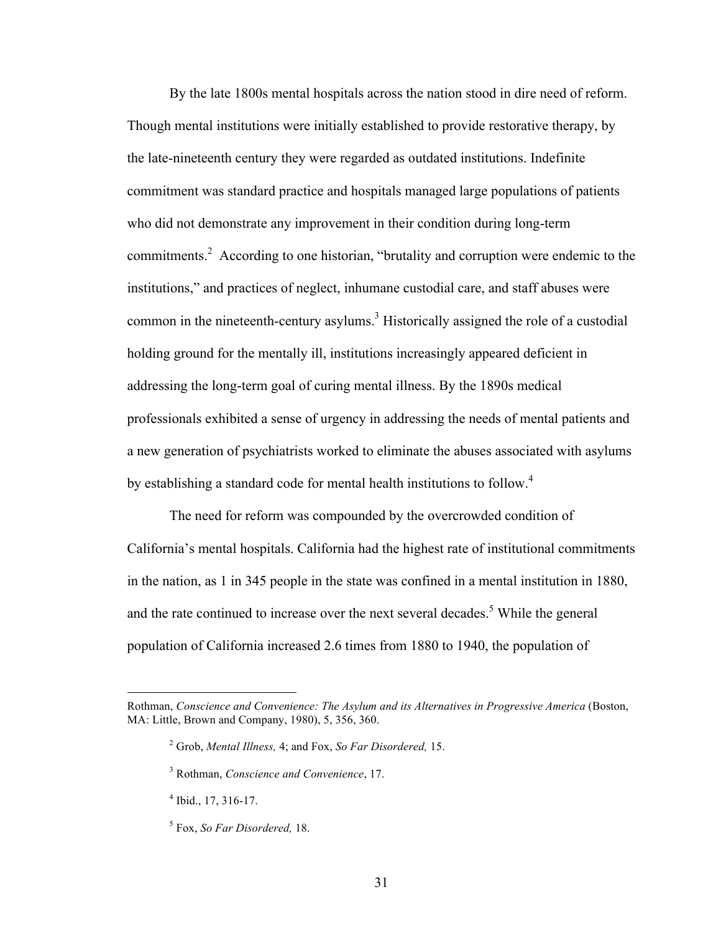By the late 1800s mental hospitals across the nation stood in dire need of reform. Though mental institutions were initially established to provide restorative therapy, by the late-nineteenth century they were regarded as outdated institutions. Indefinite commitment was standard practice and hospitals managed large populations of patients who did not demonstrate any improvement in their condition during long-term commitments. 2 According to one historian, "brutality and corruption were endemic to the institutions," and practices of neglect, inhumane custodial care, and staff abuses were common in the nineteenth-century asylums.<sup>3</sup> Historically assigned the role of a custodial holding ground for the mentally ill, institutions increasingly appeared deficient in addressing the long-term goal of curing mental illness. By the 1890s medical professionals exhibited a sense of urgency in addressing the needs of mental patients and a new generation of psychiatrists worked to eliminate the abuses associated with asylums by establishing a standard code for mental health institutions to follow.<sup>4</sup>

The need for reform was compounded by the overcrowded condition of California's mental hospitals. California had the highest rate of institutional commitments in the nation, as 1 in 345 people in the state was confined in a mental institution in 1880, and the rate continued to increase over the next several decades. <sup>5</sup> While the general population of California increased 2.6 times from 1880 to 1940, the population of

 $\overline{a}$ 

Rothman, *Conscience and Convenience: The Asylum and its Alternatives in Progressive America* (Boston, MA: Little, Brown and Company, 1980), 5, 356, 360.

<sup>2</sup> Grob, *Mental Illness,* 4; and Fox, *So Far Disordered,* 15.

<sup>3</sup> Rothman, *Conscience and Convenience*, 17.

 $<sup>4</sup>$  Ibid., 17, 316-17.</sup>

<sup>5</sup> Fox, *So Far Disordered,* 18.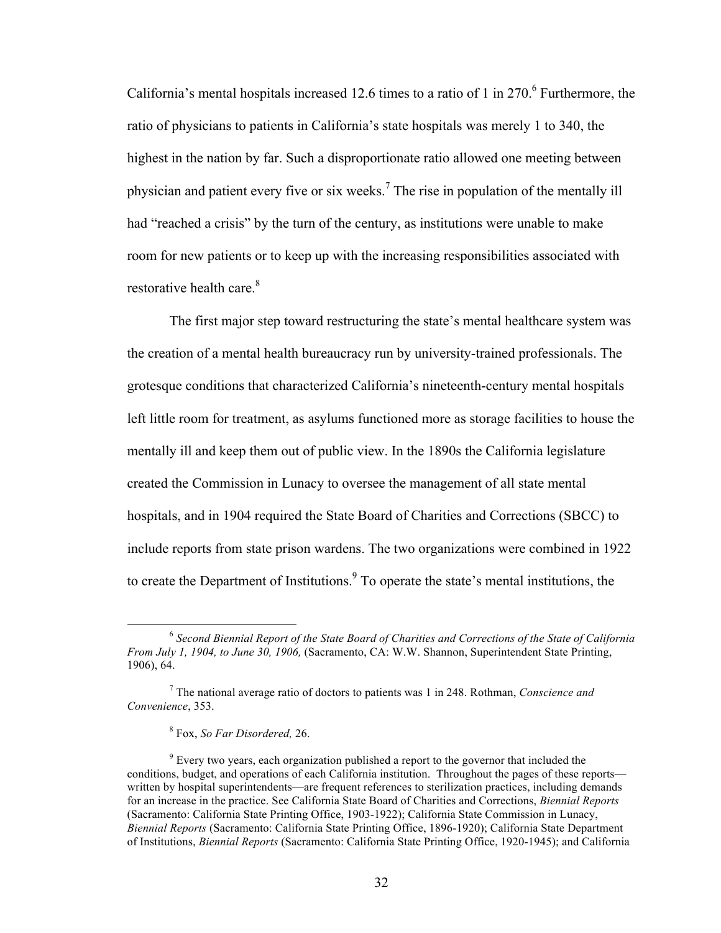California's mental hospitals increased 12.6 times to a ratio of 1 in 270. <sup>6</sup> Furthermore, the ratio of physicians to patients in California's state hospitals was merely 1 to 340, the highest in the nation by far. Such a disproportionate ratio allowed one meeting between physician and patient every five or six weeks. <sup>7</sup> The rise in population of the mentally ill had "reached a crisis" by the turn of the century, as institutions were unable to make room for new patients or to keep up with the increasing responsibilities associated with restorative health care.<sup>8</sup>

The first major step toward restructuring the state's mental healthcare system was the creation of a mental health bureaucracy run by university-trained professionals. The grotesque conditions that characterized California's nineteenth-century mental hospitals left little room for treatment, as asylums functioned more as storage facilities to house the mentally ill and keep them out of public view. In the 1890s the California legislature created the Commission in Lunacy to oversee the management of all state mental hospitals, and in 1904 required the State Board of Charities and Corrections (SBCC) to include reports from state prison wardens. The two organizations were combined in 1922 to create the Department of Institutions. <sup>9</sup> To operate the state's mental institutions, the

 <sup>6</sup> *Second Biennial Report of the State Board of Charities and Corrections of the State of California From July 1, 1904, to June 30, 1906,* (Sacramento, CA: W.W. Shannon, Superintendent State Printing, 1906), 64.

<sup>7</sup> The national average ratio of doctors to patients was 1 in 248. Rothman, *Conscience and Convenience*, 353.

<sup>8</sup> Fox, *So Far Disordered,* 26.

<sup>&</sup>lt;sup>9</sup> Every two years, each organization published a report to the governor that included the conditions, budget, and operations of each California institution. Throughout the pages of these reports written by hospital superintendents—are frequent references to sterilization practices, including demands for an increase in the practice. See California State Board of Charities and Corrections, *Biennial Reports* (Sacramento: California State Printing Office, 1903-1922); California State Commission in Lunacy, *Biennial Reports* (Sacramento: California State Printing Office, 1896-1920); California State Department of Institutions, *Biennial Reports* (Sacramento: California State Printing Office, 1920-1945); and California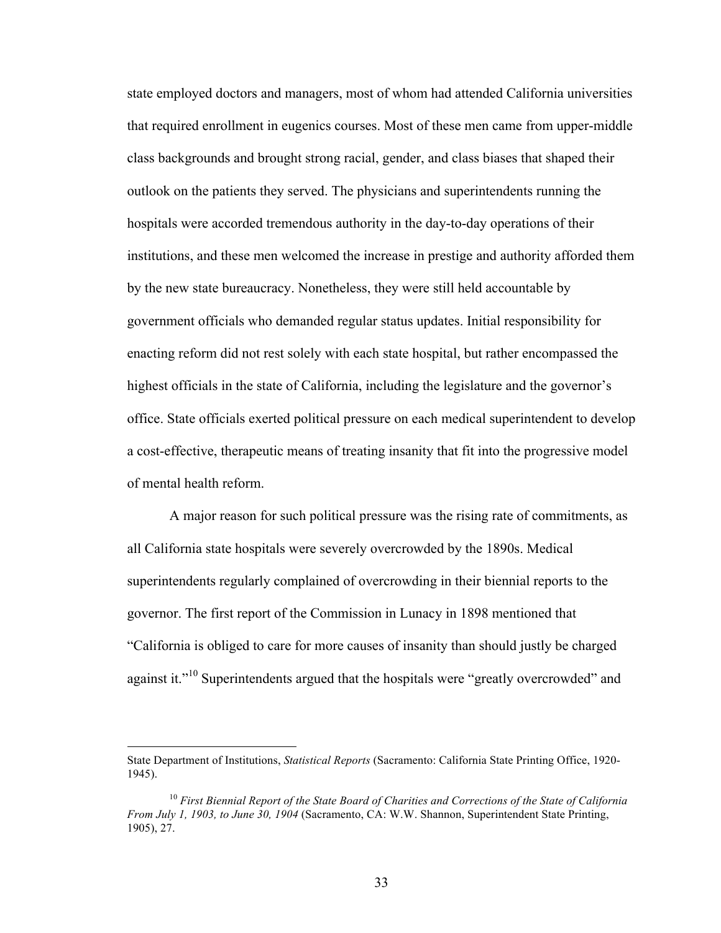state employed doctors and managers, most of whom had attended California universities that required enrollment in eugenics courses. Most of these men came from upper-middle class backgrounds and brought strong racial, gender, and class biases that shaped their outlook on the patients they served. The physicians and superintendents running the hospitals were accorded tremendous authority in the day-to-day operations of their institutions, and these men welcomed the increase in prestige and authority afforded them by the new state bureaucracy. Nonetheless, they were still held accountable by government officials who demanded regular status updates. Initial responsibility for enacting reform did not rest solely with each state hospital, but rather encompassed the highest officials in the state of California, including the legislature and the governor's office. State officials exerted political pressure on each medical superintendent to develop a cost-effective, therapeutic means of treating insanity that fit into the progressive model of mental health reform.

A major reason for such political pressure was the rising rate of commitments, as all California state hospitals were severely overcrowded by the 1890s. Medical superintendents regularly complained of overcrowding in their biennial reports to the governor. The first report of the Commission in Lunacy in 1898 mentioned that "California is obliged to care for more causes of insanity than should justly be charged against it."<sup>10</sup> Superintendents argued that the hospitals were "greatly overcrowded" and

State Department of Institutions, *Statistical Reports* (Sacramento: California State Printing Office, 1920- 1945).

<sup>10</sup> *First Biennial Report of the State Board of Charities and Corrections of the State of California From July 1, 1903, to June 30, 1904* (Sacramento, CA: W.W. Shannon, Superintendent State Printing, 1905), 27.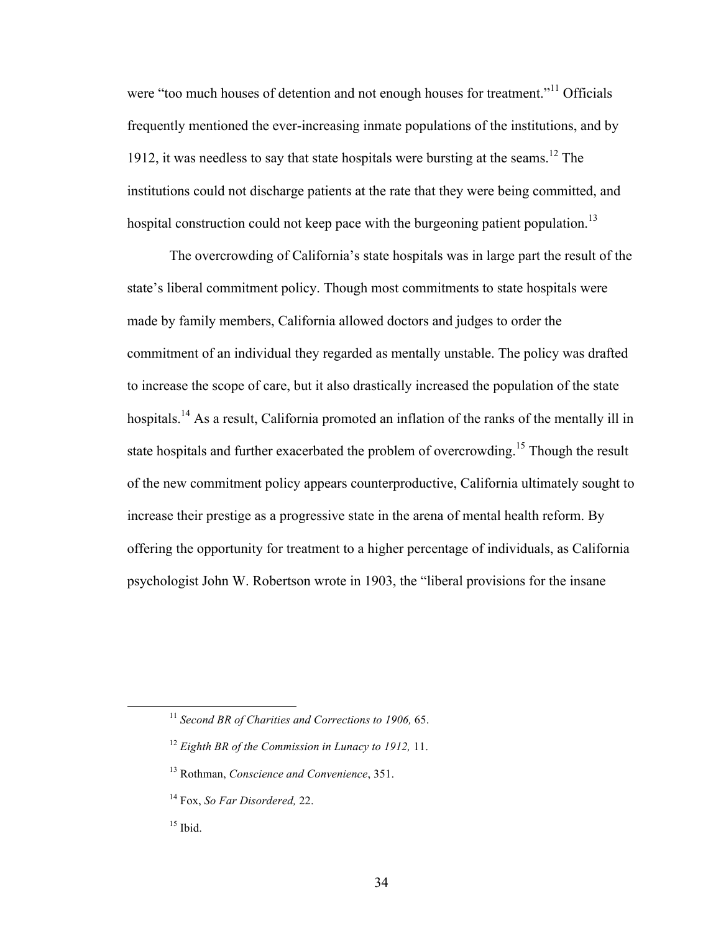were "too much houses of detention and not enough houses for treatment."<sup>11</sup> Officials frequently mentioned the ever-increasing inmate populations of the institutions, and by 1912, it was needless to say that state hospitals were bursting at the seams. 12 The institutions could not discharge patients at the rate that they were being committed, and hospital construction could not keep pace with the burgeoning patient population.<sup>13</sup>

The overcrowding of California's state hospitals was in large part the result of the state's liberal commitment policy. Though most commitments to state hospitals were made by family members, California allowed doctors and judges to order the commitment of an individual they regarded as mentally unstable. The policy was drafted to increase the scope of care, but it also drastically increased the population of the state hospitals.<sup>14</sup> As a result, California promoted an inflation of the ranks of the mentally ill in state hospitals and further exacerbated the problem of overcrowding.<sup>15</sup> Though the result of the new commitment policy appears counterproductive, California ultimately sought to increase their prestige as a progressive state in the arena of mental health reform. By offering the opportunity for treatment to a higher percentage of individuals, as California psychologist John W. Robertson wrote in 1903, the "liberal provisions for the insane

 <sup>11</sup> *Second BR of Charities and Corrections to 1906,* 65.

<sup>12</sup> *Eighth BR of the Commission in Lunacy to 1912,* 11.

<sup>13</sup> Rothman, *Conscience and Convenience*, 351.

<sup>14</sup> Fox, *So Far Disordered,* 22.

 $15$  Ibid.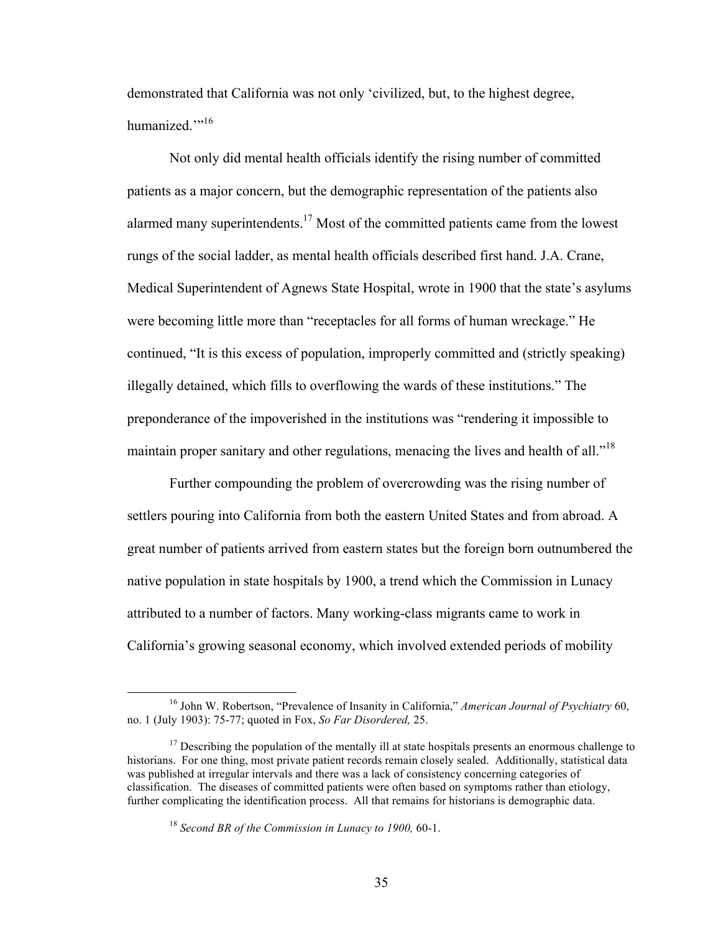demonstrated that California was not only 'civilized, but, to the highest degree, humanized."<sup>,16</sup>

Not only did mental health officials identify the rising number of committed patients as a major concern, but the demographic representation of the patients also alarmed many superintendents.<sup>17</sup> Most of the committed patients came from the lowest rungs of the social ladder, as mental health officials described first hand. J.A. Crane, Medical Superintendent of Agnews State Hospital, wrote in 1900 that the state's asylums were becoming little more than "receptacles for all forms of human wreckage." He continued, "It is this excess of population, improperly committed and (strictly speaking) illegally detained, which fills to overflowing the wards of these institutions." The preponderance of the impoverished in the institutions was "rendering it impossible to maintain proper sanitary and other regulations, menacing the lives and health of all."<sup>18</sup>

Further compounding the problem of overcrowding was the rising number of settlers pouring into California from both the eastern United States and from abroad. A great number of patients arrived from eastern states but the foreign born outnumbered the native population in state hospitals by 1900, a trend which the Commission in Lunacy attributed to a number of factors. Many working-class migrants came to work in California's growing seasonal economy, which involved extended periods of mobility

 <sup>16</sup> John W. Robertson, "Prevalence of Insanity in California," *American Journal of Psychiatry* 60, no. 1 (July 1903): 75-77; quoted in Fox, *So Far Disordered,* 25.

 $17$  Describing the population of the mentally ill at state hospitals presents an enormous challenge to historians. For one thing, most private patient records remain closely sealed. Additionally, statistical data was published at irregular intervals and there was a lack of consistency concerning categories of classification. The diseases of committed patients were often based on symptoms rather than etiology, further complicating the identification process. All that remains for historians is demographic data.

<sup>18</sup> *Second BR of the Commission in Lunacy to 1900,* 60-1.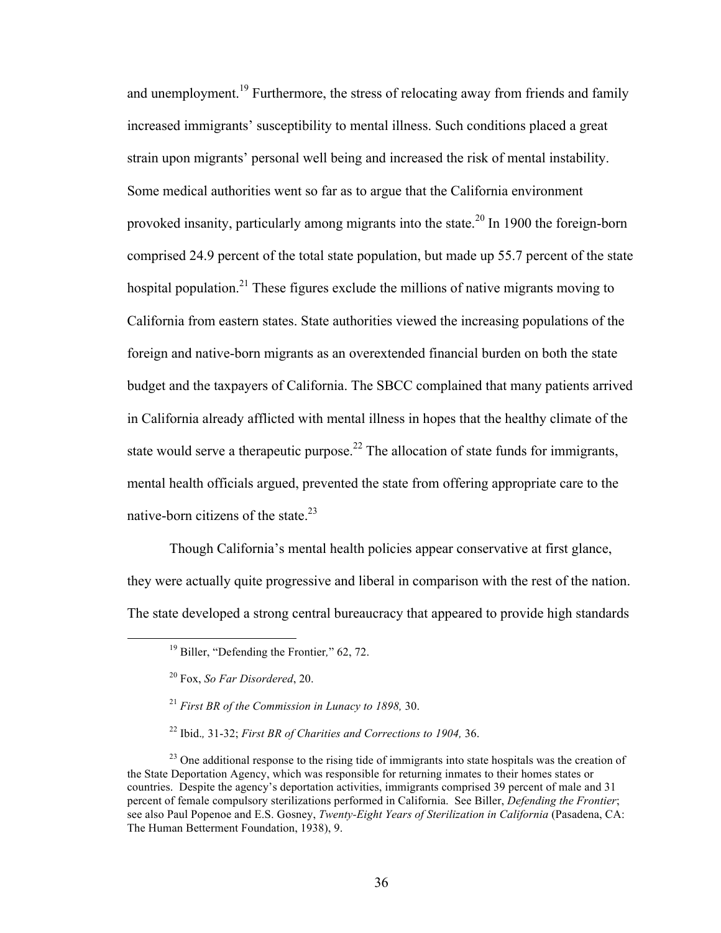and unemployment.<sup>19</sup> Furthermore, the stress of relocating away from friends and family increased immigrants' susceptibility to mental illness. Such conditions placed a great strain upon migrants' personal well being and increased the risk of mental instability. Some medical authorities went so far as to argue that the California environment provoked insanity, particularly among migrants into the state.<sup>20</sup> In 1900 the foreign-born comprised 24.9 percent of the total state population, but made up 55.7 percent of the state hospital population.<sup>21</sup> These figures exclude the millions of native migrants moving to California from eastern states. State authorities viewed the increasing populations of the foreign and native-born migrants as an overextended financial burden on both the state budget and the taxpayers of California. The SBCC complained that many patients arrived in California already afflicted with mental illness in hopes that the healthy climate of the state would serve a therapeutic purpose.<sup>22</sup> The allocation of state funds for immigrants, mental health officials argued, prevented the state from offering appropriate care to the native-born citizens of the state.<sup>23</sup>

Though California's mental health policies appear conservative at first glance, they were actually quite progressive and liberal in comparison with the rest of the nation. The state developed a strong central bureaucracy that appeared to provide high standards

 <sup>19</sup> Biller, "Defending the Frontier*,*" 62, 72.

<sup>20</sup> Fox, *So Far Disordered*, 20.

<sup>21</sup> *First BR of the Commission in Lunacy to 1898,* 30.

<sup>22</sup> Ibid.*,* 31-32; *First BR of Charities and Corrections to 1904,* 36.

 $^{23}$  One additional response to the rising tide of immigrants into state hospitals was the creation of the State Deportation Agency, which was responsible for returning inmates to their homes states or countries. Despite the agency's deportation activities, immigrants comprised 39 percent of male and 31 percent of female compulsory sterilizations performed in California. See Biller, *Defending the Frontier*; see also Paul Popenoe and E.S. Gosney, *Twenty-Eight Years of Sterilization in California* (Pasadena, CA: The Human Betterment Foundation, 1938), 9.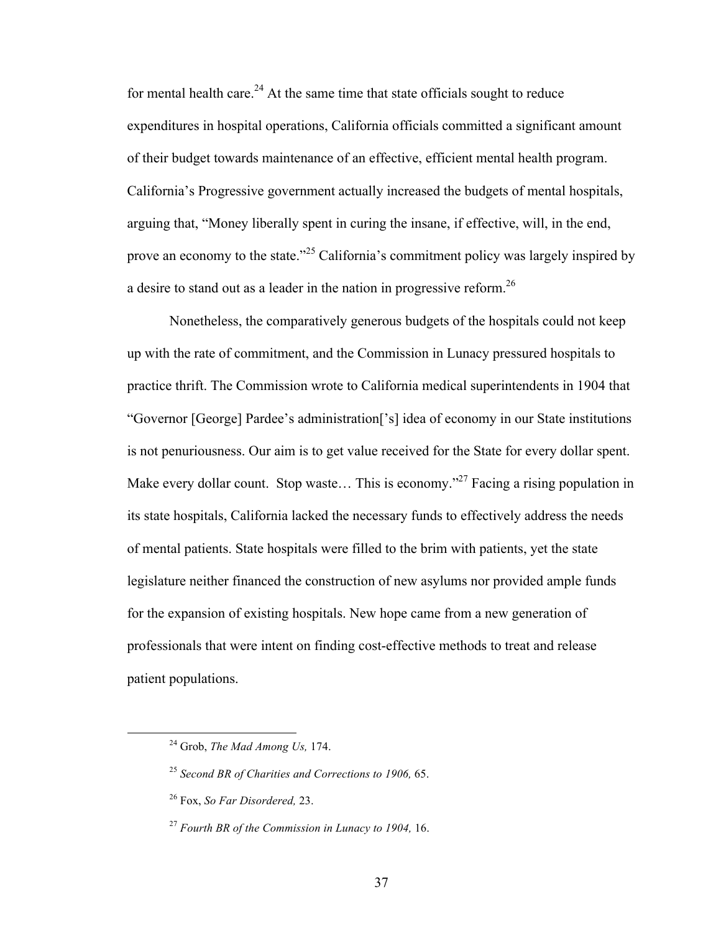for mental health care. $^{24}$  At the same time that state officials sought to reduce expenditures in hospital operations, California officials committed a significant amount of their budget towards maintenance of an effective, efficient mental health program. California's Progressive government actually increased the budgets of mental hospitals, arguing that, "Money liberally spent in curing the insane, if effective, will, in the end, prove an economy to the state."<sup>25</sup> California's commitment policy was largely inspired by a desire to stand out as a leader in the nation in progressive reform.<sup>26</sup>

Nonetheless, the comparatively generous budgets of the hospitals could not keep up with the rate of commitment, and the Commission in Lunacy pressured hospitals to practice thrift. The Commission wrote to California medical superintendents in 1904 that "Governor [George] Pardee's administration['s] idea of economy in our State institutions is not penuriousness. Our aim is to get value received for the State for every dollar spent. Make every dollar count. Stop waste... This is economy."<sup>27</sup> Facing a rising population in its state hospitals, California lacked the necessary funds to effectively address the needs of mental patients. State hospitals were filled to the brim with patients, yet the state legislature neither financed the construction of new asylums nor provided ample funds for the expansion of existing hospitals. New hope came from a new generation of professionals that were intent on finding cost-effective methods to treat and release patient populations.

 <sup>24</sup> Grob, *The Mad Among Us,* 174.

<sup>25</sup> *Second BR of Charities and Corrections to 1906,* 65.

<sup>26</sup> Fox, *So Far Disordered,* 23.

<sup>27</sup> *Fourth BR of the Commission in Lunacy to 1904,* 16.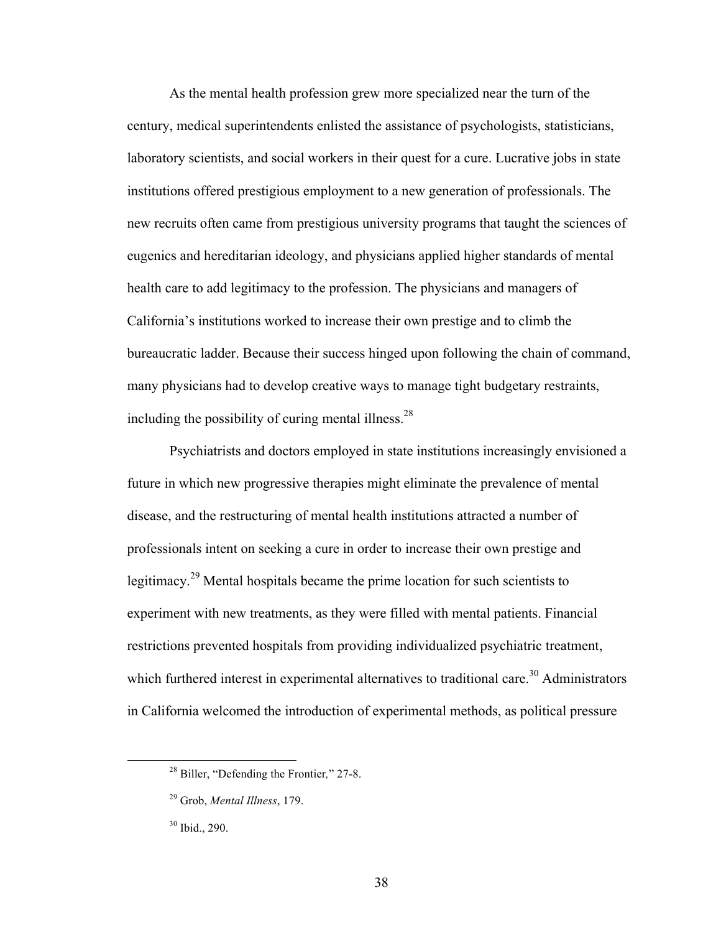As the mental health profession grew more specialized near the turn of the century, medical superintendents enlisted the assistance of psychologists, statisticians, laboratory scientists, and social workers in their quest for a cure. Lucrative jobs in state institutions offered prestigious employment to a new generation of professionals. The new recruits often came from prestigious university programs that taught the sciences of eugenics and hereditarian ideology, and physicians applied higher standards of mental health care to add legitimacy to the profession. The physicians and managers of California's institutions worked to increase their own prestige and to climb the bureaucratic ladder. Because their success hinged upon following the chain of command, many physicians had to develop creative ways to manage tight budgetary restraints, including the possibility of curing mental illness.<sup>28</sup>

Psychiatrists and doctors employed in state institutions increasingly envisioned a future in which new progressive therapies might eliminate the prevalence of mental disease, and the restructuring of mental health institutions attracted a number of professionals intent on seeking a cure in order to increase their own prestige and legitimacy.<sup>29</sup> Mental hospitals became the prime location for such scientists to experiment with new treatments, as they were filled with mental patients. Financial restrictions prevented hospitals from providing individualized psychiatric treatment, which furthered interest in experimental alternatives to traditional care.<sup>30</sup> Administrators in California welcomed the introduction of experimental methods, as political pressure

 <sup>28</sup> Biller, "Defending the Frontier*,*" 27-8.

<sup>29</sup> Grob, *Mental Illness*, 179.

 $30$  Ibid., 290.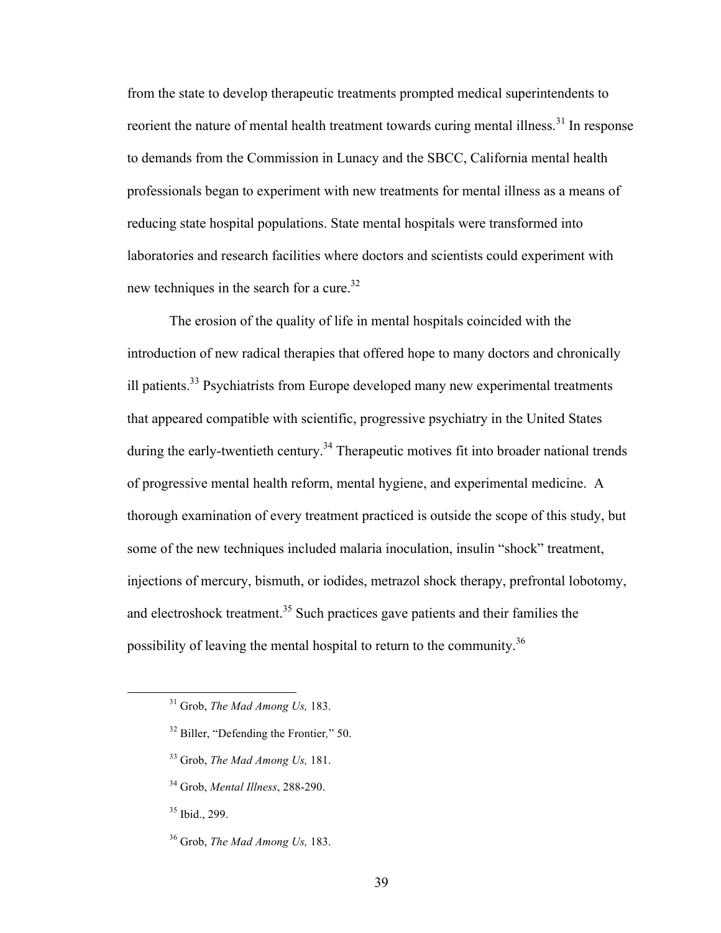from the state to develop therapeutic treatments prompted medical superintendents to reorient the nature of mental health treatment towards curing mental illness.<sup>31</sup> In response to demands from the Commission in Lunacy and the SBCC, California mental health professionals began to experiment with new treatments for mental illness as a means of reducing state hospital populations. State mental hospitals were transformed into laboratories and research facilities where doctors and scientists could experiment with new techniques in the search for a cure.<sup>32</sup>

The erosion of the quality of life in mental hospitals coincided with the introduction of new radical therapies that offered hope to many doctors and chronically ill patients.<sup>33</sup> Psychiatrists from Europe developed many new experimental treatments that appeared compatible with scientific, progressive psychiatry in the United States during the early-twentieth century.<sup>34</sup> Therapeutic motives fit into broader national trends of progressive mental health reform, mental hygiene, and experimental medicine. A thorough examination of every treatment practiced is outside the scope of this study, but some of the new techniques included malaria inoculation, insulin "shock" treatment, injections of mercury, bismuth, or iodides, metrazol shock therapy, prefrontal lobotomy, and electroshock treatment.<sup>35</sup> Such practices gave patients and their families the possibility of leaving the mental hospital to return to the community.<sup>36</sup>

- <sup>32</sup> Biller, "Defending the Frontier*,*" 50.
- <sup>33</sup> Grob, *The Mad Among Us,* 181.
- <sup>34</sup> Grob, *Mental Illness*, 288-290.
- <sup>35</sup> Ibid., 299.
- <sup>36</sup> Grob, *The Mad Among Us,* 183.

 <sup>31</sup> Grob, *The Mad Among Us,* 183.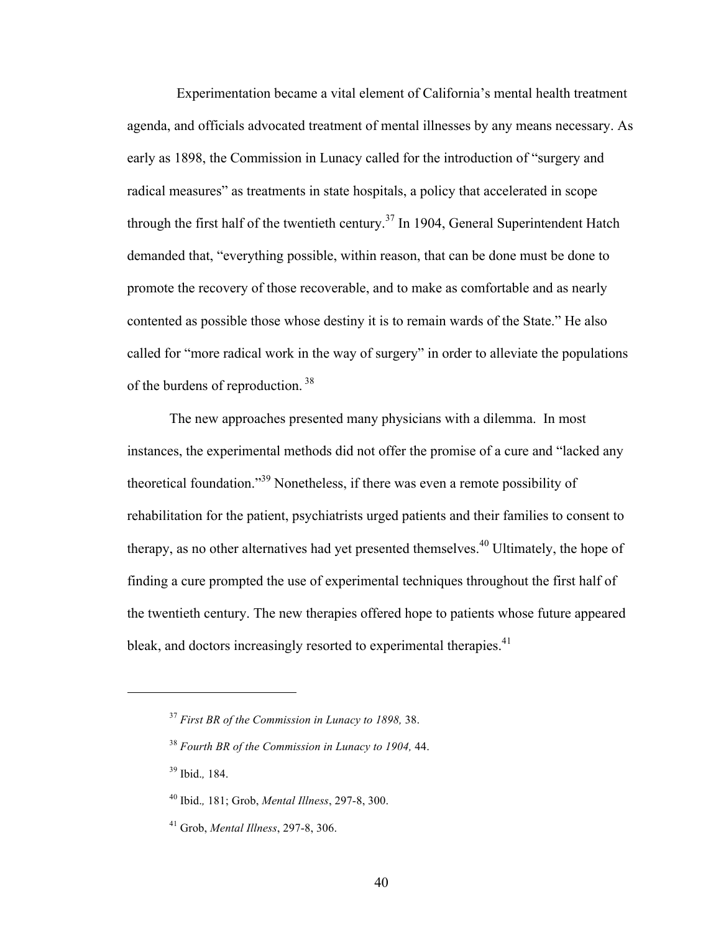Experimentation became a vital element of California's mental health treatment agenda, and officials advocated treatment of mental illnesses by any means necessary. As early as 1898, the Commission in Lunacy called for the introduction of "surgery and radical measures" as treatments in state hospitals, a policy that accelerated in scope through the first half of the twentieth century.<sup>37</sup> In 1904, General Superintendent Hatch demanded that, "everything possible, within reason, that can be done must be done to promote the recovery of those recoverable, and to make as comfortable and as nearly contented as possible those whose destiny it is to remain wards of the State." He also called for "more radical work in the way of surgery" in order to alleviate the populations of the burdens of reproduction. <sup>38</sup>

The new approaches presented many physicians with a dilemma. In most instances, the experimental methods did not offer the promise of a cure and "lacked any theoretical foundation."<sup>39</sup> Nonetheless, if there was even a remote possibility of rehabilitation for the patient, psychiatrists urged patients and their families to consent to therapy, as no other alternatives had yet presented themselves.<sup>40</sup> Ultimately, the hope of finding a cure prompted the use of experimental techniques throughout the first half of the twentieth century. The new therapies offered hope to patients whose future appeared bleak, and doctors increasingly resorted to experimental therapies. $41$ 

<sup>39</sup> Ibid.*,* 184.

 $\overline{a}$ 

<sup>37</sup> *First BR of the Commission in Lunacy to 1898,* 38.

<sup>38</sup> *Fourth BR of the Commission in Lunacy to 1904,* 44.

<sup>40</sup> Ibid.*,* 181; Grob, *Mental Illness*, 297-8, 300.

<sup>41</sup> Grob, *Mental Illness*, 297-8, 306.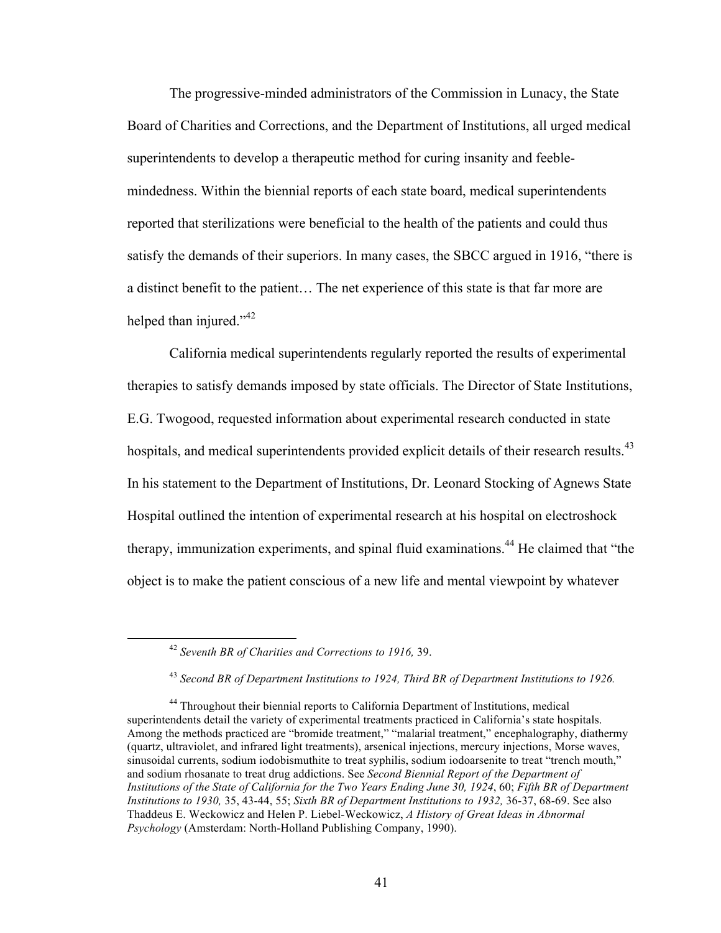The progressive-minded administrators of the Commission in Lunacy, the State Board of Charities and Corrections, and the Department of Institutions, all urged medical superintendents to develop a therapeutic method for curing insanity and feeblemindedness. Within the biennial reports of each state board, medical superintendents reported that sterilizations were beneficial to the health of the patients and could thus satisfy the demands of their superiors. In many cases, the SBCC argued in 1916, "there is a distinct benefit to the patient… The net experience of this state is that far more are helped than injured."<sup>42</sup>

California medical superintendents regularly reported the results of experimental therapies to satisfy demands imposed by state officials. The Director of State Institutions, E.G. Twogood, requested information about experimental research conducted in state hospitals, and medical superintendents provided explicit details of their research results.<sup>43</sup> In his statement to the Department of Institutions, Dr. Leonard Stocking of Agnews State Hospital outlined the intention of experimental research at his hospital on electroshock therapy, immunization experiments, and spinal fluid examinations. <sup>44</sup> He claimed that "the object is to make the patient conscious of a new life and mental viewpoint by whatever

 <sup>42</sup> *Seventh BR of Charities and Corrections to 1916,* 39.

<sup>43</sup> *Second BR of Department Institutions to 1924, Third BR of Department Institutions to 1926.*

<sup>&</sup>lt;sup>44</sup> Throughout their biennial reports to California Department of Institutions, medical superintendents detail the variety of experimental treatments practiced in California's state hospitals. Among the methods practiced are "bromide treatment," "malarial treatment," encephalography, diathermy (quartz, ultraviolet, and infrared light treatments), arsenical injections, mercury injections, Morse waves, sinusoidal currents, sodium iodobismuthite to treat syphilis, sodium iodoarsenite to treat "trench mouth," and sodium rhosanate to treat drug addictions. See *Second Biennial Report of the Department of Institutions of the State of California for the Two Years Ending June 30, 1924*, 60; *Fifth BR of Department Institutions to 1930,* 35, 43-44, 55; *Sixth BR of Department Institutions to 1932,* 36-37, 68-69. See also Thaddeus E. Weckowicz and Helen P. Liebel-Weckowicz, *A History of Great Ideas in Abnormal Psychology* (Amsterdam: North-Holland Publishing Company, 1990).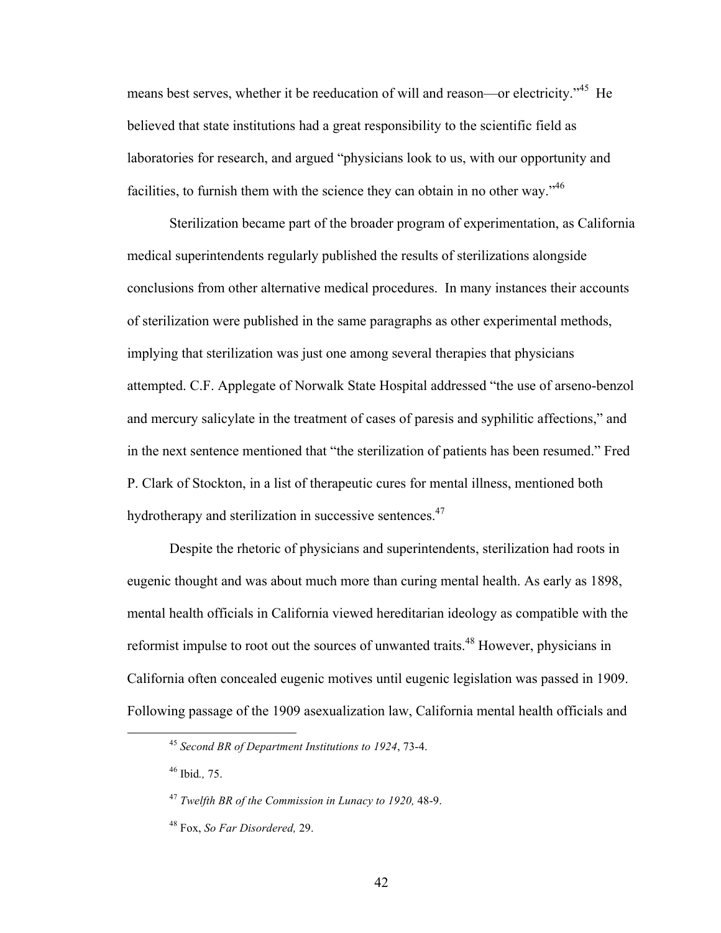means best serves, whether it be reeducation of will and reason—or electricity."<sup>45</sup> He believed that state institutions had a great responsibility to the scientific field as laboratories for research, and argued "physicians look to us, with our opportunity and facilities, to furnish them with the science they can obtain in no other way."<sup>46</sup>

Sterilization became part of the broader program of experimentation, as California medical superintendents regularly published the results of sterilizations alongside conclusions from other alternative medical procedures. In many instances their accounts of sterilization were published in the same paragraphs as other experimental methods, implying that sterilization was just one among several therapies that physicians attempted. C.F. Applegate of Norwalk State Hospital addressed "the use of arseno-benzol and mercury salicylate in the treatment of cases of paresis and syphilitic affections," and in the next sentence mentioned that "the sterilization of patients has been resumed." Fred P. Clark of Stockton, in a list of therapeutic cures for mental illness, mentioned both hydrotherapy and sterilization in successive sentences.<sup>47</sup>

Despite the rhetoric of physicians and superintendents, sterilization had roots in eugenic thought and was about much more than curing mental health. As early as 1898, mental health officials in California viewed hereditarian ideology as compatible with the reformist impulse to root out the sources of unwanted traits.<sup>48</sup> However, physicians in California often concealed eugenic motives until eugenic legislation was passed in 1909. Following passage of the 1909 asexualization law, California mental health officials and

<sup>46</sup> Ibid*.,* 75.

 <sup>45</sup> *Second BR of Department Institutions to 1924*, 73-4.

<sup>47</sup> *Twelfth BR of the Commission in Lunacy to 1920,* 48-9.

<sup>48</sup> Fox, *So Far Disordered,* 29.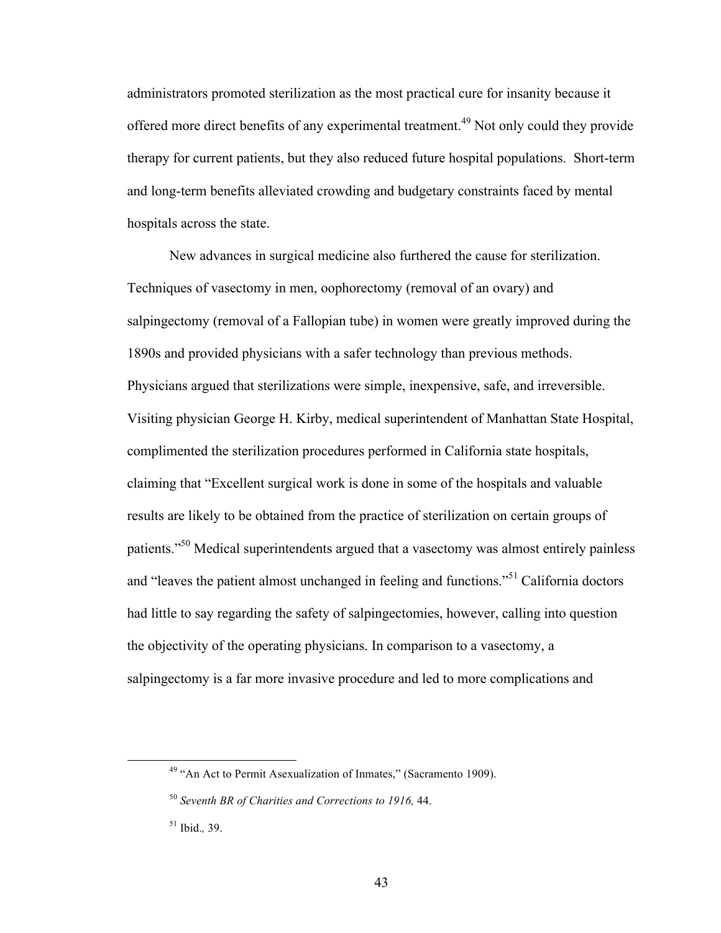administrators promoted sterilization as the most practical cure for insanity because it offered more direct benefits of any experimental treatment.<sup>49</sup> Not only could they provide therapy for current patients, but they also reduced future hospital populations. Short-term and long-term benefits alleviated crowding and budgetary constraints faced by mental hospitals across the state.

New advances in surgical medicine also furthered the cause for sterilization. Techniques of vasectomy in men, oophorectomy (removal of an ovary) and salpingectomy (removal of a Fallopian tube) in women were greatly improved during the 1890s and provided physicians with a safer technology than previous methods. Physicians argued that sterilizations were simple, inexpensive, safe, and irreversible. Visiting physician George H. Kirby, medical superintendent of Manhattan State Hospital, complimented the sterilization procedures performed in California state hospitals, claiming that "Excellent surgical work is done in some of the hospitals and valuable results are likely to be obtained from the practice of sterilization on certain groups of patients."<sup>50</sup> Medical superintendents argued that a vasectomy was almost entirely painless and "leaves the patient almost unchanged in feeling and functions."<sup>51</sup> California doctors had little to say regarding the safety of salpingectomies, however, calling into question the objectivity of the operating physicians. In comparison to a vasectomy, a salpingectomy is a far more invasive procedure and led to more complications and

 $49$  "An Act to Permit Asexualization of Inmates," (Sacramento 1909).

<sup>50</sup> *Seventh BR of Charities and Corrections to 1916,* 44.

<sup>51</sup> Ibid.*,* 39.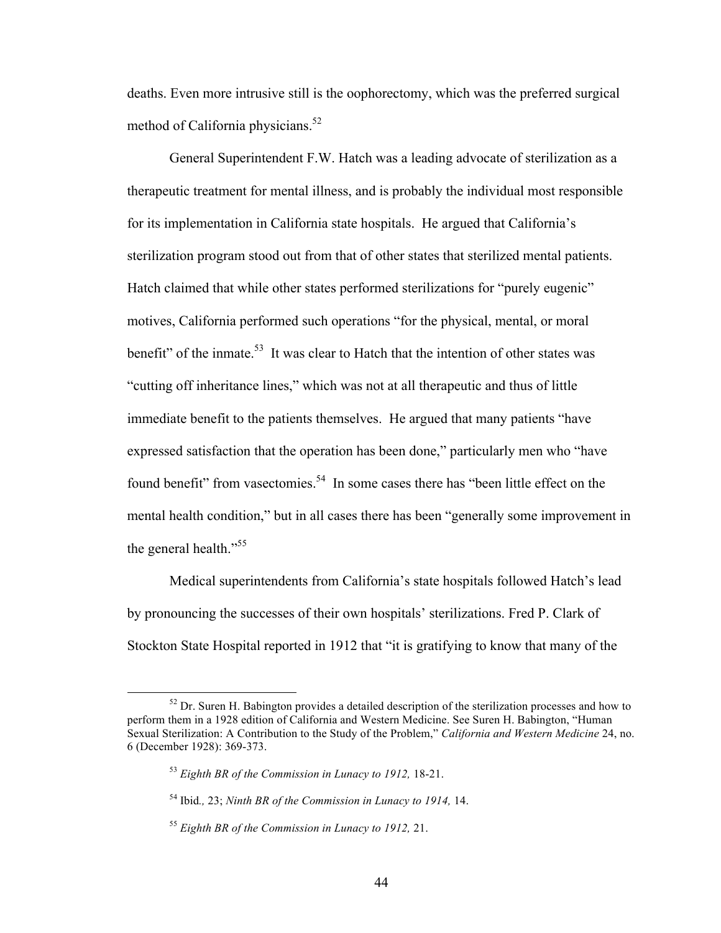deaths. Even more intrusive still is the oophorectomy, which was the preferred surgical method of California physicians.<sup>52</sup>

General Superintendent F.W. Hatch was a leading advocate of sterilization as a therapeutic treatment for mental illness, and is probably the individual most responsible for its implementation in California state hospitals. He argued that California's sterilization program stood out from that of other states that sterilized mental patients. Hatch claimed that while other states performed sterilizations for "purely eugenic" motives, California performed such operations "for the physical, mental, or moral benefit" of the inmate.<sup>53</sup> It was clear to Hatch that the intention of other states was "cutting off inheritance lines," which was not at all therapeutic and thus of little immediate benefit to the patients themselves. He argued that many patients "have expressed satisfaction that the operation has been done," particularly men who "have found benefit" from vasectomies.<sup>54</sup> In some cases there has "been little effect on the mental health condition," but in all cases there has been "generally some improvement in the general health."<sup>55</sup>

Medical superintendents from California's state hospitals followed Hatch's lead by pronouncing the successes of their own hospitals' sterilizations. Fred P. Clark of Stockton State Hospital reported in 1912 that "it is gratifying to know that many of the

 $52$  Dr. Suren H. Babington provides a detailed description of the sterilization processes and how to perform them in a 1928 edition of California and Western Medicine. See Suren H. Babington, "Human Sexual Sterilization: A Contribution to the Study of the Problem," *California and Western Medicine* 24, no. 6 (December 1928): 369-373.

<sup>53</sup> *Eighth BR of the Commission in Lunacy to 1912,* 18-21.

<sup>54</sup> Ibid*.,* 23; *Ninth BR of the Commission in Lunacy to 1914,* 14.

<sup>55</sup> *Eighth BR of the Commission in Lunacy to 1912,* 21.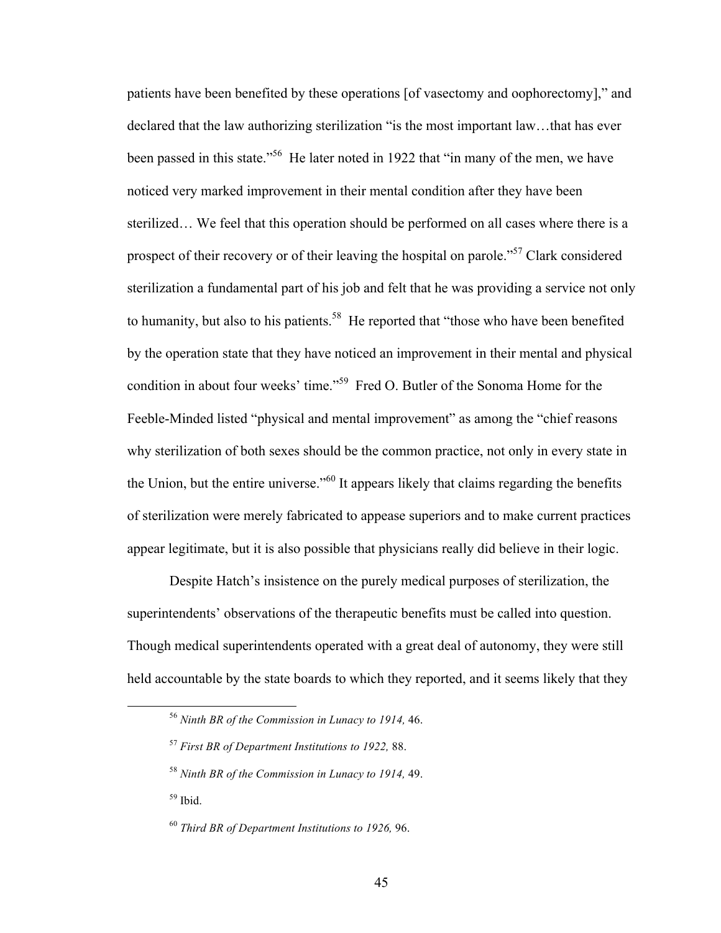patients have been benefited by these operations [of vasectomy and oophorectomy]," and declared that the law authorizing sterilization "is the most important law…that has ever been passed in this state.<sup>56</sup> He later noted in 1922 that "in many of the men, we have noticed very marked improvement in their mental condition after they have been sterilized… We feel that this operation should be performed on all cases where there is a prospect of their recovery or of their leaving the hospital on parole."<sup>57</sup> Clark considered sterilization a fundamental part of his job and felt that he was providing a service not only to humanity, but also to his patients.<sup>58</sup> He reported that "those who have been benefited by the operation state that they have noticed an improvement in their mental and physical condition in about four weeks' time." 59 Fred O. Butler of the Sonoma Home for the Feeble-Minded listed "physical and mental improvement" as among the "chief reasons" why sterilization of both sexes should be the common practice, not only in every state in the Union, but the entire universe.<sup> $160$ </sup> It appears likely that claims regarding the benefits of sterilization were merely fabricated to appease superiors and to make current practices appear legitimate, but it is also possible that physicians really did believe in their logic.

Despite Hatch's insistence on the purely medical purposes of sterilization, the superintendents' observations of the therapeutic benefits must be called into question. Though medical superintendents operated with a great deal of autonomy, they were still held accountable by the state boards to which they reported, and it seems likely that they

 <sup>56</sup> *Ninth BR of the Commission in Lunacy to 1914,* 46.

<sup>57</sup> *First BR of Department Institutions to 1922,* 88.

<sup>58</sup> *Ninth BR of the Commission in Lunacy to 1914,* 49.

<sup>59</sup> Ibid.

<sup>60</sup> *Third BR of Department Institutions to 1926,* 96.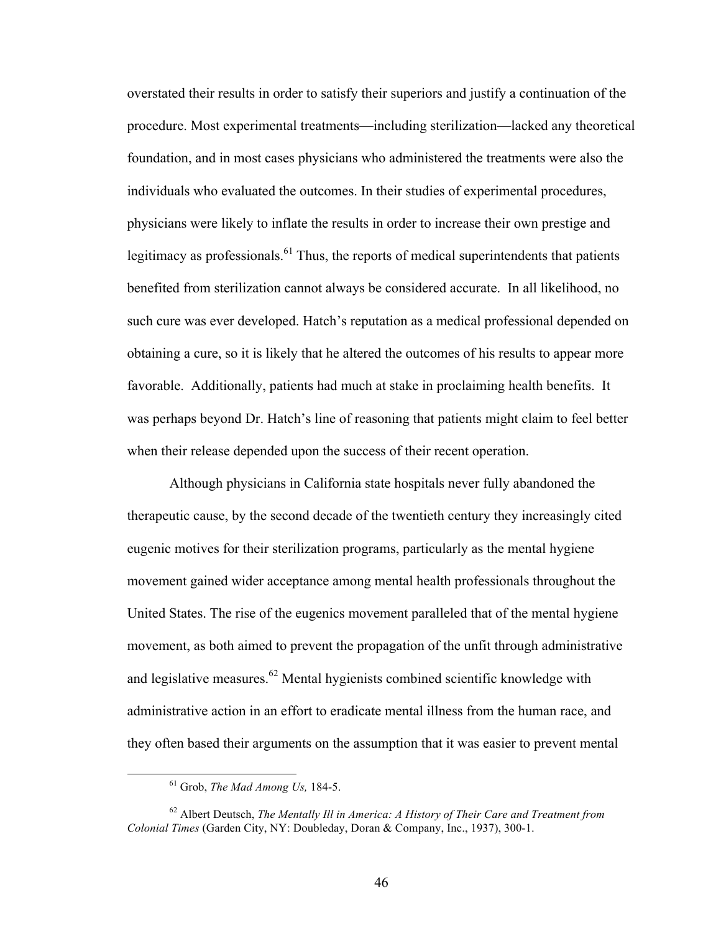overstated their results in order to satisfy their superiors and justify a continuation of the procedure. Most experimental treatments—including sterilization—lacked any theoretical foundation, and in most cases physicians who administered the treatments were also the individuals who evaluated the outcomes. In their studies of experimental procedures, physicians were likely to inflate the results in order to increase their own prestige and legitimacy as professionals.<sup>61</sup> Thus, the reports of medical superintendents that patients benefited from sterilization cannot always be considered accurate. In all likelihood, no such cure was ever developed. Hatch's reputation as a medical professional depended on obtaining a cure, so it is likely that he altered the outcomes of his results to appear more favorable. Additionally, patients had much at stake in proclaiming health benefits. It was perhaps beyond Dr. Hatch's line of reasoning that patients might claim to feel better when their release depended upon the success of their recent operation.

Although physicians in California state hospitals never fully abandoned the therapeutic cause, by the second decade of the twentieth century they increasingly cited eugenic motives for their sterilization programs, particularly as the mental hygiene movement gained wider acceptance among mental health professionals throughout the United States. The rise of the eugenics movement paralleled that of the mental hygiene movement, as both aimed to prevent the propagation of the unfit through administrative and legislative measures.<sup>62</sup> Mental hygienists combined scientific knowledge with administrative action in an effort to eradicate mental illness from the human race, and they often based their arguments on the assumption that it was easier to prevent mental

 <sup>61</sup> Grob, *The Mad Among Us,* 184-5.

<sup>62</sup> Albert Deutsch, *The Mentally Ill in America: A History of Their Care and Treatment from Colonial Times* (Garden City, NY: Doubleday, Doran & Company, Inc., 1937), 300-1.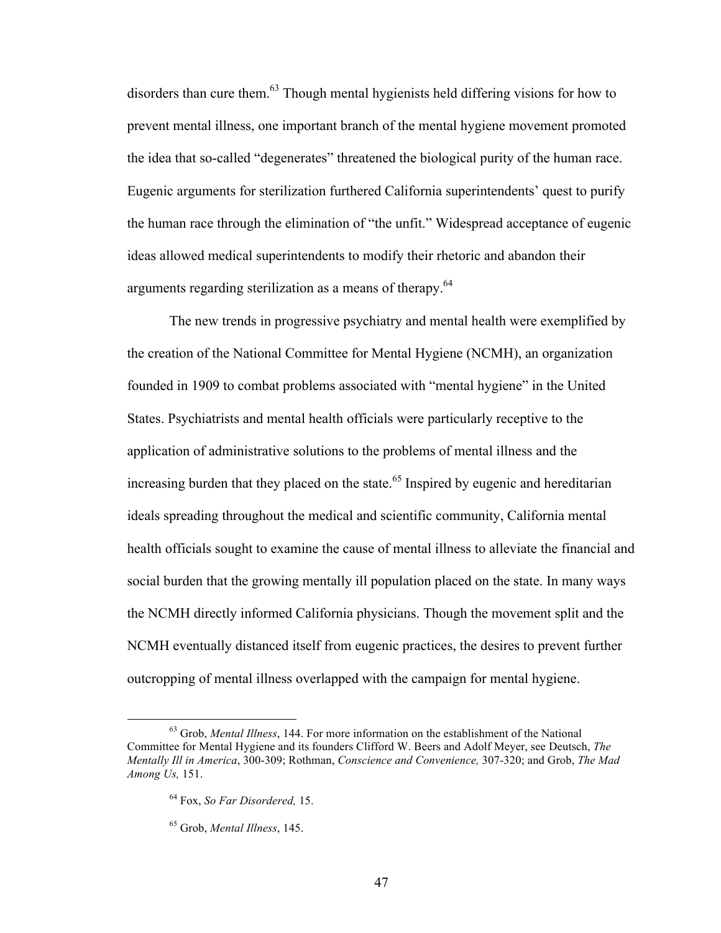disorders than cure them.<sup>63</sup> Though mental hygienists held differing visions for how to prevent mental illness, one important branch of the mental hygiene movement promoted the idea that so-called "degenerates" threatened the biological purity of the human race. Eugenic arguments for sterilization furthered California superintendents' quest to purify the human race through the elimination of "the unfit." Widespread acceptance of eugenic ideas allowed medical superintendents to modify their rhetoric and abandon their arguments regarding sterilization as a means of therapy.<sup>64</sup>

The new trends in progressive psychiatry and mental health were exemplified by the creation of the National Committee for Mental Hygiene (NCMH), an organization founded in 1909 to combat problems associated with "mental hygiene" in the United States. Psychiatrists and mental health officials were particularly receptive to the application of administrative solutions to the problems of mental illness and the increasing burden that they placed on the state.<sup>65</sup> Inspired by eugenic and hereditarian ideals spreading throughout the medical and scientific community, California mental health officials sought to examine the cause of mental illness to alleviate the financial and social burden that the growing mentally ill population placed on the state. In many ways the NCMH directly informed California physicians. Though the movement split and the NCMH eventually distanced itself from eugenic practices, the desires to prevent further outcropping of mental illness overlapped with the campaign for mental hygiene.

 <sup>63</sup> Grob, *Mental Illness*, 144. For more information on the establishment of the National Committee for Mental Hygiene and its founders Clifford W. Beers and Adolf Meyer, see Deutsch, *The Mentally Ill in America*, 300-309; Rothman, *Conscience and Convenience,* 307-320; and Grob, *The Mad Among Us,* 151.

<sup>64</sup> Fox, *So Far Disordered,* 15.

<sup>65</sup> Grob, *Mental Illness*, 145.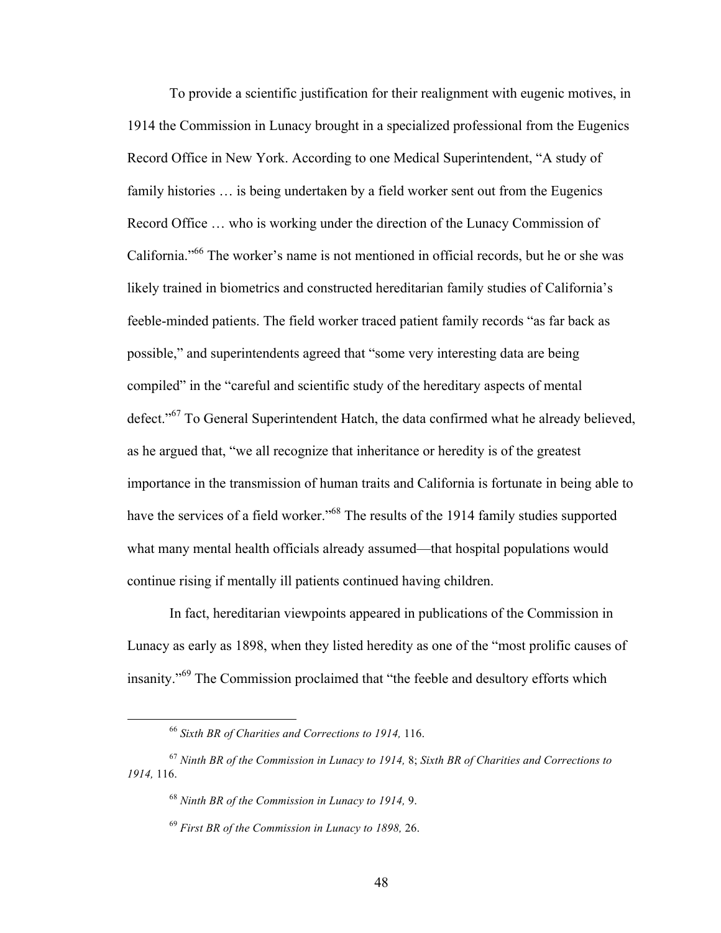To provide a scientific justification for their realignment with eugenic motives, in 1914 the Commission in Lunacy brought in a specialized professional from the Eugenics Record Office in New York. According to one Medical Superintendent, "A study of family histories … is being undertaken by a field worker sent out from the Eugenics Record Office … who is working under the direction of the Lunacy Commission of California."<sup>66</sup> The worker's name is not mentioned in official records, but he or she was likely trained in biometrics and constructed hereditarian family studies of California's feeble-minded patients. The field worker traced patient family records "as far back as possible," and superintendents agreed that "some very interesting data are being compiled" in the "careful and scientific study of the hereditary aspects of mental defect."<sup>67</sup> To General Superintendent Hatch, the data confirmed what he already believed, as he argued that, "we all recognize that inheritance or heredity is of the greatest importance in the transmission of human traits and California is fortunate in being able to have the services of a field worker."<sup>68</sup> The results of the 1914 family studies supported what many mental health officials already assumed—that hospital populations would continue rising if mentally ill patients continued having children.

In fact, hereditarian viewpoints appeared in publications of the Commission in Lunacy as early as 1898, when they listed heredity as one of the "most prolific causes of insanity."<sup>69</sup> The Commission proclaimed that "the feeble and desultory efforts which

 <sup>66</sup> *Sixth BR of Charities and Corrections to 1914,* 116.

<sup>67</sup> *Ninth BR of the Commission in Lunacy to 1914,* 8; *Sixth BR of Charities and Corrections to 1914,* 116.

<sup>68</sup> *Ninth BR of the Commission in Lunacy to 1914,* 9.

<sup>69</sup> *First BR of the Commission in Lunacy to 1898,* 26.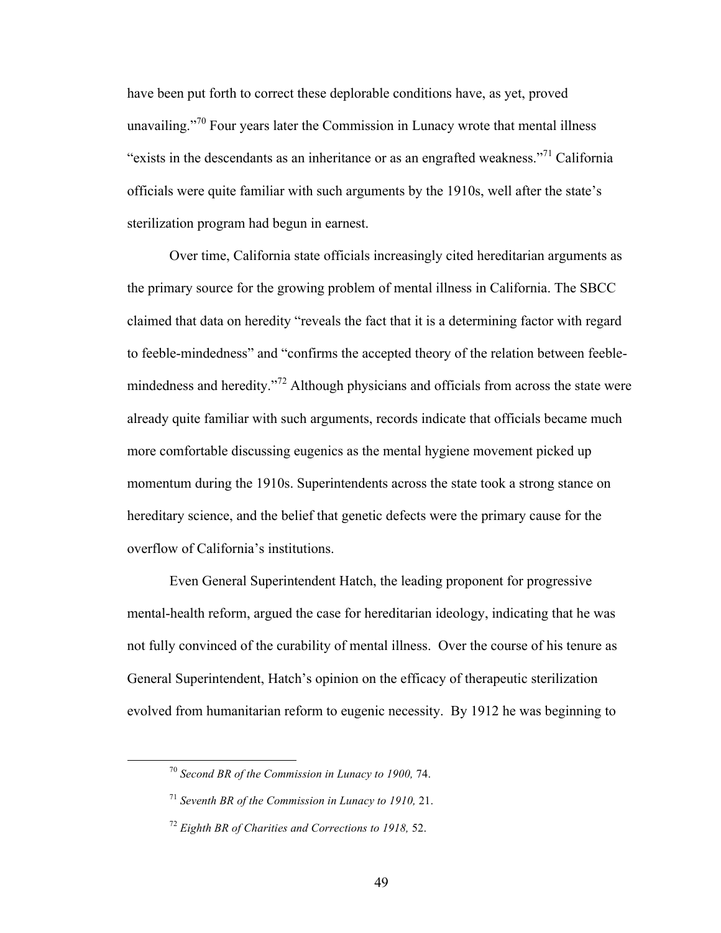have been put forth to correct these deplorable conditions have, as yet, proved unavailing."<sup>70</sup> Four years later the Commission in Lunacy wrote that mental illness "exists in the descendants as an inheritance or as an engrafted weakness."<sup>71</sup> California officials were quite familiar with such arguments by the 1910s, well after the state's sterilization program had begun in earnest.

Over time, California state officials increasingly cited hereditarian arguments as the primary source for the growing problem of mental illness in California. The SBCC claimed that data on heredity "reveals the fact that it is a determining factor with regard to feeble-mindedness" and "confirms the accepted theory of the relation between feeblemindedness and heredity."<sup>72</sup> Although physicians and officials from across the state were already quite familiar with such arguments, records indicate that officials became much more comfortable discussing eugenics as the mental hygiene movement picked up momentum during the 1910s. Superintendents across the state took a strong stance on hereditary science, and the belief that genetic defects were the primary cause for the overflow of California's institutions.

Even General Superintendent Hatch, the leading proponent for progressive mental-health reform, argued the case for hereditarian ideology, indicating that he was not fully convinced of the curability of mental illness. Over the course of his tenure as General Superintendent, Hatch's opinion on the efficacy of therapeutic sterilization evolved from humanitarian reform to eugenic necessity. By 1912 he was beginning to

 <sup>70</sup> *Second BR of the Commission in Lunacy to 1900,* 74.

<sup>71</sup> *Seventh BR of the Commission in Lunacy to 1910,* 21.

<sup>72</sup> *Eighth BR of Charities and Corrections to 1918,* 52.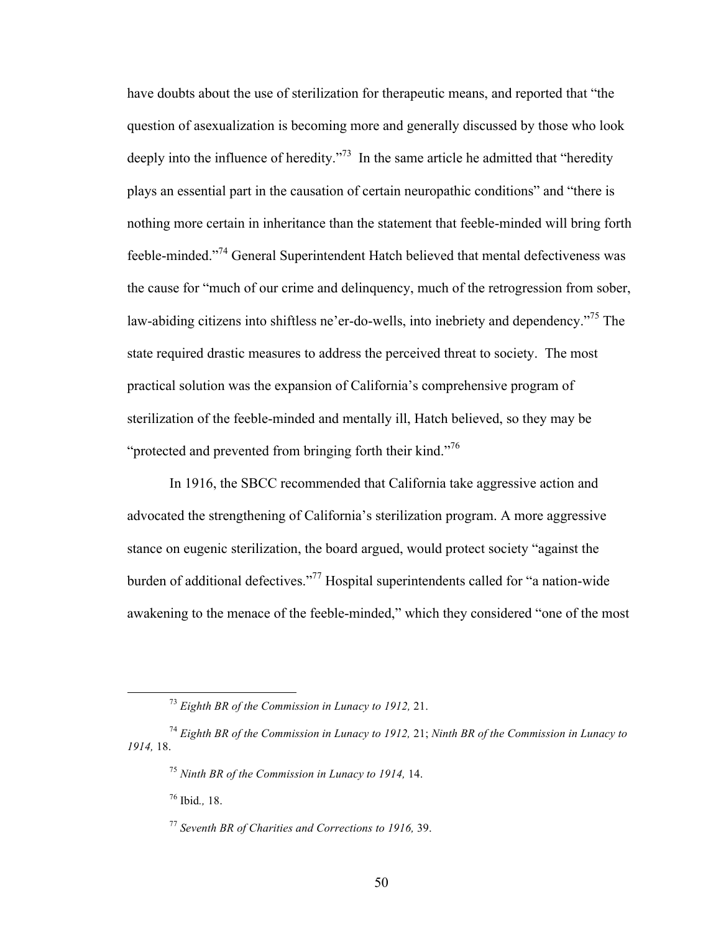have doubts about the use of sterilization for therapeutic means, and reported that "the question of asexualization is becoming more and generally discussed by those who look deeply into the influence of heredity."<sup>73</sup> In the same article he admitted that "heredity" plays an essential part in the causation of certain neuropathic conditions" and "there is nothing more certain in inheritance than the statement that feeble-minded will bring forth feeble-minded."<sup>74</sup> General Superintendent Hatch believed that mental defectiveness was the cause for "much of our crime and delinquency, much of the retrogression from sober, law-abiding citizens into shiftless ne'er-do-wells, into inebriety and dependency."<sup>75</sup> The state required drastic measures to address the perceived threat to society. The most practical solution was the expansion of California's comprehensive program of sterilization of the feeble-minded and mentally ill, Hatch believed, so they may be "protected and prevented from bringing forth their kind."<sup>76</sup>

In 1916, the SBCC recommended that California take aggressive action and advocated the strengthening of California's sterilization program. A more aggressive stance on eugenic sterilization, the board argued, would protect society "against the burden of additional defectives."<sup>77</sup> Hospital superintendents called for "a nation-wide awakening to the menace of the feeble-minded," which they considered "one of the most

<sup>76</sup> Ibid*.,* 18.

 <sup>73</sup> *Eighth BR of the Commission in Lunacy to 1912,* 21.

<sup>74</sup> *Eighth BR of the Commission in Lunacy to 1912,* 21; *Ninth BR of the Commission in Lunacy to 1914,* 18.

<sup>75</sup> *Ninth BR of the Commission in Lunacy to 1914,* 14.

<sup>77</sup> *Seventh BR of Charities and Corrections to 1916,* 39.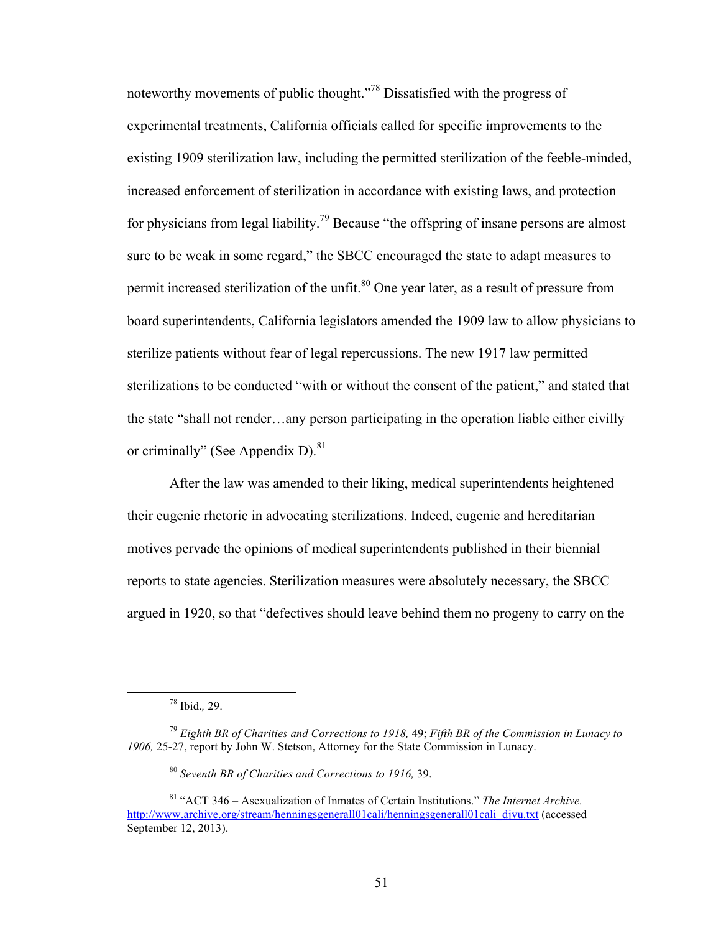noteworthy movements of public thought.<sup>"78</sup> Dissatisfied with the progress of experimental treatments, California officials called for specific improvements to the existing 1909 sterilization law, including the permitted sterilization of the feeble-minded, increased enforcement of sterilization in accordance with existing laws, and protection for physicians from legal liability.<sup>79</sup> Because "the offspring of insane persons are almost sure to be weak in some regard," the SBCC encouraged the state to adapt measures to permit increased sterilization of the unfit.<sup>80</sup> One year later, as a result of pressure from board superintendents, California legislators amended the 1909 law to allow physicians to sterilize patients without fear of legal repercussions. The new 1917 law permitted sterilizations to be conducted "with or without the consent of the patient," and stated that the state "shall not render…any person participating in the operation liable either civilly or criminally" (See Appendix D). $81$ 

After the law was amended to their liking, medical superintendents heightened their eugenic rhetoric in advocating sterilizations. Indeed, eugenic and hereditarian motives pervade the opinions of medical superintendents published in their biennial reports to state agencies. Sterilization measures were absolutely necessary, the SBCC argued in 1920, so that "defectives should leave behind them no progeny to carry on the

 <sup>78</sup> Ibid.*,* 29.

<sup>79</sup> *Eighth BR of Charities and Corrections to 1918,* 49; *Fifth BR of the Commission in Lunacy to 1906,* 25-27, report by John W. Stetson, Attorney for the State Commission in Lunacy.

<sup>80</sup> *Seventh BR of Charities and Corrections to 1916,* 39.

<sup>81</sup> "ACT 346 – Asexualization of Inmates of Certain Institutions." *The Internet Archive.* http://www.archive.org/stream/henningsgenerall01cali/henningsgenerall01cali\_djvu.txt (accessed September 12, 2013).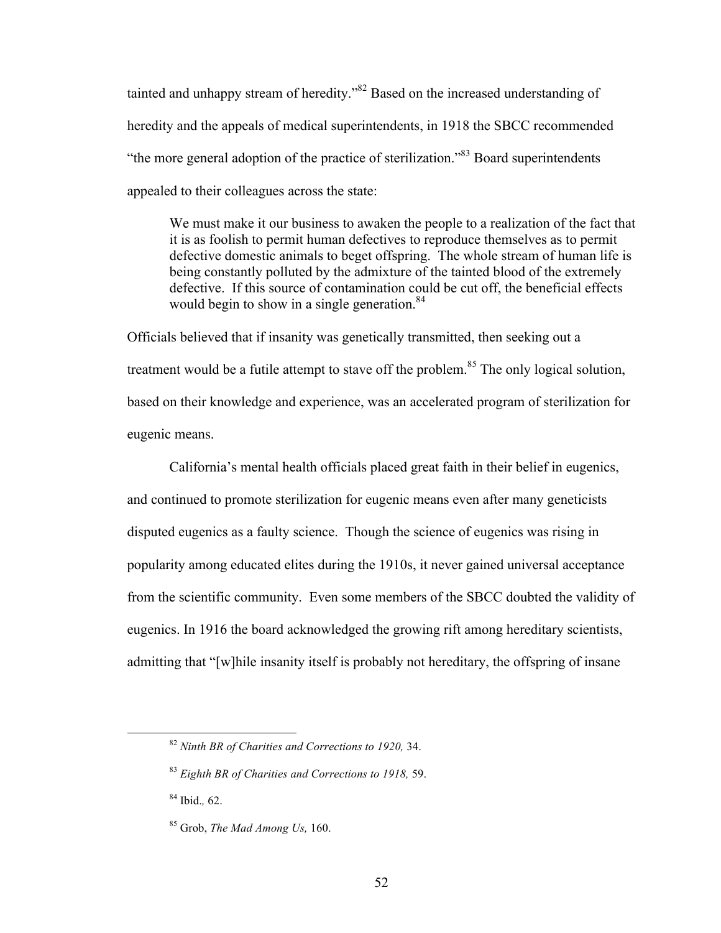tainted and unhappy stream of heredity."<sup>82</sup> Based on the increased understanding of heredity and the appeals of medical superintendents, in 1918 the SBCC recommended "the more general adoption of the practice of sterilization."83 Board superintendents appealed to their colleagues across the state:

We must make it our business to awaken the people to a realization of the fact that it is as foolish to permit human defectives to reproduce themselves as to permit defective domestic animals to beget offspring. The whole stream of human life is being constantly polluted by the admixture of the tainted blood of the extremely defective. If this source of contamination could be cut off, the beneficial effects would begin to show in a single generation.<sup>84</sup>

Officials believed that if insanity was genetically transmitted, then seeking out a treatment would be a futile attempt to stave off the problem.<sup>85</sup> The only logical solution, based on their knowledge and experience, was an accelerated program of sterilization for eugenic means.

California's mental health officials placed great faith in their belief in eugenics, and continued to promote sterilization for eugenic means even after many geneticists disputed eugenics as a faulty science. Though the science of eugenics was rising in popularity among educated elites during the 1910s, it never gained universal acceptance from the scientific community. Even some members of the SBCC doubted the validity of eugenics. In 1916 the board acknowledged the growing rift among hereditary scientists, admitting that "[w]hile insanity itself is probably not hereditary, the offspring of insane

 <sup>82</sup> *Ninth BR of Charities and Corrections to 1920,* 34.

<sup>83</sup> *Eighth BR of Charities and Corrections to 1918,* 59.

<sup>84</sup> Ibid.*,* 62.

<sup>85</sup> Grob, *The Mad Among Us,* 160.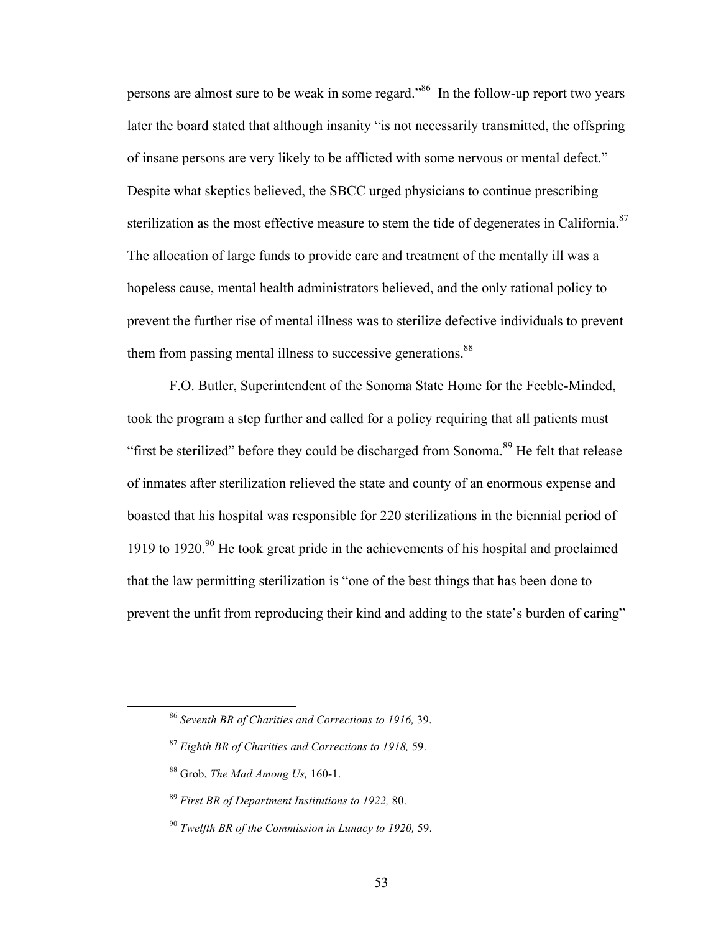persons are almost sure to be weak in some regard."<sup>86</sup> In the follow-up report two years later the board stated that although insanity "is not necessarily transmitted, the offspring of insane persons are very likely to be afflicted with some nervous or mental defect." Despite what skeptics believed, the SBCC urged physicians to continue prescribing sterilization as the most effective measure to stem the tide of degenerates in California.<sup>87</sup> The allocation of large funds to provide care and treatment of the mentally ill was a hopeless cause, mental health administrators believed, and the only rational policy to prevent the further rise of mental illness was to sterilize defective individuals to prevent them from passing mental illness to successive generations.<sup>88</sup>

F.O. Butler, Superintendent of the Sonoma State Home for the Feeble-Minded, took the program a step further and called for a policy requiring that all patients must "first be sterilized" before they could be discharged from Sonoma.<sup>89</sup> He felt that release of inmates after sterilization relieved the state and county of an enormous expense and boasted that his hospital was responsible for 220 sterilizations in the biennial period of 1919 to 1920.<sup>90</sup> He took great pride in the achievements of his hospital and proclaimed that the law permitting sterilization is "one of the best things that has been done to prevent the unfit from reproducing their kind and adding to the state's burden of caring"

 <sup>86</sup> *Seventh BR of Charities and Corrections to 1916,* 39.

<sup>87</sup> *Eighth BR of Charities and Corrections to 1918,* 59.

<sup>88</sup> Grob, *The Mad Among Us,* 160-1.

<sup>89</sup> *First BR of Department Institutions to 1922,* 80.

<sup>90</sup> *Twelfth BR of the Commission in Lunacy to 1920,* 59.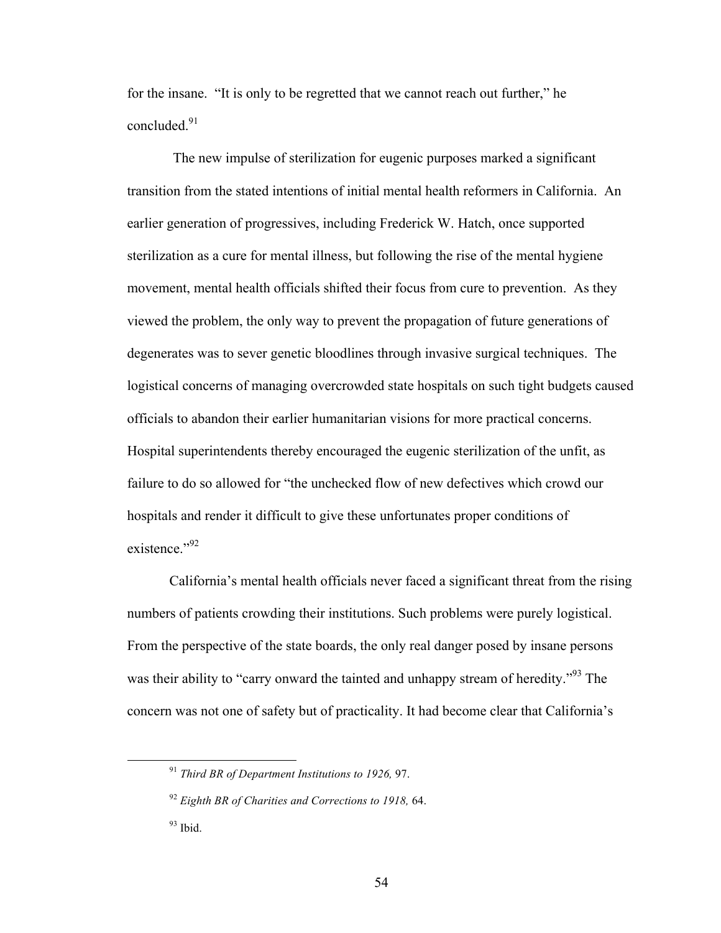for the insane. "It is only to be regretted that we cannot reach out further," he concluded. 91

The new impulse of sterilization for eugenic purposes marked a significant transition from the stated intentions of initial mental health reformers in California. An earlier generation of progressives, including Frederick W. Hatch, once supported sterilization as a cure for mental illness, but following the rise of the mental hygiene movement, mental health officials shifted their focus from cure to prevention. As they viewed the problem, the only way to prevent the propagation of future generations of degenerates was to sever genetic bloodlines through invasive surgical techniques. The logistical concerns of managing overcrowded state hospitals on such tight budgets caused officials to abandon their earlier humanitarian visions for more practical concerns. Hospital superintendents thereby encouraged the eugenic sterilization of the unfit, as failure to do so allowed for "the unchecked flow of new defectives which crowd our hospitals and render it difficult to give these unfortunates proper conditions of existence."<sup>92</sup>

California's mental health officials never faced a significant threat from the rising numbers of patients crowding their institutions. Such problems were purely logistical. From the perspective of the state boards, the only real danger posed by insane persons was their ability to "carry onward the tainted and unhappy stream of heredity."<sup>93</sup> The concern was not one of safety but of practicality. It had become clear that California's

 <sup>91</sup> *Third BR of Department Institutions to 1926,* 97.

<sup>92</sup> *Eighth BR of Charities and Corrections to 1918,* 64.

 $93$  Ibid.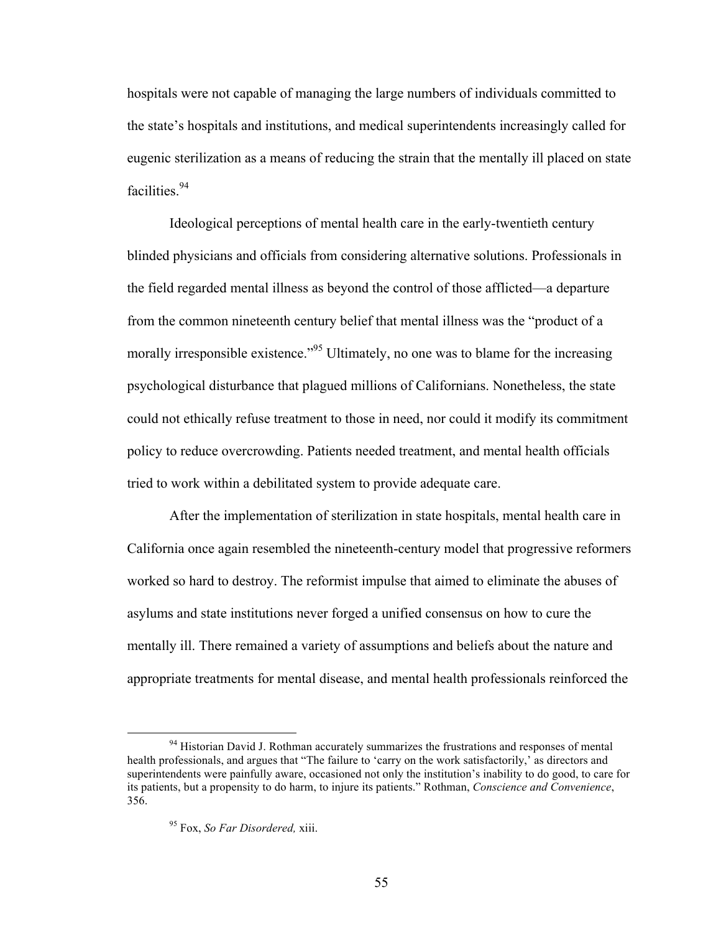hospitals were not capable of managing the large numbers of individuals committed to the state's hospitals and institutions, and medical superintendents increasingly called for eugenic sterilization as a means of reducing the strain that the mentally ill placed on state facilities.<sup>94</sup>

Ideological perceptions of mental health care in the early-twentieth century blinded physicians and officials from considering alternative solutions. Professionals in the field regarded mental illness as beyond the control of those afflicted—a departure from the common nineteenth century belief that mental illness was the "product of a morally irresponsible existence."<sup>95</sup> Ultimately, no one was to blame for the increasing psychological disturbance that plagued millions of Californians. Nonetheless, the state could not ethically refuse treatment to those in need, nor could it modify its commitment policy to reduce overcrowding. Patients needed treatment, and mental health officials tried to work within a debilitated system to provide adequate care.

After the implementation of sterilization in state hospitals, mental health care in California once again resembled the nineteenth-century model that progressive reformers worked so hard to destroy. The reformist impulse that aimed to eliminate the abuses of asylums and state institutions never forged a unified consensus on how to cure the mentally ill. There remained a variety of assumptions and beliefs about the nature and appropriate treatments for mental disease, and mental health professionals reinforced the

<sup>&</sup>lt;sup>94</sup> Historian David J. Rothman accurately summarizes the frustrations and responses of mental health professionals, and argues that "The failure to 'carry on the work satisfactorily,' as directors and superintendents were painfully aware, occasioned not only the institution's inability to do good, to care for its patients, but a propensity to do harm, to injure its patients." Rothman, *Conscience and Convenience*, 356.

<sup>95</sup> Fox, *So Far Disordered,* xiii.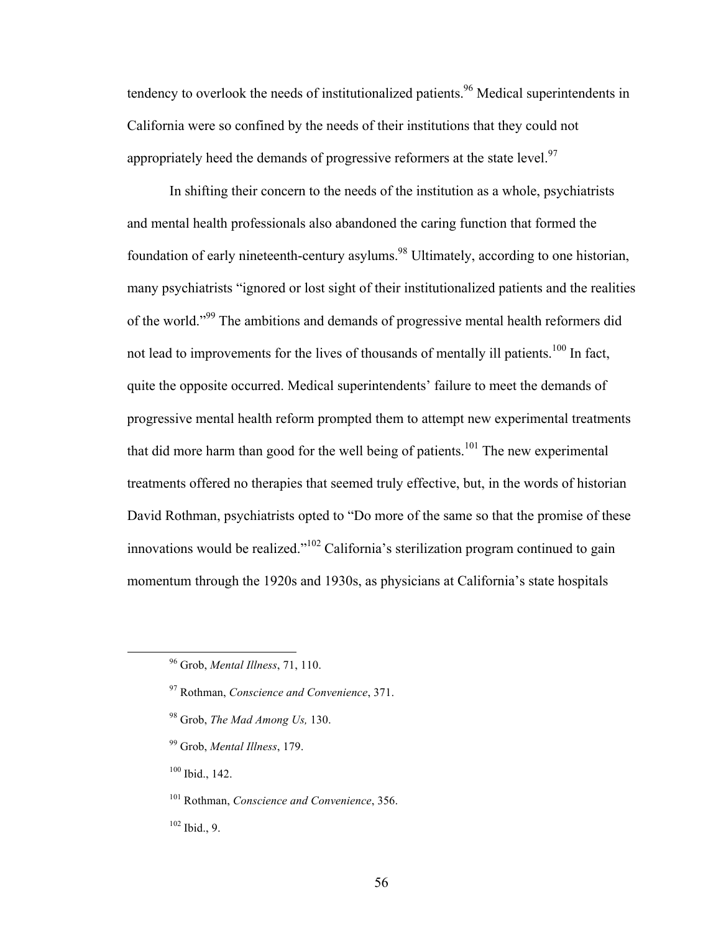tendency to overlook the needs of institutionalized patients.<sup>96</sup> Medical superintendents in California were so confined by the needs of their institutions that they could not appropriately heed the demands of progressive reformers at the state level.<sup>97</sup>

In shifting their concern to the needs of the institution as a whole, psychiatrists and mental health professionals also abandoned the caring function that formed the foundation of early nineteenth-century asylums.<sup>98</sup> Ultimately, according to one historian, many psychiatrists "ignored or lost sight of their institutionalized patients and the realities of the world."99 The ambitions and demands of progressive mental health reformers did not lead to improvements for the lives of thousands of mentally ill patients.<sup>100</sup> In fact, quite the opposite occurred. Medical superintendents' failure to meet the demands of progressive mental health reform prompted them to attempt new experimental treatments that did more harm than good for the well being of patients.<sup>101</sup> The new experimental treatments offered no therapies that seemed truly effective, but, in the words of historian David Rothman, psychiatrists opted to "Do more of the same so that the promise of these innovations would be realized."<sup>102</sup> California's sterilization program continued to gain momentum through the 1920s and 1930s, as physicians at California's state hospitals

- <sup>98</sup> Grob, *The Mad Among Us,* 130.
- <sup>99</sup> Grob, *Mental Illness*, 179.

 $100$  Ibid., 142.

101 Rothman, *Conscience and Convenience*, 356.

 $102$  Ibid., 9.

 <sup>96</sup> Grob, *Mental Illness*, 71, 110.

<sup>97</sup> Rothman, *Conscience and Convenience*, 371.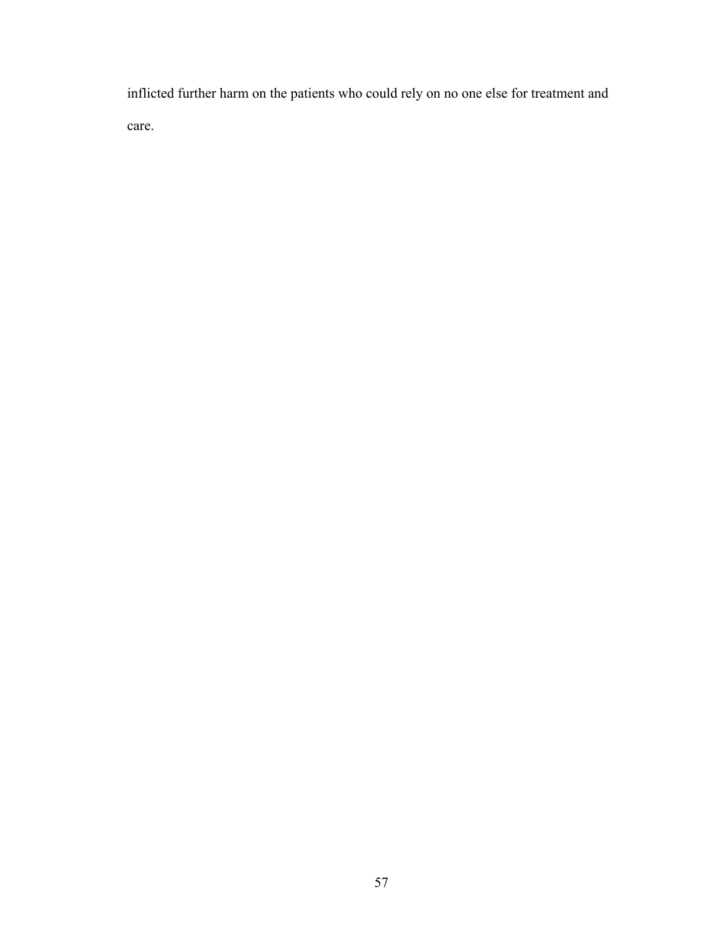inflicted further harm on the patients who could rely on no one else for treatment and care.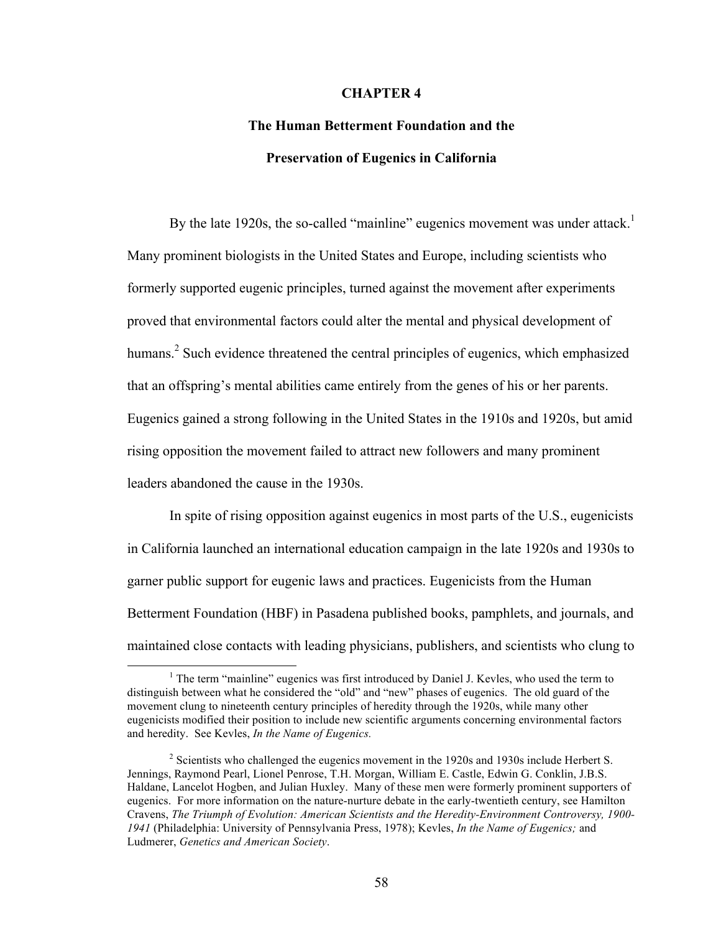## **CHAPTER 4**

## **The Human Betterment Foundation and the Preservation of Eugenics in California**

By the late 1920s, the so-called "mainline" eugenics movement was under attack.<sup>1</sup> Many prominent biologists in the United States and Europe, including scientists who formerly supported eugenic principles, turned against the movement after experiments proved that environmental factors could alter the mental and physical development of humans.<sup>2</sup> Such evidence threatened the central principles of eugenics, which emphasized that an offspring's mental abilities came entirely from the genes of his or her parents. Eugenics gained a strong following in the United States in the 1910s and 1920s, but amid rising opposition the movement failed to attract new followers and many prominent leaders abandoned the cause in the 1930s.

In spite of rising opposition against eugenics in most parts of the U.S., eugenicists in California launched an international education campaign in the late 1920s and 1930s to garner public support for eugenic laws and practices. Eugenicists from the Human Betterment Foundation (HBF) in Pasadena published books, pamphlets, and journals, and maintained close contacts with leading physicians, publishers, and scientists who clung to

 $\frac{1}{1}$ <sup>1</sup> The term "mainline" eugenics was first introduced by Daniel J. Kevles, who used the term to distinguish between what he considered the "old" and "new" phases of eugenics. The old guard of the movement clung to nineteenth century principles of heredity through the 1920s, while many other eugenicists modified their position to include new scientific arguments concerning environmental factors and heredity. See Kevles, *In the Name of Eugenics.*

 $2$  Scientists who challenged the eugenics movement in the 1920s and 1930s include Herbert S. Jennings, Raymond Pearl, Lionel Penrose, T.H. Morgan, William E. Castle, Edwin G. Conklin, J.B.S. Haldane, Lancelot Hogben, and Julian Huxley. Many of these men were formerly prominent supporters of eugenics. For more information on the nature-nurture debate in the early-twentieth century, see Hamilton Cravens, *The Triumph of Evolution: American Scientists and the Heredity-Environment Controversy, 1900- 1941* (Philadelphia: University of Pennsylvania Press, 1978); Kevles, *In the Name of Eugenics;* and Ludmerer, *Genetics and American Society*.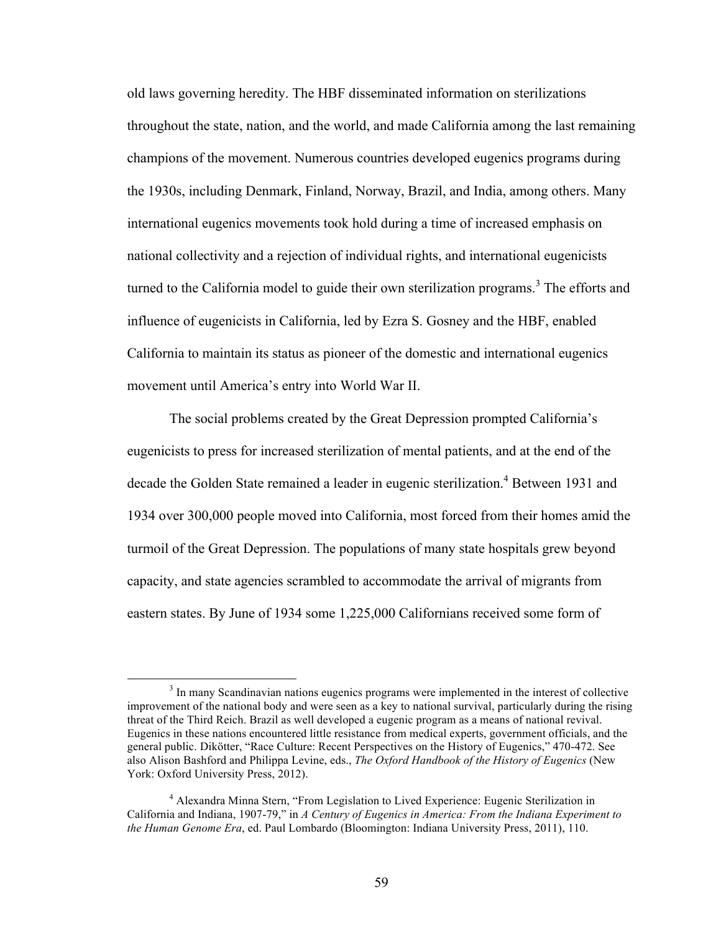old laws governing heredity. The HBF disseminated information on sterilizations throughout the state, nation, and the world, and made California among the last remaining champions of the movement. Numerous countries developed eugenics programs during the 1930s, including Denmark, Finland, Norway, Brazil, and India, among others. Many international eugenics movements took hold during a time of increased emphasis on national collectivity and a rejection of individual rights, and international eugenicists turned to the California model to guide their own sterilization programs.<sup>3</sup> The efforts and influence of eugenicists in California, led by Ezra S. Gosney and the HBF, enabled California to maintain its status as pioneer of the domestic and international eugenics movement until America's entry into World War II.

The social problems created by the Great Depression prompted California's eugenicists to press for increased sterilization of mental patients, and at the end of the decade the Golden State remained a leader in eugenic sterilization.<sup>4</sup> Between 1931 and 1934 over 300,000 people moved into California, most forced from their homes amid the turmoil of the Great Depression. The populations of many state hospitals grew beyond capacity, and state agencies scrambled to accommodate the arrival of migrants from eastern states. By June of 1934 some 1,225,000 Californians received some form of

 <sup>3</sup>  $3$  In many Scandinavian nations eugenics programs were implemented in the interest of collective improvement of the national body and were seen as a key to national survival, particularly during the rising threat of the Third Reich. Brazil as well developed a eugenic program as a means of national revival. Eugenics in these nations encountered little resistance from medical experts, government officials, and the general public. Dikötter, "Race Culture: Recent Perspectives on the History of Eugenics," 470-472. See also Alison Bashford and Philippa Levine, eds., *The Oxford Handbook of the History of Eugenics* (New York: Oxford University Press, 2012).

<sup>&</sup>lt;sup>4</sup> Alexandra Minna Stern, "From Legislation to Lived Experience: Eugenic Sterilization in California and Indiana, 1907-79," in *A Century of Eugenics in America: From the Indiana Experiment to the Human Genome Era*, ed. Paul Lombardo (Bloomington: Indiana University Press, 2011), 110.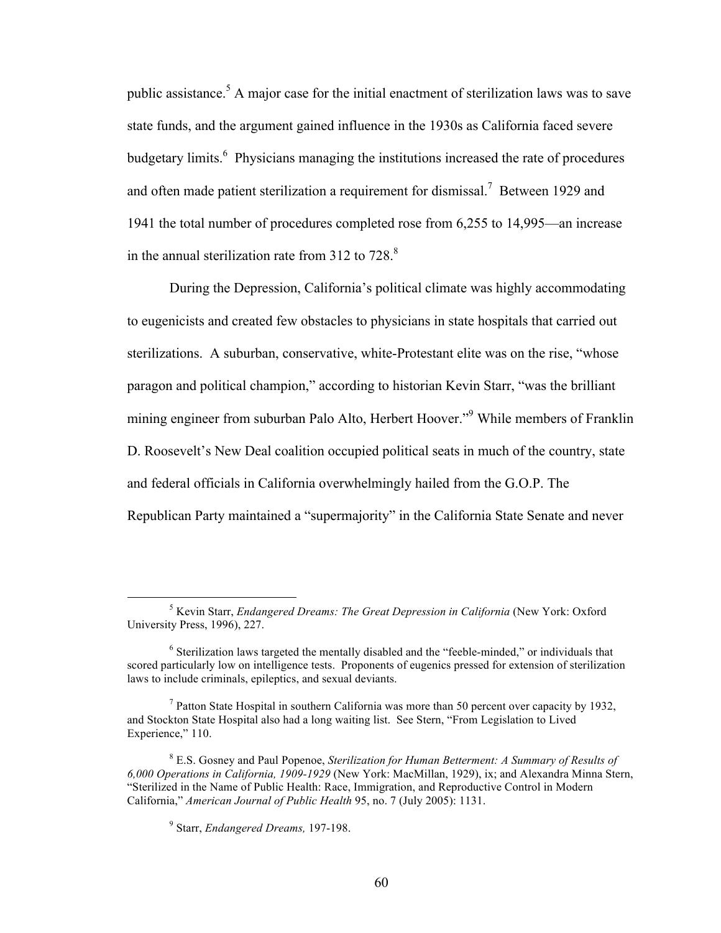public assistance.<sup>5</sup> A major case for the initial enactment of sterilization laws was to save state funds, and the argument gained influence in the 1930s as California faced severe budgetary limits.<sup>6</sup> Physicians managing the institutions increased the rate of procedures and often made patient sterilization a requirement for dismissal.<sup>7</sup> Between 1929 and 1941 the total number of procedures completed rose from 6,255 to 14,995—an increase in the annual sterilization rate from  $312$  to  $728$ .<sup>8</sup>

During the Depression, California's political climate was highly accommodating to eugenicists and created few obstacles to physicians in state hospitals that carried out sterilizations. A suburban, conservative, white-Protestant elite was on the rise, "whose paragon and political champion," according to historian Kevin Starr, "was the brilliant mining engineer from suburban Palo Alto, Herbert Hoover."<sup>9</sup> While members of Franklin D. Roosevelt's New Deal coalition occupied political seats in much of the country, state and federal officials in California overwhelmingly hailed from the G.O.P. The Republican Party maintained a "supermajority" in the California State Senate and never

 $\frac{1}{5}$ <sup>5</sup> Kevin Starr, *Endangered Dreams: The Great Depression in California* (New York: Oxford University Press, 1996), 227.

<sup>6</sup> Sterilization laws targeted the mentally disabled and the "feeble-minded," or individuals that scored particularly low on intelligence tests. Proponents of eugenics pressed for extension of sterilization laws to include criminals, epileptics, and sexual deviants.

<sup>&</sup>lt;sup>7</sup> Patton State Hospital in southern California was more than 50 percent over capacity by 1932, and Stockton State Hospital also had a long waiting list. See Stern, "From Legislation to Lived Experience," 110.

<sup>8</sup> E.S. Gosney and Paul Popenoe, *Sterilization for Human Betterment: A Summary of Results of 6,000 Operations in California, 1909-1929* (New York: MacMillan, 1929), ix; and Alexandra Minna Stern, "Sterilized in the Name of Public Health: Race, Immigration, and Reproductive Control in Modern California," *American Journal of Public Health* 95, no. 7 (July 2005): 1131.

<sup>9</sup> Starr, *Endangered Dreams,* 197-198.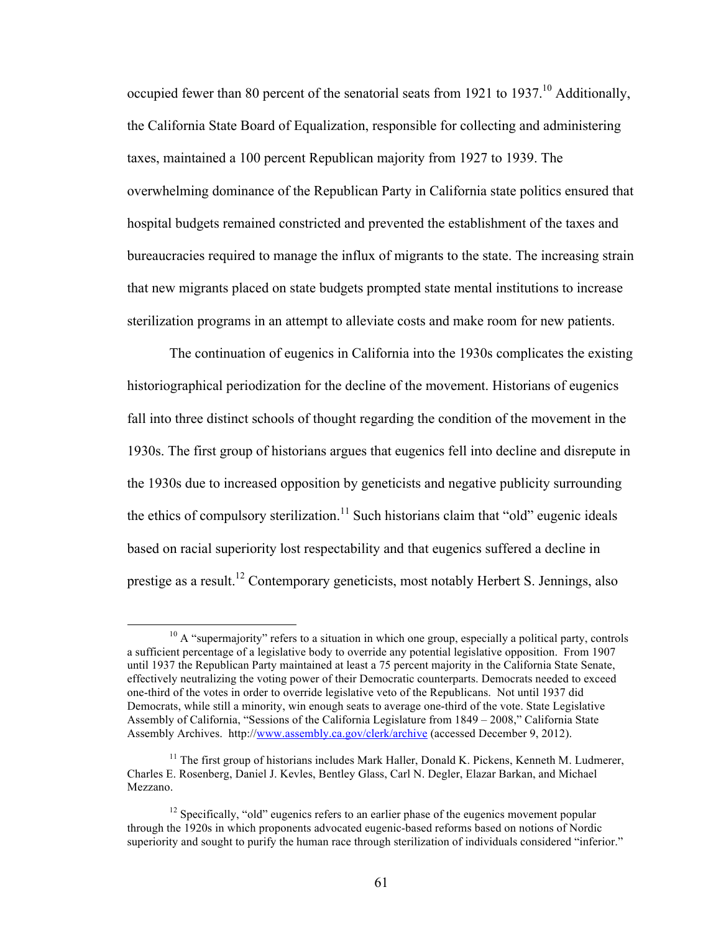occupied fewer than 80 percent of the senatorial seats from 1921 to 1937.<sup>10</sup> Additionally, the California State Board of Equalization, responsible for collecting and administering taxes, maintained a 100 percent Republican majority from 1927 to 1939. The overwhelming dominance of the Republican Party in California state politics ensured that hospital budgets remained constricted and prevented the establishment of the taxes and bureaucracies required to manage the influx of migrants to the state. The increasing strain that new migrants placed on state budgets prompted state mental institutions to increase sterilization programs in an attempt to alleviate costs and make room for new patients.

The continuation of eugenics in California into the 1930s complicates the existing historiographical periodization for the decline of the movement. Historians of eugenics fall into three distinct schools of thought regarding the condition of the movement in the 1930s. The first group of historians argues that eugenics fell into decline and disrepute in the 1930s due to increased opposition by geneticists and negative publicity surrounding the ethics of compulsory sterilization.<sup>11</sup> Such historians claim that "old" eugenic ideals based on racial superiority lost respectability and that eugenics suffered a decline in prestige as a result.<sup>12</sup> Contemporary geneticists, most notably Herbert S. Jennings, also

 $10$  A "supermajority" refers to a situation in which one group, especially a political party, controls a sufficient percentage of a legislative body to override any potential legislative opposition. From 1907 until 1937 the Republican Party maintained at least a 75 percent majority in the California State Senate, effectively neutralizing the voting power of their Democratic counterparts. Democrats needed to exceed one-third of the votes in order to override legislative veto of the Republicans. Not until 1937 did Democrats, while still a minority, win enough seats to average one-third of the vote. State Legislative Assembly of California, "Sessions of the California Legislature from 1849 – 2008," California State Assembly Archives. http://www.assembly.ca.gov/clerk/archive (accessed December 9, 2012).

 $11$  The first group of historians includes Mark Haller, Donald K. Pickens, Kenneth M. Ludmerer, Charles E. Rosenberg, Daniel J. Kevles, Bentley Glass, Carl N. Degler, Elazar Barkan, and Michael Mezzano.

 $12$  Specifically, "old" eugenics refers to an earlier phase of the eugenics movement popular through the 1920s in which proponents advocated eugenic-based reforms based on notions of Nordic superiority and sought to purify the human race through sterilization of individuals considered "inferior."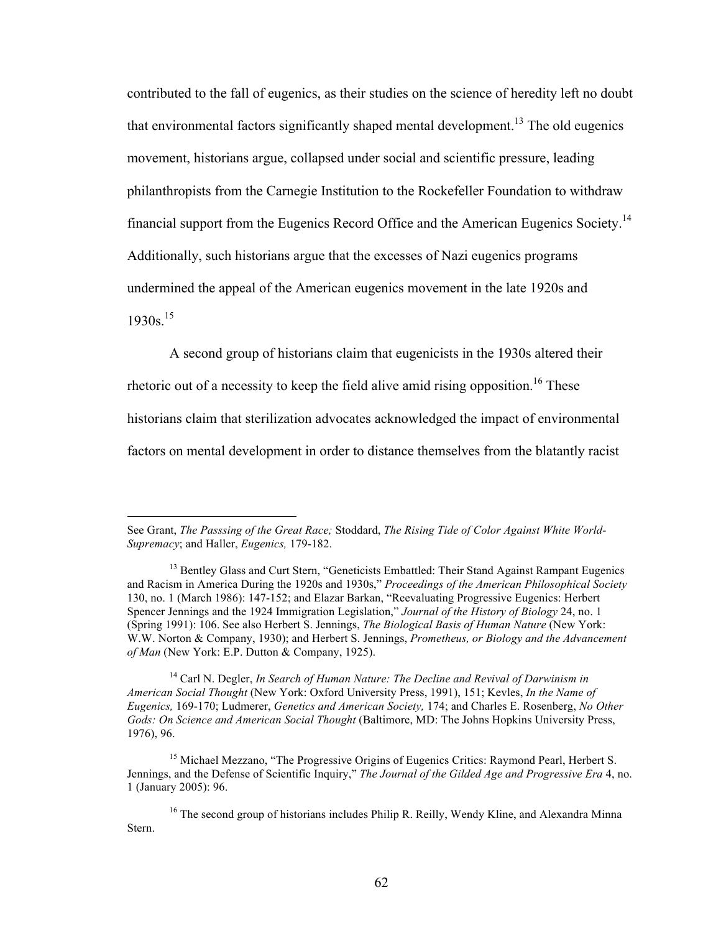contributed to the fall of eugenics, as their studies on the science of heredity left no doubt that environmental factors significantly shaped mental development.<sup>13</sup> The old eugenics movement, historians argue, collapsed under social and scientific pressure, leading philanthropists from the Carnegie Institution to the Rockefeller Foundation to withdraw financial support from the Eugenics Record Office and the American Eugenics Society.<sup>14</sup> Additionally, such historians argue that the excesses of Nazi eugenics programs undermined the appeal of the American eugenics movement in the late 1920s and 1930s. 15

A second group of historians claim that eugenicists in the 1930s altered their

rhetoric out of a necessity to keep the field alive amid rising opposition.<sup>16</sup> These

historians claim that sterilization advocates acknowledged the impact of environmental

factors on mental development in order to distance themselves from the blatantly racist

<sup>14</sup> Carl N. Degler, *In Search of Human Nature: The Decline and Revival of Darwinism in American Social Thought* (New York: Oxford University Press, 1991), 151; Kevles, *In the Name of Eugenics,* 169-170; Ludmerer, *Genetics and American Society,* 174; and Charles E. Rosenberg, *No Other Gods: On Science and American Social Thought* (Baltimore, MD: The Johns Hopkins University Press, 1976), 96.

<sup>15</sup> Michael Mezzano, "The Progressive Origins of Eugenics Critics: Raymond Pearl, Herbert S. Jennings, and the Defense of Scientific Inquiry," *The Journal of the Gilded Age and Progressive Era* 4, no. 1 (January 2005): 96.

<sup>16</sup> The second group of historians includes Philip R. Reilly, Wendy Kline, and Alexandra Minna Stern.

See Grant, *The Passsing of the Great Race;* Stoddard, *The Rising Tide of Color Against White World-Supremacy*; and Haller, *Eugenics,* 179-182.

<sup>&</sup>lt;sup>13</sup> Bentley Glass and Curt Stern, "Geneticists Embattled: Their Stand Against Rampant Eugenics and Racism in America During the 1920s and 1930s," *Proceedings of the American Philosophical Society* 130, no. 1 (March 1986): 147-152; and Elazar Barkan, "Reevaluating Progressive Eugenics: Herbert Spencer Jennings and the 1924 Immigration Legislation," *Journal of the History of Biology* 24, no. 1 (Spring 1991): 106. See also Herbert S. Jennings, *The Biological Basis of Human Nature* (New York: W.W. Norton & Company, 1930); and Herbert S. Jennings, *Prometheus, or Biology and the Advancement of Man* (New York: E.P. Dutton & Company, 1925).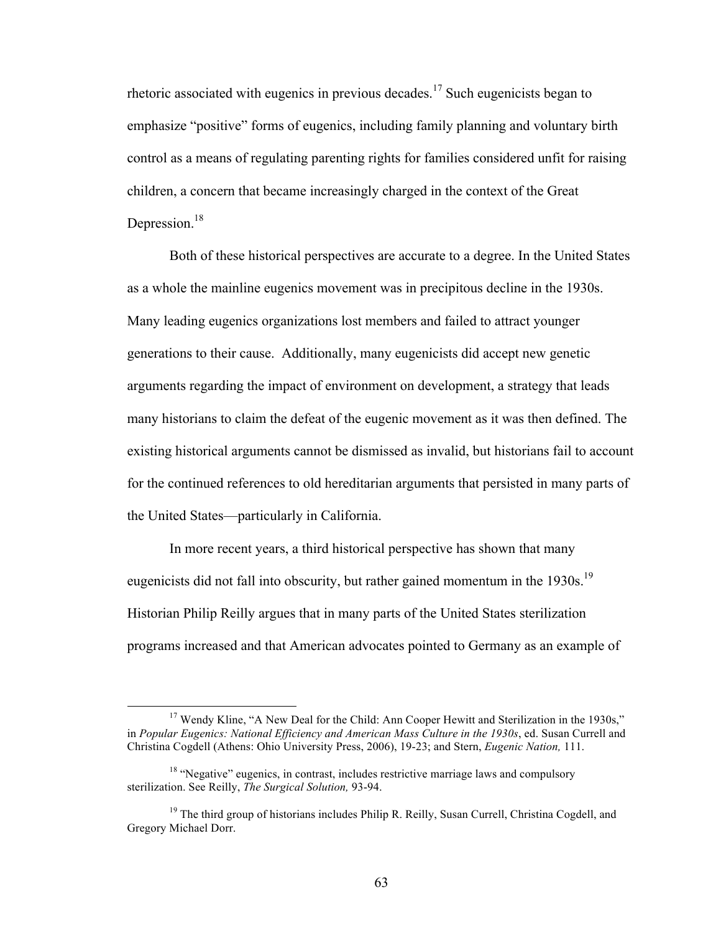rhetoric associated with eugenics in previous decades. <sup>17</sup> Such eugenicists began to emphasize "positive" forms of eugenics, including family planning and voluntary birth control as a means of regulating parenting rights for families considered unfit for raising children, a concern that became increasingly charged in the context of the Great Depression.<sup>18</sup>

Both of these historical perspectives are accurate to a degree. In the United States as a whole the mainline eugenics movement was in precipitous decline in the 1930s. Many leading eugenics organizations lost members and failed to attract younger generations to their cause. Additionally, many eugenicists did accept new genetic arguments regarding the impact of environment on development, a strategy that leads many historians to claim the defeat of the eugenic movement as it was then defined. The existing historical arguments cannot be dismissed as invalid, but historians fail to account for the continued references to old hereditarian arguments that persisted in many parts of the United States—particularly in California.

In more recent years, a third historical perspective has shown that many eugenicists did not fall into obscurity, but rather gained momentum in the 1930s.<sup>19</sup> Historian Philip Reilly argues that in many parts of the United States sterilization programs increased and that American advocates pointed to Germany as an example of

<sup>&</sup>lt;sup>17</sup> Wendy Kline, "A New Deal for the Child: Ann Cooper Hewitt and Sterilization in the 1930s," in *Popular Eugenics: National Efficiency and American Mass Culture in the 1930s*, ed. Susan Currell and Christina Cogdell (Athens: Ohio University Press, 2006), 19-23; and Stern, *Eugenic Nation,* 111.

 $18$  "Negative" eugenics, in contrast, includes restrictive marriage laws and compulsory sterilization. See Reilly, *The Surgical Solution,* 93-94.

 $19$  The third group of historians includes Philip R. Reilly, Susan Currell, Christina Cogdell, and Gregory Michael Dorr.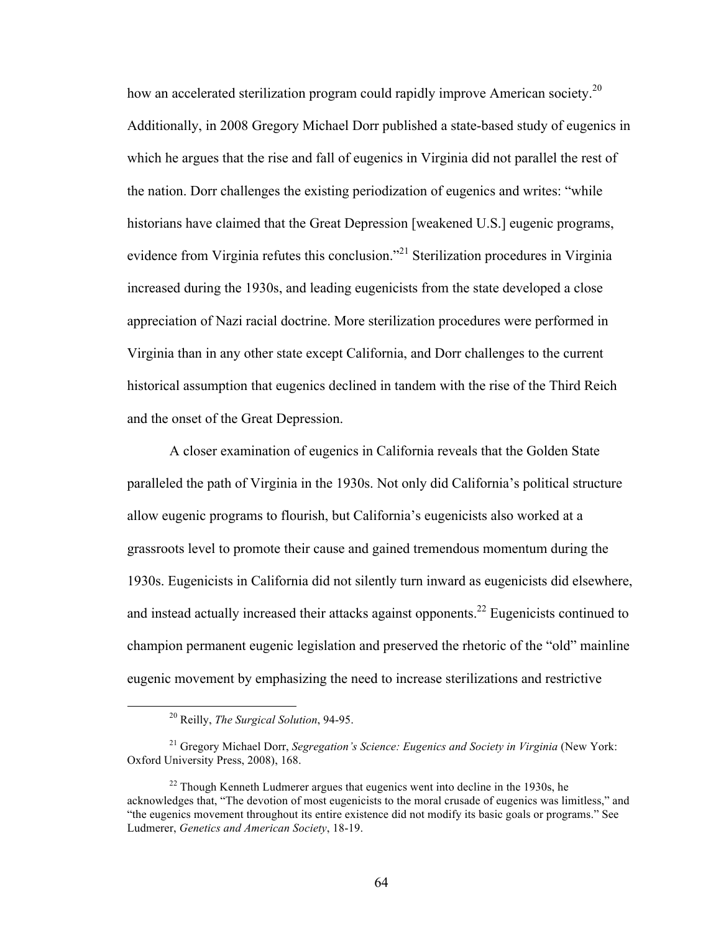how an accelerated sterilization program could rapidly improve American society.<sup>20</sup> Additionally, in 2008 Gregory Michael Dorr published a state-based study of eugenics in which he argues that the rise and fall of eugenics in Virginia did not parallel the rest of the nation. Dorr challenges the existing periodization of eugenics and writes: "while historians have claimed that the Great Depression [weakened U.S.] eugenic programs, evidence from Virginia refutes this conclusion."<sup>21</sup> Sterilization procedures in Virginia increased during the 1930s, and leading eugenicists from the state developed a close appreciation of Nazi racial doctrine. More sterilization procedures were performed in Virginia than in any other state except California, and Dorr challenges to the current historical assumption that eugenics declined in tandem with the rise of the Third Reich and the onset of the Great Depression.

A closer examination of eugenics in California reveals that the Golden State paralleled the path of Virginia in the 1930s. Not only did California's political structure allow eugenic programs to flourish, but California's eugenicists also worked at a grassroots level to promote their cause and gained tremendous momentum during the 1930s. Eugenicists in California did not silently turn inward as eugenicists did elsewhere, and instead actually increased their attacks against opponents.<sup>22</sup> Eugenicists continued to champion permanent eugenic legislation and preserved the rhetoric of the "old" mainline eugenic movement by emphasizing the need to increase sterilizations and restrictive

 <sup>20</sup> Reilly, *The Surgical Solution*, 94-95.

<sup>21</sup> Gregory Michael Dorr, *Segregation's Science: Eugenics and Society in Virginia* (New York: Oxford University Press, 2008), 168.

 $22$  Though Kenneth Ludmerer argues that eugenics went into decline in the 1930s, he acknowledges that, "The devotion of most eugenicists to the moral crusade of eugenics was limitless," and "the eugenics movement throughout its entire existence did not modify its basic goals or programs." See Ludmerer, *Genetics and American Society*, 18-19.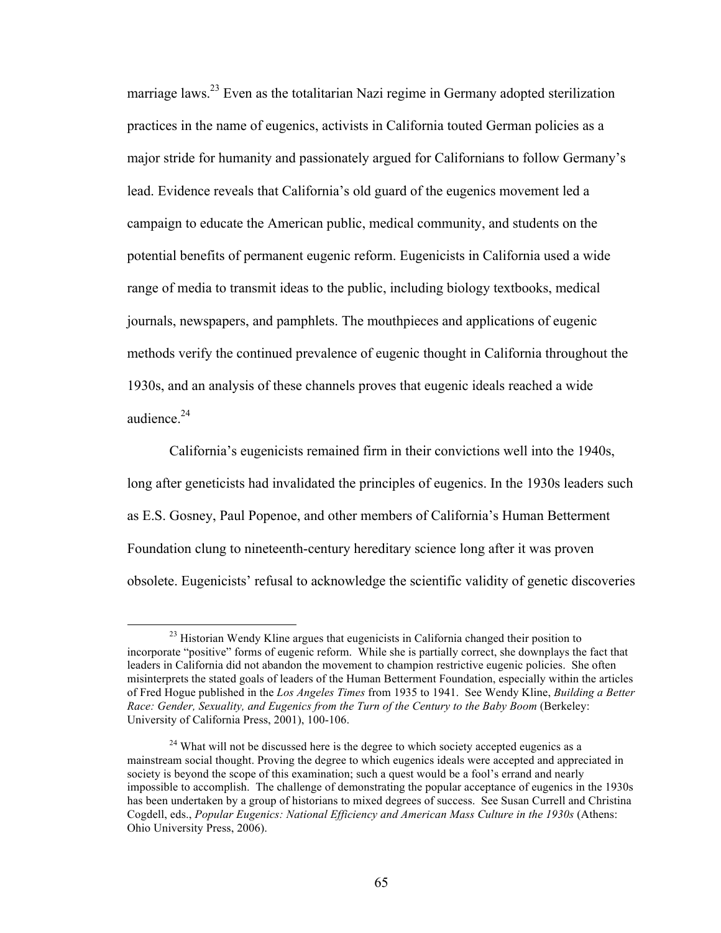marriage laws.<sup>23</sup> Even as the totalitarian Nazi regime in Germany adopted sterilization practices in the name of eugenics, activists in California touted German policies as a major stride for humanity and passionately argued for Californians to follow Germany's lead. Evidence reveals that California's old guard of the eugenics movement led a campaign to educate the American public, medical community, and students on the potential benefits of permanent eugenic reform. Eugenicists in California used a wide range of media to transmit ideas to the public, including biology textbooks, medical journals, newspapers, and pamphlets. The mouthpieces and applications of eugenic methods verify the continued prevalence of eugenic thought in California throughout the 1930s, and an analysis of these channels proves that eugenic ideals reached a wide audience. 24

California's eugenicists remained firm in their convictions well into the 1940s, long after geneticists had invalidated the principles of eugenics. In the 1930s leaders such as E.S. Gosney, Paul Popenoe, and other members of California's Human Betterment Foundation clung to nineteenth-century hereditary science long after it was proven obsolete. Eugenicists' refusal to acknowledge the scientific validity of genetic discoveries

<sup>&</sup>lt;sup>23</sup> Historian Wendy Kline argues that eugenicists in California changed their position to incorporate "positive" forms of eugenic reform. While she is partially correct, she downplays the fact that leaders in California did not abandon the movement to champion restrictive eugenic policies. She often misinterprets the stated goals of leaders of the Human Betterment Foundation, especially within the articles of Fred Hogue published in the *Los Angeles Times* from 1935 to 1941. See Wendy Kline, *Building a Better Race: Gender, Sexuality, and Eugenics from the Turn of the Century to the Baby Boom* (Berkeley: University of California Press, 2001), 100-106.

 $24$  What will not be discussed here is the degree to which society accepted eugenics as a mainstream social thought. Proving the degree to which eugenics ideals were accepted and appreciated in society is beyond the scope of this examination; such a quest would be a fool's errand and nearly impossible to accomplish. The challenge of demonstrating the popular acceptance of eugenics in the 1930s has been undertaken by a group of historians to mixed degrees of success. See Susan Currell and Christina Cogdell, eds., *Popular Eugenics: National Efficiency and American Mass Culture in the 1930s* (Athens: Ohio University Press, 2006).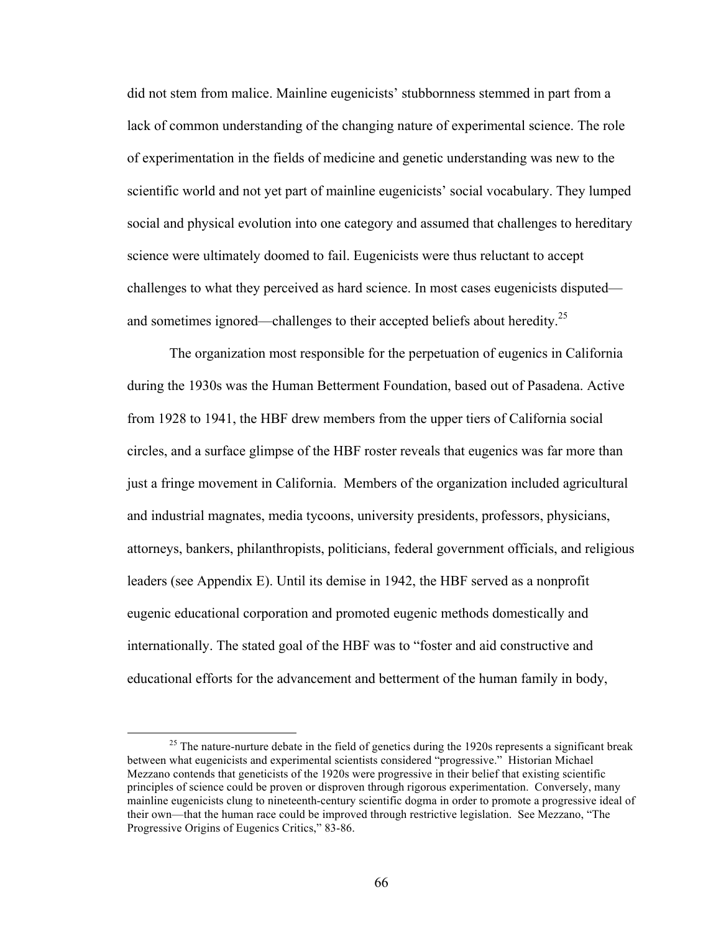did not stem from malice. Mainline eugenicists' stubbornness stemmed in part from a lack of common understanding of the changing nature of experimental science. The role of experimentation in the fields of medicine and genetic understanding was new to the scientific world and not yet part of mainline eugenicists' social vocabulary. They lumped social and physical evolution into one category and assumed that challenges to hereditary science were ultimately doomed to fail. Eugenicists were thus reluctant to accept challenges to what they perceived as hard science. In most cases eugenicists disputed and sometimes ignored—challenges to their accepted beliefs about heredity.<sup>25</sup>

The organization most responsible for the perpetuation of eugenics in California during the 1930s was the Human Betterment Foundation, based out of Pasadena. Active from 1928 to 1941, the HBF drew members from the upper tiers of California social circles, and a surface glimpse of the HBF roster reveals that eugenics was far more than just a fringe movement in California. Members of the organization included agricultural and industrial magnates, media tycoons, university presidents, professors, physicians, attorneys, bankers, philanthropists, politicians, federal government officials, and religious leaders (see Appendix E). Until its demise in 1942, the HBF served as a nonprofit eugenic educational corporation and promoted eugenic methods domestically and internationally. The stated goal of the HBF was to "foster and aid constructive and educational efforts for the advancement and betterment of the human family in body,

<sup>&</sup>lt;sup>25</sup> The nature-nurture debate in the field of genetics during the 1920s represents a significant break between what eugenicists and experimental scientists considered "progressive." Historian Michael Mezzano contends that geneticists of the 1920s were progressive in their belief that existing scientific principles of science could be proven or disproven through rigorous experimentation. Conversely, many mainline eugenicists clung to nineteenth-century scientific dogma in order to promote a progressive ideal of their own—that the human race could be improved through restrictive legislation. See Mezzano, "The Progressive Origins of Eugenics Critics," 83-86.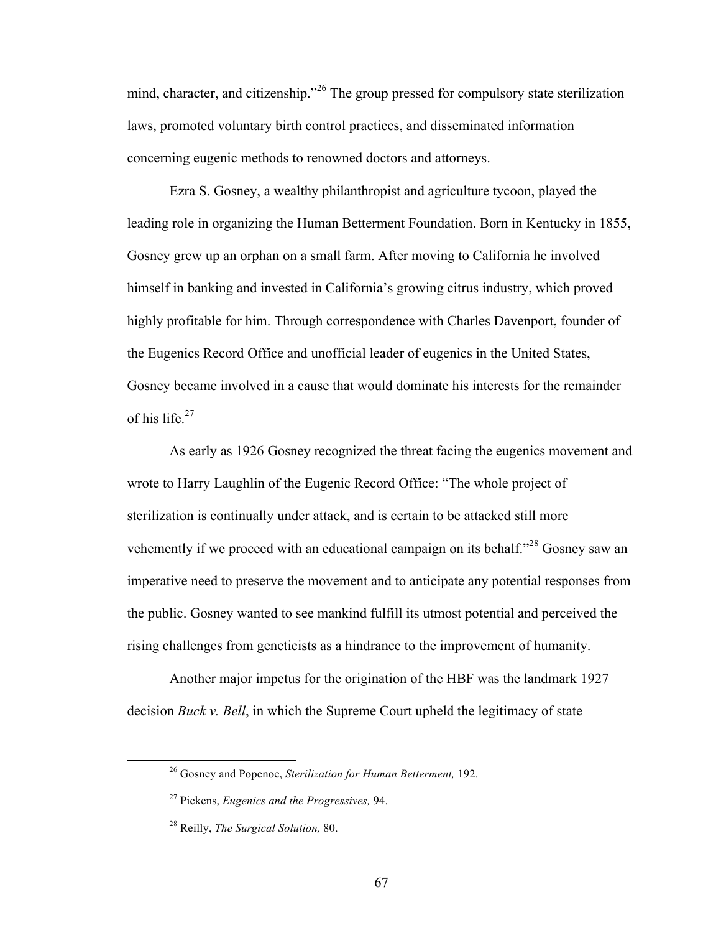mind, character, and citizenship."<sup>26</sup> The group pressed for compulsory state sterilization laws, promoted voluntary birth control practices, and disseminated information concerning eugenic methods to renowned doctors and attorneys.

Ezra S. Gosney, a wealthy philanthropist and agriculture tycoon, played the leading role in organizing the Human Betterment Foundation. Born in Kentucky in 1855, Gosney grew up an orphan on a small farm. After moving to California he involved himself in banking and invested in California's growing citrus industry, which proved highly profitable for him. Through correspondence with Charles Davenport, founder of the Eugenics Record Office and unofficial leader of eugenics in the United States, Gosney became involved in a cause that would dominate his interests for the remainder of his life.<sup>27</sup>

As early as 1926 Gosney recognized the threat facing the eugenics movement and wrote to Harry Laughlin of the Eugenic Record Office: "The whole project of sterilization is continually under attack, and is certain to be attacked still more vehemently if we proceed with an educational campaign on its behalf."<sup>28</sup> Gosney saw an imperative need to preserve the movement and to anticipate any potential responses from the public. Gosney wanted to see mankind fulfill its utmost potential and perceived the rising challenges from geneticists as a hindrance to the improvement of humanity.

Another major impetus for the origination of the HBF was the landmark 1927 decision *Buck v. Bell*, in which the Supreme Court upheld the legitimacy of state

 <sup>26</sup> Gosney and Popenoe, *Sterilization for Human Betterment,* 192.

<sup>27</sup> Pickens, *Eugenics and the Progressives,* 94.

<sup>28</sup> Reilly, *The Surgical Solution,* 80.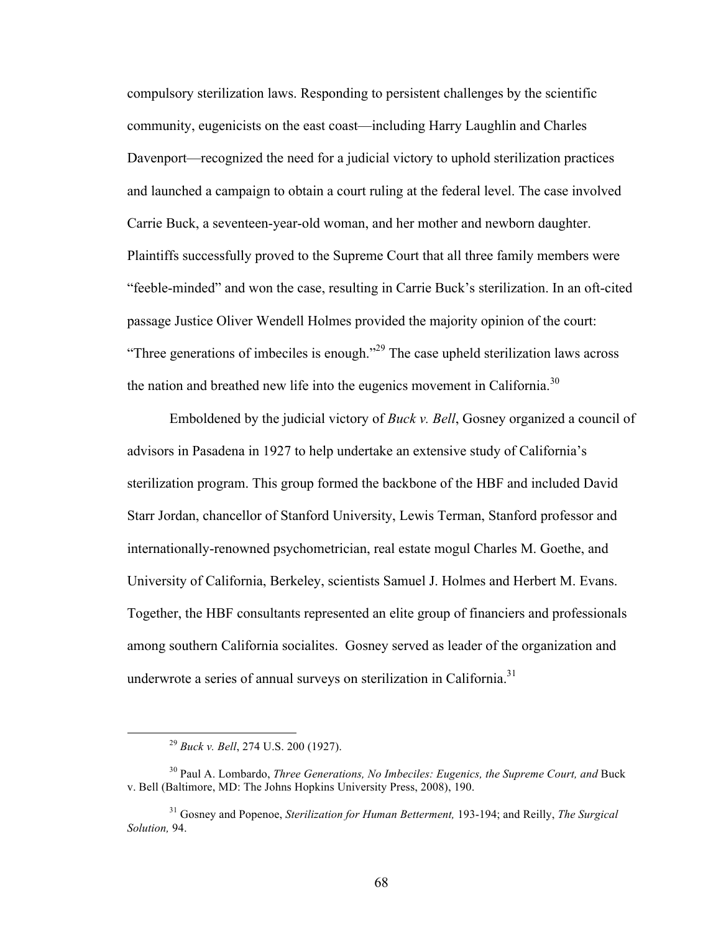compulsory sterilization laws. Responding to persistent challenges by the scientific community, eugenicists on the east coast—including Harry Laughlin and Charles Davenport—recognized the need for a judicial victory to uphold sterilization practices and launched a campaign to obtain a court ruling at the federal level. The case involved Carrie Buck, a seventeen-year-old woman, and her mother and newborn daughter. Plaintiffs successfully proved to the Supreme Court that all three family members were "feeble-minded" and won the case, resulting in Carrie Buck's sterilization. In an oft-cited passage Justice Oliver Wendell Holmes provided the majority opinion of the court: "Three generations of imbeciles is enough."<sup>29</sup> The case upheld sterilization laws across the nation and breathed new life into the eugenics movement in California.<sup>30</sup>

Emboldened by the judicial victory of *Buck v. Bell*, Gosney organized a council of advisors in Pasadena in 1927 to help undertake an extensive study of California's sterilization program. This group formed the backbone of the HBF and included David Starr Jordan, chancellor of Stanford University, Lewis Terman, Stanford professor and internationally-renowned psychometrician, real estate mogul Charles M. Goethe, and University of California, Berkeley, scientists Samuel J. Holmes and Herbert M. Evans. Together, the HBF consultants represented an elite group of financiers and professionals among southern California socialites. Gosney served as leader of the organization and underwrote a series of annual surveys on sterilization in California.<sup>31</sup>

 <sup>29</sup> *Buck v. Bell*, 274 U.S. 200 (1927).

<sup>&</sup>lt;sup>30</sup> Paul A. Lombardo, *Three Generations, No Imbeciles: Eugenics, the Supreme Court, and Buck* v. Bell (Baltimore, MD: The Johns Hopkins University Press, 2008), 190.

<sup>31</sup> Gosney and Popenoe, *Sterilization for Human Betterment,* 193-194; and Reilly, *The Surgical Solution,* 94.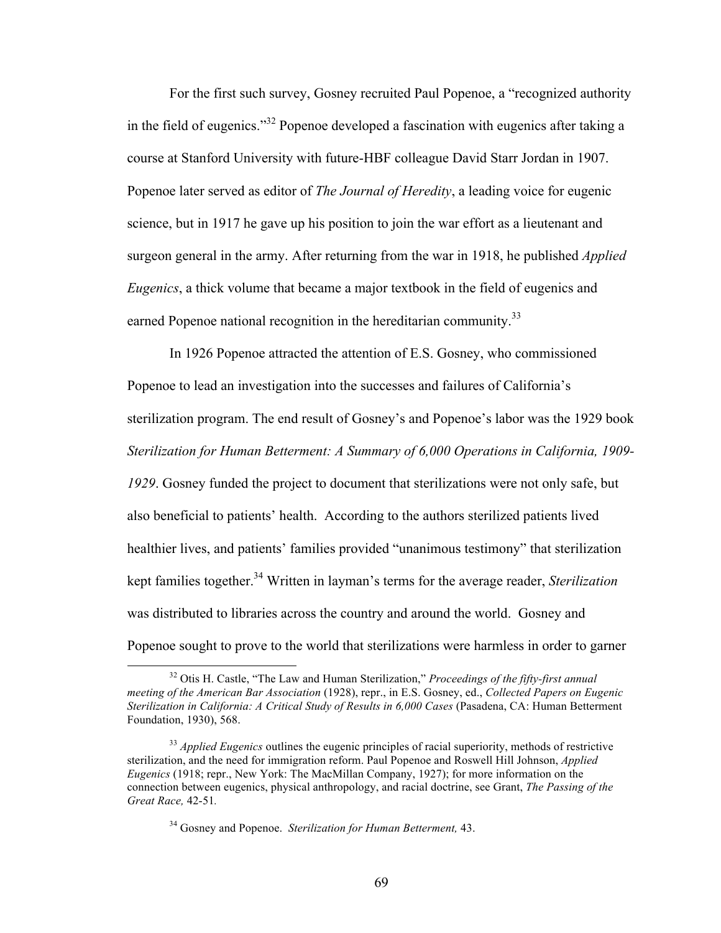For the first such survey, Gosney recruited Paul Popenoe, a "recognized authority in the field of eugenics."<sup>32</sup> Popenoe developed a fascination with eugenics after taking a course at Stanford University with future-HBF colleague David Starr Jordan in 1907. Popenoe later served as editor of *The Journal of Heredity*, a leading voice for eugenic science, but in 1917 he gave up his position to join the war effort as a lieutenant and surgeon general in the army. After returning from the war in 1918, he published *Applied Eugenics*, a thick volume that became a major textbook in the field of eugenics and earned Popenoe national recognition in the hereditarian community.<sup>33</sup>

In 1926 Popenoe attracted the attention of E.S. Gosney, who commissioned Popenoe to lead an investigation into the successes and failures of California's sterilization program. The end result of Gosney's and Popenoe's labor was the 1929 book *Sterilization for Human Betterment: A Summary of 6,000 Operations in California, 1909- 1929*. Gosney funded the project to document that sterilizations were not only safe, but also beneficial to patients' health. According to the authors sterilized patients lived healthier lives, and patients' families provided "unanimous testimony" that sterilization kept families together. 34 Written in layman's terms for the average reader, *Sterilization* was distributed to libraries across the country and around the world. Gosney and Popenoe sought to prove to the world that sterilizations were harmless in order to garner

 <sup>32</sup> Otis H. Castle, "The Law and Human Sterilization," *Proceedings of the fifty-first annual meeting of the American Bar Association* (1928), repr., in E.S. Gosney, ed., *Collected Papers on Eugenic Sterilization in California: A Critical Study of Results in 6,000 Cases* (Pasadena, CA: Human Betterment Foundation, 1930), 568.

<sup>&</sup>lt;sup>33</sup> *Applied Eugenics* outlines the eugenic principles of racial superiority, methods of restrictive sterilization, and the need for immigration reform. Paul Popenoe and Roswell Hill Johnson, *Applied Eugenics* (1918; repr., New York: The MacMillan Company, 1927); for more information on the connection between eugenics, physical anthropology, and racial doctrine, see Grant, *The Passing of the Great Race,* 42-51*.*

<sup>34</sup> Gosney and Popenoe. *Sterilization for Human Betterment,* 43.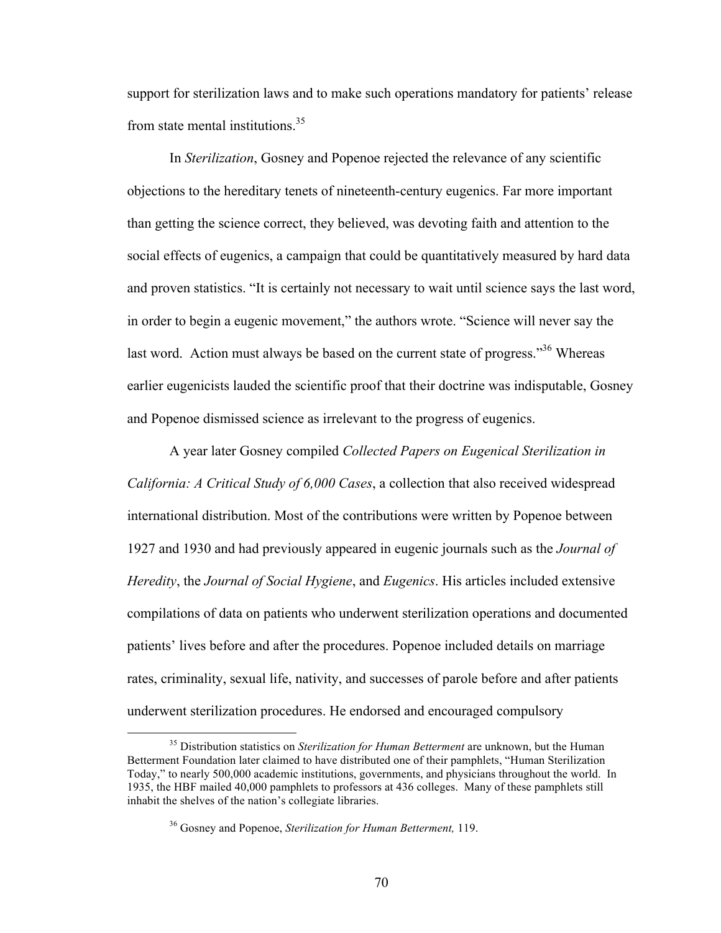support for sterilization laws and to make such operations mandatory for patients' release from state mental institutions.<sup>35</sup>

In *Sterilization*, Gosney and Popenoe rejected the relevance of any scientific objections to the hereditary tenets of nineteenth-century eugenics. Far more important than getting the science correct, they believed, was devoting faith and attention to the social effects of eugenics, a campaign that could be quantitatively measured by hard data and proven statistics. "It is certainly not necessary to wait until science says the last word, in order to begin a eugenic movement," the authors wrote. "Science will never say the last word. Action must always be based on the current state of progress."<sup>36</sup> Whereas earlier eugenicists lauded the scientific proof that their doctrine was indisputable, Gosney and Popenoe dismissed science as irrelevant to the progress of eugenics.

A year later Gosney compiled *Collected Papers on Eugenical Sterilization in California: A Critical Study of 6,000 Cases*, a collection that also received widespread international distribution. Most of the contributions were written by Popenoe between 1927 and 1930 and had previously appeared in eugenic journals such as the *Journal of Heredity*, the *Journal of Social Hygiene*, and *Eugenics*. His articles included extensive compilations of data on patients who underwent sterilization operations and documented patients' lives before and after the procedures. Popenoe included details on marriage rates, criminality, sexual life, nativity, and successes of parole before and after patients underwent sterilization procedures. He endorsed and encouraged compulsory

 <sup>35</sup> Distribution statistics on *Sterilization for Human Betterment* are unknown, but the Human Betterment Foundation later claimed to have distributed one of their pamphlets, "Human Sterilization Today," to nearly 500,000 academic institutions, governments, and physicians throughout the world. In 1935, the HBF mailed 40,000 pamphlets to professors at 436 colleges. Many of these pamphlets still inhabit the shelves of the nation's collegiate libraries.

<sup>36</sup> Gosney and Popenoe, *Sterilization for Human Betterment,* 119.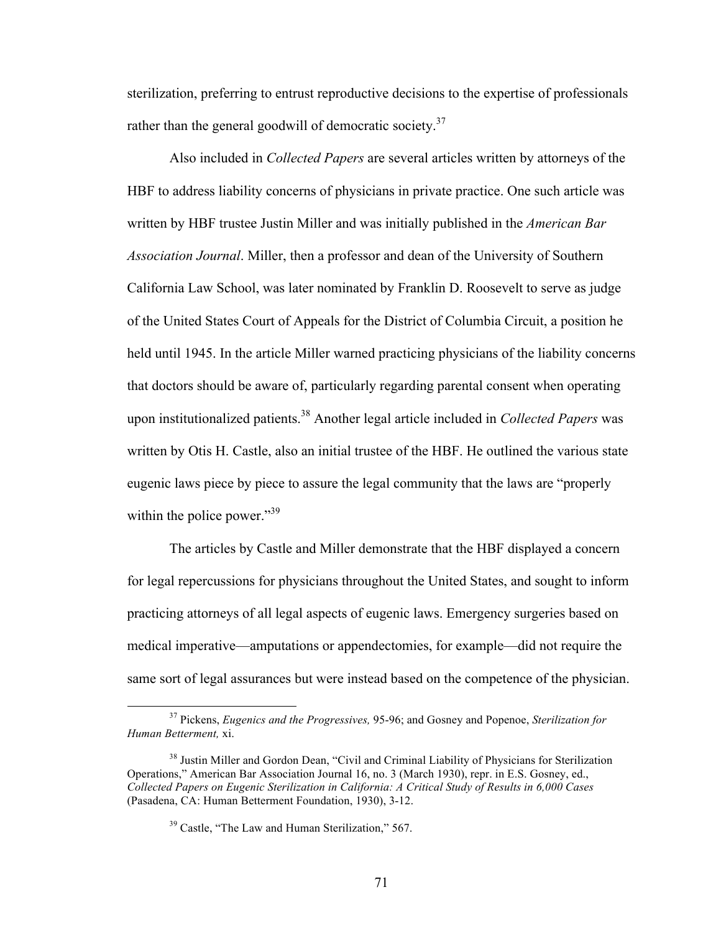sterilization, preferring to entrust reproductive decisions to the expertise of professionals rather than the general goodwill of democratic society.<sup>37</sup>

Also included in *Collected Papers* are several articles written by attorneys of the HBF to address liability concerns of physicians in private practice. One such article was written by HBF trustee Justin Miller and was initially published in the *American Bar Association Journal*. Miller, then a professor and dean of the University of Southern California Law School, was later nominated by Franklin D. Roosevelt to serve as judge of the United States Court of Appeals for the District of Columbia Circuit, a position he held until 1945. In the article Miller warned practicing physicians of the liability concerns that doctors should be aware of, particularly regarding parental consent when operating upon institutionalized patients. <sup>38</sup> Another legal article included in *Collected Papers* was written by Otis H. Castle, also an initial trustee of the HBF. He outlined the various state eugenic laws piece by piece to assure the legal community that the laws are "properly within the police power."<sup>39</sup>

The articles by Castle and Miller demonstrate that the HBF displayed a concern for legal repercussions for physicians throughout the United States, and sought to inform practicing attorneys of all legal aspects of eugenic laws. Emergency surgeries based on medical imperative—amputations or appendectomies, for example—did not require the same sort of legal assurances but were instead based on the competence of the physician.

 <sup>37</sup> Pickens, *Eugenics and the Progressives,* 95-96; and Gosney and Popenoe, *Sterilization for Human Betterment,* xi.

<sup>&</sup>lt;sup>38</sup> Justin Miller and Gordon Dean, "Civil and Criminal Liability of Physicians for Sterilization Operations," American Bar Association Journal 16, no. 3 (March 1930), repr. in E.S. Gosney, ed., *Collected Papers on Eugenic Sterilization in California: A Critical Study of Results in 6,000 Cases* (Pasadena, CA: Human Betterment Foundation, 1930), 3-12.

<sup>&</sup>lt;sup>39</sup> Castle, "The Law and Human Sterilization," 567.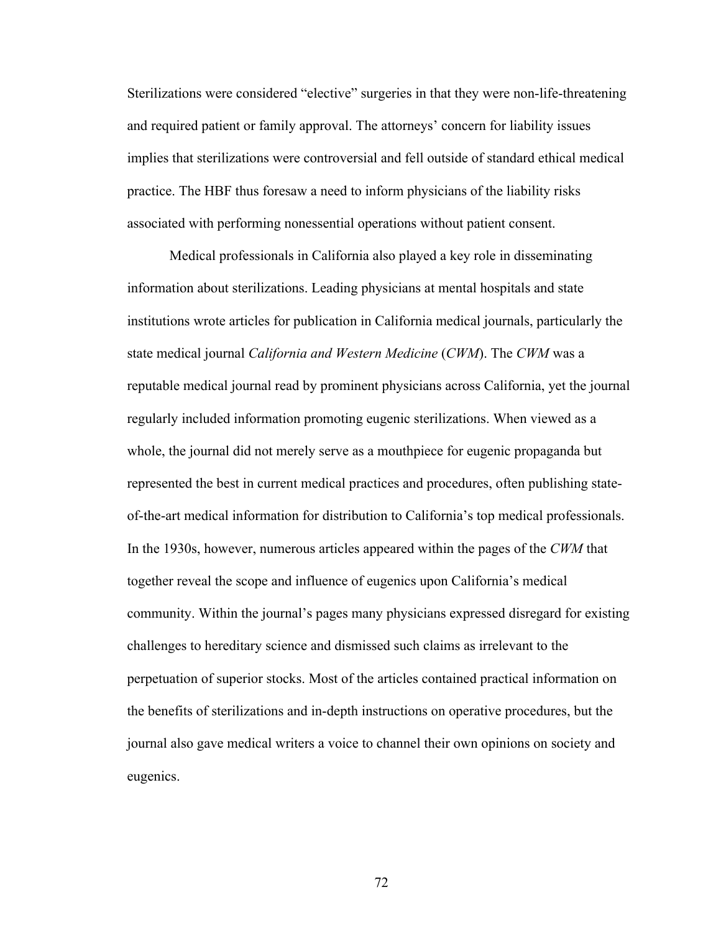Sterilizations were considered "elective" surgeries in that they were non-life-threatening and required patient or family approval. The attorneys' concern for liability issues implies that sterilizations were controversial and fell outside of standard ethical medical practice. The HBF thus foresaw a need to inform physicians of the liability risks associated with performing nonessential operations without patient consent.

Medical professionals in California also played a key role in disseminating information about sterilizations. Leading physicians at mental hospitals and state institutions wrote articles for publication in California medical journals, particularly the state medical journal *California and Western Medicine* (*CWM*). The *CWM* was a reputable medical journal read by prominent physicians across California, yet the journal regularly included information promoting eugenic sterilizations. When viewed as a whole, the journal did not merely serve as a mouthpiece for eugenic propaganda but represented the best in current medical practices and procedures, often publishing stateof-the-art medical information for distribution to California's top medical professionals. In the 1930s, however, numerous articles appeared within the pages of the *CWM* that together reveal the scope and influence of eugenics upon California's medical community. Within the journal's pages many physicians expressed disregard for existing challenges to hereditary science and dismissed such claims as irrelevant to the perpetuation of superior stocks. Most of the articles contained practical information on the benefits of sterilizations and in-depth instructions on operative procedures, but the journal also gave medical writers a voice to channel their own opinions on society and eugenics.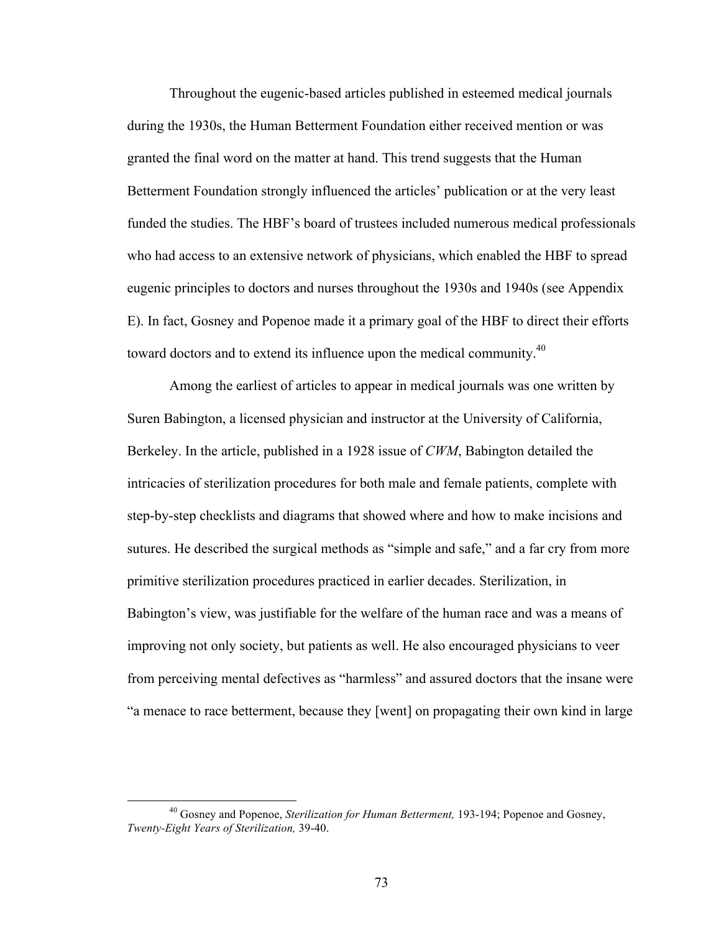Throughout the eugenic-based articles published in esteemed medical journals during the 1930s, the Human Betterment Foundation either received mention or was granted the final word on the matter at hand. This trend suggests that the Human Betterment Foundation strongly influenced the articles' publication or at the very least funded the studies. The HBF's board of trustees included numerous medical professionals who had access to an extensive network of physicians, which enabled the HBF to spread eugenic principles to doctors and nurses throughout the 1930s and 1940s (see Appendix E). In fact, Gosney and Popenoe made it a primary goal of the HBF to direct their efforts toward doctors and to extend its influence upon the medical community.<sup>40</sup>

Among the earliest of articles to appear in medical journals was one written by Suren Babington, a licensed physician and instructor at the University of California, Berkeley. In the article, published in a 1928 issue of *CWM*, Babington detailed the intricacies of sterilization procedures for both male and female patients, complete with step-by-step checklists and diagrams that showed where and how to make incisions and sutures. He described the surgical methods as "simple and safe," and a far cry from more primitive sterilization procedures practiced in earlier decades. Sterilization, in Babington's view, was justifiable for the welfare of the human race and was a means of improving not only society, but patients as well. He also encouraged physicians to veer from perceiving mental defectives as "harmless" and assured doctors that the insane were "a menace to race betterment, because they [went] on propagating their own kind in large

 <sup>40</sup> Gosney and Popenoe, *Sterilization for Human Betterment,* 193-194; Popenoe and Gosney, *Twenty-Eight Years of Sterilization,* 39-40.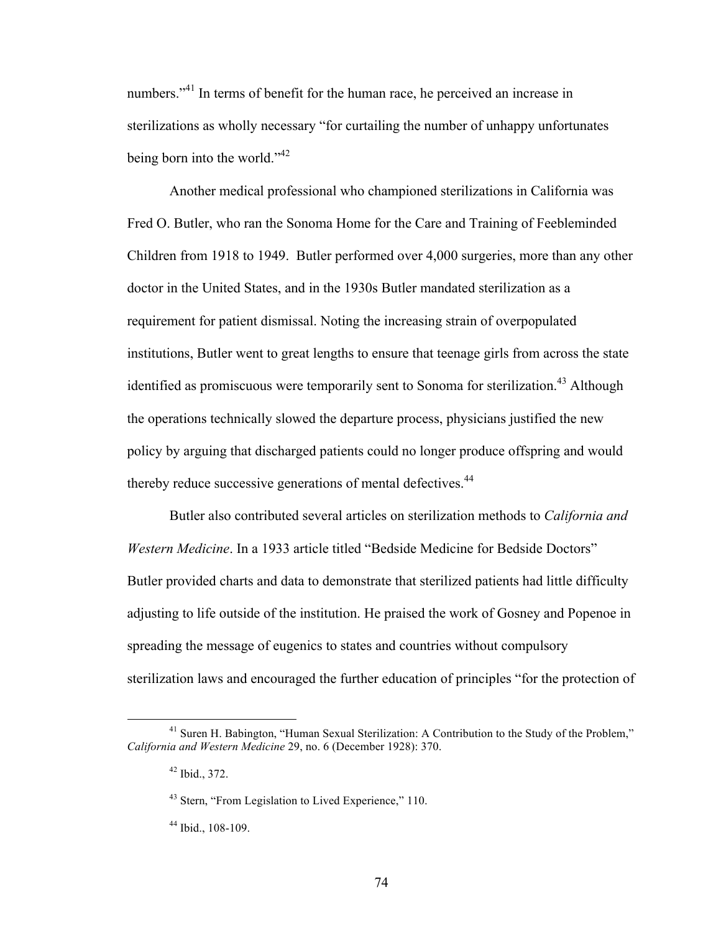numbers.<sup>341</sup> In terms of benefit for the human race, he perceived an increase in sterilizations as wholly necessary "for curtailing the number of unhappy unfortunates being born into the world."<sup>42</sup>

Another medical professional who championed sterilizations in California was Fred O. Butler, who ran the Sonoma Home for the Care and Training of Feebleminded Children from 1918 to 1949. Butler performed over 4,000 surgeries, more than any other doctor in the United States, and in the 1930s Butler mandated sterilization as a requirement for patient dismissal. Noting the increasing strain of overpopulated institutions, Butler went to great lengths to ensure that teenage girls from across the state identified as promiscuous were temporarily sent to Sonoma for sterilization.<sup>43</sup> Although the operations technically slowed the departure process, physicians justified the new policy by arguing that discharged patients could no longer produce offspring and would thereby reduce successive generations of mental defectives.<sup>44</sup>

Butler also contributed several articles on sterilization methods to *California and Western Medicine*. In a 1933 article titled "Bedside Medicine for Bedside Doctors" Butler provided charts and data to demonstrate that sterilized patients had little difficulty adjusting to life outside of the institution. He praised the work of Gosney and Popenoe in spreading the message of eugenics to states and countries without compulsory sterilization laws and encouraged the further education of principles "for the protection of

<sup>&</sup>lt;sup>41</sup> Suren H. Babington, "Human Sexual Sterilization: A Contribution to the Study of the Problem," *California and Western Medicine* 29, no. 6 (December 1928): 370.

 $42$  Ibid., 372.

<sup>&</sup>lt;sup>43</sup> Stern, "From Legislation to Lived Experience," 110.

<sup>44</sup> Ibid., 108-109.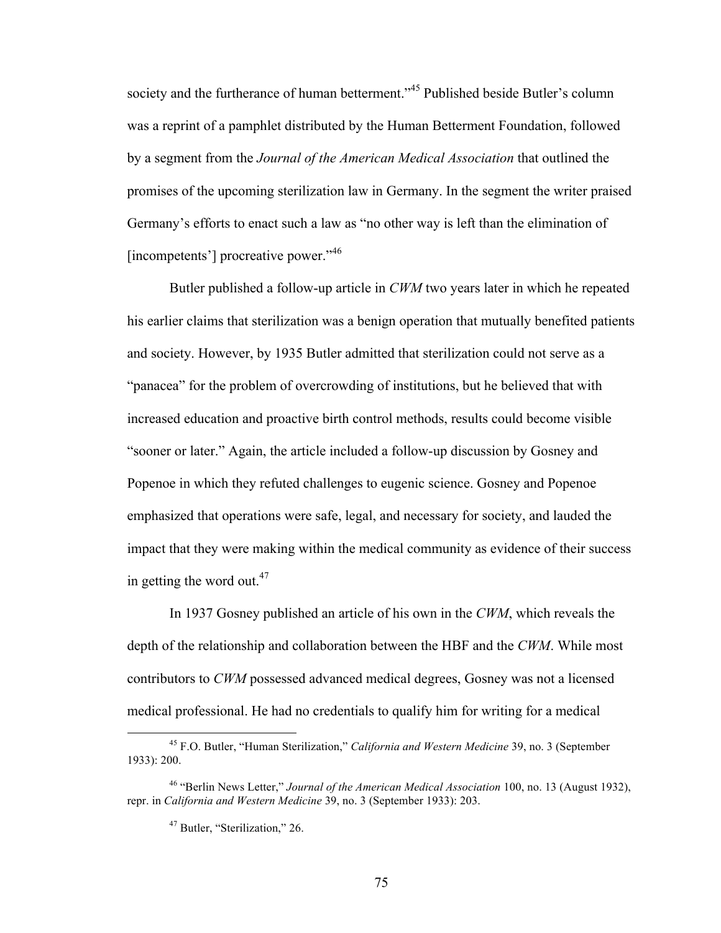society and the furtherance of human betterment."<sup>45</sup> Published beside Butler's column was a reprint of a pamphlet distributed by the Human Betterment Foundation, followed by a segment from the *Journal of the American Medical Association* that outlined the promises of the upcoming sterilization law in Germany. In the segment the writer praised Germany's efforts to enact such a law as "no other way is left than the elimination of [incompetents'] procreative power."<sup>46</sup>

Butler published a follow-up article in *CWM* two years later in which he repeated his earlier claims that sterilization was a benign operation that mutually benefited patients and society. However, by 1935 Butler admitted that sterilization could not serve as a "panacea" for the problem of overcrowding of institutions, but he believed that with increased education and proactive birth control methods, results could become visible "sooner or later." Again, the article included a follow-up discussion by Gosney and Popenoe in which they refuted challenges to eugenic science. Gosney and Popenoe emphasized that operations were safe, legal, and necessary for society, and lauded the impact that they were making within the medical community as evidence of their success in getting the word out.<sup>47</sup>

In 1937 Gosney published an article of his own in the *CWM*, which reveals the depth of the relationship and collaboration between the HBF and the *CWM*. While most contributors to *CWM* possessed advanced medical degrees, Gosney was not a licensed medical professional. He had no credentials to qualify him for writing for a medical

 <sup>45</sup> F.O. Butler, "Human Sterilization," *California and Western Medicine* 39, no. 3 (September 1933): 200.

<sup>46 &</sup>quot;Berlin News Letter," *Journal of the American Medical Association* 100, no. 13 (August 1932), repr. in *California and Western Medicine* 39, no. 3 (September 1933): 203.

<sup>47</sup> Butler, "Sterilization," 26.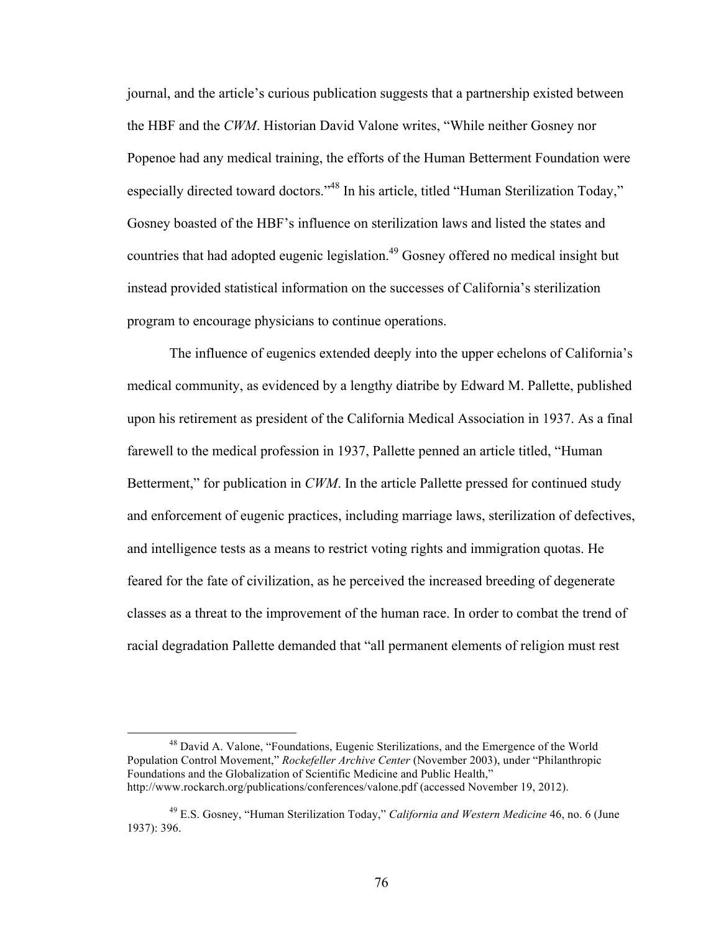journal, and the article's curious publication suggests that a partnership existed between the HBF and the *CWM*. Historian David Valone writes, "While neither Gosney nor Popenoe had any medical training, the efforts of the Human Betterment Foundation were especially directed toward doctors."<sup>48</sup> In his article, titled "Human Sterilization Today," Gosney boasted of the HBF's influence on sterilization laws and listed the states and countries that had adopted eugenic legislation. 49 Gosney offered no medical insight but instead provided statistical information on the successes of California's sterilization program to encourage physicians to continue operations.

The influence of eugenics extended deeply into the upper echelons of California's medical community, as evidenced by a lengthy diatribe by Edward M. Pallette, published upon his retirement as president of the California Medical Association in 1937. As a final farewell to the medical profession in 1937, Pallette penned an article titled, "Human Betterment," for publication in *CWM*. In the article Pallette pressed for continued study and enforcement of eugenic practices, including marriage laws, sterilization of defectives, and intelligence tests as a means to restrict voting rights and immigration quotas. He feared for the fate of civilization, as he perceived the increased breeding of degenerate classes as a threat to the improvement of the human race. In order to combat the trend of racial degradation Pallette demanded that "all permanent elements of religion must rest

 <sup>48</sup> David A. Valone, "Foundations, Eugenic Sterilizations, and the Emergence of the World Population Control Movement," *Rockefeller Archive Center* (November 2003), under "Philanthropic Foundations and the Globalization of Scientific Medicine and Public Health," http://www.rockarch.org/publications/conferences/valone.pdf (accessed November 19, 2012).

<sup>49</sup> E.S. Gosney, "Human Sterilization Today," *California and Western Medicine* 46, no. 6 (June 1937): 396.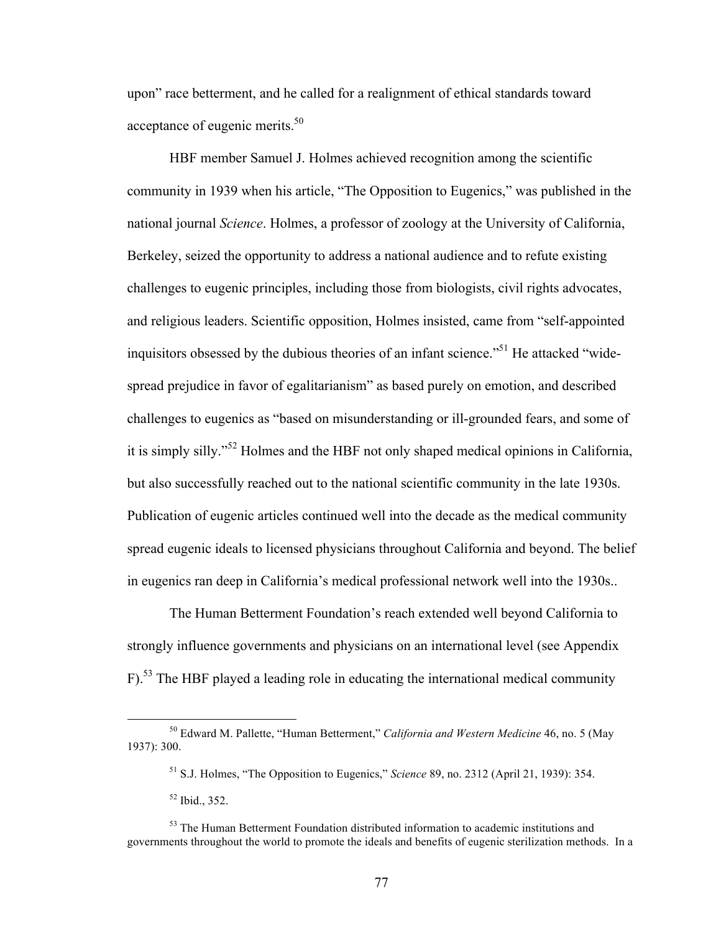upon" race betterment, and he called for a realignment of ethical standards toward acceptance of eugenic merits.<sup>50</sup>

HBF member Samuel J. Holmes achieved recognition among the scientific community in 1939 when his article, "The Opposition to Eugenics," was published in the national journal *Science*. Holmes, a professor of zoology at the University of California, Berkeley, seized the opportunity to address a national audience and to refute existing challenges to eugenic principles, including those from biologists, civil rights advocates, and religious leaders. Scientific opposition, Holmes insisted, came from "self-appointed inquisitors obsessed by the dubious theories of an infant science."<sup>51</sup> He attacked "widespread prejudice in favor of egalitarianism" as based purely on emotion, and described challenges to eugenics as "based on misunderstanding or ill-grounded fears, and some of it is simply silly."<sup>52</sup> Holmes and the HBF not only shaped medical opinions in California, but also successfully reached out to the national scientific community in the late 1930s. Publication of eugenic articles continued well into the decade as the medical community spread eugenic ideals to licensed physicians throughout California and beyond. The belief in eugenics ran deep in California's medical professional network well into the 1930s..

The Human Betterment Foundation's reach extended well beyond California to strongly influence governments and physicians on an international level (see Appendix F).<sup>53</sup> The HBF played a leading role in educating the international medical community

 <sup>50</sup> Edward M. Pallette, "Human Betterment," *California and Western Medicine* 46, no. 5 (May 1937): 300.

<sup>51</sup> S.J. Holmes, "The Opposition to Eugenics," *Science* 89, no. 2312 (April 21, 1939): 354.

<sup>52</sup> Ibid., 352.

<sup>&</sup>lt;sup>53</sup> The Human Betterment Foundation distributed information to academic institutions and governments throughout the world to promote the ideals and benefits of eugenic sterilization methods. In a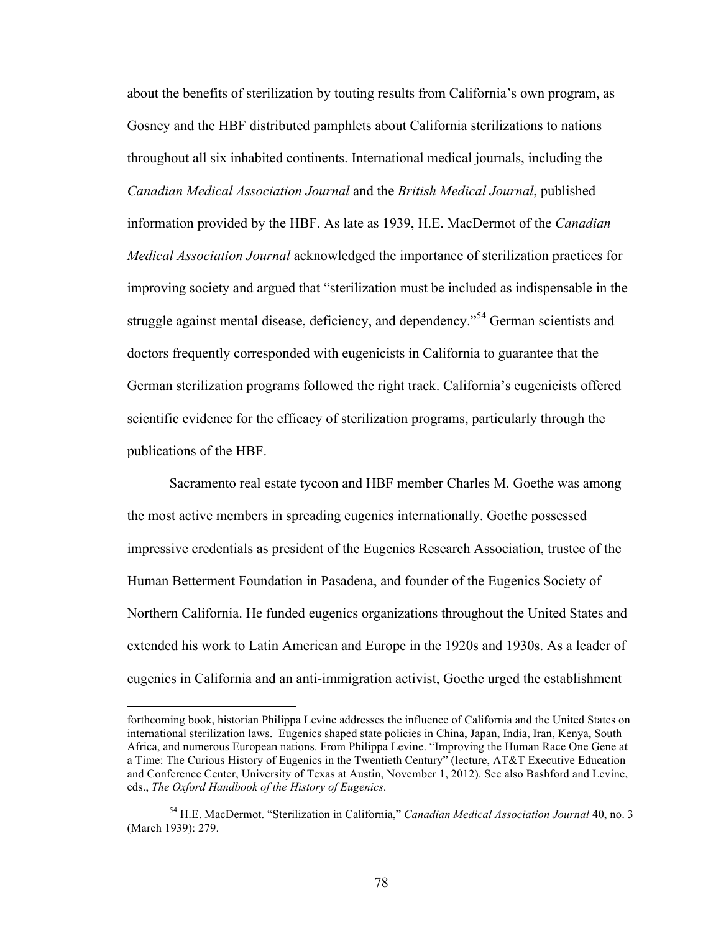about the benefits of sterilization by touting results from California's own program, as Gosney and the HBF distributed pamphlets about California sterilizations to nations throughout all six inhabited continents. International medical journals, including the *Canadian Medical Association Journal* and the *British Medical Journal*, published information provided by the HBF. As late as 1939, H.E. MacDermot of the *Canadian Medical Association Journal* acknowledged the importance of sterilization practices for improving society and argued that "sterilization must be included as indispensable in the struggle against mental disease, deficiency, and dependency."<sup>54</sup> German scientists and doctors frequently corresponded with eugenicists in California to guarantee that the German sterilization programs followed the right track. California's eugenicists offered scientific evidence for the efficacy of sterilization programs, particularly through the publications of the HBF.

Sacramento real estate tycoon and HBF member Charles M. Goethe was among the most active members in spreading eugenics internationally. Goethe possessed impressive credentials as president of the Eugenics Research Association, trustee of the Human Betterment Foundation in Pasadena, and founder of the Eugenics Society of Northern California. He funded eugenics organizations throughout the United States and extended his work to Latin American and Europe in the 1920s and 1930s. As a leader of eugenics in California and an anti-immigration activist, Goethe urged the establishment

 $\overline{a}$ 

forthcoming book, historian Philippa Levine addresses the influence of California and the United States on international sterilization laws. Eugenics shaped state policies in China, Japan, India, Iran, Kenya, South Africa, and numerous European nations. From Philippa Levine. "Improving the Human Race One Gene at a Time: The Curious History of Eugenics in the Twentieth Century" (lecture, AT&T Executive Education and Conference Center, University of Texas at Austin, November 1, 2012). See also Bashford and Levine, eds., *The Oxford Handbook of the History of Eugenics*.

<sup>54</sup> H.E. MacDermot. "Sterilization in California," *Canadian Medical Association Journal* 40, no. 3 (March 1939): 279.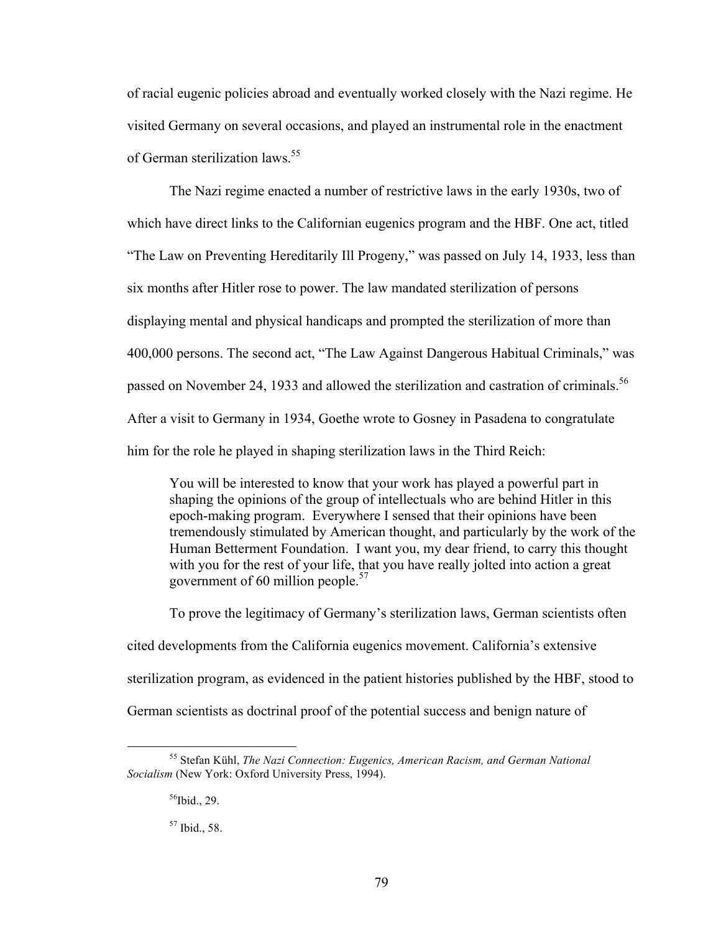of racial eugenic policies abroad and eventually worked closely with the Nazi regime. He visited Germany on several occasions, and played an instrumental role in the enactment of German sterilization laws. 55

The Nazi regime enacted a number of restrictive laws in the early 1930s, two of which have direct links to the Californian eugenics program and the HBF. One act, titled "The Law on Preventing Hereditarily Ill Progeny," was passed on July 14, 1933, less than six months after Hitler rose to power. The law mandated sterilization of persons displaying mental and physical handicaps and prompted the sterilization of more than 400,000 persons. The second act, "The Law Against Dangerous Habitual Criminals," was passed on November 24, 1933 and allowed the sterilization and castration of criminals.<sup>56</sup> After a visit to Germany in 1934, Goethe wrote to Gosney in Pasadena to congratulate him for the role he played in shaping sterilization laws in the Third Reich:

You will be interested to know that your work has played a powerful part in shaping the opinions of the group of intellectuals who are behind Hitler in this epoch-making program. Everywhere I sensed that their opinions have been tremendously stimulated by American thought, and particularly by the work of the Human Betterment Foundation. I want you, my dear friend, to carry this thought with you for the rest of your life, that you have really jolted into action a great government of 60 million people. 57

To prove the legitimacy of Germany's sterilization laws, German scientists often cited developments from the California eugenics movement. California's extensive sterilization program, as evidenced in the patient histories published by the HBF, stood to German scientists as doctrinal proof of the potential success and benign nature of

 $56$ Ibid., 29.

<sup>57</sup> Ibid., 58.

 <sup>55</sup> Stefan Kühl, *The Nazi Connection: Eugenics, American Racism, and German National Socialism* (New York: Oxford University Press, 1994).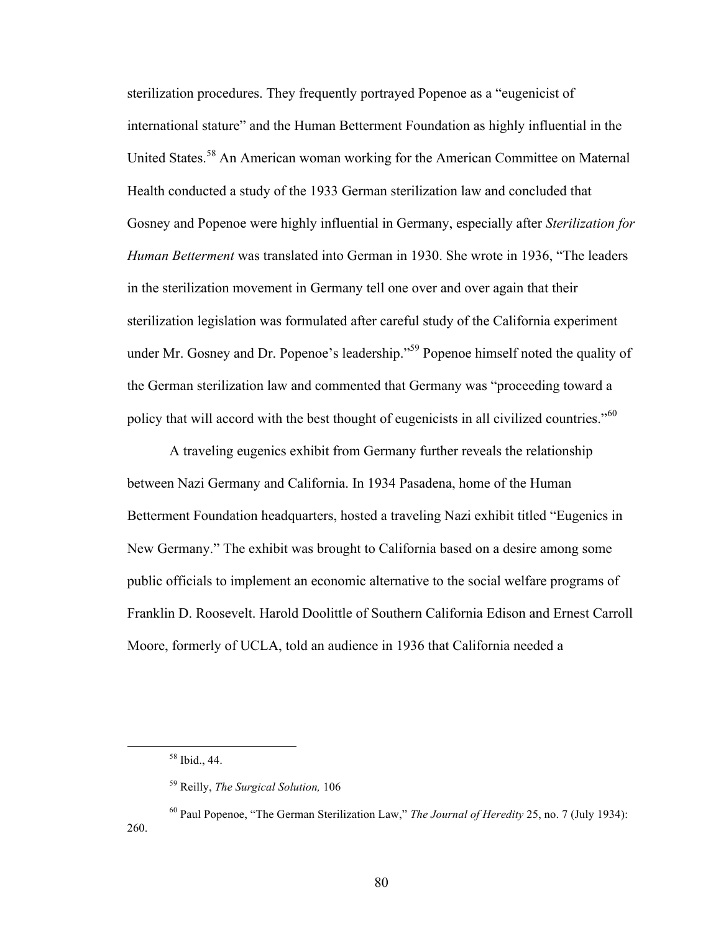sterilization procedures. They frequently portrayed Popenoe as a "eugenicist of international stature" and the Human Betterment Foundation as highly influential in the United States.<sup>58</sup> An American woman working for the American Committee on Maternal Health conducted a study of the 1933 German sterilization law and concluded that Gosney and Popenoe were highly influential in Germany, especially after *Sterilization for Human Betterment* was translated into German in 1930. She wrote in 1936, "The leaders in the sterilization movement in Germany tell one over and over again that their sterilization legislation was formulated after careful study of the California experiment under Mr. Gosney and Dr. Popenoe's leadership."<sup>59</sup> Popenoe himself noted the quality of the German sterilization law and commented that Germany was "proceeding toward a policy that will accord with the best thought of eugenicists in all civilized countries."<sup>60</sup>

A traveling eugenics exhibit from Germany further reveals the relationship between Nazi Germany and California. In 1934 Pasadena, home of the Human Betterment Foundation headquarters, hosted a traveling Nazi exhibit titled "Eugenics in New Germany." The exhibit was brought to California based on a desire among some public officials to implement an economic alternative to the social welfare programs of Franklin D. Roosevelt. Harold Doolittle of Southern California Edison and Ernest Carroll Moore, formerly of UCLA, told an audience in 1936 that California needed a

 <sup>58</sup> Ibid., 44.

<sup>59</sup> Reilly, *The Surgical Solution,* 106

<sup>60</sup> Paul Popenoe, "The German Sterilization Law," *The Journal of Heredity* 25, no. 7 (July 1934): 260.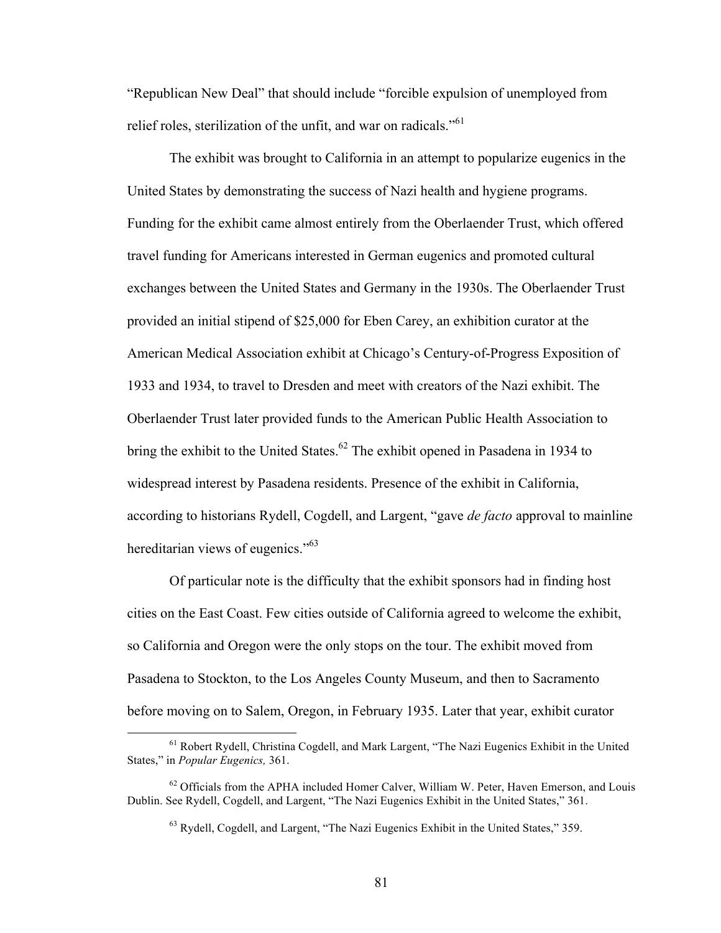"Republican New Deal" that should include "forcible expulsion of unemployed from relief roles, sterilization of the unfit, and war on radicals."<sup>61</sup>

The exhibit was brought to California in an attempt to popularize eugenics in the United States by demonstrating the success of Nazi health and hygiene programs. Funding for the exhibit came almost entirely from the Oberlaender Trust, which offered travel funding for Americans interested in German eugenics and promoted cultural exchanges between the United States and Germany in the 1930s. The Oberlaender Trust provided an initial stipend of \$25,000 for Eben Carey, an exhibition curator at the American Medical Association exhibit at Chicago's Century-of-Progress Exposition of 1933 and 1934, to travel to Dresden and meet with creators of the Nazi exhibit. The Oberlaender Trust later provided funds to the American Public Health Association to bring the exhibit to the United States.<sup>62</sup> The exhibit opened in Pasadena in 1934 to widespread interest by Pasadena residents. Presence of the exhibit in California, according to historians Rydell, Cogdell, and Largent, "gave *de facto* approval to mainline hereditarian views of eugenics."<sup>63</sup>

Of particular note is the difficulty that the exhibit sponsors had in finding host cities on the East Coast. Few cities outside of California agreed to welcome the exhibit, so California and Oregon were the only stops on the tour. The exhibit moved from Pasadena to Stockton, to the Los Angeles County Museum, and then to Sacramento before moving on to Salem, Oregon, in February 1935. Later that year, exhibit curator

 <sup>61</sup> Robert Rydell, Christina Cogdell, and Mark Largent, "The Nazi Eugenics Exhibit in the United States," in *Popular Eugenics,* 361.

 $62$  Officials from the APHA included Homer Calver, William W. Peter, Haven Emerson, and Louis Dublin. See Rydell, Cogdell, and Largent, "The Nazi Eugenics Exhibit in the United States," 361.

<sup>63</sup> Rydell, Cogdell, and Largent, "The Nazi Eugenics Exhibit in the United States," 359.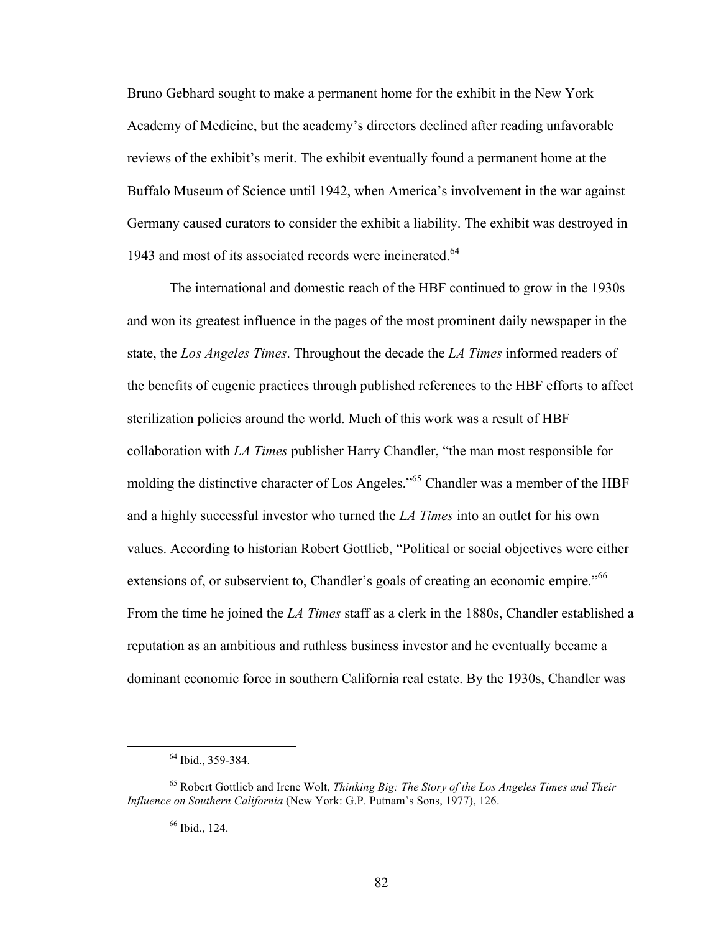Bruno Gebhard sought to make a permanent home for the exhibit in the New York Academy of Medicine, but the academy's directors declined after reading unfavorable reviews of the exhibit's merit. The exhibit eventually found a permanent home at the Buffalo Museum of Science until 1942, when America's involvement in the war against Germany caused curators to consider the exhibit a liability. The exhibit was destroyed in 1943 and most of its associated records were incinerated.<sup>64</sup>

The international and domestic reach of the HBF continued to grow in the 1930s and won its greatest influence in the pages of the most prominent daily newspaper in the state, the *Los Angeles Times*. Throughout the decade the *LA Times* informed readers of the benefits of eugenic practices through published references to the HBF efforts to affect sterilization policies around the world. Much of this work was a result of HBF collaboration with *LA Times* publisher Harry Chandler, "the man most responsible for molding the distinctive character of Los Angeles."<sup>65</sup> Chandler was a member of the HBF and a highly successful investor who turned the *LA Times* into an outlet for his own values. According to historian Robert Gottlieb, "Political or social objectives were either extensions of, or subservient to, Chandler's goals of creating an economic empire."<sup>66</sup> From the time he joined the *LA Times* staff as a clerk in the 1880s, Chandler established a reputation as an ambitious and ruthless business investor and he eventually became a dominant economic force in southern California real estate. By the 1930s, Chandler was

<sup>&</sup>lt;sup>64</sup> Ibid., 359-384.

<sup>65</sup> Robert Gottlieb and Irene Wolt, *Thinking Big: The Story of the Los Angeles Times and Their Influence on Southern California* (New York: G.P. Putnam's Sons, 1977), 126.

<sup>66</sup> Ibid., 124.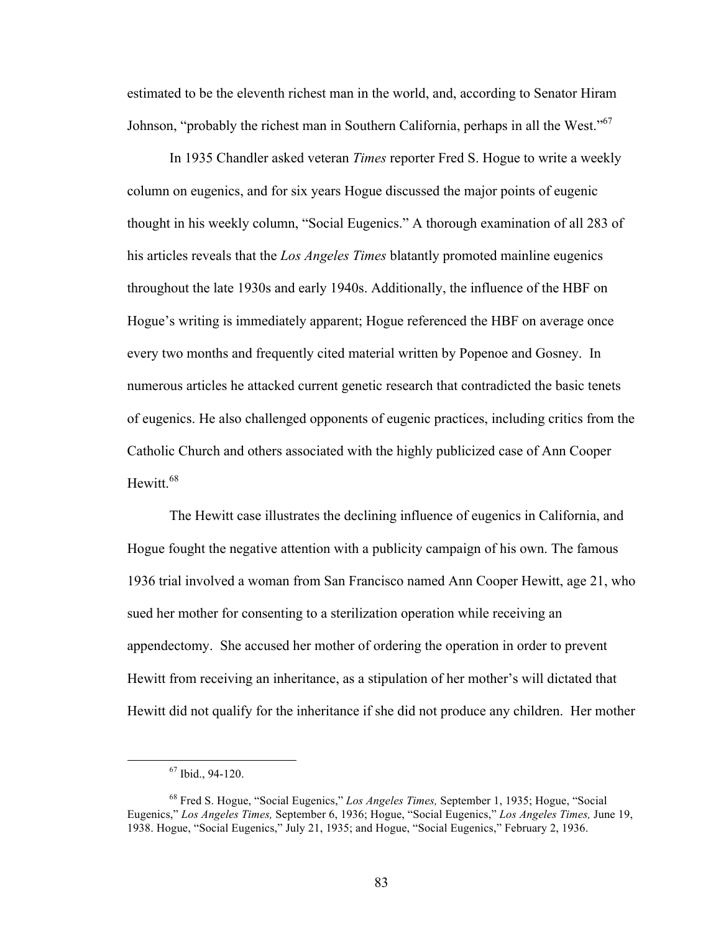estimated to be the eleventh richest man in the world, and, according to Senator Hiram Johnson, "probably the richest man in Southern California, perhaps in all the West."<sup>67</sup>

In 1935 Chandler asked veteran *Times* reporter Fred S. Hogue to write a weekly column on eugenics, and for six years Hogue discussed the major points of eugenic thought in his weekly column, "Social Eugenics." A thorough examination of all 283 of his articles reveals that the *Los Angeles Times* blatantly promoted mainline eugenics throughout the late 1930s and early 1940s. Additionally, the influence of the HBF on Hogue's writing is immediately apparent; Hogue referenced the HBF on average once every two months and frequently cited material written by Popenoe and Gosney. In numerous articles he attacked current genetic research that contradicted the basic tenets of eugenics. He also challenged opponents of eugenic practices, including critics from the Catholic Church and others associated with the highly publicized case of Ann Cooper Hewitt.<sup>68</sup>

The Hewitt case illustrates the declining influence of eugenics in California, and Hogue fought the negative attention with a publicity campaign of his own. The famous 1936 trial involved a woman from San Francisco named Ann Cooper Hewitt, age 21, who sued her mother for consenting to a sterilization operation while receiving an appendectomy. She accused her mother of ordering the operation in order to prevent Hewitt from receiving an inheritance, as a stipulation of her mother's will dictated that Hewitt did not qualify for the inheritance if she did not produce any children. Her mother

 $67$  Ibid., 94-120.

<sup>68</sup> Fred S. Hogue, "Social Eugenics," *Los Angeles Times,* September 1, 1935; Hogue, "Social Eugenics," *Los Angeles Times,* September 6, 1936; Hogue, "Social Eugenics," *Los Angeles Times,* June 19, 1938. Hogue, "Social Eugenics," July 21, 1935; and Hogue, "Social Eugenics," February 2, 1936.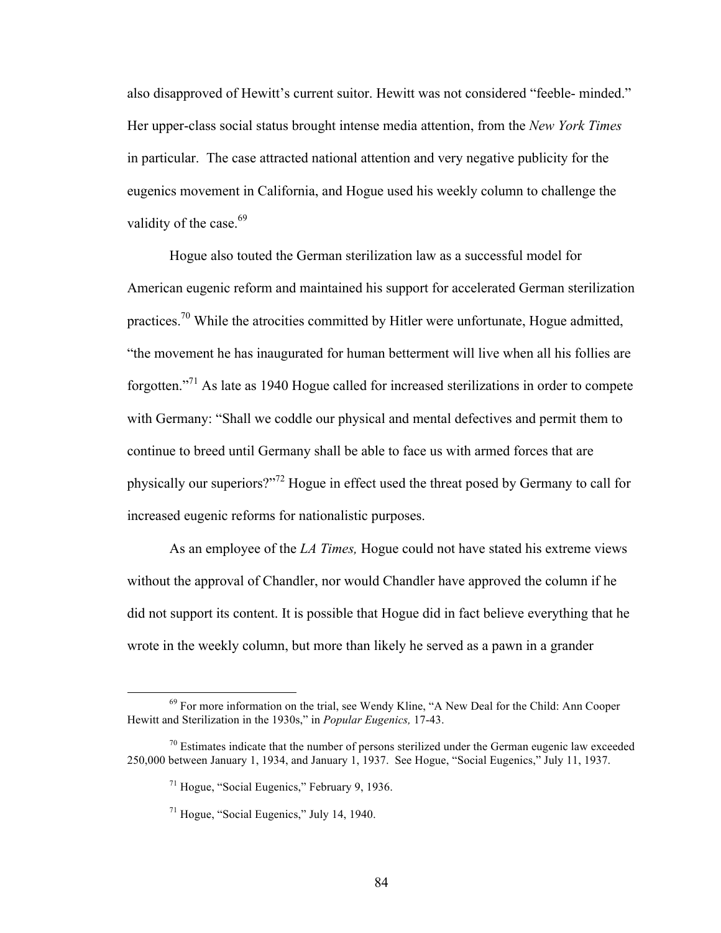also disapproved of Hewitt's current suitor. Hewitt was not considered "feeble- minded." Her upper-class social status brought intense media attention, from the *New York Times* in particular. The case attracted national attention and very negative publicity for the eugenics movement in California, and Hogue used his weekly column to challenge the validity of the case.<sup>69</sup>

Hogue also touted the German sterilization law as a successful model for American eugenic reform and maintained his support for accelerated German sterilization practices.<sup>70</sup> While the atrocities committed by Hitler were unfortunate, Hogue admitted, "the movement he has inaugurated for human betterment will live when all his follies are forgotten."<sup>71</sup> As late as 1940 Hogue called for increased sterilizations in order to compete with Germany: "Shall we coddle our physical and mental defectives and permit them to continue to breed until Germany shall be able to face us with armed forces that are physically our superiors?"<sup>72</sup> Hogue in effect used the threat posed by Germany to call for increased eugenic reforms for nationalistic purposes.

As an employee of the *LA Times,* Hogue could not have stated his extreme views without the approval of Chandler, nor would Chandler have approved the column if he did not support its content. It is possible that Hogue did in fact believe everything that he wrote in the weekly column, but more than likely he served as a pawn in a grander

<sup>&</sup>lt;sup>69</sup> For more information on the trial, see Wendy Kline, "A New Deal for the Child: Ann Cooper Hewitt and Sterilization in the 1930s," in *Popular Eugenics,* 17-43.

 $\frac{70}{10}$  Estimates indicate that the number of persons sterilized under the German eugenic law exceeded 250,000 between January 1, 1934, and January 1, 1937. See Hogue, "Social Eugenics," July 11, 1937.

<sup>71</sup> Hogue, "Social Eugenics," February 9, 1936.

<sup>71</sup> Hogue, "Social Eugenics," July 14, 1940.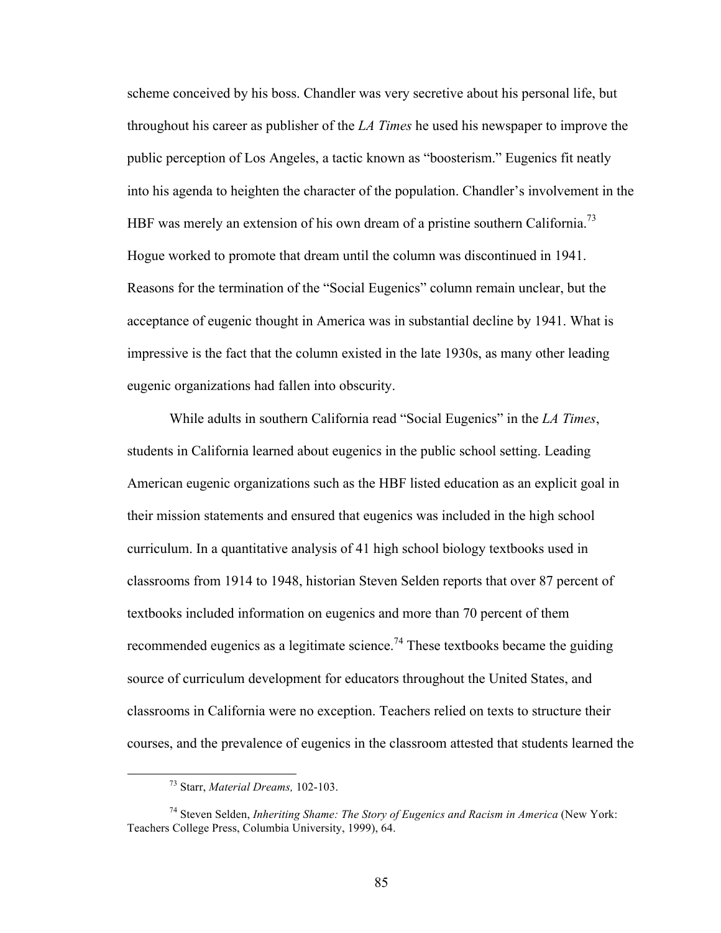scheme conceived by his boss. Chandler was very secretive about his personal life, but throughout his career as publisher of the *LA Times* he used his newspaper to improve the public perception of Los Angeles, a tactic known as "boosterism." Eugenics fit neatly into his agenda to heighten the character of the population. Chandler's involvement in the HBF was merely an extension of his own dream of a pristine southern California.<sup>73</sup> Hogue worked to promote that dream until the column was discontinued in 1941. Reasons for the termination of the "Social Eugenics" column remain unclear, but the acceptance of eugenic thought in America was in substantial decline by 1941. What is impressive is the fact that the column existed in the late 1930s, as many other leading eugenic organizations had fallen into obscurity.

While adults in southern California read "Social Eugenics" in the *LA Times*, students in California learned about eugenics in the public school setting. Leading American eugenic organizations such as the HBF listed education as an explicit goal in their mission statements and ensured that eugenics was included in the high school curriculum. In a quantitative analysis of 41 high school biology textbooks used in classrooms from 1914 to 1948, historian Steven Selden reports that over 87 percent of textbooks included information on eugenics and more than 70 percent of them recommended eugenics as a legitimate science.<sup>74</sup> These textbooks became the guiding source of curriculum development for educators throughout the United States, and classrooms in California were no exception. Teachers relied on texts to structure their courses, and the prevalence of eugenics in the classroom attested that students learned the

 <sup>73</sup> Starr, *Material Dreams,* 102-103.

<sup>74</sup> Steven Selden, *Inheriting Shame: The Story of Eugenics and Racism in America* (New York: Teachers College Press, Columbia University, 1999), 64.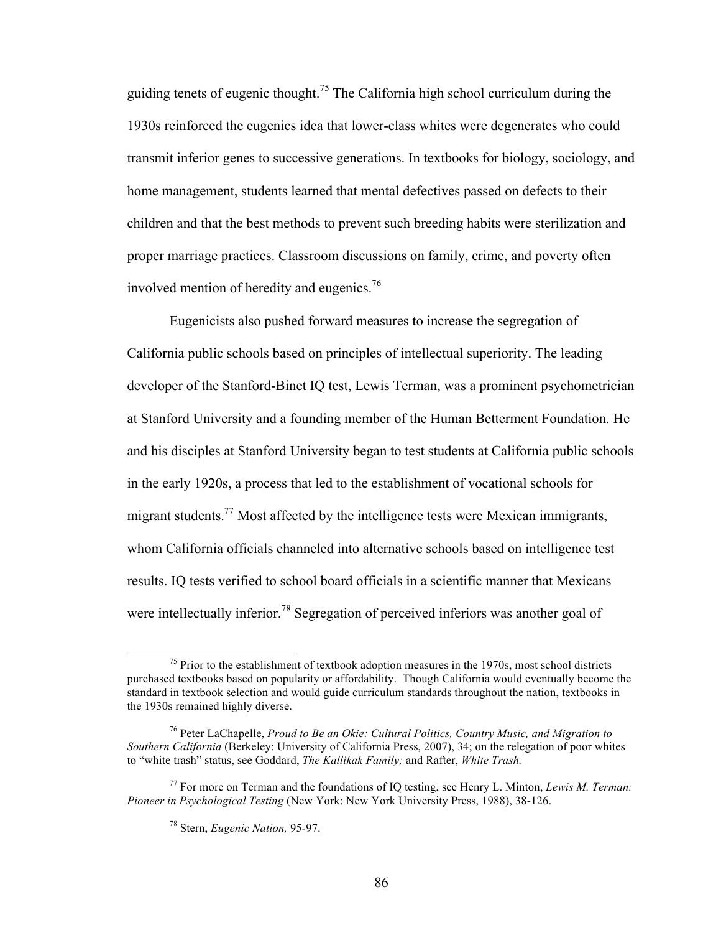guiding tenets of eugenic thought.<sup>75</sup> The California high school curriculum during the 1930s reinforced the eugenics idea that lower-class whites were degenerates who could transmit inferior genes to successive generations. In textbooks for biology, sociology, and home management, students learned that mental defectives passed on defects to their children and that the best methods to prevent such breeding habits were sterilization and proper marriage practices. Classroom discussions on family, crime, and poverty often involved mention of heredity and eugenics.<sup>76</sup>

Eugenicists also pushed forward measures to increase the segregation of California public schools based on principles of intellectual superiority. The leading developer of the Stanford-Binet IQ test, Lewis Terman, was a prominent psychometrician at Stanford University and a founding member of the Human Betterment Foundation. He and his disciples at Stanford University began to test students at California public schools in the early 1920s, a process that led to the establishment of vocational schools for migrant students.<sup>77</sup> Most affected by the intelligence tests were Mexican immigrants, whom California officials channeled into alternative schools based on intelligence test results. IQ tests verified to school board officials in a scientific manner that Mexicans were intellectually inferior.<sup>78</sup> Segregation of perceived inferiors was another goal of

 $<sup>75</sup>$  Prior to the establishment of textbook adoption measures in the 1970s, most school districts</sup> purchased textbooks based on popularity or affordability. Though California would eventually become the standard in textbook selection and would guide curriculum standards throughout the nation, textbooks in the 1930s remained highly diverse.

<sup>76</sup> Peter LaChapelle, *Proud to Be an Okie: Cultural Politics, Country Music, and Migration to Southern California* (Berkeley: University of California Press, 2007), 34; on the relegation of poor whites to "white trash" status, see Goddard, *The Kallikak Family;* and Rafter, *White Trash.*

<sup>77</sup> For more on Terman and the foundations of IQ testing, see Henry L. Minton, *Lewis M. Terman: Pioneer in Psychological Testing* (New York: New York University Press, 1988), 38-126.

<sup>78</sup> Stern, *Eugenic Nation,* 95-97.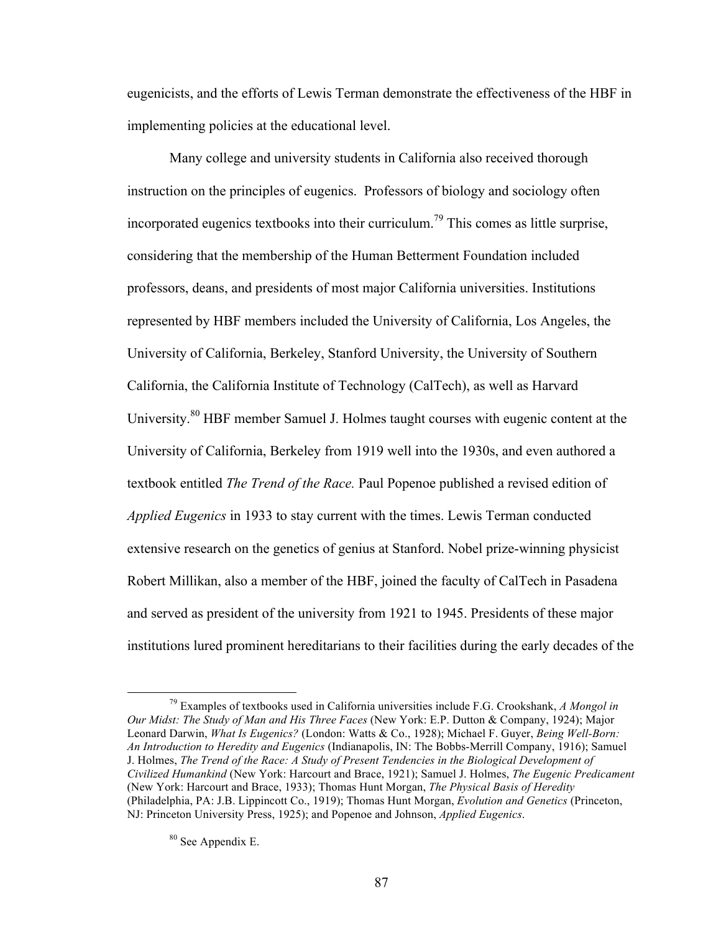eugenicists, and the efforts of Lewis Terman demonstrate the effectiveness of the HBF in implementing policies at the educational level.

Many college and university students in California also received thorough instruction on the principles of eugenics. Professors of biology and sociology often incorporated eugenics textbooks into their curriculum.<sup>79</sup> This comes as little surprise, considering that the membership of the Human Betterment Foundation included professors, deans, and presidents of most major California universities. Institutions represented by HBF members included the University of California, Los Angeles, the University of California, Berkeley, Stanford University, the University of Southern California, the California Institute of Technology (CalTech), as well as Harvard University.<sup>80</sup> HBF member Samuel J. Holmes taught courses with eugenic content at the University of California, Berkeley from 1919 well into the 1930s, and even authored a textbook entitled *The Trend of the Race.* Paul Popenoe published a revised edition of *Applied Eugenics* in 1933 to stay current with the times. Lewis Terman conducted extensive research on the genetics of genius at Stanford. Nobel prize-winning physicist Robert Millikan, also a member of the HBF, joined the faculty of CalTech in Pasadena and served as president of the university from 1921 to 1945. Presidents of these major institutions lured prominent hereditarians to their facilities during the early decades of the

 <sup>79</sup> Examples of textbooks used in California universities include F.G. Crookshank, *A Mongol in Our Midst: The Study of Man and His Three Faces* (New York: E.P. Dutton & Company, 1924); Major Leonard Darwin, *What Is Eugenics?* (London: Watts & Co., 1928); Michael F. Guyer, *Being Well-Born: An Introduction to Heredity and Eugenics* (Indianapolis, IN: The Bobbs-Merrill Company, 1916); Samuel J. Holmes, *The Trend of the Race: A Study of Present Tendencies in the Biological Development of Civilized Humankind* (New York: Harcourt and Brace, 1921); Samuel J. Holmes, *The Eugenic Predicament* (New York: Harcourt and Brace, 1933); Thomas Hunt Morgan, *The Physical Basis of Heredity* (Philadelphia, PA: J.B. Lippincott Co., 1919); Thomas Hunt Morgan, *Evolution and Genetics* (Princeton, NJ: Princeton University Press, 1925); and Popenoe and Johnson, *Applied Eugenics*.

<sup>80</sup> See Appendix E.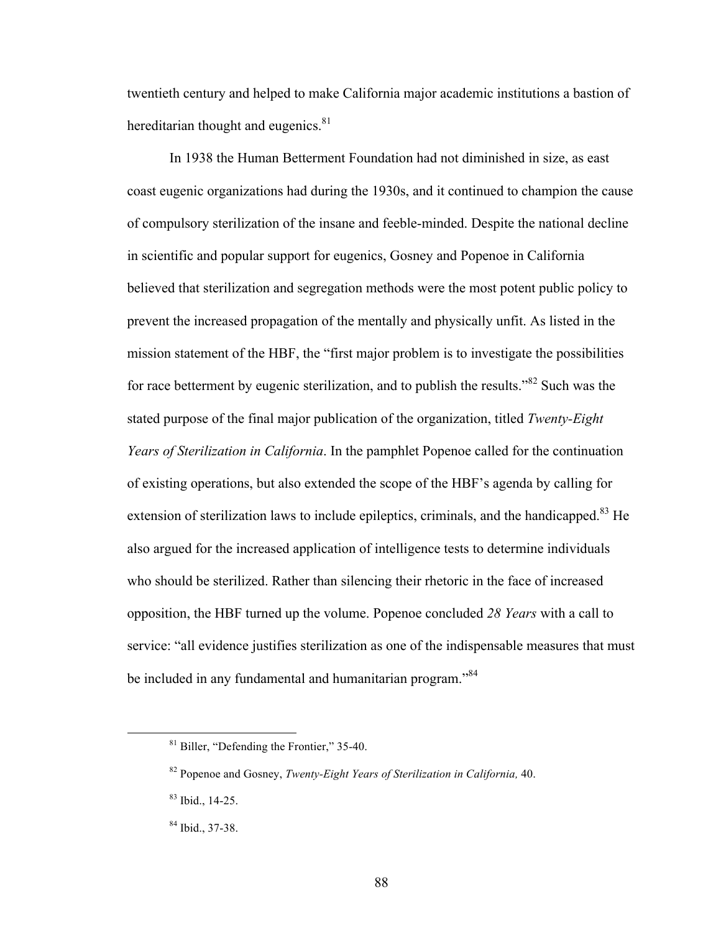twentieth century and helped to make California major academic institutions a bastion of hereditarian thought and eugenics.<sup>81</sup>

In 1938 the Human Betterment Foundation had not diminished in size, as east coast eugenic organizations had during the 1930s, and it continued to champion the cause of compulsory sterilization of the insane and feeble-minded. Despite the national decline in scientific and popular support for eugenics, Gosney and Popenoe in California believed that sterilization and segregation methods were the most potent public policy to prevent the increased propagation of the mentally and physically unfit. As listed in the mission statement of the HBF, the "first major problem is to investigate the possibilities for race betterment by eugenic sterilization, and to publish the results."<sup>82</sup> Such was the stated purpose of the final major publication of the organization, titled *Twenty-Eight Years of Sterilization in California*. In the pamphlet Popenoe called for the continuation of existing operations, but also extended the scope of the HBF's agenda by calling for extension of sterilization laws to include epileptics, criminals, and the handicapped.<sup>83</sup> He also argued for the increased application of intelligence tests to determine individuals who should be sterilized. Rather than silencing their rhetoric in the face of increased opposition, the HBF turned up the volume. Popenoe concluded *28 Years* with a call to service: "all evidence justifies sterilization as one of the indispensable measures that must be included in any fundamental and humanitarian program."<sup>84</sup>

 <sup>81</sup> Biller, "Defending the Frontier," 35-40.

<sup>82</sup> Popenoe and Gosney, *Twenty-Eight Years of Sterilization in California,* 40.

<sup>83</sup> Ibid., 14-25.

<sup>84</sup> Ibid., 37-38.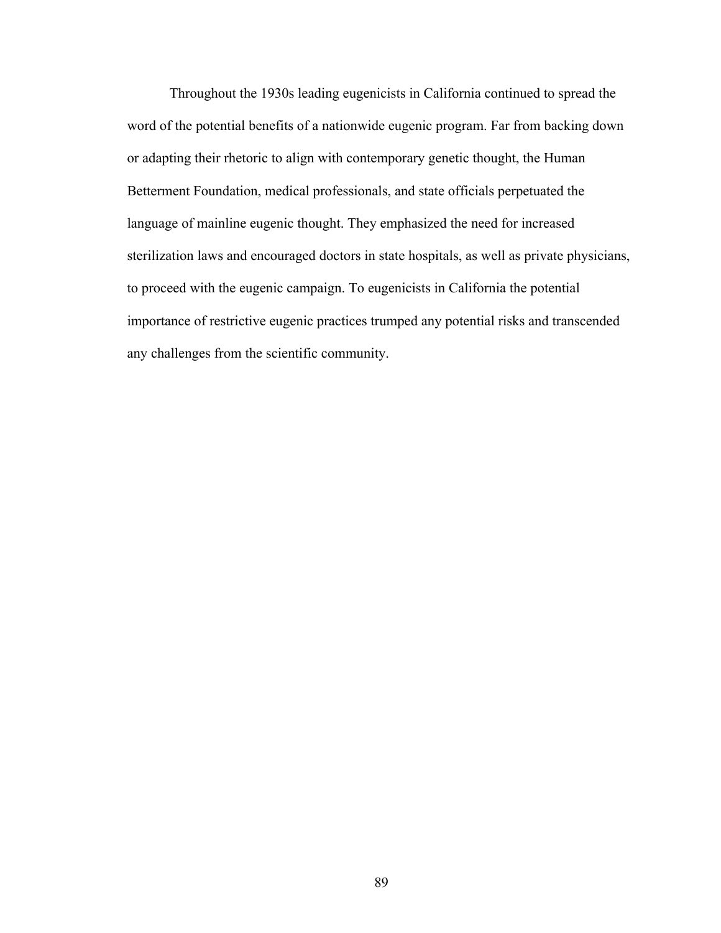Throughout the 1930s leading eugenicists in California continued to spread the word of the potential benefits of a nationwide eugenic program. Far from backing down or adapting their rhetoric to align with contemporary genetic thought, the Human Betterment Foundation, medical professionals, and state officials perpetuated the language of mainline eugenic thought. They emphasized the need for increased sterilization laws and encouraged doctors in state hospitals, as well as private physicians, to proceed with the eugenic campaign. To eugenicists in California the potential importance of restrictive eugenic practices trumped any potential risks and transcended any challenges from the scientific community.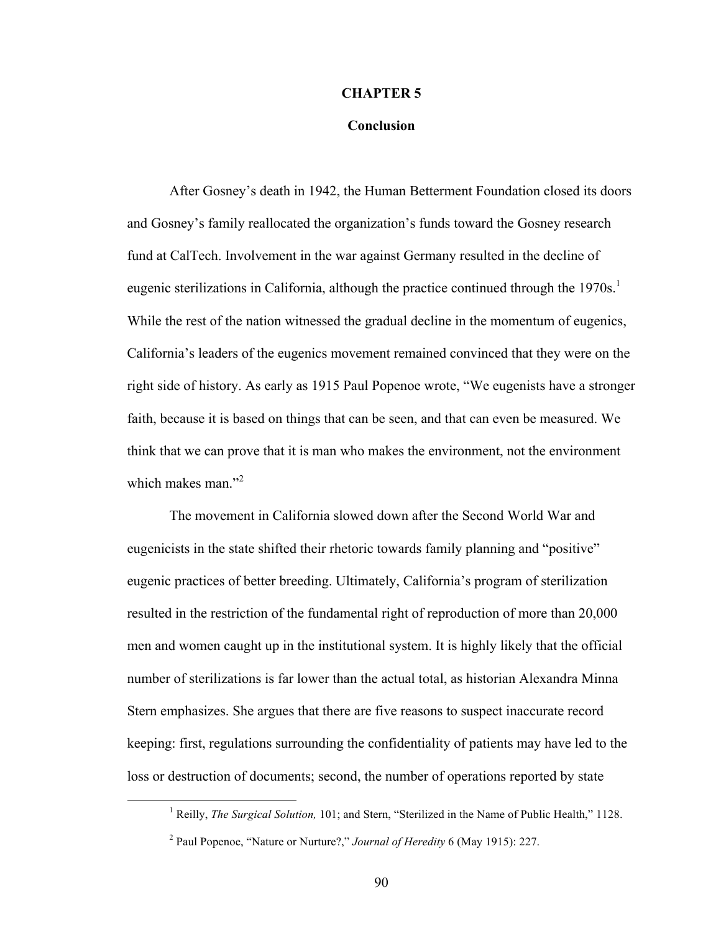#### **CHAPTER 5**

#### **Conclusion**

After Gosney's death in 1942, the Human Betterment Foundation closed its doors and Gosney's family reallocated the organization's funds toward the Gosney research fund at CalTech. Involvement in the war against Germany resulted in the decline of eugenic sterilizations in California, although the practice continued through the 1970s.<sup>1</sup> While the rest of the nation witnessed the gradual decline in the momentum of eugenics, California's leaders of the eugenics movement remained convinced that they were on the right side of history. As early as 1915 Paul Popenoe wrote, "We eugenists have a stronger faith, because it is based on things that can be seen, and that can even be measured. We think that we can prove that it is man who makes the environment, not the environment which makes man."<sup>2</sup>

The movement in California slowed down after the Second World War and eugenicists in the state shifted their rhetoric towards family planning and "positive" eugenic practices of better breeding. Ultimately, California's program of sterilization resulted in the restriction of the fundamental right of reproduction of more than 20,000 men and women caught up in the institutional system. It is highly likely that the official number of sterilizations is far lower than the actual total, as historian Alexandra Minna Stern emphasizes. She argues that there are five reasons to suspect inaccurate record keeping: first, regulations surrounding the confidentiality of patients may have led to the loss or destruction of documents; second, the number of operations reported by state

<sup>&</sup>lt;u>1</u> <sup>1</sup> Reilly, *The Surgical Solution*, 101; and Stern, "Sterilized in the Name of Public Health," 1128.

<sup>2</sup> Paul Popenoe, "Nature or Nurture?," *Journal of Heredity* 6 (May 1915): 227.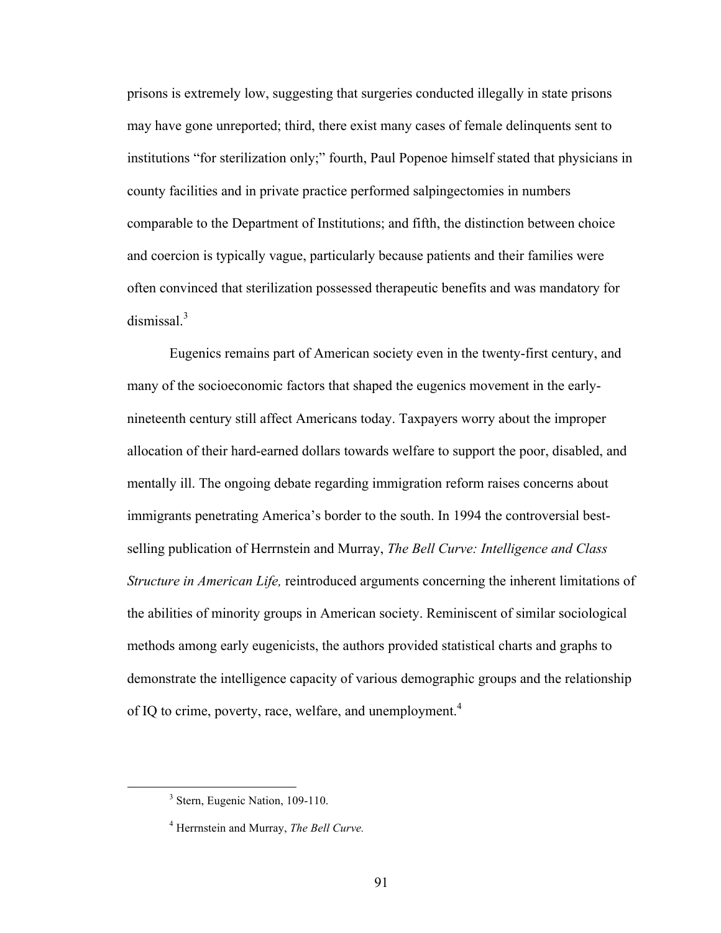prisons is extremely low, suggesting that surgeries conducted illegally in state prisons may have gone unreported; third, there exist many cases of female delinquents sent to institutions "for sterilization only;" fourth, Paul Popenoe himself stated that physicians in county facilities and in private practice performed salpingectomies in numbers comparable to the Department of Institutions; and fifth, the distinction between choice and coercion is typically vague, particularly because patients and their families were often convinced that sterilization possessed therapeutic benefits and was mandatory for dismissal.<sup>3</sup>

Eugenics remains part of American society even in the twenty-first century, and many of the socioeconomic factors that shaped the eugenics movement in the earlynineteenth century still affect Americans today. Taxpayers worry about the improper allocation of their hard-earned dollars towards welfare to support the poor, disabled, and mentally ill. The ongoing debate regarding immigration reform raises concerns about immigrants penetrating America's border to the south. In 1994 the controversial bestselling publication of Herrnstein and Murray, *The Bell Curve: Intelligence and Class Structure in American Life,* reintroduced arguments concerning the inherent limitations of the abilities of minority groups in American society. Reminiscent of similar sociological methods among early eugenicists, the authors provided statistical charts and graphs to demonstrate the intelligence capacity of various demographic groups and the relationship of IQ to crime, poverty, race, welfare, and unemployment.<sup>4</sup>

 <sup>3</sup>  $3$  Stern, Eugenic Nation, 109-110.

<sup>4</sup> Herrnstein and Murray, *The Bell Curve.*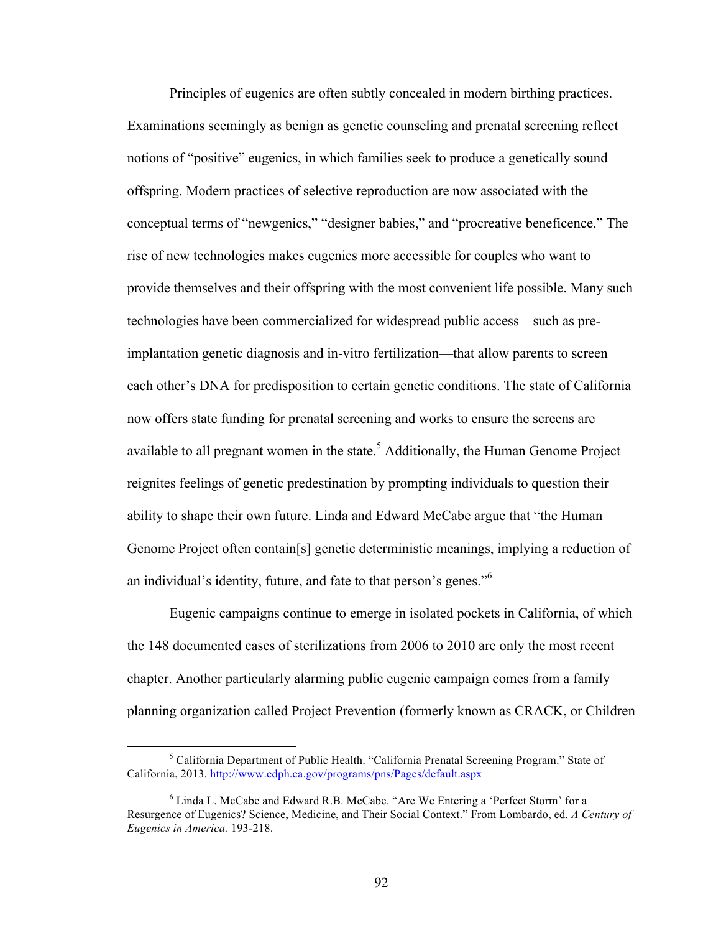Principles of eugenics are often subtly concealed in modern birthing practices. Examinations seemingly as benign as genetic counseling and prenatal screening reflect notions of "positive" eugenics, in which families seek to produce a genetically sound offspring. Modern practices of selective reproduction are now associated with the conceptual terms of "newgenics," "designer babies," and "procreative beneficence." The rise of new technologies makes eugenics more accessible for couples who want to provide themselves and their offspring with the most convenient life possible. Many such technologies have been commercialized for widespread public access—such as preimplantation genetic diagnosis and in-vitro fertilization—that allow parents to screen each other's DNA for predisposition to certain genetic conditions. The state of California now offers state funding for prenatal screening and works to ensure the screens are available to all pregnant women in the state.<sup>5</sup> Additionally, the Human Genome Project reignites feelings of genetic predestination by prompting individuals to question their ability to shape their own future. Linda and Edward McCabe argue that "the Human Genome Project often contain[s] genetic deterministic meanings, implying a reduction of an individual's identity, future, and fate to that person's genes."<sup>6</sup>

Eugenic campaigns continue to emerge in isolated pockets in California, of which the 148 documented cases of sterilizations from 2006 to 2010 are only the most recent chapter. Another particularly alarming public eugenic campaign comes from a family planning organization called Project Prevention (formerly known as CRACK, or Children

 $rac{1}{5}$ <sup>5</sup> California Department of Public Health. "California Prenatal Screening Program." State of California, 2013. http://www.cdph.ca.gov/programs/pns/Pages/default.aspx

<sup>&</sup>lt;sup>6</sup> Linda L. McCabe and Edward R.B. McCabe. "Are We Entering a 'Perfect Storm' for a Resurgence of Eugenics? Science, Medicine, and Their Social Context." From Lombardo, ed. *A Century of Eugenics in America.* 193-218.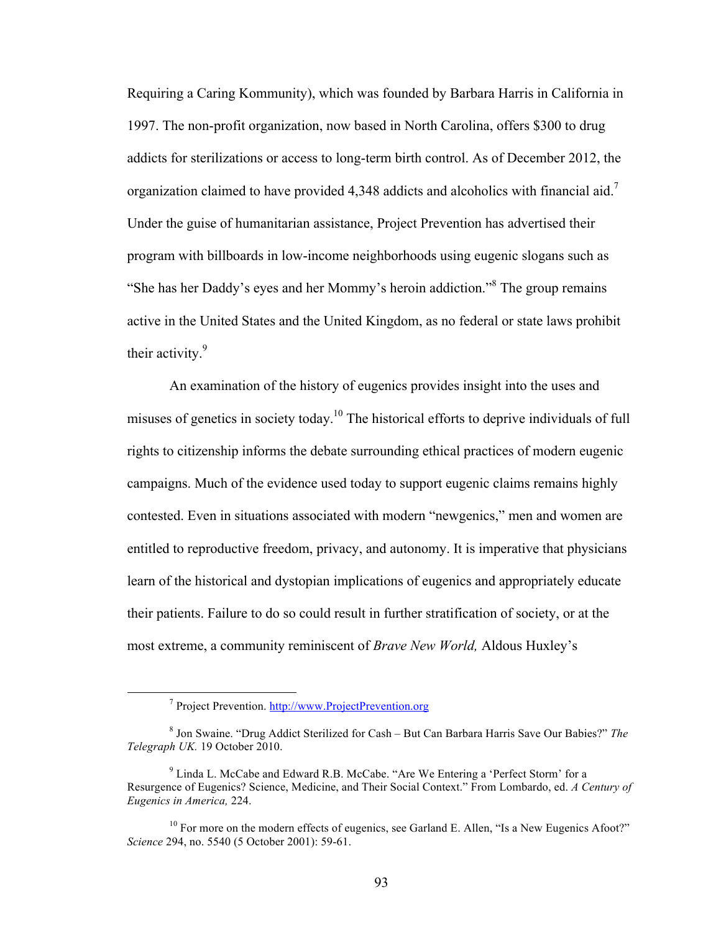Requiring a Caring Kommunity), which was founded by Barbara Harris in California in 1997. The non-profit organization, now based in North Carolina, offers \$300 to drug addicts for sterilizations or access to long-term birth control. As of December 2012, the organization claimed to have provided 4,348 addicts and alcoholics with financial aid.<sup>7</sup> Under the guise of humanitarian assistance, Project Prevention has advertised their program with billboards in low-income neighborhoods using eugenic slogans such as "She has her Daddy's eyes and her Mommy's heroin addiction."<sup>8</sup> The group remains active in the United States and the United Kingdom, as no federal or state laws prohibit their activity.<sup>9</sup>

An examination of the history of eugenics provides insight into the uses and misuses of genetics in society today.<sup>10</sup> The historical efforts to deprive individuals of full rights to citizenship informs the debate surrounding ethical practices of modern eugenic campaigns. Much of the evidence used today to support eugenic claims remains highly contested. Even in situations associated with modern "newgenics," men and women are entitled to reproductive freedom, privacy, and autonomy. It is imperative that physicians learn of the historical and dystopian implications of eugenics and appropriately educate their patients. Failure to do so could result in further stratification of society, or at the most extreme, a community reminiscent of *Brave New World,* Aldous Huxley's

 $\frac{1}{7}$ Project Prevention. http://www.ProjectPrevention.org

<sup>8</sup> Jon Swaine. "Drug Addict Sterilized for Cash – But Can Barbara Harris Save Our Babies?" *The Telegraph UK.* 19 October 2010.

 $9$  Linda L. McCabe and Edward R.B. McCabe. "Are We Entering a 'Perfect Storm' for a Resurgence of Eugenics? Science, Medicine, and Their Social Context." From Lombardo, ed. *A Century of Eugenics in America,* 224.

 $10$  For more on the modern effects of eugenics, see Garland E. Allen, "Is a New Eugenics Afoot?" *Science* 294, no. 5540 (5 October 2001): 59-61.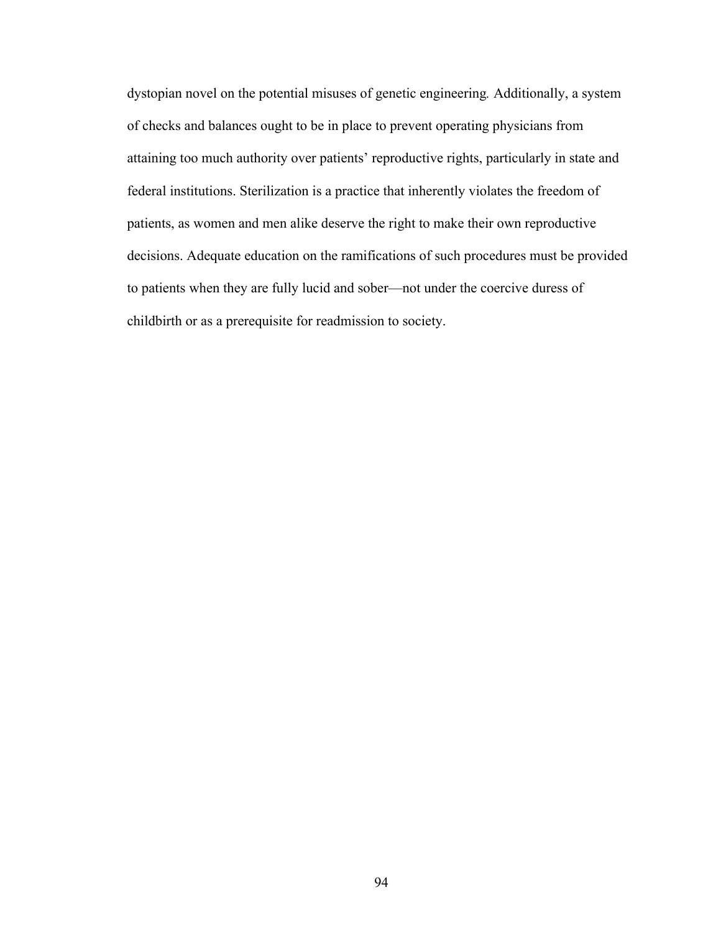dystopian novel on the potential misuses of genetic engineering*.* Additionally, a system of checks and balances ought to be in place to prevent operating physicians from attaining too much authority over patients' reproductive rights, particularly in state and federal institutions. Sterilization is a practice that inherently violates the freedom of patients, as women and men alike deserve the right to make their own reproductive decisions. Adequate education on the ramifications of such procedures must be provided to patients when they are fully lucid and sober—not under the coercive duress of childbirth or as a prerequisite for readmission to society.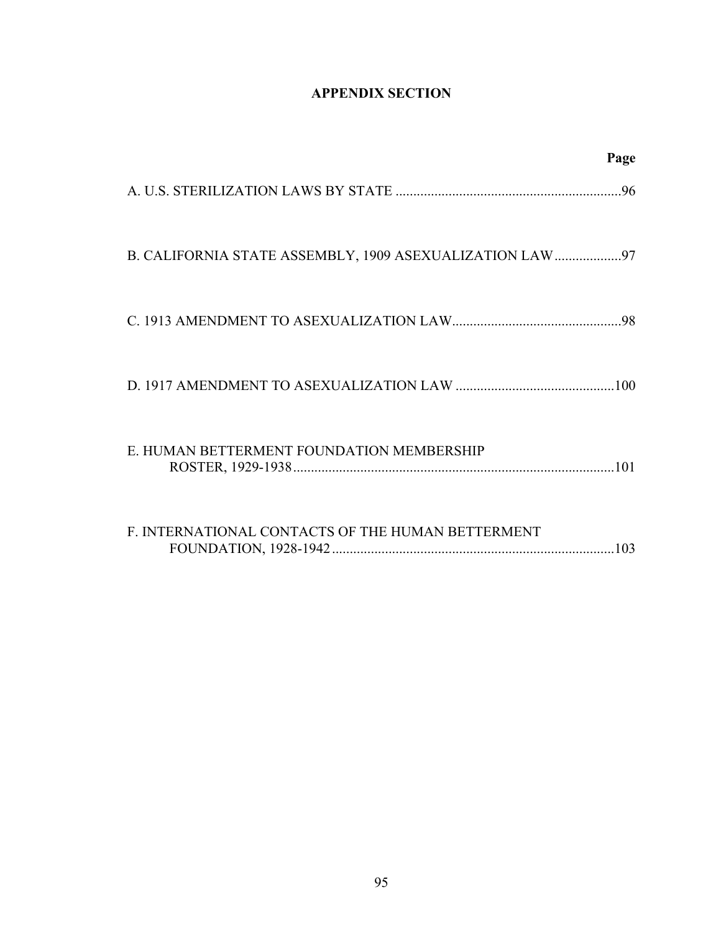# **APPENDIX SECTION**

|                                                   | Page |
|---------------------------------------------------|------|
|                                                   |      |
|                                                   |      |
|                                                   |      |
|                                                   |      |
| E. HUMAN BETTERMENT FOUNDATION MEMBERSHIP         |      |
| F. INTERNATIONAL CONTACTS OF THE HUMAN BETTERMENT |      |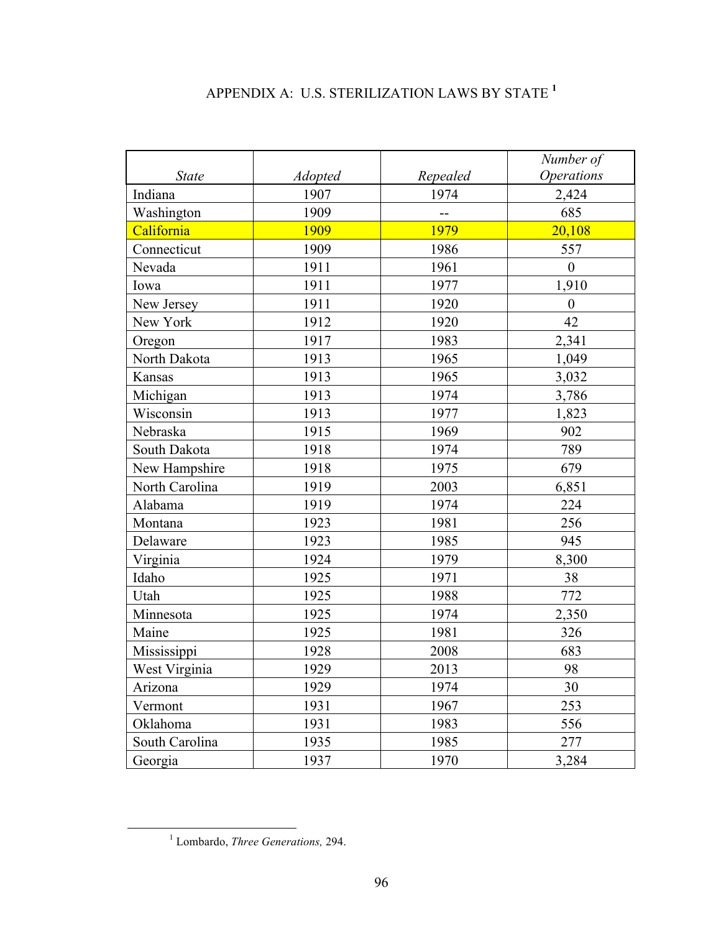# APPENDIX A: U.S. STERILIZATION LAWS BY STATE **<sup>1</sup>**

|                |                |          | Number of                |
|----------------|----------------|----------|--------------------------|
| <b>State</b>   | <b>Adopted</b> | Repealed | <i><b>Operations</b></i> |
| Indiana        | 1907           | 1974     | 2,424                    |
| Washington     | 1909           |          | 685                      |
| California     | 1909           | 1979     | 20,108                   |
| Connecticut    | 1909           | 1986     | 557                      |
| Nevada         | 1911           | 1961     | $\boldsymbol{0}$         |
| Iowa           | 1911           | 1977     | 1,910                    |
| New Jersey     | 1911           | 1920     | $\boldsymbol{0}$         |
| New York       | 1912           | 1920     | 42                       |
| Oregon         | 1917           | 1983     | 2,341                    |
| North Dakota   | 1913           | 1965     | 1,049                    |
| Kansas         | 1913           | 1965     | 3,032                    |
| Michigan       | 1913           | 1974     | 3,786                    |
| Wisconsin      | 1913           | 1977     | 1,823                    |
| Nebraska       | 1915           | 1969     | 902                      |
| South Dakota   | 1918           | 1974     | 789                      |
| New Hampshire  | 1918           | 1975     | 679                      |
| North Carolina | 1919           | 2003     | 6,851                    |
| Alabama        | 1919           | 1974     | 224                      |
| Montana        | 1923           | 1981     | 256                      |
| Delaware       | 1923           | 1985     | 945                      |
| Virginia       | 1924           | 1979     | 8,300                    |
| Idaho          | 1925           | 1971     | 38                       |
| Utah           | 1925           | 1988     | 772                      |
| Minnesota      | 1925           | 1974     | 2,350                    |
| Maine          | 1925           | 1981     | 326                      |
| Mississippi    | 1928           | 2008     | 683                      |
| West Virginia  | 1929           | 2013     | 98                       |
| Arizona        | 1929           | 1974     | 30                       |
| Vermont        | 1931           | 1967     | 253                      |
| Oklahoma       | 1931           | 1983     | 556                      |
| South Carolina | 1935           | 1985     | 277                      |
| Georgia        | 1937           | 1970     | 3,284                    |

 $\frac{1}{1}$ Lombardo, *Three Generations,* 294.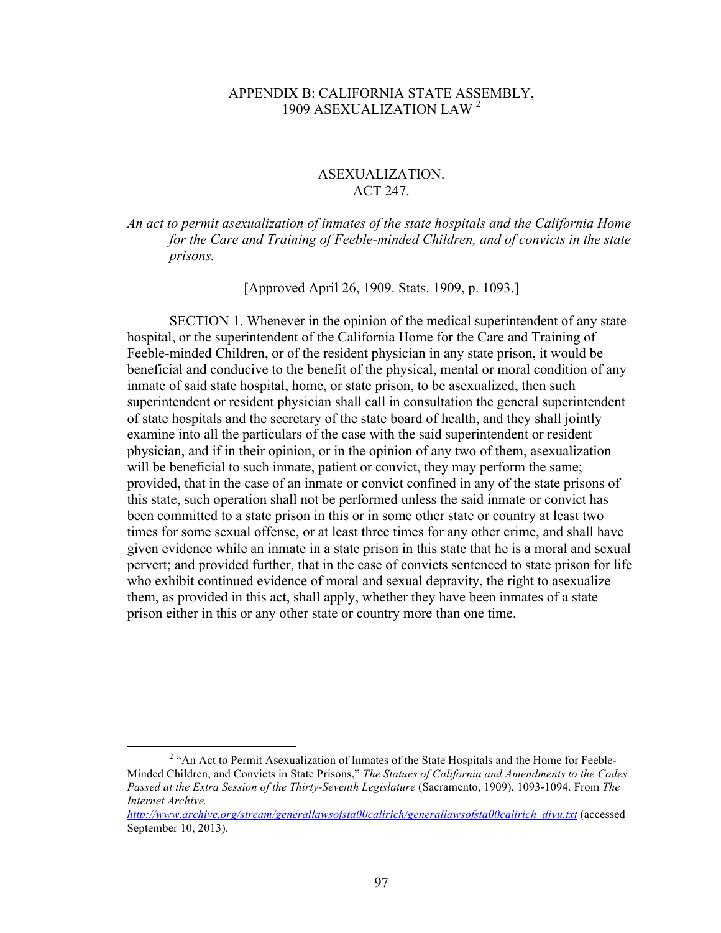# APPENDIX B: CALIFORNIA STATE ASSEMBLY, 1909 ASEXUALIZATION LAW <sup>2</sup>

# ASEXUALIZATION. ACT 247.

# *An act to permit asexualization of inmates of the state hospitals and the California Home for the Care and Training of Feeble-minded Children, and of convicts in the state prisons.*

[Approved April 26, 1909. Stats. 1909, p. 1093.]

SECTION 1. Whenever in the opinion of the medical superintendent of any state hospital, or the superintendent of the California Home for the Care and Training of Feeble-minded Children, or of the resident physician in any state prison, it would be beneficial and conducive to the benefit of the physical, mental or moral condition of any inmate of said state hospital, home, or state prison, to be asexualized, then such superintendent or resident physician shall call in consultation the general superintendent of state hospitals and the secretary of the state board of health, and they shall jointly examine into all the particulars of the case with the said superintendent or resident physician, and if in their opinion, or in the opinion of any two of them, asexualization will be beneficial to such inmate, patient or convict, they may perform the same; provided, that in the case of an inmate or convict confined in any of the state prisons of this state, such operation shall not be performed unless the said inmate or convict has been committed to a state prison in this or in some other state or country at least two times for some sexual offense, or at least three times for any other crime, and shall have given evidence while an inmate in a state prison in this state that he is a moral and sexual pervert; and provided further, that in the case of convicts sentenced to state prison for life who exhibit continued evidence of moral and sexual depravity, the right to asexualize them, as provided in this act, shall apply, whether they have been inmates of a state prison either in this or any other state or country more than one time.

<sup>&</sup>lt;sup>2</sup> "An Act to Permit Asexualization of Inmates of the State Hospitals and the Home for Feeble-Minded Children, and Convicts in State Prisons," *The Statues of California and Amendments to the Codes Passed at the Extra Session of the Thirty-Seventh Legislature* (Sacramento, 1909), 1093-1094. From *The Internet Archive.*

*http://www.archive.org/stream/generallawsofsta00calirich/generallawsofsta00calirich\_djvu.txt* (accessed September 10, 2013).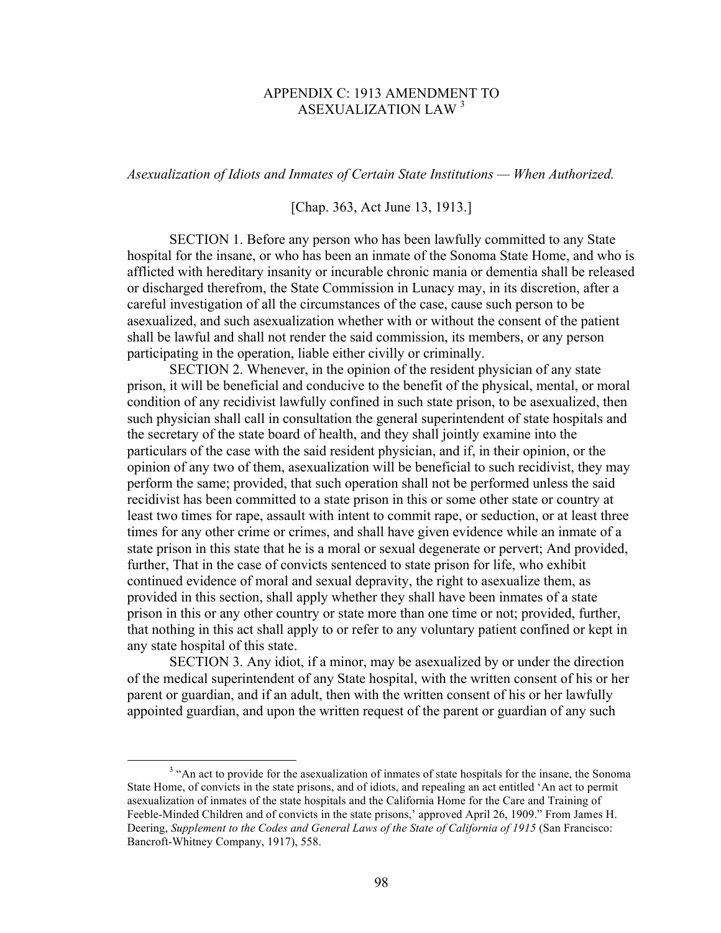# APPENDIX C: 1913 AMENDMENT TO ASEXUALIZATION LAW <sup>3</sup>

*Asexualization of Idiots and Inmates of Certain State Institutions — When Authorized.* 

[Chap. 363, Act June 13, 1913.]

SECTION 1. Before any person who has been lawfully committed to any State hospital for the insane, or who has been an inmate of the Sonoma State Home, and who is afflicted with hereditary insanity or incurable chronic mania or dementia shall be released or discharged therefrom, the State Commission in Lunacy may, in its discretion, after a careful investigation of all the circumstances of the case, cause such person to be asexualized, and such asexualization whether with or without the consent of the patient shall be lawful and shall not render the said commission, its members, or any person participating in the operation, liable either civilly or criminally.

SECTION 2. Whenever, in the opinion of the resident physician of any state prison, it will be beneficial and conducive to the benefit of the physical, mental, or moral condition of any recidivist lawfully confined in such state prison, to be asexualized, then such physician shall call in consultation the general superintendent of state hospitals and the secretary of the state board of health, and they shall jointly examine into the particulars of the case with the said resident physician, and if, in their opinion, or the opinion of any two of them, asexualization will be beneficial to such recidivist, they may perform the same; provided, that such operation shall not be performed unless the said recidivist has been committed to a state prison in this or some other state or country at least two times for rape, assault with intent to commit rape, or seduction, or at least three times for any other crime or crimes, and shall have given evidence while an inmate of a state prison in this state that he is a moral or sexual degenerate or pervert; And provided, further, That in the case of convicts sentenced to state prison for life, who exhibit continued evidence of moral and sexual depravity, the right to asexualize them, as provided in this section, shall apply whether they shall have been inmates of a state prison in this or any other country or state more than one time or not; provided, further, that nothing in this act shall apply to or refer to any voluntary patient confined or kept in any state hospital of this state.

SECTION 3. Any idiot, if a minor, may be asexualized by or under the direction of the medical superintendent of any State hospital, with the written consent of his or her parent or guardian, and if an adult, then with the written consent of his or her lawfully appointed guardian, and upon the written request of the parent or guardian of any such

 <sup>3</sup> <sup>3</sup> "An act to provide for the asexualization of inmates of state hospitals for the insane, the Sonoma State Home, of convicts in the state prisons, and of idiots, and repealing an act entitled 'An act to permit asexualization of inmates of the state hospitals and the California Home for the Care and Training of Feeble-Minded Children and of convicts in the state prisons,' approved April 26, 1909." From James H. Deering, *Supplement to the Codes and General Laws of the State of California of 1915* (San Francisco: Bancroft-Whitney Company, 1917), 558.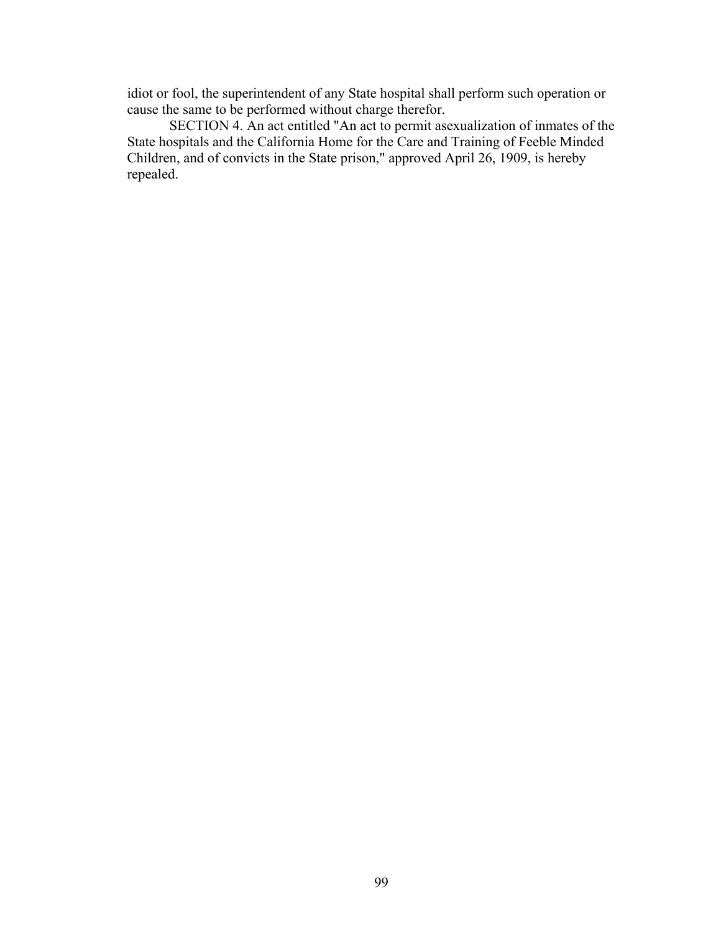idiot or fool, the superintendent of any State hospital shall perform such operation or cause the same to be performed without charge therefor.

SECTION 4. An act entitled "An act to permit asexualization of inmates of the State hospitals and the California Home for the Care and Training of Feeble Minded Children, and of convicts in the State prison," approved April 26, 1909, is hereby repealed.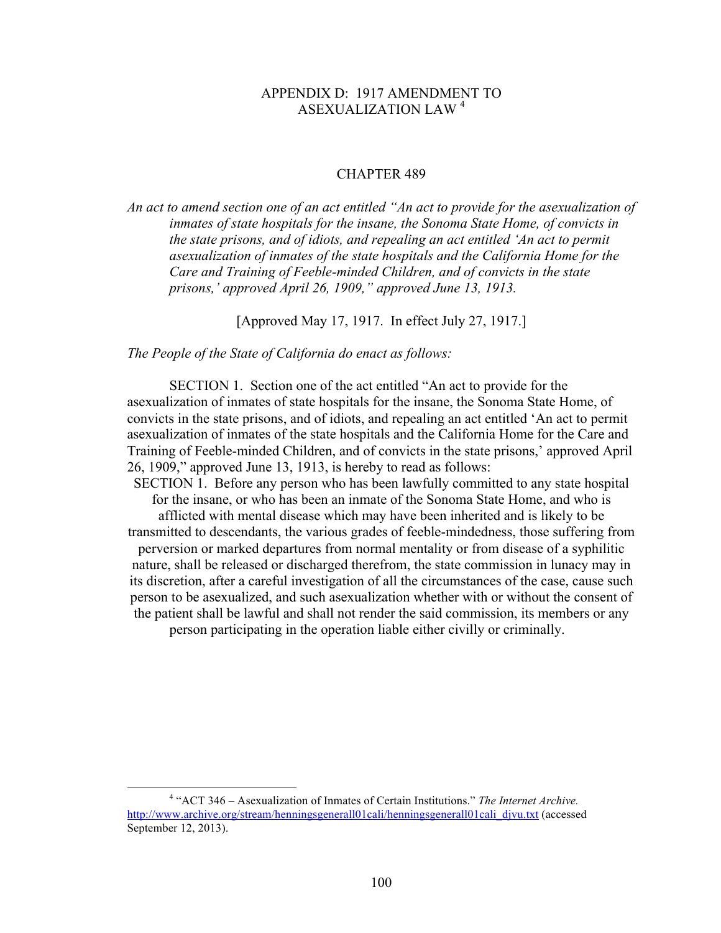# APPENDIX D: 1917 AMENDMENT TO ASEXUALIZATION LAW <sup>4</sup>

#### CHAPTER 489

*An act to amend section one of an act entitled "An act to provide for the asexualization of inmates of state hospitals for the insane, the Sonoma State Home, of convicts in the state prisons, and of idiots, and repealing an act entitled 'An act to permit asexualization of inmates of the state hospitals and the California Home for the Care and Training of Feeble-minded Children, and of convicts in the state prisons,' approved April 26, 1909," approved June 13, 1913.*

[Approved May 17, 1917. In effect July 27, 1917.]

*The People of the State of California do enact as follows:*

SECTION 1. Section one of the act entitled "An act to provide for the asexualization of inmates of state hospitals for the insane, the Sonoma State Home, of convicts in the state prisons, and of idiots, and repealing an act entitled 'An act to permit asexualization of inmates of the state hospitals and the California Home for the Care and Training of Feeble-minded Children, and of convicts in the state prisons,' approved April 26, 1909," approved June 13, 1913, is hereby to read as follows:

SECTION 1. Before any person who has been lawfully committed to any state hospital for the insane, or who has been an inmate of the Sonoma State Home, and who is afflicted with mental disease which may have been inherited and is likely to be transmitted to descendants, the various grades of feeble-mindedness, those suffering from perversion or marked departures from normal mentality or from disease of a syphilitic nature, shall be released or discharged therefrom, the state commission in lunacy may in its discretion, after a careful investigation of all the circumstances of the case, cause such person to be asexualized, and such asexualization whether with or without the consent of the patient shall be lawful and shall not render the said commission, its members or any person participating in the operation liable either civilly or criminally.

 <sup>4</sup> "ACT 346 – Asexualization of Inmates of Certain Institutions." *The Internet Archive.* http://www.archive.org/stream/henningsgenerall01cali/henningsgenerall01cali\_divu.txt (accessed September 12, 2013).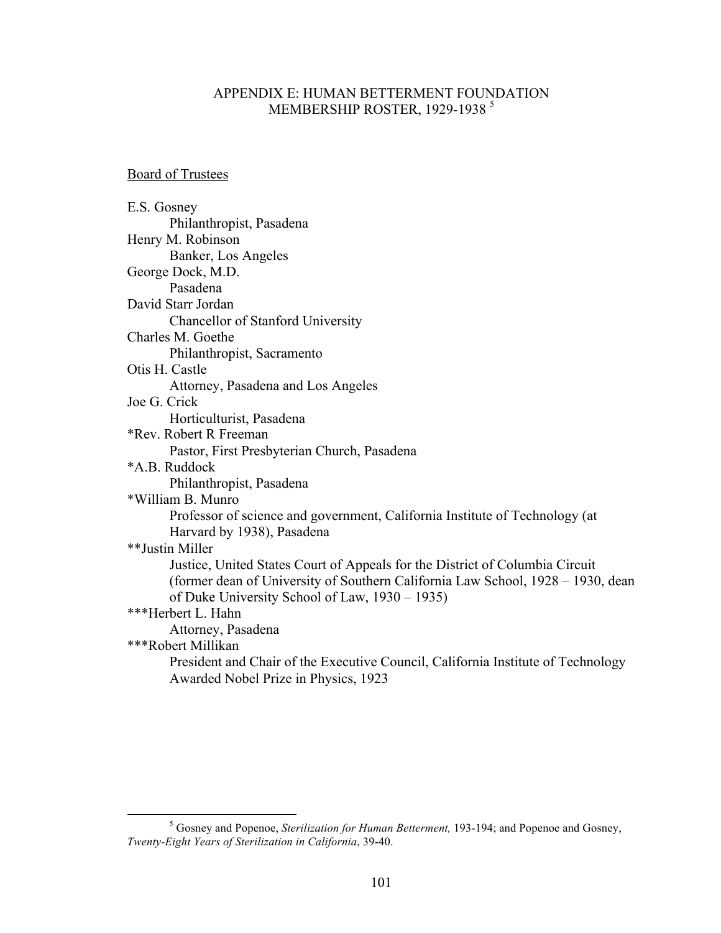# APPENDIX E: HUMAN BETTERMENT FOUNDATION MEMBERSHIP ROSTER, 1929-1938<sup>5</sup>

Board of Trustees

| E.S. Gosney                                                                      |
|----------------------------------------------------------------------------------|
| Philanthropist, Pasadena                                                         |
| Henry M. Robinson                                                                |
| Banker, Los Angeles                                                              |
| George Dock, M.D.                                                                |
| Pasadena                                                                         |
| David Starr Jordan                                                               |
| Chancellor of Stanford University                                                |
| Charles M. Goethe                                                                |
| Philanthropist, Sacramento                                                       |
| Otis H. Castle                                                                   |
| Attorney, Pasadena and Los Angeles                                               |
| Joe G. Crick                                                                     |
| Horticulturist, Pasadena                                                         |
| *Rev. Robert R Freeman                                                           |
| Pastor, First Presbyterian Church, Pasadena                                      |
| *A.B. Ruddock                                                                    |
| Philanthropist, Pasadena                                                         |
| *William B. Munro                                                                |
| Professor of science and government, California Institute of Technology (at      |
| Harvard by 1938), Pasadena                                                       |
| **Justin Miller                                                                  |
| Justice, United States Court of Appeals for the District of Columbia Circuit     |
| (former dean of University of Southern California Law School, 1928 – 1930, dean  |
| of Duke University School of Law, 1930 – 1935)                                   |
| ***Herbert L. Hahn                                                               |
| Attorney, Pasadena                                                               |
| ***Robert Millikan                                                               |
| President and Chair of the Executive Council, California Institute of Technology |
| Awarded Nobel Prize in Physics, 1923                                             |
|                                                                                  |

 $\frac{1}{5}$  Gosney and Popenoe, *Sterilization for Human Betterment,* 193-194; and Popenoe and Gosney, *Twenty-Eight Years of Sterilization in California*, 39-40.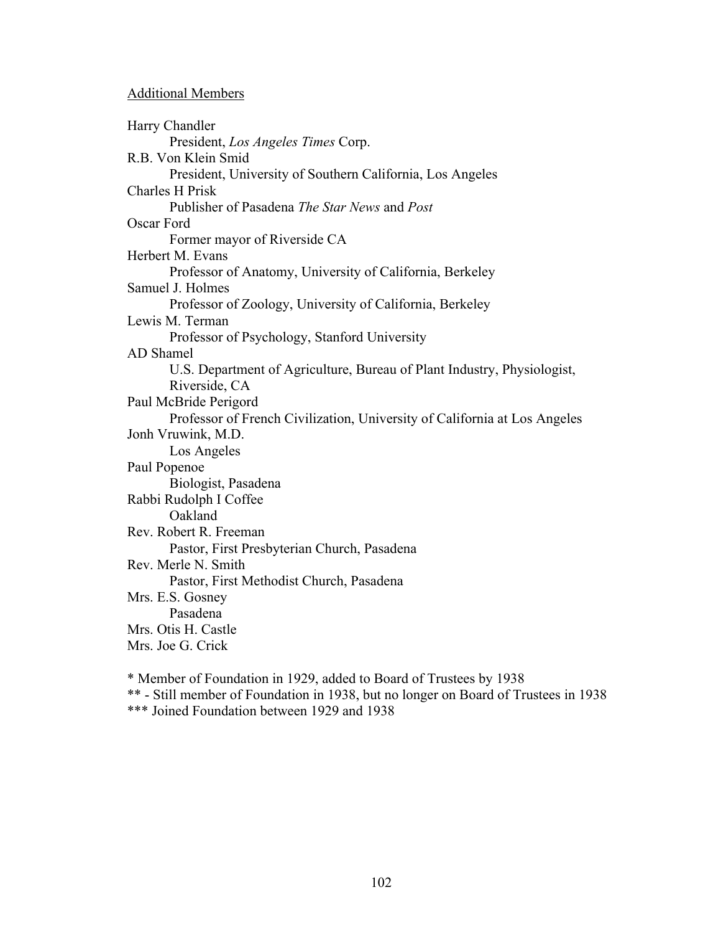## Additional Members

Harry Chandler President, *Los Angeles Times* Corp. R.B. Von Klein Smid President, University of Southern California, Los Angeles Charles H Prisk Publisher of Pasadena *The Star News* and *Post* Oscar Ford Former mayor of Riverside CA Herbert M. Evans Professor of Anatomy, University of California, Berkeley Samuel J. Holmes Professor of Zoology, University of California, Berkeley Lewis M. Terman Professor of Psychology, Stanford University AD Shamel U.S. Department of Agriculture, Bureau of Plant Industry, Physiologist, Riverside, CA Paul McBride Perigord Professor of French Civilization, University of California at Los Angeles Jonh Vruwink, M.D. Los Angeles Paul Popenoe Biologist, Pasadena Rabbi Rudolph I Coffee Oakland Rev. Robert R. Freeman Pastor, First Presbyterian Church, Pasadena Rev. Merle N. Smith Pastor, First Methodist Church, Pasadena Mrs. E.S. Gosney Pasadena Mrs. Otis H. Castle Mrs. Joe G. Crick

\* Member of Foundation in 1929, added to Board of Trustees by 1938 \*\* - Still member of Foundation in 1938, but no longer on Board of Trustees in 1938

\*\*\* Joined Foundation between 1929 and 1938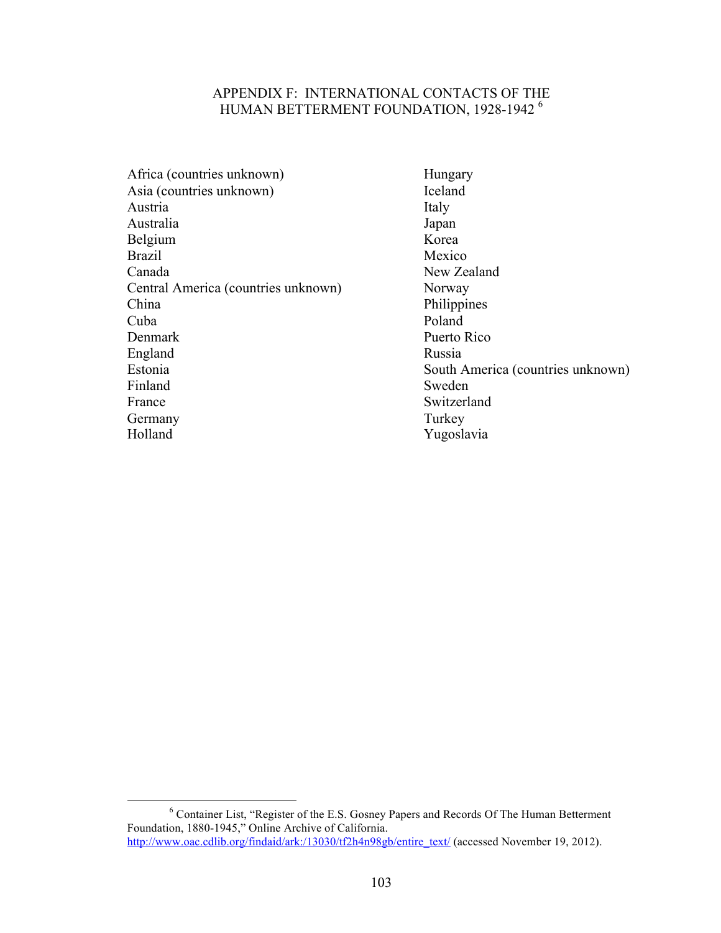# APPENDIX F: INTERNATIONAL CONTACTS OF THE HUMAN BETTERMENT FOUNDATION, 1928-1942 <sup>6</sup>

| Hungary     |
|-------------|
| Iceland     |
| Italy       |
| Japan       |
| Korea       |
| Mexico      |
| New Zealan  |
| Norway      |
| Philippines |
| Poland      |
| Puerto Rico |
| Russia      |
| South Amer  |
| Sweden      |
| Switzerland |
| Turkey      |
| Yugoslavia  |
|             |

Hungary Iceland Mexico New Zealand Norway Philippines<br>Poland Puerto Rico South America (countries unknown) Sweden Switzerland Turkey

 <sup>6</sup> Container List, "Register of the E.S. Gosney Papers and Records Of The Human Betterment Foundation, 1880-1945," Online Archive of California. http://www.oac.cdlib.org/findaid/ark:/13030/tf2h4n98gb/entire\_text/ (accessed November 19, 2012).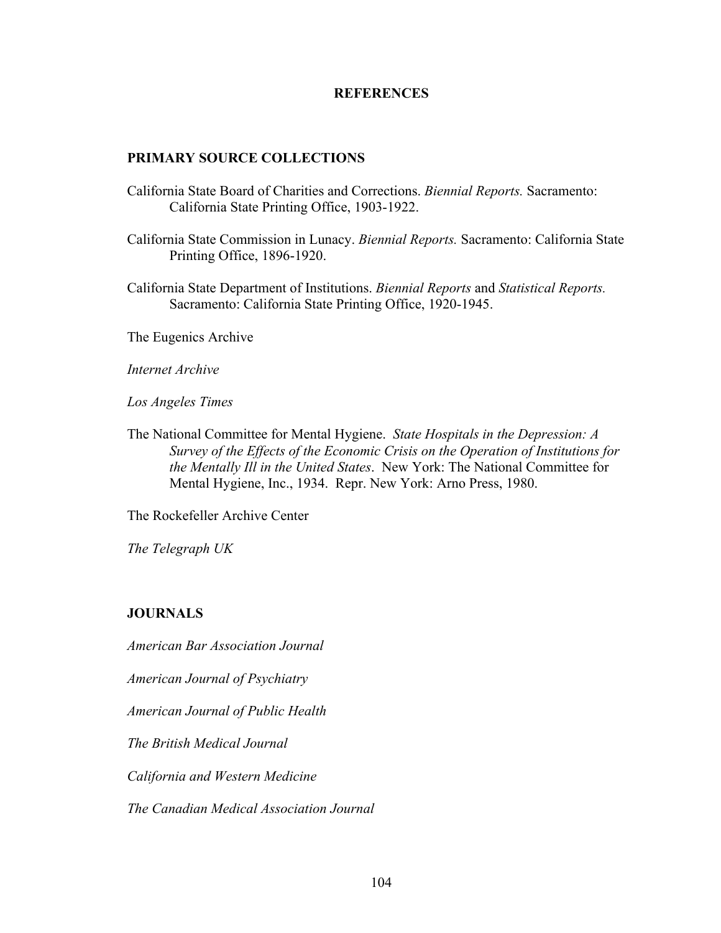## **REFERENCES**

## **PRIMARY SOURCE COLLECTIONS**

- California State Board of Charities and Corrections. *Biennial Reports.* Sacramento: California State Printing Office, 1903-1922.
- California State Commission in Lunacy. *Biennial Reports.* Sacramento: California State Printing Office, 1896-1920.
- California State Department of Institutions. *Biennial Reports* and *Statistical Reports.* Sacramento: California State Printing Office, 1920-1945.

The Eugenics Archive

*Internet Archive*

*Los Angeles Times*

The National Committee for Mental Hygiene. *State Hospitals in the Depression: A Survey of the Effects of the Economic Crisis on the Operation of Institutions for the Mentally Ill in the United States*. New York: The National Committee for Mental Hygiene, Inc., 1934. Repr. New York: Arno Press, 1980.

The Rockefeller Archive Center

*The Telegraph UK*

### **JOURNALS**

*American Bar Association Journal*

*American Journal of Psychiatry*

*American Journal of Public Health*

*The British Medical Journal*

*California and Western Medicine*

*The Canadian Medical Association Journal*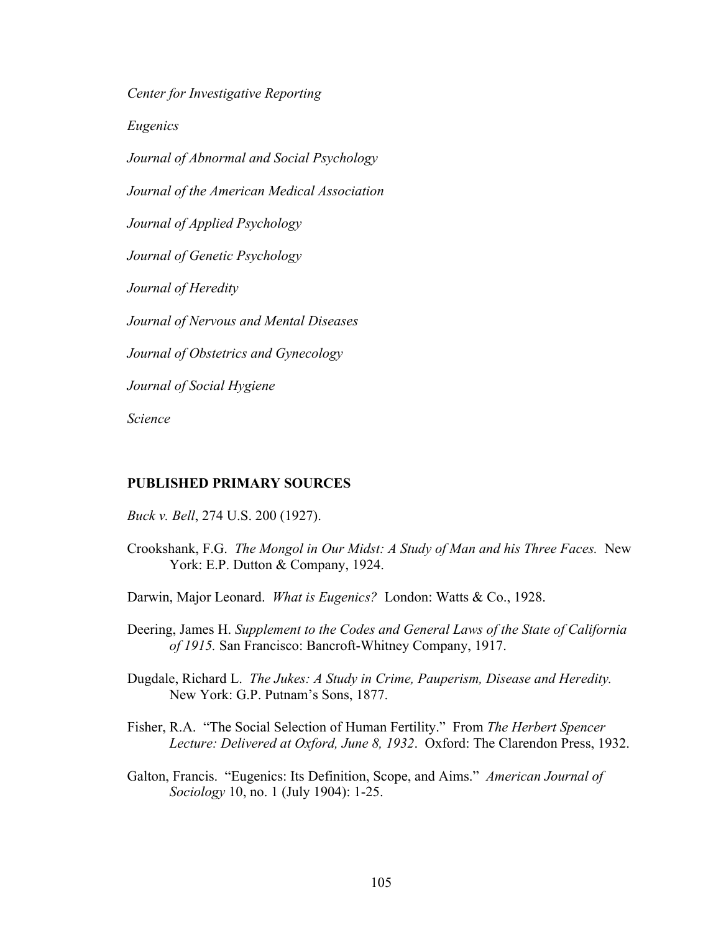*Center for Investigative Reporting Eugenics Journal of Abnormal and Social Psychology Journal of the American Medical Association Journal of Applied Psychology Journal of Genetic Psychology Journal of Heredity Journal of Nervous and Mental Diseases Journal of Obstetrics and Gynecology Journal of Social Hygiene Science*

### **PUBLISHED PRIMARY SOURCES**

- *Buck v. Bell*, 274 U.S. 200 (1927).
- Crookshank, F.G. *The Mongol in Our Midst: A Study of Man and his Three Faces.* New York: E.P. Dutton & Company, 1924.
- Darwin, Major Leonard. *What is Eugenics?* London: Watts & Co., 1928.
- Deering, James H. *Supplement to the Codes and General Laws of the State of California of 1915.* San Francisco: Bancroft-Whitney Company, 1917.
- Dugdale, Richard L. *The Jukes: A Study in Crime, Pauperism, Disease and Heredity.* New York: G.P. Putnam's Sons, 1877.
- Fisher, R.A. "The Social Selection of Human Fertility." From *The Herbert Spencer Lecture: Delivered at Oxford, June 8, 1932*. Oxford: The Clarendon Press, 1932.
- Galton, Francis. "Eugenics: Its Definition, Scope, and Aims." *American Journal of Sociology* 10, no. 1 (July 1904): 1-25.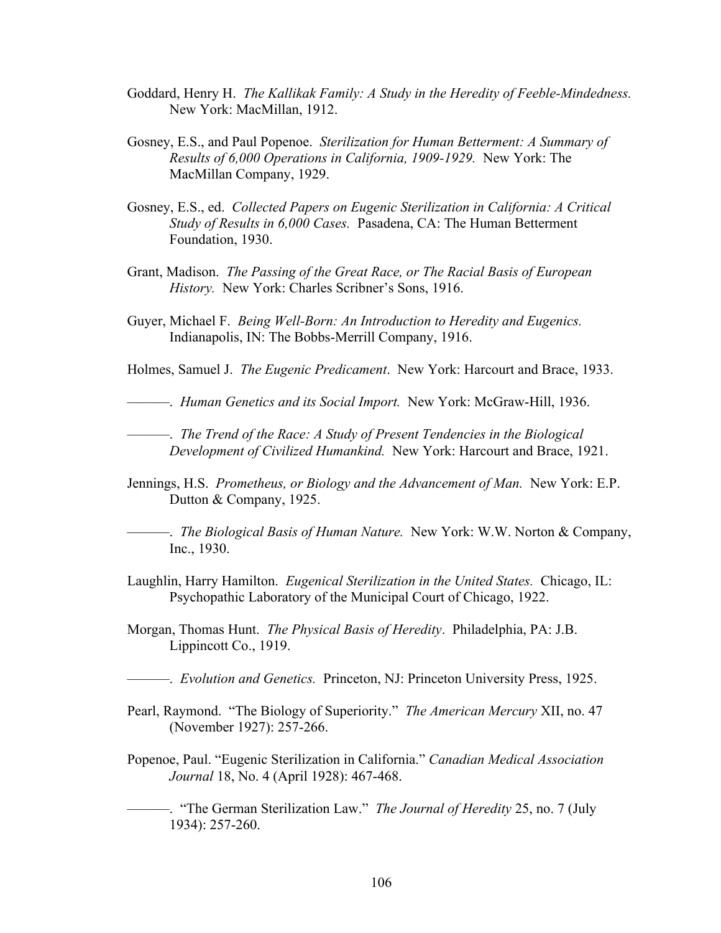- Goddard, Henry H. *The Kallikak Family: A Study in the Heredity of Feeble-Mindedness.*  New York: MacMillan, 1912.
- Gosney, E.S., and Paul Popenoe. *Sterilization for Human Betterment: A Summary of Results of 6,000 Operations in California, 1909-1929.* New York: The MacMillan Company, 1929.
- Gosney, E.S., ed. *Collected Papers on Eugenic Sterilization in California: A Critical Study of Results in 6,000 Cases.* Pasadena, CA: The Human Betterment Foundation, 1930.
- Grant, Madison. *The Passing of the Great Race, or The Racial Basis of European History.* New York: Charles Scribner's Sons, 1916.
- Guyer, Michael F. *Being Well-Born: An Introduction to Heredity and Eugenics.* Indianapolis, IN: The Bobbs-Merrill Company, 1916.
- Holmes, Samuel J. *The Eugenic Predicament*. New York: Harcourt and Brace, 1933.
- ———. *Human Genetics and its Social Import.* New York: McGraw-Hill, 1936.

———. *The Trend of the Race: A Study of Present Tendencies in the Biological Development of Civilized Humankind.* New York: Harcourt and Brace, 1921.

- Jennings, H.S. *Prometheus, or Biology and the Advancement of Man.* New York: E.P. Dutton & Company, 1925.
- ———. *The Biological Basis of Human Nature.* New York: W.W. Norton & Company, Inc., 1930.
- Laughlin, Harry Hamilton. *Eugenical Sterilization in the United States.* Chicago, IL: Psychopathic Laboratory of the Municipal Court of Chicago, 1922.
- Morgan, Thomas Hunt. *The Physical Basis of Heredity*. Philadelphia, PA: J.B. Lippincott Co., 1919.
	- ———. *Evolution and Genetics.* Princeton, NJ: Princeton University Press, 1925.
- Pearl, Raymond. "The Biology of Superiority." *The American Mercury* XII, no. 47 (November 1927): 257-266.
- Popenoe, Paul. "Eugenic Sterilization in California." *Canadian Medical Association Journal* 18, No. 4 (April 1928): 467-468.
- ———. "The German Sterilization Law." *The Journal of Heredity* 25, no. 7 (July 1934): 257-260.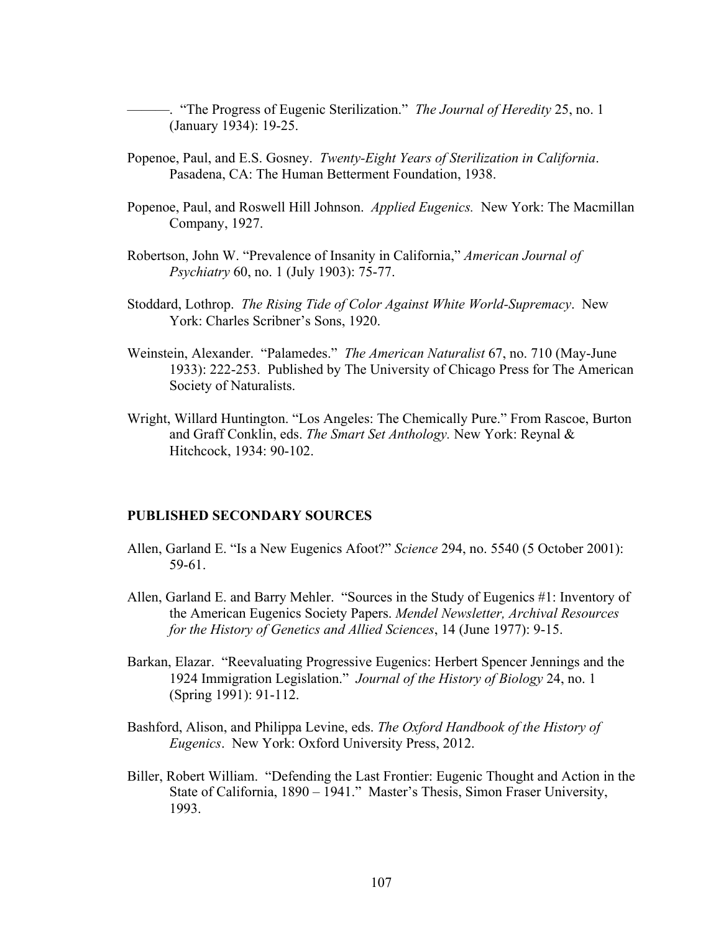- ———. "The Progress of Eugenic Sterilization." *The Journal of Heredity* 25, no. 1 (January 1934): 19-25.
- Popenoe, Paul, and E.S. Gosney. *Twenty-Eight Years of Sterilization in California*. Pasadena, CA: The Human Betterment Foundation, 1938.
- Popenoe, Paul, and Roswell Hill Johnson. *Applied Eugenics.* New York: The Macmillan Company, 1927.
- Robertson, John W. "Prevalence of Insanity in California," *American Journal of Psychiatry* 60, no. 1 (July 1903): 75-77.
- Stoddard, Lothrop. *The Rising Tide of Color Against White World-Supremacy*. New York: Charles Scribner's Sons, 1920.
- Weinstein, Alexander. "Palamedes." *The American Naturalist* 67, no. 710 (May-June 1933): 222-253. Published by The University of Chicago Press for The American Society of Naturalists.
- Wright, Willard Huntington. "Los Angeles: The Chemically Pure." From Rascoe, Burton and Graff Conklin, eds. *The Smart Set Anthology.* New York: Reynal & Hitchcock, 1934: 90-102.

#### **PUBLISHED SECONDARY SOURCES**

- Allen, Garland E. "Is a New Eugenics Afoot?" *Science* 294, no. 5540 (5 October 2001): 59-61.
- Allen, Garland E. and Barry Mehler. "Sources in the Study of Eugenics #1: Inventory of the American Eugenics Society Papers. *Mendel Newsletter, Archival Resources for the History of Genetics and Allied Sciences*, 14 (June 1977): 9-15.
- Barkan, Elazar. "Reevaluating Progressive Eugenics: Herbert Spencer Jennings and the 1924 Immigration Legislation." *Journal of the History of Biology* 24, no. 1 (Spring 1991): 91-112.
- Bashford, Alison, and Philippa Levine, eds. *The Oxford Handbook of the History of Eugenics*. New York: Oxford University Press, 2012.
- Biller, Robert William. "Defending the Last Frontier: Eugenic Thought and Action in the State of California, 1890 – 1941." Master's Thesis, Simon Fraser University, 1993.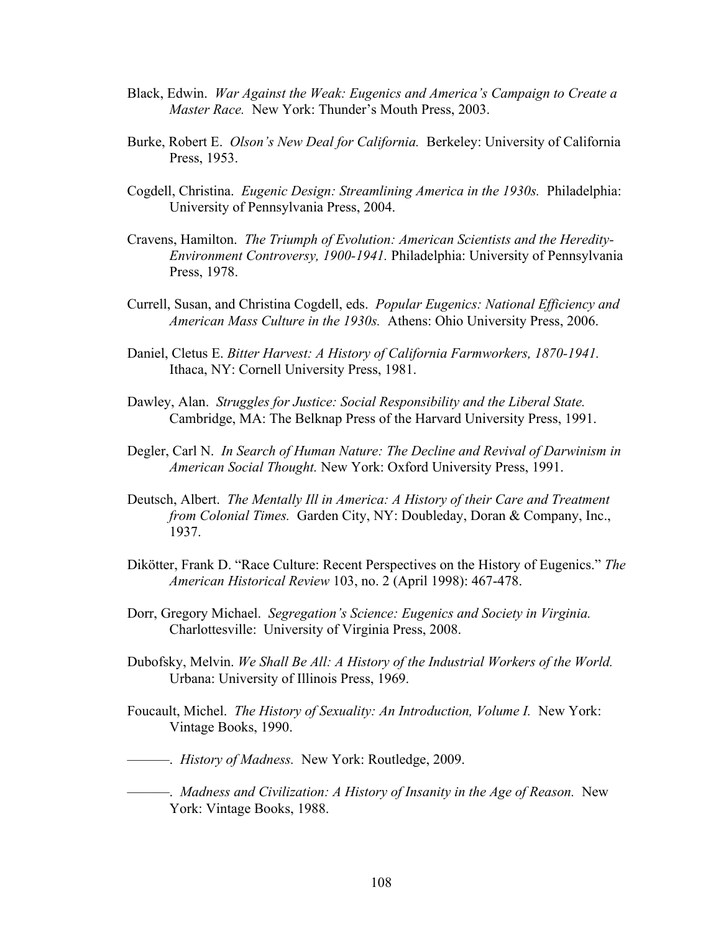- Black, Edwin. *War Against the Weak: Eugenics and America's Campaign to Create a Master Race.* New York: Thunder's Mouth Press, 2003.
- Burke, Robert E. *Olson's New Deal for California.* Berkeley: University of California Press, 1953.
- Cogdell, Christina. *Eugenic Design: Streamlining America in the 1930s.* Philadelphia: University of Pennsylvania Press, 2004.
- Cravens, Hamilton. *The Triumph of Evolution: American Scientists and the Heredity-Environment Controversy, 1900-1941.* Philadelphia: University of Pennsylvania Press, 1978.
- Currell, Susan, and Christina Cogdell, eds. *Popular Eugenics: National Efficiency and American Mass Culture in the 1930s.* Athens: Ohio University Press, 2006.
- Daniel, Cletus E. *Bitter Harvest: A History of California Farmworkers, 1870-1941.* Ithaca, NY: Cornell University Press, 1981.
- Dawley, Alan. *Struggles for Justice: Social Responsibility and the Liberal State.* Cambridge, MA: The Belknap Press of the Harvard University Press, 1991.
- Degler, Carl N. *In Search of Human Nature: The Decline and Revival of Darwinism in American Social Thought.* New York: Oxford University Press, 1991.
- Deutsch, Albert. *The Mentally Ill in America: A History of their Care and Treatment from Colonial Times.* Garden City, NY: Doubleday, Doran & Company, Inc., 1937.
- Dikötter, Frank D. "Race Culture: Recent Perspectives on the History of Eugenics." *The American Historical Review* 103, no. 2 (April 1998): 467-478.
- Dorr, Gregory Michael. *Segregation's Science: Eugenics and Society in Virginia.* Charlottesville: University of Virginia Press, 2008.
- Dubofsky, Melvin. *We Shall Be All: A History of the Industrial Workers of the World.* Urbana: University of Illinois Press, 1969.
- Foucault, Michel. *The History of Sexuality: An Introduction, Volume I.* New York: Vintage Books, 1990.
- ———. *History of Madness.* New York: Routledge, 2009.
- ———. *Madness and Civilization: A History of Insanity in the Age of Reason.* New York: Vintage Books, 1988.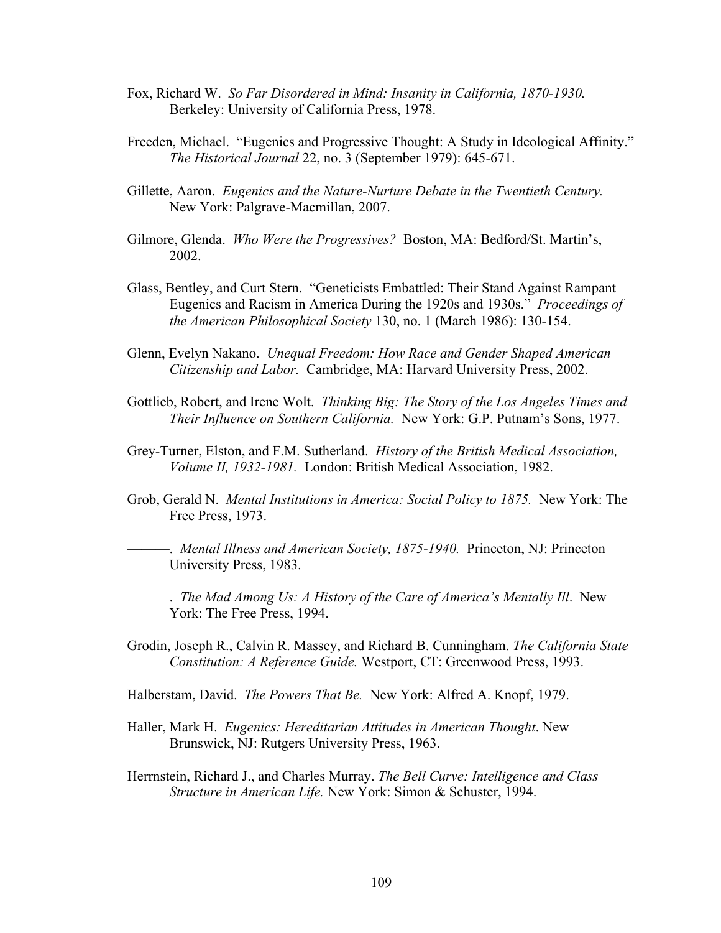- Fox, Richard W. *So Far Disordered in Mind: Insanity in California, 1870-1930.* Berkeley: University of California Press, 1978.
- Freeden, Michael. "Eugenics and Progressive Thought: A Study in Ideological Affinity." *The Historical Journal* 22, no. 3 (September 1979): 645-671.
- Gillette, Aaron. *Eugenics and the Nature-Nurture Debate in the Twentieth Century.* New York: Palgrave-Macmillan, 2007.
- Gilmore, Glenda. *Who Were the Progressives?* Boston, MA: Bedford/St. Martin's, 2002.
- Glass, Bentley, and Curt Stern. "Geneticists Embattled: Their Stand Against Rampant Eugenics and Racism in America During the 1920s and 1930s." *Proceedings of the American Philosophical Society* 130, no. 1 (March 1986): 130-154.
- Glenn, Evelyn Nakano. *Unequal Freedom: How Race and Gender Shaped American Citizenship and Labor.* Cambridge, MA: Harvard University Press, 2002.
- Gottlieb, Robert, and Irene Wolt. *Thinking Big: The Story of the Los Angeles Times and Their Influence on Southern California.* New York: G.P. Putnam's Sons, 1977.
- Grey-Turner, Elston, and F.M. Sutherland. *History of the British Medical Association, Volume II, 1932-1981.* London: British Medical Association, 1982.
- Grob, Gerald N. *Mental Institutions in America: Social Policy to 1875.* New York: The Free Press, 1973.

———. *Mental Illness and American Society, 1875-1940.* Princeton, NJ: Princeton University Press, 1983.

———. *The Mad Among Us: A History of the Care of America's Mentally Ill*. New York: The Free Press, 1994.

- Grodin, Joseph R., Calvin R. Massey, and Richard B. Cunningham. *The California State Constitution: A Reference Guide.* Westport, CT: Greenwood Press, 1993.
- Halberstam, David. *The Powers That Be.* New York: Alfred A. Knopf, 1979.
- Haller, Mark H. *Eugenics: Hereditarian Attitudes in American Thought*. New Brunswick, NJ: Rutgers University Press, 1963.
- Herrnstein, Richard J., and Charles Murray. *The Bell Curve: Intelligence and Class Structure in American Life.* New York: Simon & Schuster, 1994.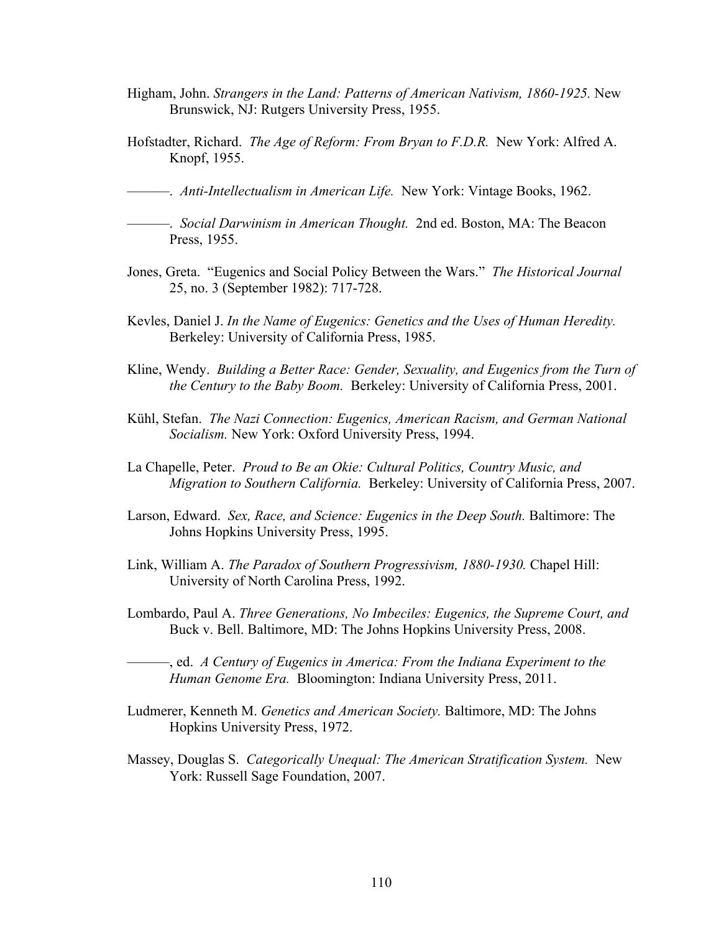- Higham, John. *Strangers in the Land: Patterns of American Nativism, 1860-1925.* New Brunswick, NJ: Rutgers University Press, 1955.
- Hofstadter, Richard. *The Age of Reform: From Bryan to F.D.R.* New York: Alfred A. Knopf, 1955.

———. *Anti-Intellectualism in American Life.* New York: Vintage Books, 1962.

- ———. *Social Darwinism in American Thought.* 2nd ed. Boston, MA: The Beacon Press, 1955.
- Jones, Greta. "Eugenics and Social Policy Between the Wars." *The Historical Journal* 25, no. 3 (September 1982): 717-728.
- Kevles, Daniel J. *In the Name of Eugenics: Genetics and the Uses of Human Heredity.* Berkeley: University of California Press, 1985.
- Kline, Wendy. *Building a Better Race: Gender, Sexuality, and Eugenics from the Turn of the Century to the Baby Boom.* Berkeley: University of California Press, 2001.
- Kühl, Stefan. *The Nazi Connection: Eugenics, American Racism, and German National Socialism.* New York: Oxford University Press, 1994.
- La Chapelle, Peter. *Proud to Be an Okie: Cultural Politics, Country Music, and Migration to Southern California.* Berkeley: University of California Press, 2007.
- Larson, Edward. *Sex, Race, and Science: Eugenics in the Deep South.* Baltimore: The Johns Hopkins University Press, 1995.
- Link, William A. *The Paradox of Southern Progressivism, 1880-1930.* Chapel Hill: University of North Carolina Press, 1992.
- Lombardo, Paul A. *Three Generations, No Imbeciles: Eugenics, the Supreme Court, and*  Buck v. Bell. Baltimore, MD: The Johns Hopkins University Press, 2008.

———, ed. *A Century of Eugenics in America: From the Indiana Experiment to the Human Genome Era.* Bloomington: Indiana University Press, 2011.

- Ludmerer, Kenneth M. *Genetics and American Society.* Baltimore, MD: The Johns Hopkins University Press, 1972.
- Massey, Douglas S. *Categorically Unequal: The American Stratification System.* New York: Russell Sage Foundation, 2007.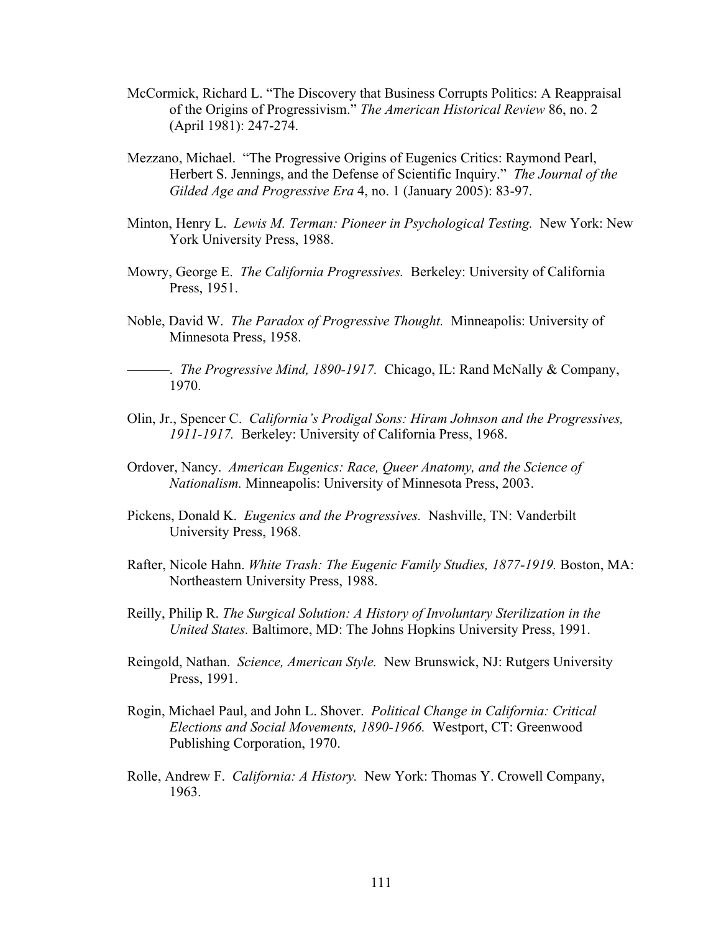- McCormick, Richard L. "The Discovery that Business Corrupts Politics: A Reappraisal of the Origins of Progressivism." *The American Historical Review* 86, no. 2 (April 1981): 247-274.
- Mezzano, Michael. "The Progressive Origins of Eugenics Critics: Raymond Pearl, Herbert S. Jennings, and the Defense of Scientific Inquiry." *The Journal of the Gilded Age and Progressive Era* 4, no. 1 (January 2005): 83-97.
- Minton, Henry L. *Lewis M. Terman: Pioneer in Psychological Testing.* New York: New York University Press, 1988.
- Mowry, George E. *The California Progressives.* Berkeley: University of California Press, 1951.
- Noble, David W. *The Paradox of Progressive Thought.* Minneapolis: University of Minnesota Press, 1958.

———. *The Progressive Mind, 1890-1917.* Chicago, IL: Rand McNally & Company, 1970.

- Olin, Jr., Spencer C. *California's Prodigal Sons: Hiram Johnson and the Progressives, 1911-1917.* Berkeley: University of California Press, 1968.
- Ordover, Nancy. *American Eugenics: Race, Queer Anatomy, and the Science of Nationalism.* Minneapolis: University of Minnesota Press, 2003.
- Pickens, Donald K. *Eugenics and the Progressives.* Nashville, TN: Vanderbilt University Press, 1968.
- Rafter, Nicole Hahn. *White Trash: The Eugenic Family Studies, 1877-1919.* Boston, MA: Northeastern University Press, 1988.
- Reilly, Philip R. *The Surgical Solution: A History of Involuntary Sterilization in the United States.* Baltimore, MD: The Johns Hopkins University Press, 1991.
- Reingold, Nathan. *Science, American Style.* New Brunswick, NJ: Rutgers University Press, 1991.
- Rogin, Michael Paul, and John L. Shover. *Political Change in California: Critical Elections and Social Movements, 1890-1966.* Westport, CT: Greenwood Publishing Corporation, 1970.
- Rolle, Andrew F. *California: A History.* New York: Thomas Y. Crowell Company, 1963.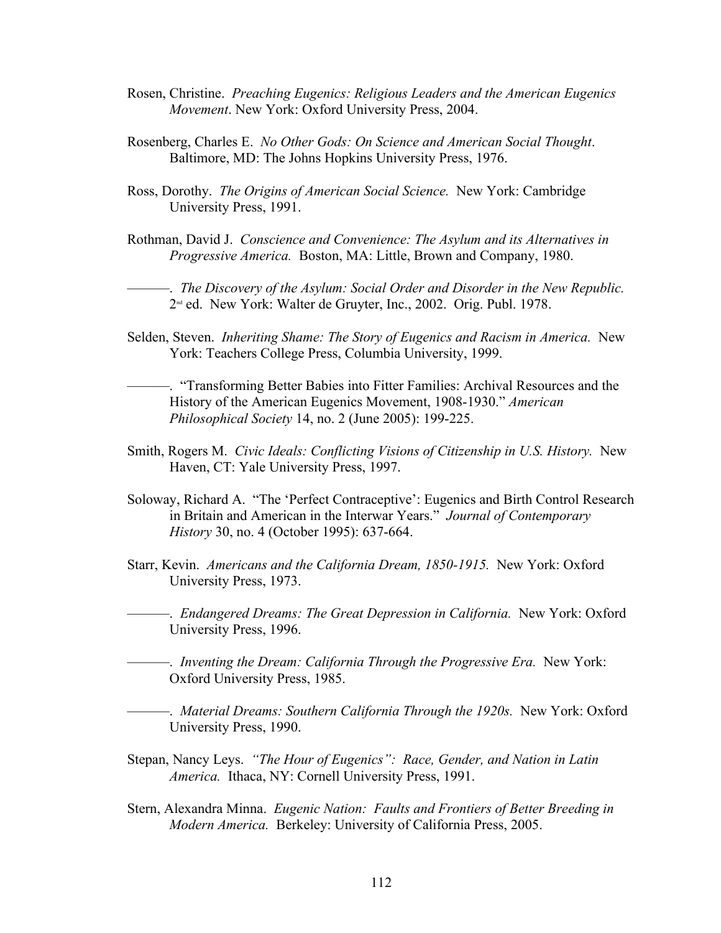- Rosen, Christine. *Preaching Eugenics: Religious Leaders and the American Eugenics Movement*. New York: Oxford University Press, 2004.
- Rosenberg, Charles E. *No Other Gods: On Science and American Social Thought*. Baltimore, MD: The Johns Hopkins University Press, 1976.
- Ross, Dorothy. *The Origins of American Social Science.* New York: Cambridge University Press, 1991.
- Rothman, David J. *Conscience and Convenience: The Asylum and its Alternatives in Progressive America.* Boston, MA: Little, Brown and Company, 1980.

———. *The Discovery of the Asylum: Social Order and Disorder in the New Republic.* 2nd ed. New York: Walter de Gruyter, Inc., 2002. Orig. Publ. 1978.

Selden, Steven. *Inheriting Shame: The Story of Eugenics and Racism in America.* New York: Teachers College Press, Columbia University, 1999.

———. "Transforming Better Babies into Fitter Families: Archival Resources and the History of the American Eugenics Movement, 1908-1930." *American Philosophical Society* 14, no. 2 (June 2005): 199-225.

- Smith, Rogers M. *Civic Ideals: Conflicting Visions of Citizenship in U.S. History.* New Haven, CT: Yale University Press, 1997.
- Soloway, Richard A. "The 'Perfect Contraceptive': Eugenics and Birth Control Research in Britain and American in the Interwar Years." *Journal of Contemporary History* 30, no. 4 (October 1995): 637-664.
- Starr, Kevin. *Americans and the California Dream, 1850-1915.* New York: Oxford University Press, 1973.

———. *Endangered Dreams: The Great Depression in California.* New York: Oxford University Press, 1996.

———. *Inventing the Dream: California Through the Progressive Era.* New York: Oxford University Press, 1985.

———. *Material Dreams: Southern California Through the 1920s.* New York: Oxford University Press, 1990.

- Stepan, Nancy Leys. *"The Hour of Eugenics": Race, Gender, and Nation in Latin America.* Ithaca, NY: Cornell University Press, 1991.
- Stern, Alexandra Minna. *Eugenic Nation: Faults and Frontiers of Better Breeding in Modern America.* Berkeley: University of California Press, 2005.